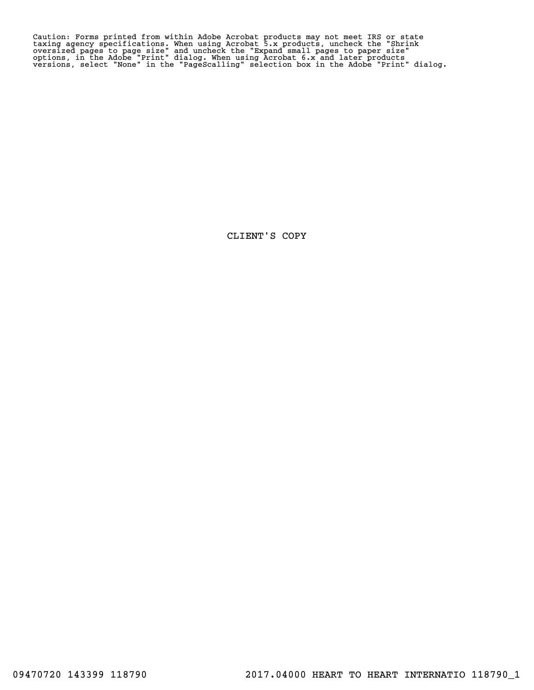Caution: Forms printed from within Adobe Acrobat products may not meet IRS or state<br>taxing agency specifications. When using Acrobat 5.x products, uncheck the "Shrink<br>oversized pages to page size" and uncheck the "Expand s

CLIENT'S COPY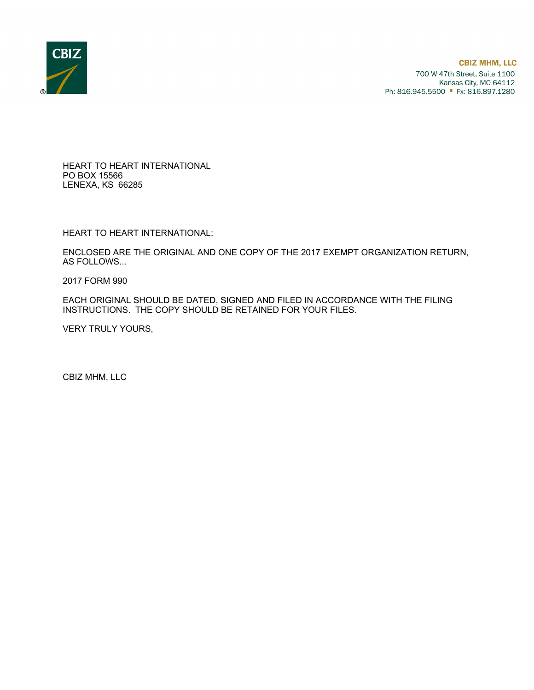

HEART TO HEART INTERNATIONAL PO BOX 15566 LENEXA, KS 66285

HEART TO HEART INTERNATIONAL:

ENCLOSED ARE THE ORIGINAL AND ONE COPY OF THE 2017 EXEMPT ORGANIZATION RETURN, AS FOLLOWS...

2017 FORM 990

EACH ORIGINAL SHOULD BE DATED, SIGNED AND FILED IN ACCORDANCE WITH THE FILING INSTRUCTIONS. THE COPY SHOULD BE RETAINED FOR YOUR FILES.

VERY TRULY YOURS,

CBIZ MHM, LLC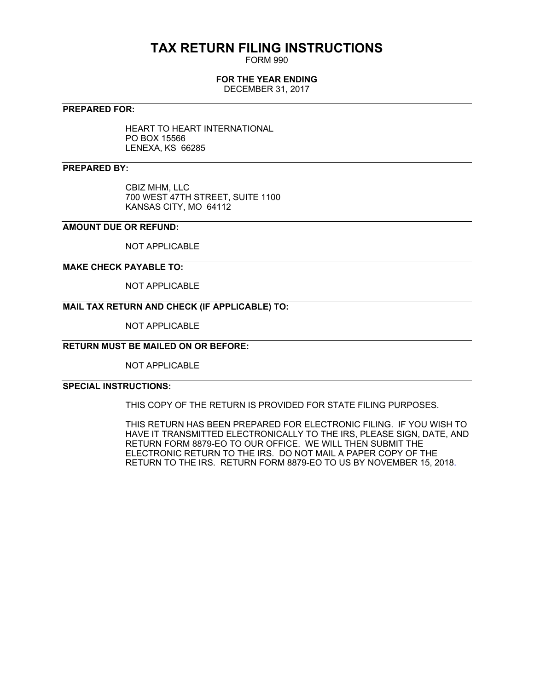# **TAX RETURN FILING INSTRUCTIONS**

FORM 990

## **FOR THE YEAR ENDING**

DECEMBER 31, 2017

### **PREPARED FOR:**

HEART TO HEART INTERNATIONAL PO BOX 15566 LENEXA, KS 66285

## **PREPARED BY:**

CBIZ MHM, LLC 700 WEST 47TH STREET, SUITE 1100 KANSAS CITY, MO 64112

## **AMOUNT DUE OR REFUND:**

NOT APPLICABLE

### **MAKE CHECK PAYABLE TO:**

NOT APPLICABLE

## **MAIL TAX RETURN AND CHECK (IF APPLICABLE) TO:**

NOT APPLICABLE

## **RETURN MUST BE MAILED ON OR BEFORE:**

NOT APPLICABLE

## **SPECIAL INSTRUCTIONS:**

THIS COPY OF THE RETURN IS PROVIDED FOR STATE FILING PURPOSES.

THIS RETURN HAS BEEN PREPARED FOR ELECTRONIC FILING. IF YOU WISH TO HAVE IT TRANSMITTED ELECTRONICALLY TO THE IRS, PLEASE SIGN, DATE, AND RETURN FORM 8879-EO TO OUR OFFICE. WE WILL THEN SUBMIT THE ELECTRONIC RETURN TO THE IRS. DO NOT MAIL A PAPER COPY OF THE RETURN TO THE IRS. RETURN FORM 8879-EO TO US BY NOVEMBER 15, 2018.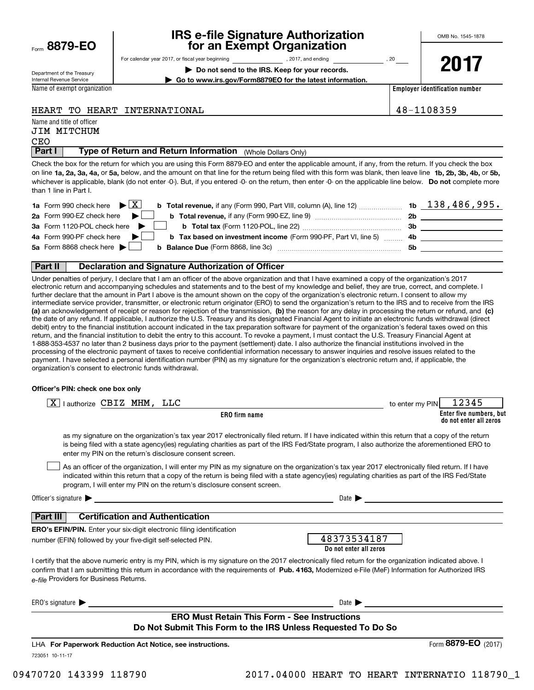| Form 8879-EO |  |
|--------------|--|
|              |  |

## **IRS e-file Signature Authorization for an Exempt Organization**

**| Do not send to the IRS. Keep for your records.**

For calendar year 2017, or fiscal year beginning and the set of the set of 2017, and ending the set of 20 year

OMB No. 1545-1878

Department of the Treasury Internal Revenue Service

**2017**

**Employer identification number | Go to www.irs.gov/Form8879EO for the latest information.**

Name of exempt organization

## HEART TO HEART INTERNATIONAL 48-1108359

Name and title of officer JIM MITCHUM

CEO

**Part I** | Type of Return and Return Information (Whole Dollars Only)

on line **1a, 2a, 3a, 4a,** or **5a,** below, and the amount on that line for the return being filed with this form was blank, then leave line **1b, 2b, 3b, 4b,** or **5b,** whichever is applicable, blank (do not enter -0-). But, if you entered -0- on the return, then enter -0- on the applicable line below. **Do not** complete more Check the box for the return for which you are using this Form 8879-EO and enter the applicable amount, if any, from the return. If you check the box than 1 line in Part I.

| <b>1a</b> Form 990 check here $\triangleright \begin{bmatrix} X \end{bmatrix}$                                               |     | $1b$ 138,486,995. |
|------------------------------------------------------------------------------------------------------------------------------|-----|-------------------|
| 2a Form 990-EZ check here $\blacktriangleright$<br><b>b</b> Total revenue, if any (Form 990-EZ, line 9)                      | 2b  |                   |
| 3a Form 1120-POL check here $\blacktriangleright$                                                                            | -3b |                   |
| 4a Form 990-PF check here $\blacktriangleright$<br><b>b</b> Tax based on investment income (Form 990-PF, Part VI, line 5) 4b |     |                   |
| 5a Form 8868 check here $\blacktriangleright$<br><b>b</b> Balance Due (Form 8868, line 3c)                                   | 5b  |                   |
|                                                                                                                              |     |                   |

### **Part II Declaration and Signature Authorization of Officer**

**(a)** an acknowledgement of receipt or reason for rejection of the transmission, (b) the reason for any delay in processing the return or refund, and (c) Under penalties of perjury, I declare that I am an officer of the above organization and that I have examined a copy of the organization's 2017 electronic return and accompanying schedules and statements and to the best of my knowledge and belief, they are true, correct, and complete. I further declare that the amount in Part I above is the amount shown on the copy of the organization's electronic return. I consent to allow my intermediate service provider, transmitter, or electronic return originator (ERO) to send the organization's return to the IRS and to receive from the IRS the date of any refund. If applicable, I authorize the U.S. Treasury and its designated Financial Agent to initiate an electronic funds withdrawal (direct debit) entry to the financial institution account indicated in the tax preparation software for payment of the organization's federal taxes owed on this return, and the financial institution to debit the entry to this account. To revoke a payment, I must contact the U.S. Treasury Financial Agent at 1-888-353-4537 no later than 2 business days prior to the payment (settlement) date. I also authorize the financial institutions involved in the processing of the electronic payment of taxes to receive confidential information necessary to answer inquiries and resolve issues related to the payment. I have selected a personal identification number (PIN) as my signature for the organization's electronic return and, if applicable, the organization's consent to electronic funds withdrawal.

#### **Officer's PIN: check one box only**

| lauthorize CBIZ MHM, LLC<br> X                                                                                                                                                                                                                                                                                                                                                   | 12345<br>to enter my PIN                          |
|----------------------------------------------------------------------------------------------------------------------------------------------------------------------------------------------------------------------------------------------------------------------------------------------------------------------------------------------------------------------------------|---------------------------------------------------|
| ERO firm name                                                                                                                                                                                                                                                                                                                                                                    | Enter five numbers, but<br>do not enter all zeros |
| as my signature on the organization's tax year 2017 electronically filed return. If I have indicated within this return that a copy of the return<br>is being filed with a state agency(ies) regulating charities as part of the IRS Fed/State program, I also authorize the aforementioned ERO to<br>enter my PIN on the return's disclosure consent screen.                    |                                                   |
| As an officer of the organization, I will enter my PIN as my signature on the organization's tax year 2017 electronically filed return. If I have<br>indicated within this return that a copy of the return is being filed with a state agency(ies) regulating charities as part of the IRS Fed/State<br>program, I will enter my PIN on the return's disclosure consent screen. |                                                   |
| Officer's signature $\blacktriangleright$<br><u> 1980 - Jan Sterling Sterling (d. 1980)</u>                                                                                                                                                                                                                                                                                      | Date $\blacksquare$                               |
| <b>Certification and Authentication</b><br>Part III                                                                                                                                                                                                                                                                                                                              |                                                   |
| <b>ERO's EFIN/PIN.</b> Enter your six-digit electronic filing identification                                                                                                                                                                                                                                                                                                     |                                                   |
| number (EFIN) followed by your five-digit self-selected PIN.                                                                                                                                                                                                                                                                                                                     | 48373534187<br>Do not enter all zeros             |
| I certify that the above numeric entry is my PIN, which is my signature on the 2017 electronically filed return for the organization indicated above. I<br>confirm that I am submitting this return in accordance with the requirements of Pub. 4163, Modernized e-File (MeF) Information for Authorized IRS<br>e-file Providers for Business Returns.                           |                                                   |
| ERO's signature $\blacktriangleright$                                                                                                                                                                                                                                                                                                                                            | Date $\blacktriangleright$                        |
| <b>ERO Must Retain This Form - See Instructions</b>                                                                                                                                                                                                                                                                                                                              |                                                   |
| Do Not Submit This Form to the IRS Unless Requested To Do So                                                                                                                                                                                                                                                                                                                     |                                                   |
| LHA For Paperwork Reduction Act Notice, see instructions.                                                                                                                                                                                                                                                                                                                        | Form 8879-EO (2017)                               |
| 723051 10-11-17                                                                                                                                                                                                                                                                                                                                                                  |                                                   |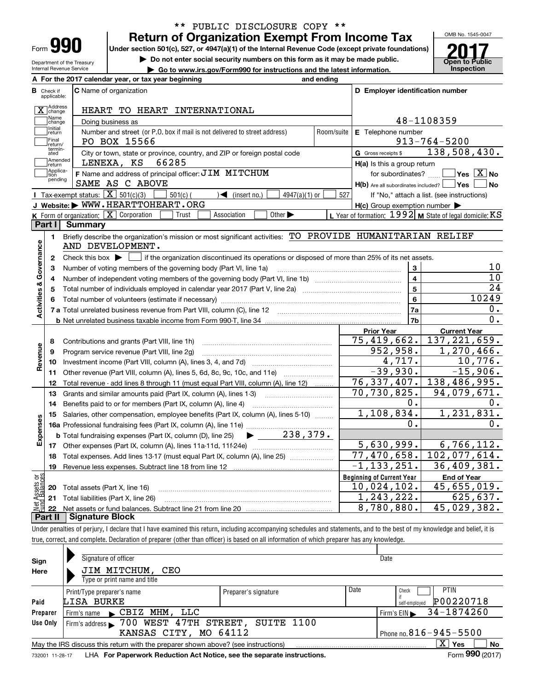| Form |  |
|------|--|

**A**

Department of the Treasury Internal Revenue Service

## **Return of Organization Exempt From Income Tax** \*\* PUBLIC DISCLOSURE COPY \*\*

**Under section 501(c), 527, or 4947(a)(1) of the Internal Revenue Code (except private foundations)**

**| Do not enter social security numbers on this form as it may be made public.**

▶ Go to www.irs.gov/Form990 for instructions and the latest information. **Inspection** 



|                         |                                  | A For the 2017 calendar year, or tax year beginning                                                                                     | and ending     |                                                           |                                                           |  |
|-------------------------|----------------------------------|-----------------------------------------------------------------------------------------------------------------------------------------|----------------|-----------------------------------------------------------|-----------------------------------------------------------|--|
| в                       | Check if<br>applicable:          | <b>C</b> Name of organization                                                                                                           |                | D Employer identification number                          |                                                           |  |
|                         | Address<br>$\overline{X}$ change | HEART TO HEART INTERNATIONAL                                                                                                            |                |                                                           |                                                           |  |
|                         | Name<br>change                   | 48-1108359<br>Doing business as                                                                                                         |                |                                                           |                                                           |  |
|                         | Initial<br>return                | Number and street (or P.O. box if mail is not delivered to street address)                                                              | Room/suite     | E Telephone number                                        |                                                           |  |
|                         | Final                            | PO BOX 15566                                                                                                                            |                |                                                           | $913 - 764 - 5200$                                        |  |
|                         | return/<br>termin-<br>ated       | City or town, state or province, country, and ZIP or foreign postal code                                                                |                | G Gross receipts \$                                       | 138,508,430.                                              |  |
|                         | Amended<br>Ireturn               | 66285<br>LENEXA, KS                                                                                                                     |                | $H(a)$ is this a group return                             |                                                           |  |
|                         | Applica-<br>tion                 | F Name and address of principal officer: JIM MITCHUM                                                                                    |                | for subordinates?                                         | $\blacksquare$ Yes $\boxed{\text{X}}$ No                  |  |
|                         | pending                          | SAME AS C ABOVE                                                                                                                         |                | $H(b)$ Are all subordinates included? $\vert$ Yes $\vert$ | No                                                        |  |
|                         |                                  | Tax-exempt status: $\boxed{\mathbf{X}}$ 501(c)(3)<br>$\sqrt{\frac{1}{1}}$ (insert no.)<br>4947(a)(1) or<br>$501(c)$ (                   | 527            |                                                           | If "No," attach a list. (see instructions)                |  |
|                         |                                  | J Website: WWW.HEARTTOHEART.ORG                                                                                                         |                | $H(c)$ Group exemption number $\blacktriangleright$       |                                                           |  |
|                         |                                  | K Form of organization: X Corporation<br>Association<br>Other $\blacktriangleright$<br>Trust                                            |                |                                                           | L Year of formation: $1992$ M State of legal domicile: KS |  |
|                         | Part I                           | Summary                                                                                                                                 |                |                                                           |                                                           |  |
|                         | 1.                               | Briefly describe the organization's mission or most significant activities: TO PROVIDE HUMANITARIAN RELIEF<br>AND DEVELOPMENT.          |                |                                                           |                                                           |  |
| Activities & Governance | $\mathbf{2}$                     | Check this box $\blacktriangleright$<br>if the organization discontinued its operations or disposed of more than 25% of its net assets. |                |                                                           |                                                           |  |
|                         | 3                                | Number of voting members of the governing body (Part VI, line 1a)                                                                       |                | 3                                                         | 10                                                        |  |
|                         | 4                                |                                                                                                                                         |                | $\overline{4}$                                            | $\overline{10}$                                           |  |
|                         | 5                                | Total number of individuals employed in calendar year 2017 (Part V, line 2a) manufacture controller to intervent                        | $\overline{5}$ | $\overline{24}$                                           |                                                           |  |
|                         |                                  |                                                                                                                                         | 6              | 10249                                                     |                                                           |  |
|                         |                                  |                                                                                                                                         |                | 7a                                                        | 0.                                                        |  |
|                         |                                  |                                                                                                                                         |                | 7b                                                        | 0.                                                        |  |
|                         |                                  |                                                                                                                                         |                | <b>Prior Year</b>                                         | <b>Current Year</b>                                       |  |
|                         | 8                                | Contributions and grants (Part VIII, line 1h)                                                                                           |                | 75,419,662.                                               | 137, 221, 659.                                            |  |
| Revenue                 | 9                                | Program service revenue (Part VIII, line 2g)                                                                                            |                | 952,958.                                                  | 1,270,466.                                                |  |
|                         | 10                               |                                                                                                                                         |                | 4,717.                                                    | 10,776.                                                   |  |
|                         | 11                               | Other revenue (Part VIII, column (A), lines 5, 6d, 8c, 9c, 10c, and 11e)                                                                |                | $-39,930.$                                                | $-15,906.$                                                |  |
|                         | 12                               | Total revenue - add lines 8 through 11 (must equal Part VIII, column (A), line 12)                                                      |                | $\overline{76}$ , 337, 407.                               | 138,486,995.                                              |  |
|                         | 13                               | Grants and similar amounts paid (Part IX, column (A), lines 1-3) <i>manual community containers</i>                                     |                | 70,730,825.                                               | 94,079,671.                                               |  |
|                         | 14                               | Benefits paid to or for members (Part IX, column (A), line 4)                                                                           |                | о.                                                        | 0.                                                        |  |
|                         | 15                               | Salaries, other compensation, employee benefits (Part IX, column (A), lines 5-10)                                                       |                | 1,108,834.                                                | 1,231,831.                                                |  |
| Expenses                |                                  | 16a Professional fundraising fees (Part IX, column (A), line 11e)                                                                       |                | 0.                                                        | 0.                                                        |  |
|                         |                                  | 238,379.<br><b>b</b> Total fundraising expenses (Part IX, column (D), line 25)                                                          |                |                                                           |                                                           |  |
|                         |                                  |                                                                                                                                         |                | 5,630,999.                                                | 6,766,112.                                                |  |
|                         | 18                               | Total expenses. Add lines 13-17 (must equal Part IX, column (A), line 25)                                                               |                | $\overline{77,470}$ , 658.                                | $\overline{102,077,614}$ .                                |  |
|                         | 19                               |                                                                                                                                         |                | $-1, 133, 251.$                                           | 36,409,381.                                               |  |
| äš                      |                                  |                                                                                                                                         |                | <b>Beginning of Current Year</b>                          | <b>End of Year</b>                                        |  |
|                         |                                  | <b>20</b> Total assets (Part X, line 16)                                                                                                |                | 10,024,102.                                               | 45,655,019.                                               |  |
| Assets<br>Paalanc       |                                  | 21 Total liabilities (Part X, line 26)                                                                                                  |                | 1,243,222.                                                | 625,637.                                                  |  |
| Net                     |                                  |                                                                                                                                         |                | $\sqrt{8}$ , 780, 880.                                    | 45,029,382.                                               |  |
|                         |                                  | + II   Cianaturo Plook                                                                                                                  |                |                                                           |                                                           |  |

**Part II Signature Block**

Under penalties of perjury, I declare that I have examined this return, including accompanying schedules and statements, and to the best of my knowledge and belief, it is true, correct, and complete. Declaration of preparer (other than officer) is based on all information of which preparer has any knowledge.

| Sign     | Signature of officer                                                                                         |                      |      | Date                       |  |  |  |
|----------|--------------------------------------------------------------------------------------------------------------|----------------------|------|----------------------------|--|--|--|
| Here     | JIM MITCHUM,<br>CEO                                                                                          |                      |      |                            |  |  |  |
|          | Type or print name and title                                                                                 |                      |      |                            |  |  |  |
|          | Print/Type preparer's name                                                                                   | Preparer's signature | Date | <b>PTIN</b><br>Check       |  |  |  |
| Paid     | LISA BURKE                                                                                                   |                      |      | P00220718<br>self-emploved |  |  |  |
| Preparer | CBIZ MHM, LLC<br>Firm's name                                                                                 |                      |      | 34-1874260<br>Firm's $EIN$ |  |  |  |
| Use Only | Firm's address > 700 WEST 47TH STREET, SUITE 1100                                                            |                      |      |                            |  |  |  |
|          | Phone no. $816 - 945 - 5500$<br>KANSAS CITY, MO 64112                                                        |                      |      |                            |  |  |  |
|          | $X \mid$<br>No<br>Yes<br>May the IRS discuss this return with the preparer shown above? (see instructions)   |                      |      |                            |  |  |  |
|          | Form 990 (2017)<br>LHA For Paperwork Reduction Act Notice, see the separate instructions.<br>732001 11-28-17 |                      |      |                            |  |  |  |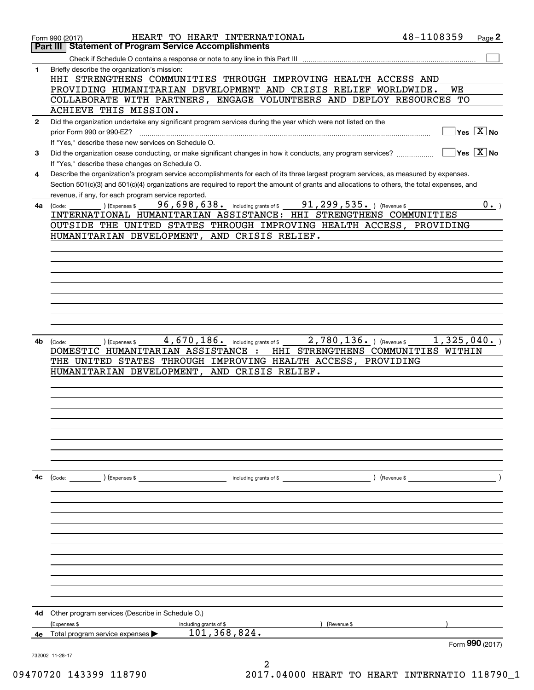|              | HEART TO HEART INTERNATIONAL<br>Form 990 (2017)                                                                                                                                                     | 48-1108359 | Page 2                                 |
|--------------|-----------------------------------------------------------------------------------------------------------------------------------------------------------------------------------------------------|------------|----------------------------------------|
|              | <b>Statement of Program Service Accomplishments</b><br>Part III                                                                                                                                     |            |                                        |
|              |                                                                                                                                                                                                     |            |                                        |
| 1            | Briefly describe the organization's mission:<br>HHI STRENGTHENS COMMUNITIES THROUGH IMPROVING HEALTH ACCESS AND                                                                                     |            |                                        |
|              | PROVIDING HUMANITARIAN DEVELOPMENT AND CRISIS RELIEF WORLDWIDE.                                                                                                                                     |            | WE<br>TО                               |
|              | COLLABORATE WITH PARTNERS, ENGAGE VOLUNTEERS AND DEPLOY RESOURCES<br>ACHIEVE THIS MISSION.                                                                                                          |            |                                        |
|              | Did the organization undertake any significant program services during the year which were not listed on the                                                                                        |            |                                        |
| $\mathbf{2}$ | prior Form 990 or 990-EZ?                                                                                                                                                                           |            | $\sqrt{}$ Yes $\sqrt{}$ X $\sqrt{}$ No |
|              | If "Yes," describe these new services on Schedule O.                                                                                                                                                |            |                                        |
| 3            | Did the organization cease conducting, or make significant changes in how it conducts, any program services?                                                                                        |            | $\sqrt{}$ Yes $\sqrt{}$ X $\sqrt{}$ No |
|              | If "Yes," describe these changes on Schedule O.                                                                                                                                                     |            |                                        |
| 4            | Describe the organization's program service accomplishments for each of its three largest program services, as measured by expenses.                                                                |            |                                        |
|              | Section 501(c)(3) and 501(c)(4) organizations are required to report the amount of grants and allocations to others, the total expenses, and<br>revenue, if any, for each program service reported. |            |                                        |
|              | 96, 698, 638. including grants of \$ 91, 299, 535. ) (Revenue \$<br>(Expenses \$<br>$4a$ (Code:                                                                                                     |            | $0 \cdot$                              |
|              | INTERNATIONAL HUMANITARIAN ASSISTANCE: HHI STRENGTHENS COMMUNITIES                                                                                                                                  |            |                                        |
|              | OUTSIDE THE UNITED STATES THROUGH IMPROVING HEALTH ACCESS, PROVIDING                                                                                                                                |            |                                        |
|              | HUMANITARIAN DEVELOPMENT, AND CRISIS RELIEF.                                                                                                                                                        |            |                                        |
|              |                                                                                                                                                                                                     |            |                                        |
|              |                                                                                                                                                                                                     |            |                                        |
|              |                                                                                                                                                                                                     |            |                                        |
|              |                                                                                                                                                                                                     |            |                                        |
|              |                                                                                                                                                                                                     |            |                                        |
|              |                                                                                                                                                                                                     |            |                                        |
|              |                                                                                                                                                                                                     |            |                                        |
|              |                                                                                                                                                                                                     |            |                                        |
|              |                                                                                                                                                                                                     |            |                                        |
| 4b           | 4,670,186. including grants of \$<br>$2$ , $780$ , $136$ . ) (Revenue \$<br>(Expenses \$<br>(Code:                                                                                                  |            | 1,325,040.                             |
|              | DOMESTIC HUMANITARIAN ASSISTANCE :<br>HHI STRENGTHENS COMMUNITIES WITHIN                                                                                                                            |            |                                        |
|              | THE UNITED STATES THROUGH IMPROVING HEALTH ACCESS, PROVIDING                                                                                                                                        |            |                                        |
|              | HUMANITARIAN DEVELOPMENT, AND CRISIS RELIEF.                                                                                                                                                        |            |                                        |
|              |                                                                                                                                                                                                     |            |                                        |
|              |                                                                                                                                                                                                     |            |                                        |
|              |                                                                                                                                                                                                     |            |                                        |
|              |                                                                                                                                                                                                     |            |                                        |
|              |                                                                                                                                                                                                     |            |                                        |
|              |                                                                                                                                                                                                     |            |                                        |
|              |                                                                                                                                                                                                     |            |                                        |
|              |                                                                                                                                                                                                     |            |                                        |
|              |                                                                                                                                                                                                     |            |                                        |
| 4с           | (Code: ) (Expenses \$                                                                                                                                                                               |            |                                        |
|              |                                                                                                                                                                                                     |            |                                        |
|              |                                                                                                                                                                                                     |            |                                        |
|              |                                                                                                                                                                                                     |            |                                        |
|              |                                                                                                                                                                                                     |            |                                        |
|              |                                                                                                                                                                                                     |            |                                        |
|              |                                                                                                                                                                                                     |            |                                        |
|              |                                                                                                                                                                                                     |            |                                        |
|              |                                                                                                                                                                                                     |            |                                        |
|              |                                                                                                                                                                                                     |            |                                        |
|              |                                                                                                                                                                                                     |            |                                        |
|              |                                                                                                                                                                                                     |            |                                        |
|              |                                                                                                                                                                                                     |            |                                        |
| 4d           | Other program services (Describe in Schedule O.)                                                                                                                                                    |            |                                        |
|              | (Expenses \$<br>(Revenue \$<br>including grants of \$                                                                                                                                               |            |                                        |
| 4е           | 101,368,824.<br>Total program service expenses                                                                                                                                                      |            |                                        |
|              |                                                                                                                                                                                                     |            | Form 990 (2017)                        |
|              | 732002 11-28-17                                                                                                                                                                                     |            |                                        |
|              |                                                                                                                                                                                                     |            |                                        |

09470720 143399 118790 2017.04000 HEART TO HEART INTERNATIO 118790\_1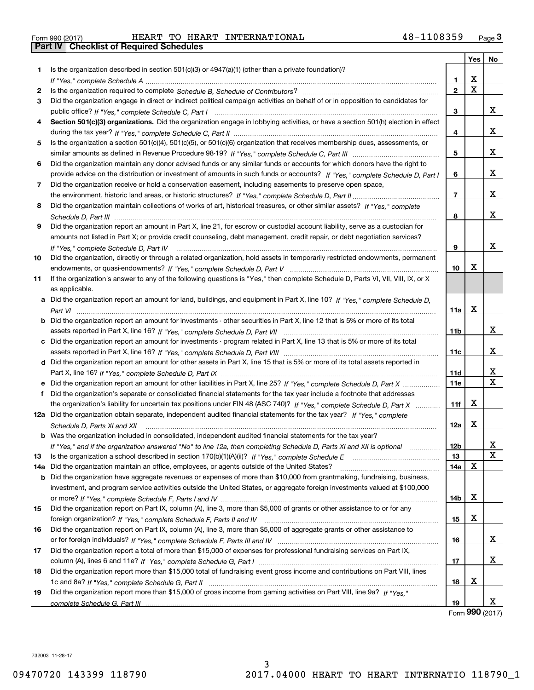| Form 990 (2017) |  |  |
|-----------------|--|--|

Form 990 (2017) Page **3Part IV Checklist of Required Schedules** HEART TO HEART INTERNATIONAL 48-1108359

|     |                                                                                                                                      |              | Yes         | No     |
|-----|--------------------------------------------------------------------------------------------------------------------------------------|--------------|-------------|--------|
| 1   | Is the organization described in section $501(c)(3)$ or $4947(a)(1)$ (other than a private foundation)?                              |              |             |        |
|     |                                                                                                                                      | 1.           | x           |        |
| 2   |                                                                                                                                      | $\mathbf{2}$ | $\mathbf X$ |        |
| 3   | Did the organization engage in direct or indirect political campaign activities on behalf of or in opposition to candidates for      |              |             |        |
|     |                                                                                                                                      | 3            |             | x      |
| 4   | Section 501(c)(3) organizations. Did the organization engage in lobbying activities, or have a section 501(h) election in effect     |              |             |        |
|     |                                                                                                                                      | 4            |             | x      |
| 5   | Is the organization a section 501(c)(4), 501(c)(5), or 501(c)(6) organization that receives membership dues, assessments, or         |              |             |        |
|     |                                                                                                                                      | 5            |             | x      |
| 6   | Did the organization maintain any donor advised funds or any similar funds or accounts for which donors have the right to            |              |             |        |
|     | provide advice on the distribution or investment of amounts in such funds or accounts? If "Yes," complete Schedule D, Part I         | 6            |             | x      |
| 7   | Did the organization receive or hold a conservation easement, including easements to preserve open space,                            |              |             |        |
|     |                                                                                                                                      | 7            |             | x      |
| 8   | Did the organization maintain collections of works of art, historical treasures, or other similar assets? If "Yes," complete         |              |             |        |
|     |                                                                                                                                      | 8            |             | x      |
| 9   | Did the organization report an amount in Part X, line 21, for escrow or custodial account liability, serve as a custodian for        |              |             |        |
|     | amounts not listed in Part X; or provide credit counseling, debt management, credit repair, or debt negotiation services?            |              |             |        |
|     | If "Yes," complete Schedule D, Part IV                                                                                               | 9            |             | x      |
| 10  | Did the organization, directly or through a related organization, hold assets in temporarily restricted endowments, permanent        |              |             |        |
|     |                                                                                                                                      | 10           | X           |        |
| 11  | If the organization's answer to any of the following questions is "Yes," then complete Schedule D, Parts VI, VIII, VIII, IX, or X    |              |             |        |
|     | as applicable.                                                                                                                       |              |             |        |
|     | a Did the organization report an amount for land, buildings, and equipment in Part X, line 10? If "Yes," complete Schedule D,        |              |             |        |
|     |                                                                                                                                      | 11a          | X           |        |
|     | <b>b</b> Did the organization report an amount for investments - other securities in Part X, line 12 that is 5% or more of its total |              |             |        |
|     |                                                                                                                                      | 11b          |             | x      |
|     | c Did the organization report an amount for investments - program related in Part X, line 13 that is 5% or more of its total         |              |             |        |
|     |                                                                                                                                      | 11c          |             | x      |
|     | d Did the organization report an amount for other assets in Part X, line 15 that is 5% or more of its total assets reported in       |              |             |        |
|     |                                                                                                                                      | 11d          |             | х<br>X |
|     | e Did the organization report an amount for other liabilities in Part X, line 25? If "Yes," complete Schedule D, Part X              | <b>11e</b>   |             |        |
|     | f Did the organization's separate or consolidated financial statements for the tax year include a footnote that addresses            |              | X           |        |
|     | the organization's liability for uncertain tax positions under FIN 48 (ASC 740)? If "Yes," complete Schedule D, Part X               | 11f          |             |        |
|     | 12a Did the organization obtain separate, independent audited financial statements for the tax year? If "Yes," complete              |              | X           |        |
|     | Schedule D, Parts XI and XII                                                                                                         | 12a          |             |        |
|     | <b>b</b> Was the organization included in consolidated, independent audited financial statements for the tax year?                   |              |             | X      |
| 13  | If "Yes," and if the organization answered "No" to line 12a, then completing Schedule D, Parts XI and XII is optional                | 12b<br>13    |             | X      |
| 14a | Did the organization maintain an office, employees, or agents outside of the United States?                                          | 14a          | X           |        |
|     | <b>b</b> Did the organization have aggregate revenues or expenses of more than \$10,000 from grantmaking, fundraising, business,     |              |             |        |
|     | investment, and program service activities outside the United States, or aggregate foreign investments valued at \$100,000           |              |             |        |
|     |                                                                                                                                      | 14b          | X           |        |
| 15  | Did the organization report on Part IX, column (A), line 3, more than \$5,000 of grants or other assistance to or for any            |              |             |        |
|     |                                                                                                                                      | 15           | X           |        |
| 16  | Did the organization report on Part IX, column (A), line 3, more than \$5,000 of aggregate grants or other assistance to             |              |             |        |
|     |                                                                                                                                      | 16           |             | x      |
| 17  | Did the organization report a total of more than \$15,000 of expenses for professional fundraising services on Part IX,              |              |             |        |
|     |                                                                                                                                      | 17           |             | X      |
| 18  | Did the organization report more than \$15,000 total of fundraising event gross income and contributions on Part VIII, lines         |              |             |        |
|     |                                                                                                                                      | 18           | х           |        |
| 19  | Did the organization report more than \$15,000 of gross income from gaming activities on Part VIII, line 9a? If "Yes."               |              |             |        |
|     |                                                                                                                                      | 19           |             | X      |

Form (2017) **990**

732003 11-28-17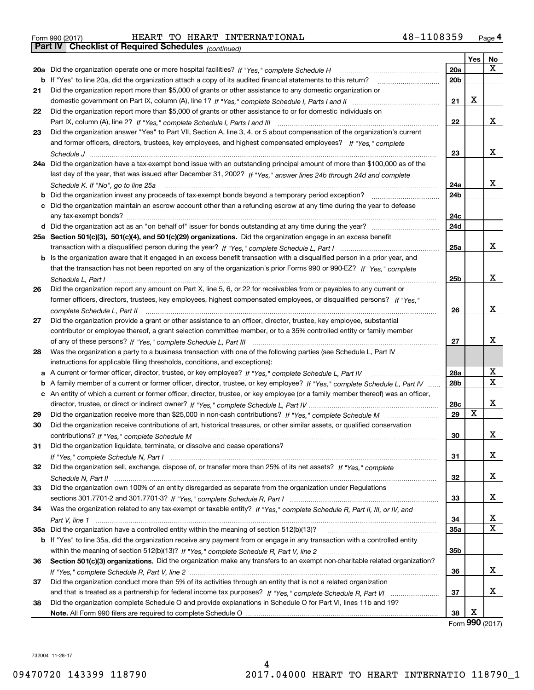|  | Form 990 (2017) |  |
|--|-----------------|--|

Form 990 (2017) HEART TO HEART INTERNATIONAL 4 8-1108359 <sub>Page</sub> 4<br>**Part IV | Checklist of Required Schedules** <sub>(continued)</sub>

*(continued)*

|    |                                                                                                                                          |     | Yes | No          |
|----|------------------------------------------------------------------------------------------------------------------------------------------|-----|-----|-------------|
|    | 20a Did the organization operate one or more hospital facilities? If "Yes," complete Schedule H                                          | 20a |     | X           |
|    | b If "Yes" to line 20a, did the organization attach a copy of its audited financial statements to this return?                           | 20b |     |             |
| 21 | Did the organization report more than \$5,000 of grants or other assistance to any domestic organization or                              |     |     |             |
|    |                                                                                                                                          | 21  | х   |             |
| 22 | Did the organization report more than \$5,000 of grants or other assistance to or for domestic individuals on                            |     |     |             |
|    |                                                                                                                                          | 22  |     | x           |
| 23 | Did the organization answer "Yes" to Part VII, Section A, line 3, 4, or 5 about compensation of the organization's current               |     |     |             |
|    | and former officers, directors, trustees, key employees, and highest compensated employees? If "Yes," complete                           |     |     |             |
|    |                                                                                                                                          | 23  |     | x           |
|    | 24a Did the organization have a tax-exempt bond issue with an outstanding principal amount of more than \$100,000 as of the              |     |     |             |
|    | last day of the year, that was issued after December 31, 2002? If "Yes," answer lines 24b through 24d and complete                       |     |     |             |
|    |                                                                                                                                          | 24a |     | x           |
|    | Schedule K. If "No", go to line 25a<br>Did the organization invest any proceeds of tax-exempt bonds beyond a temporary period exception? | 24b |     |             |
| b  |                                                                                                                                          |     |     |             |
| c  | Did the organization maintain an escrow account other than a refunding escrow at any time during the year to defease                     |     |     |             |
|    |                                                                                                                                          | 24c |     |             |
|    |                                                                                                                                          | 24d |     |             |
|    | 25a Section 501(c)(3), 501(c)(4), and 501(c)(29) organizations. Did the organization engage in an excess benefit                         |     |     |             |
|    |                                                                                                                                          | 25a |     | x           |
| b  | Is the organization aware that it engaged in an excess benefit transaction with a disqualified person in a prior year, and               |     |     |             |
|    | that the transaction has not been reported on any of the organization's prior Forms 990 or 990-EZ? If "Yes," complete                    |     |     |             |
|    | Schedule L. Part I                                                                                                                       | 25b |     | X           |
| 26 | Did the organization report any amount on Part X, line 5, 6, or 22 for receivables from or payables to any current or                    |     |     |             |
|    | former officers, directors, trustees, key employees, highest compensated employees, or disqualified persons? If "Yes."                   |     |     |             |
|    | complete Schedule L, Part II                                                                                                             | 26  |     | X           |
| 27 | Did the organization provide a grant or other assistance to an officer, director, trustee, key employee, substantial                     |     |     |             |
|    | contributor or employee thereof, a grant selection committee member, or to a 35% controlled entity or family member                      |     |     |             |
|    |                                                                                                                                          | 27  |     | X           |
| 28 | Was the organization a party to a business transaction with one of the following parties (see Schedule L, Part IV                        |     |     |             |
|    | instructions for applicable filing thresholds, conditions, and exceptions):                                                              |     |     |             |
| а  | A current or former officer, director, trustee, or key employee? If "Yes," complete Schedule L, Part IV                                  | 28a |     | х           |
| b  | A family member of a current or former officer, director, trustee, or key employee? If "Yes," complete Schedule L, Part IV               | 28b |     | $\mathbf X$ |
| c  | An entity of which a current or former officer, director, trustee, or key employee (or a family member thereof) was an officer,          |     |     |             |
|    |                                                                                                                                          | 28c |     | X           |
| 29 |                                                                                                                                          | 29  | X   |             |
| 30 | Did the organization receive contributions of art, historical treasures, or other similar assets, or qualified conservation              |     |     |             |
|    |                                                                                                                                          | 30  |     | х           |
| 31 | Did the organization liquidate, terminate, or dissolve and cease operations?                                                             |     |     |             |
|    |                                                                                                                                          | 31  |     | х           |
| 32 | Did the organization sell, exchange, dispose of, or transfer more than 25% of its net assets? If "Yes," complete                         |     |     |             |
|    | Schedule N. Part II www.communications.com/www.communications.com/www.communications.com/www.communications.com                          | 32  |     | x           |
| 33 | Did the organization own 100% of an entity disregarded as separate from the organization under Regulations                               |     |     |             |
|    |                                                                                                                                          | 33  |     | х           |
| 34 | Was the organization related to any tax-exempt or taxable entity? If "Yes," complete Schedule R, Part II, III, or IV, and                |     |     |             |
|    |                                                                                                                                          | 34  |     | х           |
|    | 35a Did the organization have a controlled entity within the meaning of section 512(b)(13)?                                              | 35a |     | $\mathbf X$ |
|    | b If "Yes" to line 35a, did the organization receive any payment from or engage in any transaction with a controlled entity              |     |     |             |
|    |                                                                                                                                          | 35b |     |             |
| 36 | Section 501(c)(3) organizations. Did the organization make any transfers to an exempt non-charitable related organization?               |     |     |             |
|    |                                                                                                                                          | 36  |     | х           |
| 37 | Did the organization conduct more than 5% of its activities through an entity that is not a related organization                         |     |     |             |
|    |                                                                                                                                          | 37  |     | х           |
| 38 | Did the organization complete Schedule O and provide explanations in Schedule O for Part VI, lines 11b and 19?                           |     |     |             |
|    |                                                                                                                                          | 38  | х   |             |
|    |                                                                                                                                          |     |     |             |

Form (2017) **990**

732004 11-28-17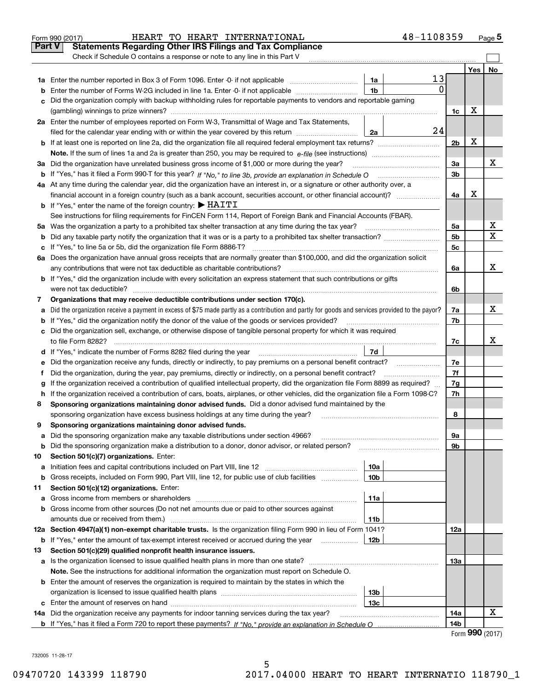|    | 48-1108359<br>HEART TO HEART INTERNATIONAL<br>Form 990 (2017)                                                                                                          |                 |                                     | Page $5$ |
|----|------------------------------------------------------------------------------------------------------------------------------------------------------------------------|-----------------|-------------------------------------|----------|
|    | <b>Part V</b><br><b>Statements Regarding Other IRS Filings and Tax Compliance</b>                                                                                      |                 |                                     |          |
|    | Check if Schedule O contains a response or note to any line in this Part V                                                                                             |                 |                                     |          |
|    |                                                                                                                                                                        |                 | Yes                                 | No       |
|    | 13<br>1a                                                                                                                                                               |                 |                                     |          |
| b  | $\Omega$<br>1 <sub>b</sub><br>Enter the number of Forms W-2G included in line 1a. Enter -0- if not applicable                                                          |                 |                                     |          |
| c  | Did the organization comply with backup withholding rules for reportable payments to vendors and reportable gaming                                                     |                 |                                     |          |
|    |                                                                                                                                                                        | 1c              | х                                   |          |
|    | 2a Enter the number of employees reported on Form W-3, Transmittal of Wage and Tax Statements,                                                                         |                 |                                     |          |
|    | 24<br>filed for the calendar year ending with or within the year covered by this return<br>2a                                                                          |                 |                                     |          |
|    |                                                                                                                                                                        | 2 <sub>b</sub>  | х                                   |          |
|    |                                                                                                                                                                        |                 |                                     |          |
|    | 3a Did the organization have unrelated business gross income of \$1,000 or more during the year?                                                                       | За              |                                     | x        |
|    |                                                                                                                                                                        | 3b              |                                     |          |
|    |                                                                                                                                                                        |                 |                                     |          |
|    | 4a At any time during the calendar year, did the organization have an interest in, or a signature or other authority over, a                                           |                 | х                                   |          |
|    | financial account in a foreign country (such as a bank account, securities account, or other financial account)?                                                       | 4a              |                                     |          |
|    | <b>b</b> If "Yes," enter the name of the foreign country: $\blacktriangleright$ HAITI                                                                                  |                 |                                     |          |
|    | See instructions for filing requirements for FinCEN Form 114, Report of Foreign Bank and Financial Accounts (FBAR).                                                    |                 |                                     |          |
|    |                                                                                                                                                                        | 5a              |                                     | х        |
| b  |                                                                                                                                                                        | 5 <sub>b</sub>  |                                     | х        |
| c  |                                                                                                                                                                        | 5c              |                                     |          |
|    | 6a Does the organization have annual gross receipts that are normally greater than \$100,000, and did the organization solicit                                         |                 |                                     |          |
|    | any contributions that were not tax deductible as charitable contributions?                                                                                            | 6a              |                                     | x        |
|    | <b>b</b> If "Yes," did the organization include with every solicitation an express statement that such contributions or gifts                                          |                 |                                     |          |
|    | were not tax deductible?                                                                                                                                               | 6b              |                                     |          |
| 7  | Organizations that may receive deductible contributions under section 170(c).                                                                                          |                 |                                     |          |
| a  | Did the organization receive a payment in excess of \$75 made partly as a contribution and partly for goods and services provided to the payor?                        | 7a              |                                     | x        |
| b  | If "Yes," did the organization notify the donor of the value of the goods or services provided?                                                                        | 7b              |                                     |          |
|    | c Did the organization sell, exchange, or otherwise dispose of tangible personal property for which it was required                                                    |                 |                                     |          |
|    |                                                                                                                                                                        | 7c              |                                     | x        |
|    | 7d                                                                                                                                                                     |                 |                                     |          |
| е  |                                                                                                                                                                        | 7e              |                                     |          |
| f  | Did the organization, during the year, pay premiums, directly or indirectly, on a personal benefit contract?                                                           | 7f              |                                     |          |
| g  | If the organization received a contribution of qualified intellectual property, did the organization file Form 8899 as required?                                       | 7g              |                                     |          |
| h. | If the organization received a contribution of cars, boats, airplanes, or other vehicles, did the organization file a Form 1098-C?                                     | 7h              |                                     |          |
| 8  | Sponsoring organizations maintaining donor advised funds. Did a donor advised fund maintained by the                                                                   |                 |                                     |          |
|    | sponsoring organization have excess business holdings at any time during the year?                                                                                     | 8               |                                     |          |
|    | Sponsoring organizations maintaining donor advised funds.                                                                                                              |                 |                                     |          |
| a  | Did the sponsoring organization make any taxable distributions under section 4966?                                                                                     | 9а              |                                     |          |
| b  | Did the sponsoring organization make a distribution to a donor, donor advisor, or related person?                                                                      | 9b              |                                     |          |
| 10 | Section 501(c)(7) organizations. Enter:                                                                                                                                |                 |                                     |          |
| а  | 10a<br>Initiation fees and capital contributions included on Part VIII, line 12 <i>manuarrouus</i> manuations and capital contributions included on Part VIII, line 12 |                 |                                     |          |
| b  | 10 <sub>b</sub><br>Gross receipts, included on Form 990, Part VIII, line 12, for public use of club facilities                                                         |                 |                                     |          |
| 11 | Section 501(c)(12) organizations. Enter:                                                                                                                               |                 |                                     |          |
| a  | 11a<br>Gross income from members or shareholders                                                                                                                       |                 |                                     |          |
|    | Gross income from other sources (Do not net amounts due or paid to other sources against                                                                               |                 |                                     |          |
| b  |                                                                                                                                                                        |                 |                                     |          |
|    | amounts due or received from them.)<br>11b                                                                                                                             |                 |                                     |          |
|    | 12a Section 4947(a)(1) non-exempt charitable trusts. Is the organization filing Form 990 in lieu of Form 1041?                                                         | 12a             |                                     |          |
| b  | If "Yes," enter the amount of tax-exempt interest received or accrued during the year <i>manuming</i><br>12b                                                           |                 |                                     |          |
| 13 | Section 501(c)(29) qualified nonprofit health insurance issuers.                                                                                                       |                 |                                     |          |
| a  | Is the organization licensed to issue qualified health plans in more than one state?                                                                                   | 13а             |                                     |          |
|    | Note. See the instructions for additional information the organization must report on Schedule O.                                                                      |                 |                                     |          |
|    | <b>b</b> Enter the amount of reserves the organization is required to maintain by the states in which the                                                              |                 |                                     |          |
|    | 13b                                                                                                                                                                    |                 |                                     |          |
|    | 13c                                                                                                                                                                    |                 |                                     |          |
|    | 14a Did the organization receive any payments for indoor tanning services during the tax year?                                                                         | 14a             |                                     | x        |
|    |                                                                                                                                                                        | 14 <sub>b</sub> |                                     |          |
|    |                                                                                                                                                                        |                 | $F_{\text{arm}}$ QQ $\Omega$ (2017) |          |

5

| Form 990 (2017) |  |
|-----------------|--|
|-----------------|--|

732005 11-28-17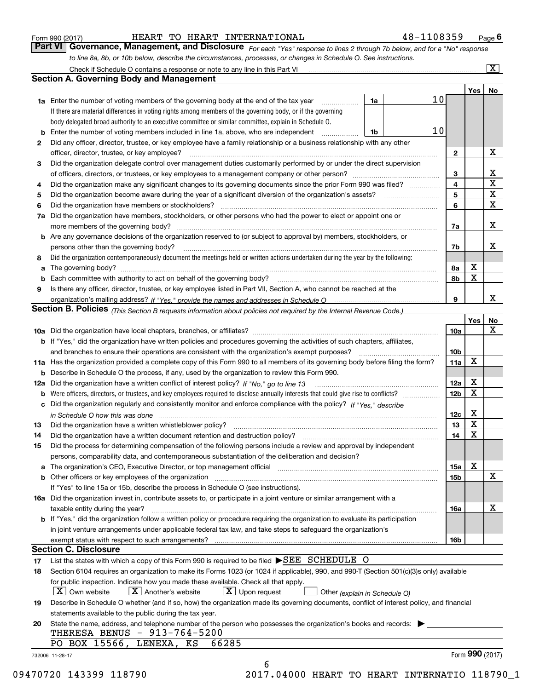|  | Form 990 (2017) |
|--|-----------------|
|  |                 |

HEART TO HEART INTERNATIONAL 48-1108359

*For each "Yes" response to lines 2 through 7b below, and for a "No" response to line 8a, 8b, or 10b below, describe the circumstances, processes, or changes in Schedule O. See instructions.* Form 990 (2017) **Form 990 (2017)** HEART TO HEART INTERNATIONAL 48-1108359 Page 6<br>**Part VI Governance, Management, and Disclosure** For each "Yes" response to lines 2 through 7b below, and for a "No" response Check if Schedule O contains a response or note to any line in this Part VI

|    |                                                                                                                                                                                                                   | 1a | 10 <sub>1</sub> |                 | Yes | No                      |
|----|-------------------------------------------------------------------------------------------------------------------------------------------------------------------------------------------------------------------|----|-----------------|-----------------|-----|-------------------------|
|    | <b>1a</b> Enter the number of voting members of the governing body at the end of the tax year<br>.<br>If there are material differences in voting rights among members of the governing body, or if the governing |    |                 |                 |     |                         |
|    |                                                                                                                                                                                                                   |    |                 |                 |     |                         |
|    | body delegated broad authority to an executive committee or similar committee, explain in Schedule O.                                                                                                             |    | 10              |                 |     |                         |
| b  | Enter the number of voting members included in line 1a, above, who are independent                                                                                                                                | 1b |                 |                 |     |                         |
| 2  | Did any officer, director, trustee, or key employee have a family relationship or a business relationship with any other                                                                                          |    |                 |                 |     |                         |
|    | officer, director, trustee, or key employee?                                                                                                                                                                      |    |                 | $\mathbf{2}$    |     | X                       |
| 3  | Did the organization delegate control over management duties customarily performed by or under the direct supervision                                                                                             |    |                 |                 |     |                         |
|    |                                                                                                                                                                                                                   |    |                 | 3               |     | X                       |
| 4  | Did the organization make any significant changes to its governing documents since the prior Form 990 was filed?                                                                                                  |    |                 | 4               |     | $\overline{\mathbf{x}}$ |
| 5  | Did the organization become aware during the year of a significant diversion of the organization's assets? <i>manageranian</i> managerance.                                                                       |    |                 | 5               |     | X                       |
| 6  | Did the organization have members or stockholders?                                                                                                                                                                |    |                 | 6               |     | X                       |
| 7a | Did the organization have members, stockholders, or other persons who had the power to elect or appoint one or                                                                                                    |    |                 |                 |     |                         |
|    |                                                                                                                                                                                                                   |    |                 | 7a              |     | x                       |
|    | <b>b</b> Are any governance decisions of the organization reserved to (or subject to approval by) members, stockholders, or                                                                                       |    |                 |                 |     |                         |
|    | persons other than the governing body?                                                                                                                                                                            |    |                 | 7b              |     | х                       |
| 8  | Did the organization contemporaneously document the meetings held or written actions undertaken during the year by the following:                                                                                 |    |                 |                 |     |                         |
| a  |                                                                                                                                                                                                                   |    |                 | 8a              | X   |                         |
| b  |                                                                                                                                                                                                                   |    |                 | 8b              | X   |                         |
| 9  | Is there any officer, director, trustee, or key employee listed in Part VII, Section A, who cannot be reached at the                                                                                              |    |                 |                 |     |                         |
|    |                                                                                                                                                                                                                   |    |                 | 9               |     | x                       |
|    | <b>Section B. Policies</b> (This Section B requests information about policies not required by the Internal Revenue Code.)                                                                                        |    |                 |                 |     |                         |
|    |                                                                                                                                                                                                                   |    |                 |                 | Yes | No                      |
|    |                                                                                                                                                                                                                   |    |                 | 10a             |     | X                       |
|    | <b>b</b> If "Yes," did the organization have written policies and procedures governing the activities of such chapters, affiliates,                                                                               |    |                 |                 |     |                         |
|    |                                                                                                                                                                                                                   |    |                 | 10 <sub>b</sub> |     |                         |
|    | 11a Has the organization provided a complete copy of this Form 990 to all members of its governing body before filing the form?                                                                                   |    |                 | 11a             | X   |                         |
|    | <b>b</b> Describe in Schedule O the process, if any, used by the organization to review this Form 990.                                                                                                            |    |                 |                 |     |                         |
|    |                                                                                                                                                                                                                   |    |                 | 12a             | Х   |                         |
| b  |                                                                                                                                                                                                                   |    |                 | 12b             | X   |                         |
|    | c Did the organization regularly and consistently monitor and enforce compliance with the policy? If "Yes." describe                                                                                              |    |                 |                 |     |                         |
|    | in Schedule O how this was done manufactured and continuum control of the state of the state of the state of t                                                                                                    |    |                 | 12c             | Х   |                         |
| 13 |                                                                                                                                                                                                                   |    |                 | 13              | X   |                         |
| 14 | Did the organization have a written document retention and destruction policy? manufactured and the organization have a written document retention and destruction policy?                                        |    |                 | 14              | X   |                         |
| 15 | Did the process for determining compensation of the following persons include a review and approval by independent                                                                                                |    |                 |                 |     |                         |
|    | persons, comparability data, and contemporaneous substantiation of the deliberation and decision?                                                                                                                 |    |                 |                 |     |                         |
|    |                                                                                                                                                                                                                   |    |                 | <b>15a</b>      | X   |                         |
|    |                                                                                                                                                                                                                   |    |                 | 15 <sub>b</sub> |     | X                       |
|    | If "Yes" to line 15a or 15b, describe the process in Schedule O (see instructions).                                                                                                                               |    |                 |                 |     |                         |
|    | 16a Did the organization invest in, contribute assets to, or participate in a joint venture or similar arrangement with a                                                                                         |    |                 |                 |     |                         |
|    | taxable entity during the year?                                                                                                                                                                                   |    |                 | 16a             |     | X                       |
|    | b If "Yes," did the organization follow a written policy or procedure requiring the organization to evaluate its participation                                                                                    |    |                 |                 |     |                         |
|    |                                                                                                                                                                                                                   |    |                 |                 |     |                         |
|    | in joint venture arrangements under applicable federal tax law, and take steps to safeguard the organization's                                                                                                    |    |                 |                 |     |                         |
|    | exempt status with respect to such arrangements?<br><b>Section C. Disclosure</b>                                                                                                                                  |    |                 | 16b             |     |                         |
| 17 | List the states with which a copy of this Form 990 is required to be filed SEE SCHEDULE O                                                                                                                         |    |                 |                 |     |                         |
| 18 | Section 6104 requires an organization to make its Forms 1023 (or 1024 if applicable), 990, and 990-T (Section 501(c)(3)s only) available                                                                          |    |                 |                 |     |                         |
|    | for public inspection. Indicate how you made these available. Check all that apply.                                                                                                                               |    |                 |                 |     |                         |
|    |                                                                                                                                                                                                                   |    |                 |                 |     |                         |
|    | $X$ Upon request<br>$\mid$ $\rm X\mid$ Own website<br>$X$ Another's website<br>Other (explain in Schedule O)                                                                                                      |    |                 |                 |     |                         |
| 19 | Describe in Schedule O whether (and if so, how) the organization made its governing documents, conflict of interest policy, and financial                                                                         |    |                 |                 |     |                         |
|    | statements available to the public during the tax year.                                                                                                                                                           |    |                 |                 |     |                         |
| 20 | State the name, address, and telephone number of the person who possesses the organization's books and records:                                                                                                   |    |                 |                 |     |                         |
|    | THERESA BENUS - 913-764-5200                                                                                                                                                                                      |    |                 |                 |     |                         |
|    | PO BOX 15566, LENEXA, KS<br>66285                                                                                                                                                                                 |    |                 |                 |     | Form 990 (2017)         |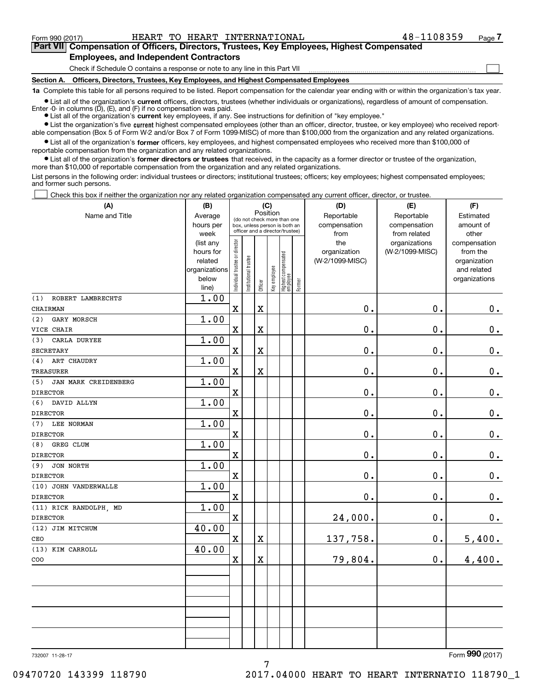**(A)**

Form 990 (2017) HEART TO HEART INTERNATIONAL 48-1108359 Page

 $\mathcal{L}^{\text{max}}$ 

# **7Part VII Compensation of Officers, Directors, Trustees, Key Employees, Highest Compensated Employees, and Independent Contractors**

Check if Schedule O contains a response or note to any line in this Part VII

**Section A. Officers, Directors, Trustees, Key Employees, and Highest Compensated Employees**

**1a**  Complete this table for all persons required to be listed. Report compensation for the calendar year ending with or within the organization's tax year.

**•** List all of the organization's current officers, directors, trustees (whether individuals or organizations), regardless of amount of compensation.

● List all of the organization's **current** key employees, if any. See instructions for definition of "key employee." Enter -0- in columns  $(D)$ ,  $(E)$ , and  $(F)$  if no compensation was paid.

**•** List the organization's five current highest compensated employees (other than an officer, director, trustee, or key employee) who received reportable compensation (Box 5 of Form W-2 and/or Box 7 of Form 1099-MISC) of more than \$100,000 from the organization and any related organizations.

 $\bullet$  List all of the organization's **former** officers, key employees, and highest compensated employees who received more than \$100,000 of reportable compensation from the organization and any related organizations.

**•** List all of the organization's former directors or trustees that received, in the capacity as a former director or trustee of the organization, more than \$10,000 of reportable compensation from the organization and any related organizations.

List persons in the following order: individual trustees or directors; institutional trustees; officers; key employees; highest compensated employees; and former such persons.

Check this box if neither the organization nor any related organization compensated any current officer, director, or trustee.  $\mathcal{L}^{\text{max}}$ 

| (A)                         | (B)                    |                                |                       | (C)                     |              |                                                                  |        | (D)                             | (E)             | (F)                      |
|-----------------------------|------------------------|--------------------------------|-----------------------|-------------------------|--------------|------------------------------------------------------------------|--------|---------------------------------|-----------------|--------------------------|
| Name and Title              | Average                |                                |                       | Position                |              | (do not check more than one                                      |        | Reportable                      | Reportable      | Estimated                |
|                             | hours per              |                                |                       |                         |              | box, unless person is both an<br>officer and a director/trustee) |        | compensation                    | compensation    | amount of                |
|                             | week                   |                                |                       |                         |              |                                                                  |        | from                            | from related    | other                    |
|                             | (list any<br>hours for |                                |                       |                         |              |                                                                  |        | the                             | organizations   | compensation<br>from the |
|                             | related                |                                |                       |                         |              |                                                                  |        | organization<br>(W-2/1099-MISC) | (W-2/1099-MISC) | organization             |
|                             | organizations          |                                |                       |                         |              |                                                                  |        |                                 |                 | and related              |
|                             | below                  |                                |                       |                         |              |                                                                  |        |                                 |                 | organizations            |
|                             | line)                  | Individual trustee or director | Institutional trustee | Officer                 | Key employee | Highest compensated<br>  employee                                | Former |                                 |                 |                          |
| ROBERT LAMBRECHTS<br>(1)    | 1.00                   |                                |                       |                         |              |                                                                  |        |                                 |                 |                          |
| CHAIRMAN                    |                        | $\mathbf x$                    |                       | X                       |              |                                                                  |        | 0.                              | 0.              | 0.                       |
| GARY MORSCH<br>(2)          | 1.00                   |                                |                       |                         |              |                                                                  |        |                                 |                 |                          |
| VICE CHAIR                  |                        | $\mathbf x$                    |                       | $\overline{\textbf{X}}$ |              |                                                                  |        | 0.                              | 0.              | $0_{.}$                  |
| CARLA DURYEE<br>(3)         | 1.00                   |                                |                       |                         |              |                                                                  |        |                                 |                 |                          |
| <b>SECRETARY</b>            |                        | $\mathbf x$                    |                       | $\mathbf X$             |              |                                                                  |        | 0.                              | 0.              | $\mathbf 0$ .            |
| ART CHAUDRY<br>(4)          | 1.00                   |                                |                       |                         |              |                                                                  |        |                                 |                 |                          |
| <b>TREASURER</b>            |                        | $\mathbf X$                    |                       | $\overline{\mathbf{X}}$ |              |                                                                  |        | 0.                              | 0.              | $0_{.}$                  |
| JAN MARK CREIDENBERG<br>(5) | 1.00                   |                                |                       |                         |              |                                                                  |        |                                 |                 |                          |
| <b>DIRECTOR</b>             |                        | $\mathbf X$                    |                       |                         |              |                                                                  |        | 0.                              | 0.              | $\mathbf 0$ .            |
| DAVID ALLYN<br>(6)          | 1.00                   |                                |                       |                         |              |                                                                  |        |                                 |                 |                          |
| <b>DIRECTOR</b>             |                        | $\mathbf x$                    |                       |                         |              |                                                                  |        | 0.                              | 0.              | $\mathbf 0$ .            |
| LEE NORMAN<br>(7)           | 1.00                   |                                |                       |                         |              |                                                                  |        |                                 |                 |                          |
| <b>DIRECTOR</b>             |                        | $\mathbf X$                    |                       |                         |              |                                                                  |        | $0$ .                           | $0$ .           | $\mathbf 0$ .            |
| GREG CLUM<br>(8)            | 1.00                   |                                |                       |                         |              |                                                                  |        |                                 |                 |                          |
| <b>DIRECTOR</b>             |                        | $\mathbf x$                    |                       |                         |              |                                                                  |        | 0.                              | 0.              | $0_{.}$                  |
| JON NORTH<br>(9)            | 1.00                   |                                |                       |                         |              |                                                                  |        |                                 |                 |                          |
| <b>DIRECTOR</b>             |                        | $\mathbf X$                    |                       |                         |              |                                                                  |        | 0.                              | 0.              | $0_{.}$                  |
| (10) JOHN VANDERWALLE       | 1.00                   |                                |                       |                         |              |                                                                  |        |                                 |                 |                          |
| <b>DIRECTOR</b>             |                        | $\mathbf x$                    |                       |                         |              |                                                                  |        | $\mathbf 0$ .                   | 0.              | $0_{.}$                  |
| (11) RICK RANDOLPH, MD      | 1.00                   |                                |                       |                         |              |                                                                  |        |                                 |                 |                          |
| <b>DIRECTOR</b>             |                        | $\mathbf X$                    |                       |                         |              |                                                                  |        | 24,000.                         | 0.              | 0.                       |
| (12) JIM MITCHUM            | 40.00                  |                                |                       |                         |              |                                                                  |        |                                 |                 |                          |
| CEO                         |                        | $\mathbf X$                    |                       | X                       |              |                                                                  |        | 137,758.                        | 0.              | 5,400.                   |
| (13) KIM CARROLL            | 40.00                  |                                |                       |                         |              |                                                                  |        |                                 |                 |                          |
| COO                         |                        | $\mathbf X$                    |                       | X                       |              |                                                                  |        | 79,804.                         | 0.              | 4,400.                   |
|                             |                        |                                |                       |                         |              |                                                                  |        |                                 |                 |                          |
|                             |                        |                                |                       |                         |              |                                                                  |        |                                 |                 |                          |
|                             |                        |                                |                       |                         |              |                                                                  |        |                                 |                 |                          |
|                             |                        |                                |                       |                         |              |                                                                  |        |                                 |                 |                          |
|                             |                        |                                |                       |                         |              |                                                                  |        |                                 |                 |                          |
|                             |                        |                                |                       |                         |              |                                                                  |        |                                 |                 |                          |
|                             |                        |                                |                       |                         |              |                                                                  |        |                                 |                 |                          |
|                             |                        |                                |                       |                         |              |                                                                  |        |                                 |                 | $\overline{2}$           |

732007 11-28-17

Form (2017) **990**

09470720 143399 118790 2017.04000 HEART TO HEART INTERNATIO 118790\_1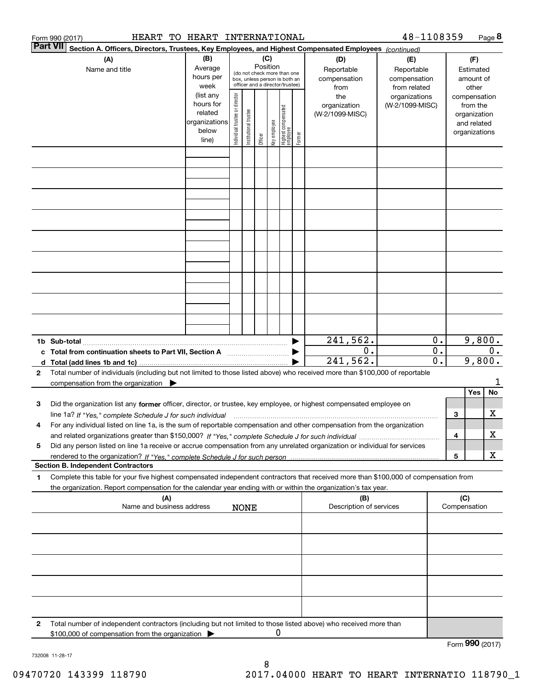|   | HEART TO HEART INTERNATIONAL<br>Form 990 (2017)                                                                                                                                                                                            |                                                                      |                                |                        |                 |              |                                                                                                 |        |                                           | 48-1108359                                        |                           |     |                                                                          | Page 8 |
|---|--------------------------------------------------------------------------------------------------------------------------------------------------------------------------------------------------------------------------------------------|----------------------------------------------------------------------|--------------------------------|------------------------|-----------------|--------------|-------------------------------------------------------------------------------------------------|--------|-------------------------------------------|---------------------------------------------------|---------------------------|-----|--------------------------------------------------------------------------|--------|
|   | Part VII <br>Section A. Officers, Directors, Trustees, Key Employees, and Highest Compensated Employees (continued)                                                                                                                        |                                                                      |                                |                        |                 |              |                                                                                                 |        |                                           |                                                   |                           |     |                                                                          |        |
|   | (A)<br>Name and title                                                                                                                                                                                                                      | (B)<br>Average<br>hours per<br>week                                  |                                |                        | (C)<br>Position |              | (do not check more than one<br>box, unless person is both an<br>officer and a director/trustee) |        | (D)<br>Reportable<br>compensation<br>from | (E)<br>Reportable<br>compensation<br>from related |                           |     | (F)<br>Estimated<br>amount of<br>other                                   |        |
|   |                                                                                                                                                                                                                                            | (list any<br>hours for<br>related<br>organizations<br>below<br>line) | Individual trustee or director | In stitutional trustee | Officer         | key employee | Highest compensated<br> employee                                                                | Former | the<br>organization<br>(W-2/1099-MISC)    | organizations<br>(W-2/1099-MISC)                  |                           |     | compensation<br>from the<br>organization<br>and related<br>organizations |        |
|   |                                                                                                                                                                                                                                            |                                                                      |                                |                        |                 |              |                                                                                                 |        |                                           |                                                   |                           |     |                                                                          |        |
|   |                                                                                                                                                                                                                                            |                                                                      |                                |                        |                 |              |                                                                                                 |        |                                           |                                                   |                           |     |                                                                          |        |
|   |                                                                                                                                                                                                                                            |                                                                      |                                |                        |                 |              |                                                                                                 |        |                                           |                                                   |                           |     |                                                                          |        |
|   |                                                                                                                                                                                                                                            |                                                                      |                                |                        |                 |              |                                                                                                 |        |                                           |                                                   |                           |     |                                                                          |        |
|   |                                                                                                                                                                                                                                            |                                                                      |                                |                        |                 |              |                                                                                                 |        |                                           |                                                   |                           |     |                                                                          |        |
|   |                                                                                                                                                                                                                                            |                                                                      |                                |                        |                 |              |                                                                                                 |        |                                           |                                                   |                           |     |                                                                          |        |
|   |                                                                                                                                                                                                                                            |                                                                      |                                |                        |                 |              |                                                                                                 |        |                                           |                                                   |                           |     |                                                                          |        |
|   |                                                                                                                                                                                                                                            |                                                                      |                                |                        |                 |              |                                                                                                 |        | 241,562.<br>0.                            |                                                   | 0.<br>$\overline{0}$ .    |     | 9,800.                                                                   | $0$ .  |
|   |                                                                                                                                                                                                                                            |                                                                      |                                |                        |                 |              |                                                                                                 |        | 241,562.                                  |                                                   | $\overline{\mathbf{0}}$ . |     | 9,800.                                                                   |        |
| 2 | Total number of individuals (including but not limited to those listed above) who received more than \$100,000 of reportable<br>compensation from the organization                                                                         |                                                                      |                                |                        |                 |              |                                                                                                 |        |                                           |                                                   |                           |     |                                                                          | 1      |
| 3 | Did the organization list any former officer, director, or trustee, key employee, or highest compensated employee on                                                                                                                       |                                                                      |                                |                        |                 |              |                                                                                                 |        |                                           |                                                   |                           |     | Yes                                                                      | No     |
| 4 | line 1a? If "Yes," complete Schedule J for such individual material content content to the complete Schedule J<br>For any individual listed on line 1a, is the sum of reportable compensation and other compensation from the organization |                                                                      |                                |                        |                 |              |                                                                                                 |        |                                           |                                                   |                           | 3   |                                                                          | х      |
|   |                                                                                                                                                                                                                                            |                                                                      |                                |                        |                 |              |                                                                                                 |        |                                           |                                                   |                           | 4   |                                                                          | х      |
| 5 | Did any person listed on line 1a receive or accrue compensation from any unrelated organization or individual for services                                                                                                                 |                                                                      |                                |                        |                 |              |                                                                                                 |        |                                           |                                                   |                           | 5   |                                                                          | х      |
| 1 | <b>Section B. Independent Contractors</b><br>Complete this table for your five highest compensated independent contractors that received more than \$100,000 of compensation from                                                          |                                                                      |                                |                        |                 |              |                                                                                                 |        |                                           |                                                   |                           |     |                                                                          |        |
|   | the organization. Report compensation for the calendar year ending with or within the organization's tax year.                                                                                                                             |                                                                      |                                |                        |                 |              |                                                                                                 |        |                                           |                                                   |                           |     |                                                                          |        |
|   | (A)<br>Name and business address                                                                                                                                                                                                           |                                                                      |                                | <b>NONE</b>            |                 |              |                                                                                                 |        | (B)<br>Description of services            |                                                   |                           | (C) | Compensation                                                             |        |
|   |                                                                                                                                                                                                                                            |                                                                      |                                |                        |                 |              |                                                                                                 |        |                                           |                                                   |                           |     |                                                                          |        |
|   |                                                                                                                                                                                                                                            |                                                                      |                                |                        |                 |              |                                                                                                 |        |                                           |                                                   |                           |     |                                                                          |        |
|   |                                                                                                                                                                                                                                            |                                                                      |                                |                        |                 |              |                                                                                                 |        |                                           |                                                   |                           |     |                                                                          |        |
|   |                                                                                                                                                                                                                                            |                                                                      |                                |                        |                 |              |                                                                                                 |        |                                           |                                                   |                           |     |                                                                          |        |
| 2 | Total number of independent contractors (including but not limited to those listed above) who received more than<br>\$100,000 of compensation from the organization                                                                        |                                                                      |                                |                        |                 | 0            |                                                                                                 |        |                                           |                                                   |                           |     | Form 990 (2017)                                                          |        |
|   |                                                                                                                                                                                                                                            |                                                                      |                                |                        |                 |              |                                                                                                 |        |                                           |                                                   |                           |     |                                                                          |        |

732008 11-28-17

8 09470720 143399 118790 2017.04000 HEART TO HEART INTERNATIO 118790\_1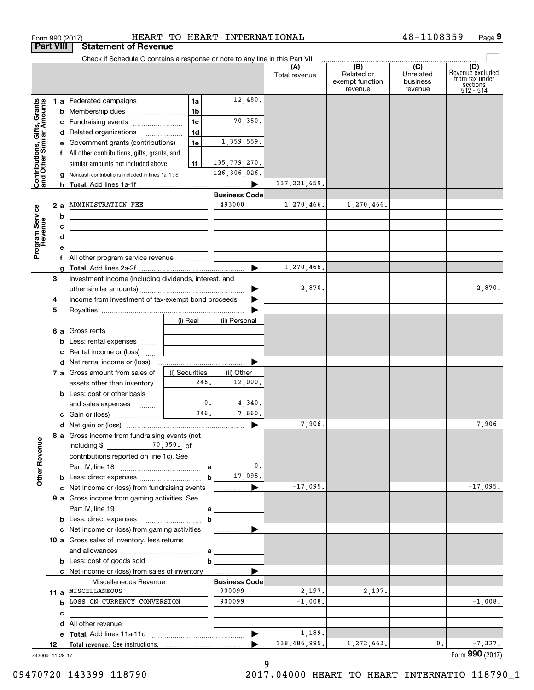|                                                           |    | <b>Part VIII</b><br><b>Statement of Revenue</b>                                           |                |      |                       |                      |                                                              |                                                    |                                                                    |
|-----------------------------------------------------------|----|-------------------------------------------------------------------------------------------|----------------|------|-----------------------|----------------------|--------------------------------------------------------------|----------------------------------------------------|--------------------------------------------------------------------|
|                                                           |    | Check if Schedule O contains a response or note to any line in this Part VIII             |                |      |                       | (A)<br>Total revenue | $\overline{(B)}$<br>Related or<br>exempt function<br>revenue | $\overline{C}$<br>Unrelated<br>business<br>revenue | (D)<br>Revenuè excluded<br>from tax under<br>sections<br>512 - 514 |
|                                                           |    | 1 a Federated campaigns                                                                   | 1a             |      | 12,480.               |                      |                                                              |                                                    |                                                                    |
| Contributions, Gifts, Grants<br>and Other Similar Amounts |    | <b>b</b> Membership dues                                                                  | 1b             |      |                       |                      |                                                              |                                                    |                                                                    |
|                                                           |    |                                                                                           | 1 <sub>c</sub> |      | 70,350.               |                      |                                                              |                                                    |                                                                    |
|                                                           |    | c Fundraising events                                                                      |                |      |                       |                      |                                                              |                                                    |                                                                    |
|                                                           |    | d Related organizations                                                                   | 1 <sub>d</sub> |      |                       |                      |                                                              |                                                    |                                                                    |
|                                                           |    | e Government grants (contributions)                                                       | 1e             |      | 1,359,559.            |                      |                                                              |                                                    |                                                                    |
|                                                           |    | f All other contributions, gifts, grants, and                                             |                |      |                       |                      |                                                              |                                                    |                                                                    |
|                                                           |    | similar amounts not included above                                                        | 1f             |      | 135, 779, 270.        |                      |                                                              |                                                    |                                                                    |
|                                                           | a  | Noncash contributions included in lines 1a-1f: \$                                         |                |      | 126,306,026.          |                      |                                                              |                                                    |                                                                    |
|                                                           | h  |                                                                                           |                |      |                       | 137, 221, 659.       |                                                              |                                                    |                                                                    |
|                                                           |    |                                                                                           |                |      | <b>Business Code</b>  |                      |                                                              |                                                    |                                                                    |
|                                                           | 2а | ADMINISTRATION FEE                                                                        |                |      | 493000                | 1,270,466.           | 1,270,466.                                                   |                                                    |                                                                    |
|                                                           | b  |                                                                                           |                |      |                       |                      |                                                              |                                                    |                                                                    |
|                                                           | c  | the control of the control of the control of the control of the control of                |                |      |                       |                      |                                                              |                                                    |                                                                    |
| Program Service<br>Revenue                                | d  | the control of the control of the control of the control of the control of the control of |                |      |                       |                      |                                                              |                                                    |                                                                    |
|                                                           | е  |                                                                                           |                |      |                       |                      |                                                              |                                                    |                                                                    |
|                                                           |    | f All other program service revenue                                                       |                |      |                       |                      |                                                              |                                                    |                                                                    |
|                                                           | a  |                                                                                           |                |      |                       | 1,270,466.           |                                                              |                                                    |                                                                    |
|                                                           | 3  | Investment income (including dividends, interest, and                                     |                |      |                       |                      |                                                              |                                                    |                                                                    |
|                                                           |    |                                                                                           |                |      |                       | 2,870.               |                                                              |                                                    | 2,870.                                                             |
|                                                           | 4  | Income from investment of tax-exempt bond proceeds                                        |                |      |                       |                      |                                                              |                                                    |                                                                    |
|                                                           | 5  |                                                                                           |                |      |                       |                      |                                                              |                                                    |                                                                    |
|                                                           |    |                                                                                           | (i) Real       |      | (ii) Personal         |                      |                                                              |                                                    |                                                                    |
|                                                           |    | 6 a Gross rents                                                                           |                |      |                       |                      |                                                              |                                                    |                                                                    |
|                                                           | b  | Less: rental expenses                                                                     |                |      |                       |                      |                                                              |                                                    |                                                                    |
|                                                           | c  | Rental income or (loss)                                                                   |                |      |                       |                      |                                                              |                                                    |                                                                    |
|                                                           | d  |                                                                                           |                |      |                       |                      |                                                              |                                                    |                                                                    |
|                                                           |    | 7 a Gross amount from sales of                                                            | (i) Securities |      | (ii) Other            |                      |                                                              |                                                    |                                                                    |
|                                                           |    | assets other than inventory                                                               |                | 246. | 12,000.               |                      |                                                              |                                                    |                                                                    |
|                                                           |    | <b>b</b> Less: cost or other basis                                                        |                |      |                       |                      |                                                              |                                                    |                                                                    |
|                                                           |    | and sales expenses                                                                        |                | 0.   | 4,340.                |                      |                                                              |                                                    |                                                                    |
|                                                           |    |                                                                                           |                | 246. | 7,660.                |                      |                                                              |                                                    |                                                                    |
|                                                           |    |                                                                                           |                |      | $\blacktriangleright$ | 7,906.               |                                                              |                                                    | 7,906.                                                             |
|                                                           |    | 8 a Gross income from fundraising events (not                                             |                |      |                       |                      |                                                              |                                                    |                                                                    |
|                                                           |    | $\frac{70,350}{ }$ , 0f<br>including \$                                                   |                |      |                       |                      |                                                              |                                                    |                                                                    |
|                                                           |    | contributions reported on line 1c). See                                                   |                |      |                       |                      |                                                              |                                                    |                                                                    |
| <b>Other Revenue</b>                                      |    |                                                                                           |                |      | 0.                    |                      |                                                              |                                                    |                                                                    |
|                                                           |    |                                                                                           |                | b    | 17,095.               |                      |                                                              |                                                    |                                                                    |
|                                                           |    | c Net income or (loss) from fundraising events                                            |                |      |                       | $-17,095.$           |                                                              |                                                    | $-17,095.$                                                         |
|                                                           |    |                                                                                           |                |      |                       |                      |                                                              |                                                    |                                                                    |
|                                                           |    | 9 a Gross income from gaming activities. See                                              |                |      |                       |                      |                                                              |                                                    |                                                                    |
|                                                           |    |                                                                                           |                |      |                       |                      |                                                              |                                                    |                                                                    |
|                                                           |    |                                                                                           |                | b    |                       |                      |                                                              |                                                    |                                                                    |
|                                                           |    | c Net income or (loss) from gaming activities                                             |                |      | .                     |                      |                                                              |                                                    |                                                                    |
|                                                           |    | 10 a Gross sales of inventory, less returns                                               |                |      |                       |                      |                                                              |                                                    |                                                                    |
|                                                           |    |                                                                                           |                |      |                       |                      |                                                              |                                                    |                                                                    |
|                                                           |    |                                                                                           |                | b    |                       |                      |                                                              |                                                    |                                                                    |
|                                                           |    | c Net income or (loss) from sales of inventory                                            |                |      |                       |                      |                                                              |                                                    |                                                                    |
|                                                           |    | Miscellaneous Revenue                                                                     |                |      | <b>Business Code</b>  |                      |                                                              |                                                    |                                                                    |
|                                                           |    | 11 a MISCELLANEOUS                                                                        |                |      | 900099                | 2,197.               | 2,197.                                                       |                                                    |                                                                    |
|                                                           |    | <b>b</b> LOSS ON CURRENCY CONVERSION                                                      |                |      | 900099                | $-1,008$ .           |                                                              |                                                    | $-1,008.$                                                          |
|                                                           | с  |                                                                                           |                |      |                       |                      |                                                              |                                                    |                                                                    |
|                                                           | d  |                                                                                           |                |      |                       |                      |                                                              |                                                    |                                                                    |
|                                                           | е  |                                                                                           |                |      |                       | 1,189.               |                                                              |                                                    |                                                                    |
|                                                           |    |                                                                                           |                |      |                       | 138,486,995.         | 1,272,663.                                                   | 0.                                                 | $-7,327.$                                                          |

Form 990 (2017) HEART TO HEART INTERNATIONAL 4 8-1108359 Page

**9**

48-1108359

09470720 143399 118790 2017.04000 HEART TO HEART INTERNATIO 118790\_1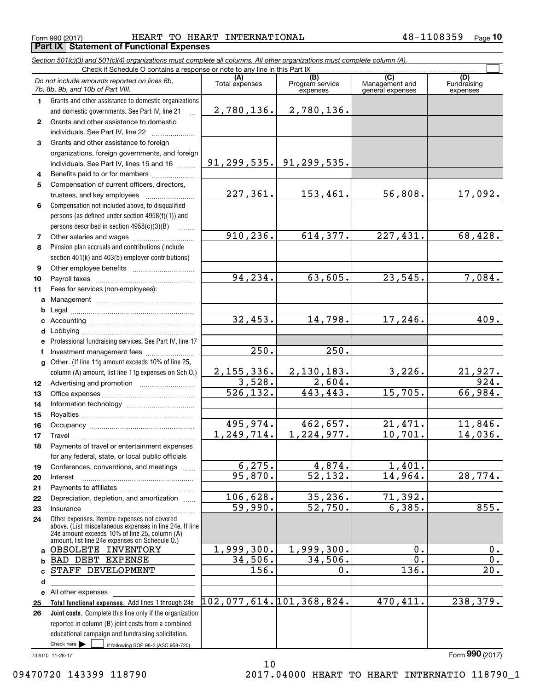Form 990 (2017) HEART TO HEART INTERNATIONAL 4 8-1108359 <sub>Page</sub> **Part IX Statement of Functional Expenses**

*Section 501(c)(3) and 501(c)(4) organizations must complete all columns. All other organizations must complete column (A).*

|              | Do not include amounts reported on lines 6b,<br>7b, 8b, 9b, and 10b of Part VIII.                                                                         | (A)<br>Total expenses    | (B)<br>Program service<br>expenses | (C)<br>Management and<br>general expenses | (D)<br>Fundraising<br>expenses |
|--------------|-----------------------------------------------------------------------------------------------------------------------------------------------------------|--------------------------|------------------------------------|-------------------------------------------|--------------------------------|
| 1.           | Grants and other assistance to domestic organizations                                                                                                     |                          |                                    |                                           |                                |
|              | and domestic governments. See Part IV, line 21                                                                                                            | 2,780,136.               | 2,780,136.                         |                                           |                                |
| $\mathbf{2}$ | Grants and other assistance to domestic                                                                                                                   |                          |                                    |                                           |                                |
|              | individuals. See Part IV, line 22                                                                                                                         |                          |                                    |                                           |                                |
| 3            | Grants and other assistance to foreign                                                                                                                    |                          |                                    |                                           |                                |
|              | organizations, foreign governments, and foreign                                                                                                           |                          |                                    |                                           |                                |
|              | individuals. See Part IV, lines 15 and 16                                                                                                                 |                          | $91, 299, 535.$ $91, 299, 535.$    |                                           |                                |
| 4            | Benefits paid to or for members                                                                                                                           |                          |                                    |                                           |                                |
| 5            | Compensation of current officers, directors,                                                                                                              |                          |                                    |                                           |                                |
|              | trustees, and key employees                                                                                                                               | 227,361.                 | 153,461.                           | 56,808.                                   | 17,092.                        |
| 6            | Compensation not included above, to disqualified                                                                                                          |                          |                                    |                                           |                                |
|              | persons (as defined under section 4958(f)(1)) and                                                                                                         |                          |                                    |                                           |                                |
|              | persons described in section 4958(c)(3)(B)                                                                                                                |                          |                                    |                                           |                                |
| 7            | Other salaries and wages                                                                                                                                  | 910, 236.                | 614, 377.                          | 227,431.                                  | 68,428.                        |
| 8            | Pension plan accruals and contributions (include                                                                                                          |                          |                                    |                                           |                                |
|              | section 401(k) and 403(b) employer contributions)                                                                                                         |                          |                                    |                                           |                                |
| 9            |                                                                                                                                                           |                          |                                    |                                           |                                |
| 10           |                                                                                                                                                           | 94, 234.                 | 63,605.                            | 23,545.                                   | 7,084.                         |
| 11           | Fees for services (non-employees):                                                                                                                        |                          |                                    |                                           |                                |
|              |                                                                                                                                                           |                          |                                    |                                           |                                |
| b            |                                                                                                                                                           |                          |                                    |                                           |                                |
|              |                                                                                                                                                           | 32,453.                  | 14,798.                            | 17,246.                                   | 409.                           |
| d            |                                                                                                                                                           |                          |                                    |                                           |                                |
| е            | Professional fundraising services. See Part IV, line 17                                                                                                   |                          |                                    |                                           |                                |
| f            | Investment management fees                                                                                                                                | 250.                     | 250.                               |                                           |                                |
| $\mathbf{q}$ | Other. (If line 11g amount exceeds 10% of line 25,                                                                                                        |                          |                                    |                                           |                                |
|              | column (A) amount, list line 11g expenses on Sch O.)                                                                                                      | 2,155,336.               | 2,130,183.                         | 3,226.                                    | $\frac{21,927.}{924.}$         |
| 12           |                                                                                                                                                           | 3,528.                   | 2,604.                             |                                           |                                |
| 13           |                                                                                                                                                           | $\overline{526,132}$ .   | 443,443.                           | 15,705.                                   | 66,984.                        |
| 14           |                                                                                                                                                           |                          |                                    |                                           |                                |
| 15           |                                                                                                                                                           |                          |                                    |                                           |                                |
| 16           |                                                                                                                                                           | 495,974.                 | 462,657.                           | 21,471.                                   | 11,846.                        |
| 17           | Travel                                                                                                                                                    | 1, 249, 714.             | 1, 224, 977.                       | 10,701.                                   | 14,036.                        |
| 18           | Payments of travel or entertainment expenses                                                                                                              |                          |                                    |                                           |                                |
|              | for any federal, state, or local public officials                                                                                                         |                          |                                    |                                           |                                |
| 19           | Conferences, conventions, and meetings                                                                                                                    | 6, 275.                  | 4,874.                             | 1,401.                                    | 28,774.                        |
| 20           | Interest                                                                                                                                                  | 95,870.                  | 52, 132.                           | 14,964.                                   |                                |
| 21           |                                                                                                                                                           | 106,628.                 | 35, 236.                           | 71,392.                                   |                                |
| 22           | Depreciation, depletion, and amortization                                                                                                                 | 59,990.                  | $\overline{52,750}$ .              | 6,385.                                    | 855.                           |
| 23           | Insurance                                                                                                                                                 |                          |                                    |                                           |                                |
| 24           | Other expenses. Itemize expenses not covered<br>above. (List miscellaneous expenses in line 24e. If line<br>24e amount exceeds 10% of line 25, column (A) |                          |                                    |                                           |                                |
| a            | amount, list line 24e expenses on Schedule 0.)<br>OBSOLETE INVENTORY                                                                                      | 1,999,300.               | 1,999,300.                         | 0.                                        | 0.                             |
| b            | BAD DEBT EXPENSE                                                                                                                                          | 34,506.                  | 34,506.                            | 0.                                        | 0.                             |
| c            | STAFF DEVELOPMENT                                                                                                                                         | 156.                     | 0.                                 | 136.                                      | 20.                            |
| d            |                                                                                                                                                           |                          |                                    |                                           |                                |
|              | e All other expenses                                                                                                                                      |                          |                                    |                                           |                                |
| 25           | Total functional expenses. Add lines 1 through 24e                                                                                                        | 102,077,614.101,368,824. |                                    | 470, 411.                                 | 238,379.                       |
| 26           | Joint costs. Complete this line only if the organization                                                                                                  |                          |                                    |                                           |                                |
|              | reported in column (B) joint costs from a combined                                                                                                        |                          |                                    |                                           |                                |
|              | educational campaign and fundraising solicitation.                                                                                                        |                          |                                    |                                           |                                |
|              | Check here $\blacktriangleright$<br>if following SOP 98-2 (ASC 958-720)                                                                                   |                          |                                    |                                           |                                |

10

732010 11-28-17

Form (2017) **990**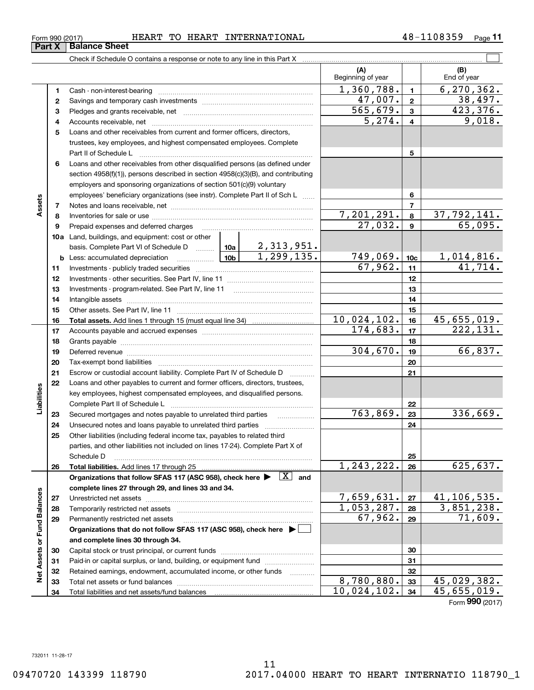| 990<br>-0 (20 <sup>17</sup> ) ل<br>Form | mΛ<br>HEAR'<br>nп<br>u | UPADM<br>88.AR J | INTERNATIONAL | Page |
|-----------------------------------------|------------------------|------------------|---------------|------|
|                                         |                        |                  |               |      |

|                             |          |                                                                                                                                     |                     | (A)<br>Beginning of year  |                         | (B)<br>End of year    |
|-----------------------------|----------|-------------------------------------------------------------------------------------------------------------------------------------|---------------------|---------------------------|-------------------------|-----------------------|
|                             | 1        |                                                                                                                                     |                     | 1,360,788.                | $\blacksquare$          | 6, 270, 362.          |
|                             | 2        |                                                                                                                                     |                     | 47,007.                   | $\mathbf{2}$            | 38,497.               |
|                             | 3        |                                                                                                                                     |                     | 565, 679.                 | $\mathbf{3}$            | 423,376.              |
|                             | 4        |                                                                                                                                     |                     | 5,274.                    | $\overline{\mathbf{4}}$ | 9,018.                |
|                             | 5        | Loans and other receivables from current and former officers, directors,                                                            |                     |                           |                         |                       |
|                             |          | trustees, key employees, and highest compensated employees. Complete                                                                |                     |                           |                         |                       |
|                             |          |                                                                                                                                     |                     |                           | 5                       |                       |
|                             | 6        | Loans and other receivables from other disqualified persons (as defined under                                                       |                     |                           |                         |                       |
|                             |          | section 4958(f)(1)), persons described in section 4958(c)(3)(B), and contributing                                                   |                     |                           |                         |                       |
|                             |          | employers and sponsoring organizations of section 501(c)(9) voluntary                                                               |                     |                           |                         |                       |
|                             |          | employees' beneficiary organizations (see instr). Complete Part II of Sch L                                                         |                     |                           | 6                       |                       |
| Assets                      | 7        |                                                                                                                                     |                     |                           | $\overline{7}$          |                       |
|                             | 8        |                                                                                                                                     |                     | 7,201,291.                | 8                       | 37,792,141.           |
|                             | 9        | Prepaid expenses and deferred charges                                                                                               |                     | 27,032.                   | $\boldsymbol{9}$        | 65,095.               |
|                             |          | <b>10a</b> Land, buildings, and equipment: cost or other                                                                            |                     |                           |                         |                       |
|                             |          | basis. Complete Part VI of Schedule D  10a                                                                                          | <u>2,313,951.</u>   |                           |                         |                       |
|                             |          | │ <sub>10b</sub>  <br><b>b</b> Less: accumulated depreciation                                                                       | 1, 299, 135.        | 749,069.                  | 10 <sub>c</sub>         | <u>1,014,816.</u>     |
|                             | 11       |                                                                                                                                     |                     | 67,962.                   | 11                      | 41,714.               |
|                             | 12       |                                                                                                                                     |                     |                           | 12                      |                       |
|                             | 13       |                                                                                                                                     |                     |                           | 13                      |                       |
|                             | 14       |                                                                                                                                     |                     |                           | 14                      |                       |
|                             | 15       |                                                                                                                                     |                     |                           | 15                      |                       |
|                             | 16       |                                                                                                                                     |                     | 10,024,102.<br>174,683.   | 16                      | 45,655,019.           |
|                             | 17       |                                                                                                                                     |                     |                           | 17                      | 222,131.              |
|                             | 18<br>19 |                                                                                                                                     |                     | 304,670.                  | 18<br>19                | 66,837.               |
|                             | 20       |                                                                                                                                     |                     |                           | 20                      |                       |
|                             | 21       | Escrow or custodial account liability. Complete Part IV of Schedule D                                                               |                     |                           | 21                      |                       |
|                             | 22       | Loans and other payables to current and former officers, directors, trustees,                                                       | 1.1.1.1.1.1.1.1.1.1 |                           |                         |                       |
| Liabilities                 |          | key employees, highest compensated employees, and disqualified persons.                                                             |                     |                           |                         |                       |
|                             |          |                                                                                                                                     |                     |                           | 22                      |                       |
|                             | 23       |                                                                                                                                     |                     | 763,869.                  | 23                      | 336,669.              |
|                             | 24       |                                                                                                                                     |                     |                           | 24                      |                       |
|                             | 25       | Other liabilities (including federal income tax, payables to related third                                                          |                     |                           |                         |                       |
|                             |          | parties, and other liabilities not included on lines 17-24). Complete Part X of                                                     |                     |                           |                         |                       |
|                             |          | Schedule D                                                                                                                          |                     |                           | 25                      |                       |
|                             | 26       |                                                                                                                                     |                     | 1, 243, 222.              | 26                      | 625,637.              |
|                             |          | Organizations that follow SFAS 117 (ASC 958), check here $\blacktriangleright \begin{array}{ c } \hline X & \text{and} \end{array}$ |                     |                           |                         |                       |
|                             |          | complete lines 27 through 29, and lines 33 and 34.                                                                                  |                     |                           |                         |                       |
|                             | 27       |                                                                                                                                     |                     | 7,659,631.                | 27                      | 41,106,535.           |
|                             | 28       |                                                                                                                                     |                     | 1,053,287.<br>67,962.     | 28                      | 3,851,238.<br>71,609. |
|                             | 29       | Permanently restricted net assets                                                                                                   |                     |                           | 29                      |                       |
| Net Assets or Fund Balances |          | Organizations that do not follow SFAS 117 (ASC 958), check here ▶ □<br>and complete lines 30 through 34.                            |                     |                           |                         |                       |
|                             | 30       |                                                                                                                                     |                     |                           | 30                      |                       |
|                             | 31       | Paid-in or capital surplus, or land, building, or equipment fund                                                                    |                     |                           | 31                      |                       |
|                             | 32       | Retained earnings, endowment, accumulated income, or other funds                                                                    |                     |                           | 32                      |                       |
|                             | 33       |                                                                                                                                     |                     | 8,780,880.                | 33                      | 45,029,382.           |
|                             | 34       | Total liabilities and net assets/fund balances                                                                                      |                     | $\overline{10,024,102}$ . | 34                      | 45,655,019.           |
|                             |          |                                                                                                                                     |                     |                           |                         | Form 990 (2017)       |

**Part X Balance Sheet**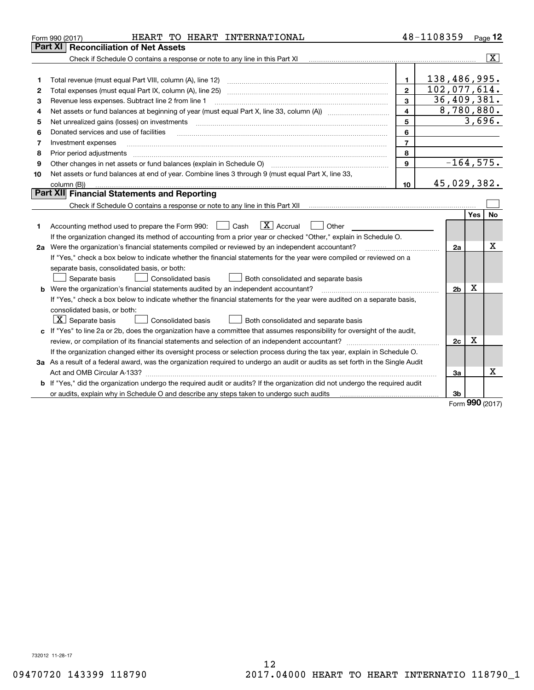|    | HEART TO HEART INTERNATIONAL<br>Form 990 (2017)                                                                                 |                         | 48-1108359     |          | Page $12$               |
|----|---------------------------------------------------------------------------------------------------------------------------------|-------------------------|----------------|----------|-------------------------|
|    | <b>Reconciliation of Net Assets</b><br><b>Part XI</b>                                                                           |                         |                |          |                         |
|    | Check if Schedule O contains a response or note to any line in this Part XI                                                     |                         |                |          | $\overline{\mathbf{X}}$ |
|    |                                                                                                                                 |                         |                |          |                         |
| 1  | Total revenue (must equal Part VIII, column (A), line 12)                                                                       | $\mathbf{1}$            | 138,486,995.   |          |                         |
| 2  | Total expenses (must equal Part IX, column (A), line 25)                                                                        | $\overline{2}$          | 102,077,614.   |          |                         |
| 3  | Revenue less expenses. Subtract line 2 from line 1                                                                              | 3                       | 36,409,381.    |          |                         |
| 4  |                                                                                                                                 | $\overline{\mathbf{4}}$ | 8,780,880.     |          |                         |
| 5  | Net unrealized gains (losses) on investments                                                                                    | 5                       |                |          | 3,696.                  |
| 6  | Donated services and use of facilities                                                                                          | 6                       |                |          |                         |
| 7  | Investment expenses                                                                                                             | $\overline{7}$          |                |          |                         |
| 8  | Prior period adjustments                                                                                                        | 8                       |                |          |                         |
| 9  | Other changes in net assets or fund balances (explain in Schedule O) [11] [2000] [2000] [2000] [2000] [2000] [                  | 9                       | $-164, 575.$   |          |                         |
| 10 | Net assets or fund balances at end of year. Combine lines 3 through 9 (must equal Part X, line 33,                              |                         |                |          |                         |
|    | column (B))                                                                                                                     | 10                      | 45,029,382.    |          |                         |
|    | Part XII Financial Statements and Reporting                                                                                     |                         |                |          |                         |
|    |                                                                                                                                 |                         |                |          |                         |
|    |                                                                                                                                 |                         |                | Yes      | No                      |
| 1  | $\boxed{\mathbf{X}}$ Accrual<br>Accounting method used to prepare the Form 990: <u>June</u> Cash<br>Other                       |                         |                |          |                         |
|    | If the organization changed its method of accounting from a prior year or checked "Other," explain in Schedule O.               |                         |                |          |                         |
|    | 2a Were the organization's financial statements compiled or reviewed by an independent accountant?                              |                         | 2a             |          | x                       |
|    | If "Yes," check a box below to indicate whether the financial statements for the year were compiled or reviewed on a            |                         |                |          |                         |
|    | separate basis, consolidated basis, or both:                                                                                    |                         |                |          |                         |
|    | Separate basis<br>Consolidated basis<br>Both consolidated and separate basis                                                    |                         |                |          |                         |
|    | <b>b</b> Were the organization's financial statements audited by an independent accountant?                                     |                         | 2 <sub>b</sub> | х        |                         |
|    | If "Yes," check a box below to indicate whether the financial statements for the year were audited on a separate basis,         |                         |                |          |                         |
|    | consolidated basis, or both:                                                                                                    |                         |                |          |                         |
|    | $ \mathbf{X} $ Separate basis<br>Consolidated basis<br>Both consolidated and separate basis                                     |                         |                |          |                         |
|    | c If "Yes" to line 2a or 2b, does the organization have a committee that assumes responsibility for oversight of the audit,     |                         |                |          |                         |
|    |                                                                                                                                 |                         | 2c             | х        |                         |
|    | If the organization changed either its oversight process or selection process during the tax year, explain in Schedule O.       |                         |                |          |                         |
|    | 3a As a result of a federal award, was the organization required to undergo an audit or audits as set forth in the Single Audit |                         |                |          |                         |
|    |                                                                                                                                 |                         | 3a             |          | x                       |
|    | b If "Yes," did the organization undergo the required audit or audits? If the organization did not undergo the required audit   |                         |                |          |                         |
|    | or audits, explain why in Schedule O and describe any steps taken to undergo such audits                                        |                         | 3b             | $\Omega$ |                         |

Form (2017) **990**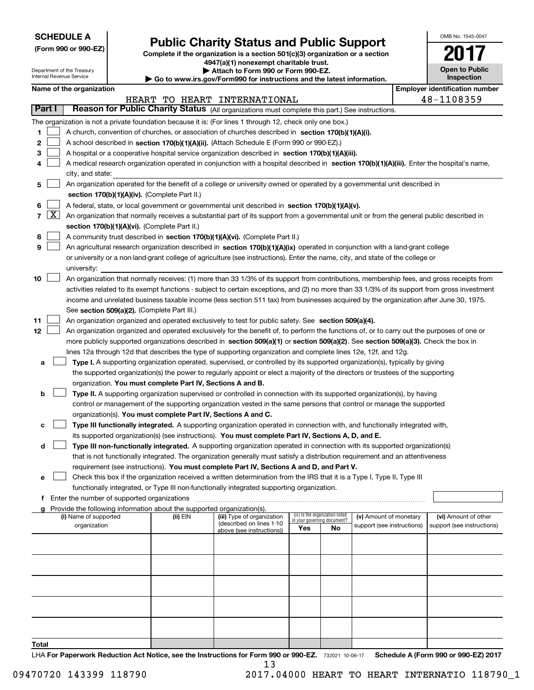| <b>SCHEDULE A</b> |
|-------------------|
|-------------------|

Department of the Treasury Internal Revenue Service

**(Form 990 or 990-EZ)**

# **Public Charity Status and Public Support**

**Complete if the organization is a section 501(c)(3) organization or a section 4947(a)(1) nonexempt charitable trust.**

**| Attach to Form 990 or Form 990-EZ.** 

**| Go to www.irs.gov/Form990 for instructions and the latest information.**

| OMB No. 1545-0047                   |
|-------------------------------------|
|                                     |
| <b>Open to Public</b><br>Inspection |

 $\blacksquare$ 

| Name of the organization |  |
|--------------------------|--|
|--------------------------|--|

|              |                     | Name of the organization                                                                                                                                                                                                                           |          |                              |                                 |    |                            | <b>Employer identification number</b> |
|--------------|---------------------|----------------------------------------------------------------------------------------------------------------------------------------------------------------------------------------------------------------------------------------------------|----------|------------------------------|---------------------------------|----|----------------------------|---------------------------------------|
|              |                     |                                                                                                                                                                                                                                                    |          | HEART TO HEART INTERNATIONAL |                                 |    |                            | 48-1108359                            |
|              | Part I              | Reason for Public Charity Status (All organizations must complete this part.) See instructions.                                                                                                                                                    |          |                              |                                 |    |                            |                                       |
|              |                     | The organization is not a private foundation because it is: (For lines 1 through 12, check only one box.)                                                                                                                                          |          |                              |                                 |    |                            |                                       |
| 1            |                     | A church, convention of churches, or association of churches described in section 170(b)(1)(A)(i).                                                                                                                                                 |          |                              |                                 |    |                            |                                       |
| 2            |                     | A school described in section 170(b)(1)(A)(ii). (Attach Schedule E (Form 990 or 990-EZ).)                                                                                                                                                          |          |                              |                                 |    |                            |                                       |
| з            |                     | A hospital or a cooperative hospital service organization described in section $170(b)(1)(A)(iii)$ .                                                                                                                                               |          |                              |                                 |    |                            |                                       |
|              |                     | A medical research organization operated in conjunction with a hospital described in section 170(b)(1)(A)(iii). Enter the hospital's name,                                                                                                         |          |                              |                                 |    |                            |                                       |
|              |                     | city, and state:                                                                                                                                                                                                                                   |          |                              |                                 |    |                            |                                       |
| 5            |                     | An organization operated for the benefit of a college or university owned or operated by a governmental unit described in                                                                                                                          |          |                              |                                 |    |                            |                                       |
|              |                     | section 170(b)(1)(A)(iv). (Complete Part II.)                                                                                                                                                                                                      |          |                              |                                 |    |                            |                                       |
| 6            |                     | A federal, state, or local government or governmental unit described in section 170(b)(1)(A)(v).                                                                                                                                                   |          |                              |                                 |    |                            |                                       |
| 7            | $\lfloor x \rfloor$ | An organization that normally receives a substantial part of its support from a governmental unit or from the general public described in                                                                                                          |          |                              |                                 |    |                            |                                       |
|              |                     | section 170(b)(1)(A)(vi). (Complete Part II.)                                                                                                                                                                                                      |          |                              |                                 |    |                            |                                       |
| 8            |                     | A community trust described in section 170(b)(1)(A)(vi). (Complete Part II.)                                                                                                                                                                       |          |                              |                                 |    |                            |                                       |
| 9            |                     | An agricultural research organization described in section 170(b)(1)(A)(ix) operated in conjunction with a land-grant college                                                                                                                      |          |                              |                                 |    |                            |                                       |
|              |                     | or university or a non-land-grant college of agriculture (see instructions). Enter the name, city, and state of the college or                                                                                                                     |          |                              |                                 |    |                            |                                       |
|              |                     | university:                                                                                                                                                                                                                                        |          |                              |                                 |    |                            |                                       |
| 10           |                     | An organization that normally receives: (1) more than 33 1/3% of its support from contributions, membership fees, and gross receipts from                                                                                                          |          |                              |                                 |    |                            |                                       |
|              |                     | activities related to its exempt functions - subject to certain exceptions, and (2) no more than 33 1/3% of its support from gross investment                                                                                                      |          |                              |                                 |    |                            |                                       |
|              |                     | income and unrelated business taxable income (less section 511 tax) from businesses acquired by the organization after June 30, 1975.                                                                                                              |          |                              |                                 |    |                            |                                       |
| 11           |                     | See section 509(a)(2). (Complete Part III.)                                                                                                                                                                                                        |          |                              |                                 |    |                            |                                       |
| 12           |                     | An organization organized and operated exclusively to test for public safety. See section 509(a)(4).<br>An organization organized and operated exclusively for the benefit of, to perform the functions of, or to carry out the purposes of one or |          |                              |                                 |    |                            |                                       |
|              |                     | more publicly supported organizations described in section 509(a)(1) or section 509(a)(2). See section 509(a)(3). Check the box in                                                                                                                 |          |                              |                                 |    |                            |                                       |
|              |                     | lines 12a through 12d that describes the type of supporting organization and complete lines 12e, 12f, and 12g.                                                                                                                                     |          |                              |                                 |    |                            |                                       |
| a            |                     | Type I. A supporting organization operated, supervised, or controlled by its supported organization(s), typically by giving                                                                                                                        |          |                              |                                 |    |                            |                                       |
|              |                     | the supported organization(s) the power to regularly appoint or elect a majority of the directors or trustees of the supporting                                                                                                                    |          |                              |                                 |    |                            |                                       |
|              |                     | organization. You must complete Part IV, Sections A and B.                                                                                                                                                                                         |          |                              |                                 |    |                            |                                       |
| b            |                     | Type II. A supporting organization supervised or controlled in connection with its supported organization(s), by having                                                                                                                            |          |                              |                                 |    |                            |                                       |
|              |                     | control or management of the supporting organization vested in the same persons that control or manage the supported                                                                                                                               |          |                              |                                 |    |                            |                                       |
|              |                     | organization(s). You must complete Part IV, Sections A and C.                                                                                                                                                                                      |          |                              |                                 |    |                            |                                       |
| c            |                     | Type III functionally integrated. A supporting organization operated in connection with, and functionally integrated with,                                                                                                                         |          |                              |                                 |    |                            |                                       |
|              |                     | its supported organization(s) (see instructions). You must complete Part IV, Sections A, D, and E.                                                                                                                                                 |          |                              |                                 |    |                            |                                       |
| d            |                     | Type III non-functionally integrated. A supporting organization operated in connection with its supported organization(s)                                                                                                                          |          |                              |                                 |    |                            |                                       |
|              |                     | that is not functionally integrated. The organization generally must satisfy a distribution requirement and an attentiveness                                                                                                                       |          |                              |                                 |    |                            |                                       |
|              |                     | requirement (see instructions). You must complete Part IV, Sections A and D, and Part V.                                                                                                                                                           |          |                              |                                 |    |                            |                                       |
|              |                     | Check this box if the organization received a written determination from the IRS that it is a Type I, Type II, Type III                                                                                                                            |          |                              |                                 |    |                            |                                       |
|              |                     | functionally integrated, or Type III non-functionally integrated supporting organization.                                                                                                                                                          |          |                              |                                 |    |                            |                                       |
|              |                     | f Enter the number of supported organizations                                                                                                                                                                                                      |          |                              |                                 |    |                            |                                       |
|              |                     | g Provide the following information about the supported organization(s).<br>(i) Name of supported                                                                                                                                                  | (ii) EIN | (iii) Type of organization   | (iv) Is the organization listed |    | (v) Amount of monetary     | (vi) Amount of other                  |
|              |                     | organization                                                                                                                                                                                                                                       |          | (described on lines 1-10     | in your governing document?     |    | support (see instructions) | support (see instructions)            |
|              |                     |                                                                                                                                                                                                                                                    |          | above (see instructions))    | Yes                             | No |                            |                                       |
|              |                     |                                                                                                                                                                                                                                                    |          |                              |                                 |    |                            |                                       |
|              |                     |                                                                                                                                                                                                                                                    |          |                              |                                 |    |                            |                                       |
|              |                     |                                                                                                                                                                                                                                                    |          |                              |                                 |    |                            |                                       |
|              |                     |                                                                                                                                                                                                                                                    |          |                              |                                 |    |                            |                                       |
|              |                     |                                                                                                                                                                                                                                                    |          |                              |                                 |    |                            |                                       |
|              |                     |                                                                                                                                                                                                                                                    |          |                              |                                 |    |                            |                                       |
|              |                     |                                                                                                                                                                                                                                                    |          |                              |                                 |    |                            |                                       |
|              |                     |                                                                                                                                                                                                                                                    |          |                              |                                 |    |                            |                                       |
| <b>Total</b> |                     |                                                                                                                                                                                                                                                    |          |                              |                                 |    |                            |                                       |

LHA For Paperwork Reduction Act Notice, see the Instructions for Form 990 or 990-EZ. 732021 10-06-17 Schedule A (Form 990 or 990-EZ) 2017 13

09470720 143399 118790 2017.04000 HEART TO HEART INTERNATIO 118790\_1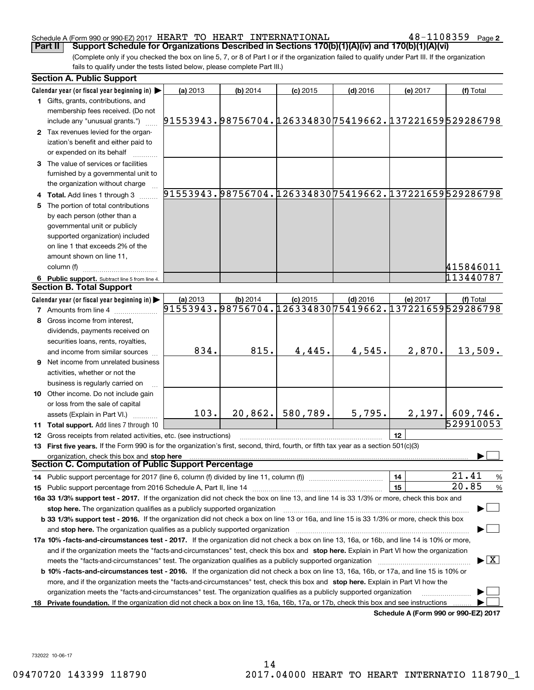#### Schedule A (Form 990 or 990-EZ) 2017  $\rm{HEART}$   $\rm{TO}$   $\rm{HEART}$   $\rm{INTERNATIONAL}$   $\rm{108359}$   $\rm{Page}$

**2**

(Complete only if you checked the box on line 5, 7, or 8 of Part I or if the organization failed to qualify under Part III. If the organization fails to qualify under the tests listed below, please complete Part III.) **Part II** | Support Schedule for Organizations Described in Sections 170(b)(1)(A)(iv) and 170(b)(1)(A)(vi)

| <b>Section A. Public Support</b>                                                                                                               |                                                                    |            |            |            |                                      |                                          |
|------------------------------------------------------------------------------------------------------------------------------------------------|--------------------------------------------------------------------|------------|------------|------------|--------------------------------------|------------------------------------------|
| Calendar year (or fiscal year beginning in)                                                                                                    | (a) 2013                                                           | $(b)$ 2014 | $(c)$ 2015 | $(d)$ 2016 | (e) 2017                             | (f) Total                                |
| 1 Gifts, grants, contributions, and                                                                                                            |                                                                    |            |            |            |                                      |                                          |
| membership fees received. (Do not                                                                                                              |                                                                    |            |            |            |                                      |                                          |
| include any "unusual grants.")                                                                                                                 | 91553943.98756704.12633483075419662.137221659529286798             |            |            |            |                                      |                                          |
| 2 Tax revenues levied for the organ-                                                                                                           |                                                                    |            |            |            |                                      |                                          |
| ization's benefit and either paid to                                                                                                           |                                                                    |            |            |            |                                      |                                          |
| or expended on its behalf                                                                                                                      |                                                                    |            |            |            |                                      |                                          |
| 3 The value of services or facilities                                                                                                          |                                                                    |            |            |            |                                      |                                          |
| furnished by a governmental unit to                                                                                                            |                                                                    |            |            |            |                                      |                                          |
| the organization without charge                                                                                                                |                                                                    |            |            |            |                                      |                                          |
| 4 Total. Add lines 1 through 3                                                                                                                 | 91553943.98756704.12633483075419662.137221659529286798             |            |            |            |                                      |                                          |
| 5 The portion of total contributions                                                                                                           |                                                                    |            |            |            |                                      |                                          |
| by each person (other than a                                                                                                                   |                                                                    |            |            |            |                                      |                                          |
| governmental unit or publicly                                                                                                                  |                                                                    |            |            |            |                                      |                                          |
| supported organization) included                                                                                                               |                                                                    |            |            |            |                                      |                                          |
| on line 1 that exceeds 2% of the                                                                                                               |                                                                    |            |            |            |                                      |                                          |
| amount shown on line 11,                                                                                                                       |                                                                    |            |            |            |                                      |                                          |
| column (f)                                                                                                                                     |                                                                    |            |            |            |                                      | 415846011                                |
| 6 Public support. Subtract line 5 from line 4.                                                                                                 |                                                                    |            |            |            |                                      | 113440787                                |
| <b>Section B. Total Support</b>                                                                                                                |                                                                    |            |            |            |                                      |                                          |
| Calendar year (or fiscal year beginning in)                                                                                                    | (a) 2013<br>91553943.98756704.12633483075419662.137221659529286798 | $(b)$ 2014 | $(c)$ 2015 | $(d)$ 2016 | (e) 2017                             | (f) Total                                |
| <b>7</b> Amounts from line 4                                                                                                                   |                                                                    |            |            |            |                                      |                                          |
| 8 Gross income from interest,                                                                                                                  |                                                                    |            |            |            |                                      |                                          |
| dividends, payments received on                                                                                                                |                                                                    |            |            |            |                                      |                                          |
| securities loans, rents, royalties,                                                                                                            |                                                                    |            |            |            |                                      |                                          |
| and income from similar sources                                                                                                                | 834.                                                               | 815.       | 4,445.     | 4,545.     | 2,870.                               | 13,509.                                  |
| <b>9</b> Net income from unrelated business                                                                                                    |                                                                    |            |            |            |                                      |                                          |
| activities, whether or not the                                                                                                                 |                                                                    |            |            |            |                                      |                                          |
| business is regularly carried on                                                                                                               |                                                                    |            |            |            |                                      |                                          |
| 10 Other income. Do not include gain                                                                                                           |                                                                    |            |            |            |                                      |                                          |
| or loss from the sale of capital                                                                                                               |                                                                    |            |            |            |                                      |                                          |
| assets (Explain in Part VI.)                                                                                                                   | 103.                                                               | 20,862.    | 580,789.   | 5,795.     |                                      | $2,197.$ 609, 746.                       |
| 11 Total support. Add lines 7 through 10                                                                                                       |                                                                    |            |            |            |                                      | 529910053                                |
| 12 Gross receipts from related activities, etc. (see instructions)                                                                             |                                                                    |            |            |            | 12                                   |                                          |
| 13 First five years. If the Form 990 is for the organization's first, second, third, fourth, or fifth tax year as a section 501(c)(3)          |                                                                    |            |            |            |                                      |                                          |
| organization, check this box and stop here<br>Section C. Computation of Public Support Percentage                                              |                                                                    |            |            |            |                                      |                                          |
|                                                                                                                                                |                                                                    |            |            |            | 14                                   | 21.41                                    |
| 14 Public support percentage for 2017 (line 6, column (f) divided by line 11, column (f) <i>manumanomeron</i> enter-                           |                                                                    |            |            |            | 15                                   | $\frac{9}{6}$<br>20.85<br>$\frac{9}{6}$  |
| 16a 33 1/3% support test - 2017. If the organization did not check the box on line 13, and line 14 is 33 1/3% or more, check this box and      |                                                                    |            |            |            |                                      |                                          |
| stop here. The organization qualifies as a publicly supported organization                                                                     |                                                                    |            |            |            |                                      |                                          |
| b 33 1/3% support test - 2016. If the organization did not check a box on line 13 or 16a, and line 15 is 33 1/3% or more, check this box       |                                                                    |            |            |            |                                      |                                          |
| and stop here. The organization qualifies as a publicly supported organization                                                                 |                                                                    |            |            |            |                                      |                                          |
| 17a 10% -facts-and-circumstances test - 2017. If the organization did not check a box on line 13, 16a, or 16b, and line 14 is 10% or more,     |                                                                    |            |            |            |                                      |                                          |
| and if the organization meets the "facts-and-circumstances" test, check this box and stop here. Explain in Part VI how the organization        |                                                                    |            |            |            |                                      |                                          |
|                                                                                                                                                |                                                                    |            |            |            |                                      | $\blacktriangleright$ $\boxed{\text{X}}$ |
| <b>b 10% -facts-and-circumstances test - 2016.</b> If the organization did not check a box on line 13, 16a, 16b, or 17a, and line 15 is 10% or |                                                                    |            |            |            |                                      |                                          |
| more, and if the organization meets the "facts-and-circumstances" test, check this box and stop here. Explain in Part VI how the               |                                                                    |            |            |            |                                      |                                          |
| organization meets the "facts-and-circumstances" test. The organization qualifies as a publicly supported organization                         |                                                                    |            |            |            |                                      |                                          |
| 18 Private foundation. If the organization did not check a box on line 13, 16a, 16b, 17a, or 17b, check this box and see instructions          |                                                                    |            |            |            |                                      |                                          |
|                                                                                                                                                |                                                                    |            |            |            | Schedule A (Form 990 or 990-EZ) 2017 |                                          |

**Schedule A (Form 990 or 990-EZ) 2017**

732022 10-06-17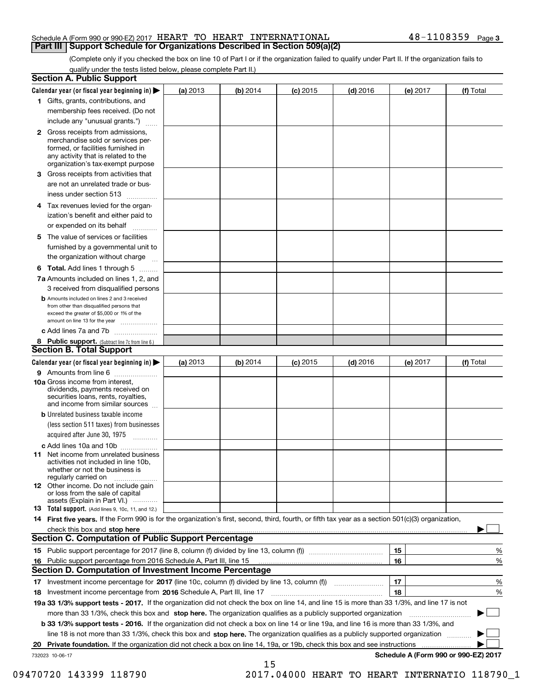#### Schedule A (Form 990 or 990-EZ) 2017  $\rm{HEART}$   $\rm{TO}$   $\rm{HEART}$   $\rm{INTERNATIONAL}$   $\rm{108359}$   $\rm{Page}$ **Part III Support Schedule for Organizations Described in Section 509(a)(2)**

(Complete only if you checked the box on line 10 of Part I or if the organization failed to qualify under Part II. If the organization fails to qualify under the tests listed below, please complete Part II.)

|    | <b>Section A. Public Support</b>                                                                                                                                                                |          |          |            |            |          |                                      |
|----|-------------------------------------------------------------------------------------------------------------------------------------------------------------------------------------------------|----------|----------|------------|------------|----------|--------------------------------------|
|    | Calendar year (or fiscal year beginning in) $\blacktriangleright$                                                                                                                               | (a) 2013 | (b) 2014 | $(c)$ 2015 | $(d)$ 2016 | (e) 2017 | (f) Total                            |
|    | 1 Gifts, grants, contributions, and                                                                                                                                                             |          |          |            |            |          |                                      |
|    | membership fees received. (Do not                                                                                                                                                               |          |          |            |            |          |                                      |
|    | include any "unusual grants.")                                                                                                                                                                  |          |          |            |            |          |                                      |
|    | <b>2</b> Gross receipts from admissions,<br>merchandise sold or services per-<br>formed, or facilities furnished in<br>any activity that is related to the<br>organization's tax-exempt purpose |          |          |            |            |          |                                      |
|    | 3 Gross receipts from activities that                                                                                                                                                           |          |          |            |            |          |                                      |
|    | are not an unrelated trade or bus-<br>iness under section 513                                                                                                                                   |          |          |            |            |          |                                      |
|    | 4 Tax revenues levied for the organ-                                                                                                                                                            |          |          |            |            |          |                                      |
|    | ization's benefit and either paid to<br>or expended on its behalf                                                                                                                               |          |          |            |            |          |                                      |
|    | 5 The value of services or facilities                                                                                                                                                           |          |          |            |            |          |                                      |
|    | furnished by a governmental unit to                                                                                                                                                             |          |          |            |            |          |                                      |
|    | the organization without charge                                                                                                                                                                 |          |          |            |            |          |                                      |
|    | <b>6 Total.</b> Add lines 1 through 5                                                                                                                                                           |          |          |            |            |          |                                      |
|    | 7a Amounts included on lines 1, 2, and<br>3 received from disqualified persons                                                                                                                  |          |          |            |            |          |                                      |
|    | <b>b</b> Amounts included on lines 2 and 3 received<br>from other than disqualified persons that<br>exceed the greater of \$5,000 or 1% of the<br>amount on line 13 for the year                |          |          |            |            |          |                                      |
|    | c Add lines 7a and 7b                                                                                                                                                                           |          |          |            |            |          |                                      |
|    | 8 Public support. (Subtract line 7c from line 6.)<br><b>Section B. Total Support</b>                                                                                                            |          |          |            |            |          |                                      |
|    | Calendar year (or fiscal year beginning in)                                                                                                                                                     | (a) 2013 | (b) 2014 | $(c)$ 2015 | $(d)$ 2016 | (e) 2017 | (f) Total                            |
|    | 9 Amounts from line 6                                                                                                                                                                           |          |          |            |            |          |                                      |
|    | <b>10a</b> Gross income from interest,<br>dividends, payments received on<br>securities loans, rents, royalties,<br>and income from similar sources                                             |          |          |            |            |          |                                      |
|    | <b>b</b> Unrelated business taxable income                                                                                                                                                      |          |          |            |            |          |                                      |
|    | (less section 511 taxes) from businesses<br>acquired after June 30, 1975                                                                                                                        |          |          |            |            |          |                                      |
|    | c Add lines 10a and 10b                                                                                                                                                                         |          |          |            |            |          |                                      |
|    | 11 Net income from unrelated business<br>activities not included in line 10b,<br>whether or not the business is<br>regularly carried on                                                         |          |          |            |            |          |                                      |
|    | 12 Other income. Do not include gain<br>or loss from the sale of capital<br>assets (Explain in Part VI.)                                                                                        |          |          |            |            |          |                                      |
|    | 13 Total support. (Add lines 9, 10c, 11, and 12.)                                                                                                                                               |          |          |            |            |          |                                      |
|    | 14 First five years. If the Form 990 is for the organization's first, second, third, fourth, or fifth tax year as a section 501(c)(3) organization,                                             |          |          |            |            |          |                                      |
|    | check this box and stop here measurements and stop here are constructed and the measurement of the state of the                                                                                 |          |          |            |            |          |                                      |
|    | <b>Section C. Computation of Public Support Percentage</b>                                                                                                                                      |          |          |            |            |          |                                      |
|    |                                                                                                                                                                                                 |          |          |            |            | 15       | %                                    |
| 16 | Public support percentage from 2016 Schedule A, Part III, line 15                                                                                                                               |          |          |            |            | 16       | %                                    |
|    | Section D. Computation of Investment Income Percentage                                                                                                                                          |          |          |            |            |          |                                      |
|    | 17 Investment income percentage for 2017 (line 10c, column (f) divided by line 13, column (f))<br>18 Investment income percentage from 2016 Schedule A, Part III, line 17                       |          |          |            |            | 17<br>18 | %<br>%                               |
|    | 19a 33 1/3% support tests - 2017. If the organization did not check the box on line 14, and line 15 is more than 33 1/3%, and line 17 is not                                                    |          |          |            |            |          |                                      |
|    | more than 33 1/3%, check this box and stop here. The organization qualifies as a publicly supported organization                                                                                |          |          |            |            |          | ▶                                    |
|    | b 33 1/3% support tests - 2016. If the organization did not check a box on line 14 or line 19a, and line 16 is more than 33 1/3%, and                                                           |          |          |            |            |          |                                      |
|    | line 18 is not more than 33 1/3%, check this box and stop here. The organization qualifies as a publicly supported organization                                                                 |          |          |            |            |          |                                      |
| 20 | Private foundation. If the organization did not check a box on line 14, 19a, or 19b, check this box and see instructions                                                                        |          |          |            |            |          | .                                    |
|    | 732023 10-06-17                                                                                                                                                                                 |          |          |            |            |          | Schedule A (Form 990 or 990-EZ) 2017 |
|    |                                                                                                                                                                                                 |          | 15       |            |            |          |                                      |

09470720 143399 118790 2017.04000 HEART TO HEART INTERNATIO 118790\_1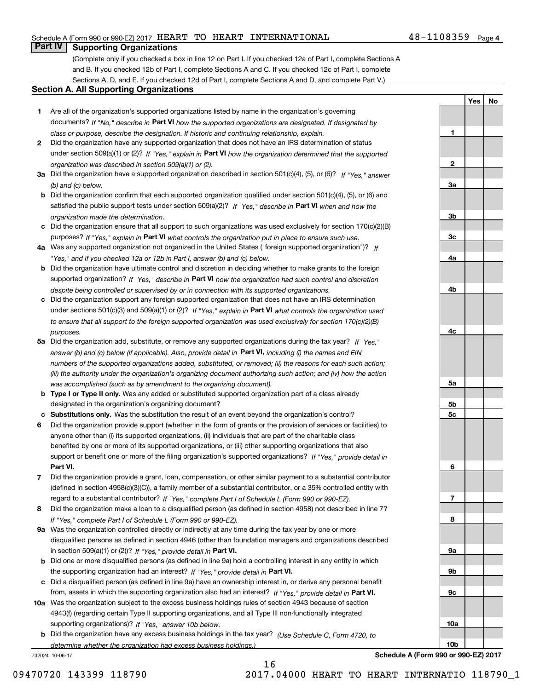### Schedule A (Form 990 or 990-EZ) 2017  $\rm{HEART}$   $\rm{TO}$   $\rm{HEART}$   $\rm{INTERNATIONAL}$   $\rm{108359}$   $\rm{Page}$

## **Part IV Supporting Organizations**

(Complete only if you checked a box in line 12 on Part I. If you checked 12a of Part I, complete Sections A and B. If you checked 12b of Part I, complete Sections A and C. If you checked 12c of Part I, complete Sections A, D, and E. If you checked 12d of Part I, complete Sections A and D, and complete Part V.)

#### **Section A. All Supporting Organizations**

- **1** Are all of the organization's supported organizations listed by name in the organization's governing documents? If "No," describe in **Part VI** how the supported organizations are designated. If designated by *class or purpose, describe the designation. If historic and continuing relationship, explain.*
- **2** Did the organization have any supported organization that does not have an IRS determination of status under section 509(a)(1) or (2)? If "Yes," explain in Part VI how the organization determined that the supported *organization was described in section 509(a)(1) or (2).*
- **3a** Did the organization have a supported organization described in section 501(c)(4), (5), or (6)? If "Yes," answer *(b) and (c) below.*
- **b** Did the organization confirm that each supported organization qualified under section 501(c)(4), (5), or (6) and satisfied the public support tests under section 509(a)(2)? If "Yes," describe in **Part VI** when and how the *organization made the determination.*
- **c**Did the organization ensure that all support to such organizations was used exclusively for section 170(c)(2)(B) purposes? If "Yes," explain in **Part VI** what controls the organization put in place to ensure such use.
- **4a***If* Was any supported organization not organized in the United States ("foreign supported organization")? *"Yes," and if you checked 12a or 12b in Part I, answer (b) and (c) below.*
- **b** Did the organization have ultimate control and discretion in deciding whether to make grants to the foreign supported organization? If "Yes," describe in **Part VI** how the organization had such control and discretion *despite being controlled or supervised by or in connection with its supported organizations.*
- **c** Did the organization support any foreign supported organization that does not have an IRS determination under sections 501(c)(3) and 509(a)(1) or (2)? If "Yes," explain in **Part VI** what controls the organization used *to ensure that all support to the foreign supported organization was used exclusively for section 170(c)(2)(B) purposes.*
- **5a** Did the organization add, substitute, or remove any supported organizations during the tax year? If "Yes," answer (b) and (c) below (if applicable). Also, provide detail in **Part VI,** including (i) the names and EIN *numbers of the supported organizations added, substituted, or removed; (ii) the reasons for each such action; (iii) the authority under the organization's organizing document authorizing such action; and (iv) how the action was accomplished (such as by amendment to the organizing document).*
- **b** Type I or Type II only. Was any added or substituted supported organization part of a class already designated in the organization's organizing document?
- **cSubstitutions only.**  Was the substitution the result of an event beyond the organization's control?
- **6** Did the organization provide support (whether in the form of grants or the provision of services or facilities) to **Part VI.** *If "Yes," provide detail in* support or benefit one or more of the filing organization's supported organizations? anyone other than (i) its supported organizations, (ii) individuals that are part of the charitable class benefited by one or more of its supported organizations, or (iii) other supporting organizations that also
- **7**Did the organization provide a grant, loan, compensation, or other similar payment to a substantial contributor *If "Yes," complete Part I of Schedule L (Form 990 or 990-EZ).* regard to a substantial contributor? (defined in section 4958(c)(3)(C)), a family member of a substantial contributor, or a 35% controlled entity with
- **8** Did the organization make a loan to a disqualified person (as defined in section 4958) not described in line 7? *If "Yes," complete Part I of Schedule L (Form 990 or 990-EZ).*
- **9a** Was the organization controlled directly or indirectly at any time during the tax year by one or more in section 509(a)(1) or (2))? If "Yes," *provide detail in* <code>Part VI.</code> disqualified persons as defined in section 4946 (other than foundation managers and organizations described
- **b** Did one or more disqualified persons (as defined in line 9a) hold a controlling interest in any entity in which the supporting organization had an interest? If "Yes," provide detail in P**art VI**.
- **c**Did a disqualified person (as defined in line 9a) have an ownership interest in, or derive any personal benefit from, assets in which the supporting organization also had an interest? If "Yes," provide detail in P**art VI.**
- **10a** Was the organization subject to the excess business holdings rules of section 4943 because of section supporting organizations)? If "Yes," answer 10b below. 4943(f) (regarding certain Type II supporting organizations, and all Type III non-functionally integrated
- **b** Did the organization have any excess business holdings in the tax year? (Use Schedule C, Form 4720, to *determine whether the organization had excess business holdings.)*

16

732024 10-06-17

**5a 5b5c6789a 9b9c10a10bSchedule A (Form 990 or 990-EZ) 2017**

**1**

**2**

**3a**

**3b**

**3c**

**4a**

**4b**

**4c**

**YesNo**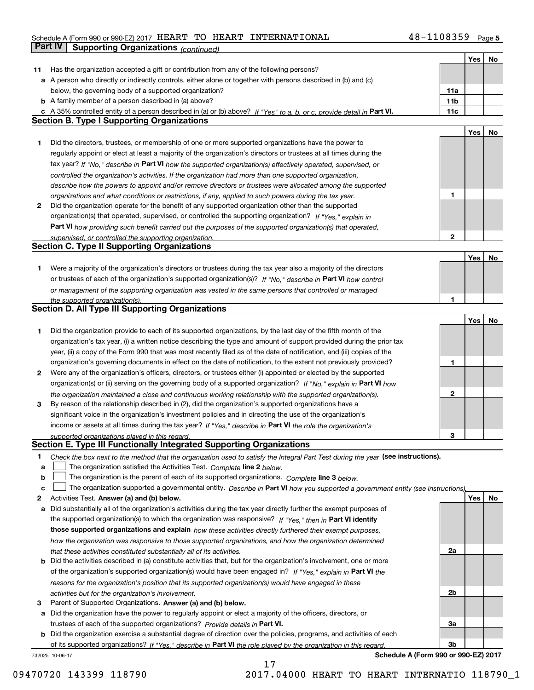## Schedule A (Form 990 or 990-EZ) 2017  $\rm{HEART}$   $\rm{TO}$   $\rm{HEART}$   $\rm{INTERNATIONAL}$   $\rm{108359}$   $\rm{Page}$ **Part IV** Supporting Organizations *(continued)*

|    |                                                                                                                                   |              | Yes | No |
|----|-----------------------------------------------------------------------------------------------------------------------------------|--------------|-----|----|
| 11 | Has the organization accepted a gift or contribution from any of the following persons?                                           |              |     |    |
|    | a A person who directly or indirectly controls, either alone or together with persons described in (b) and (c)                    |              |     |    |
|    | below, the governing body of a supported organization?                                                                            | 11a          |     |    |
|    | <b>b</b> A family member of a person described in (a) above?                                                                      | 11b          |     |    |
|    | c A 35% controlled entity of a person described in (a) or (b) above? If "Yes" to a, b, or c, provide detail in Part VI.           | 11c          |     |    |
|    | <b>Section B. Type I Supporting Organizations</b>                                                                                 |              |     |    |
|    |                                                                                                                                   |              | Yes | No |
| 1  | Did the directors, trustees, or membership of one or more supported organizations have the power to                               |              |     |    |
|    | regularly appoint or elect at least a majority of the organization's directors or trustees at all times during the                |              |     |    |
|    |                                                                                                                                   |              |     |    |
|    | tax year? If "No," describe in Part VI how the supported organization(s) effectively operated, supervised, or                     |              |     |    |
|    | controlled the organization's activities. If the organization had more than one supported organization,                           |              |     |    |
|    | describe how the powers to appoint and/or remove directors or trustees were allocated among the supported                         |              |     |    |
|    | organizations and what conditions or restrictions, if any, applied to such powers during the tax year.                            | 1            |     |    |
| 2  | Did the organization operate for the benefit of any supported organization other than the supported                               |              |     |    |
|    | organization(s) that operated, supervised, or controlled the supporting organization? If "Yes," explain in                        |              |     |    |
|    | Part VI how providing such benefit carried out the purposes of the supported organization(s) that operated,                       |              |     |    |
|    | supervised, or controlled the supporting organization.                                                                            | $\mathbf{2}$ |     |    |
|    | <b>Section C. Type II Supporting Organizations</b>                                                                                |              |     |    |
|    |                                                                                                                                   |              | Yes | No |
| 1  | Were a majority of the organization's directors or trustees during the tax year also a majority of the directors                  |              |     |    |
|    | or trustees of each of the organization's supported organization(s)? If "No," describe in Part VI how control                     |              |     |    |
|    | or management of the supporting organization was vested in the same persons that controlled or managed                            |              |     |    |
|    | the supported organization(s).                                                                                                    | 1            |     |    |
|    | Section D. All Type III Supporting Organizations                                                                                  |              |     |    |
|    |                                                                                                                                   |              | Yes | No |
| 1  | Did the organization provide to each of its supported organizations, by the last day of the fifth month of the                    |              |     |    |
|    | organization's tax year, (i) a written notice describing the type and amount of support provided during the prior tax             |              |     |    |
|    | year, (ii) a copy of the Form 990 that was most recently filed as of the date of notification, and (iii) copies of the            |              |     |    |
|    | organization's governing documents in effect on the date of notification, to the extent not previously provided?                  | 1            |     |    |
| 2  | Were any of the organization's officers, directors, or trustees either (i) appointed or elected by the supported                  |              |     |    |
|    | organization(s) or (ii) serving on the governing body of a supported organization? If "No," explain in Part VI how                |              |     |    |
|    | the organization maintained a close and continuous working relationship with the supported organization(s).                       | 2            |     |    |
| 3  | By reason of the relationship described in (2), did the organization's supported organizations have a                             |              |     |    |
|    | significant voice in the organization's investment policies and in directing the use of the organization's                        |              |     |    |
|    | income or assets at all times during the tax year? If "Yes," describe in Part VI the role the organization's                      |              |     |    |
|    | supported organizations played in this regard.                                                                                    | З            |     |    |
|    | Section E. Type III Functionally Integrated Supporting Organizations                                                              |              |     |    |
| 1  | Check the box next to the method that the organization used to satisfy the Integral Part Test during the year (see instructions). |              |     |    |
| a  | The organization satisfied the Activities Test. Complete line 2 below.                                                            |              |     |    |
| b  | The organization is the parent of each of its supported organizations. Complete line 3 below.                                     |              |     |    |
| c  | The organization supported a governmental entity. Describe in Part VI how you supported a government entity (see instructions),   |              |     |    |
| 2  | Activities Test. Answer (a) and (b) below.                                                                                        |              | Yes | No |
| a  | Did substantially all of the organization's activities during the tax year directly further the exempt purposes of                |              |     |    |
|    | the supported organization(s) to which the organization was responsive? If "Yes," then in Part VI identify                        |              |     |    |
|    | those supported organizations and explain how these activities directly furthered their exempt purposes,                          |              |     |    |
|    | how the organization was responsive to those supported organizations, and how the organization determined                         |              |     |    |
|    | that these activities constituted substantially all of its activities.                                                            | 2a           |     |    |
|    | <b>b</b> Did the activities described in (a) constitute activities that, but for the organization's involvement, one or more      |              |     |    |
|    | of the organization's supported organization(s) would have been engaged in? If "Yes," explain in Part VI the                      |              |     |    |
|    | reasons for the organization's position that its supported organization(s) would have engaged in these                            |              |     |    |
|    | activities but for the organization's involvement.                                                                                | 2b           |     |    |
| 3  | Parent of Supported Organizations. Answer (a) and (b) below.                                                                      |              |     |    |
| a  | Did the organization have the power to regularly appoint or elect a majority of the officers, directors, or                       |              |     |    |
|    | trustees of each of the supported organizations? Provide details in Part VI.                                                      | За           |     |    |
|    | <b>b</b> Did the organization exercise a substantial degree of direction over the policies, programs, and activities of each      |              |     |    |
|    | of its supported organizations? If "Yes," describe in Part VI the role played by the organization in this regard                  | 3b           |     |    |
|    | Schedule A (Form 990 or 990-EZ) 2017<br>732025 10-06-17                                                                           |              |     |    |

17 09470720 143399 118790 2017.04000 HEART TO HEART INTERNATIO 118790\_1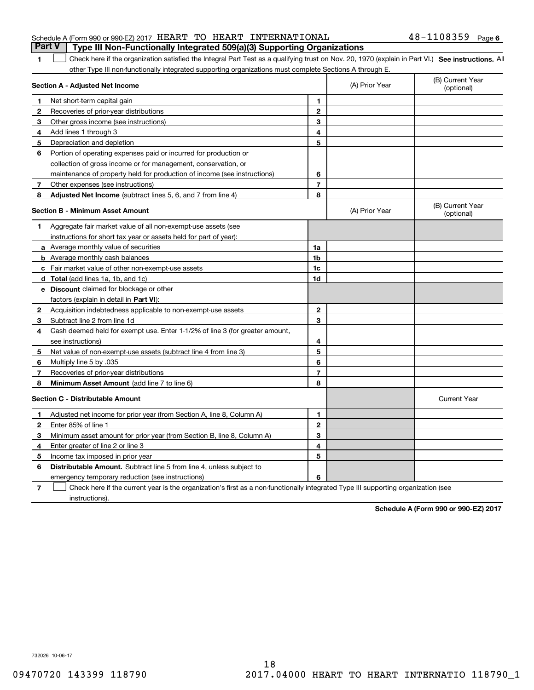|  |  | Part V   Type III Non-Functionally Integrated 509(a)(3) Supporting Organizations |                       |  |
|--|--|----------------------------------------------------------------------------------|-----------------------|--|
|  |  | Schedule A (Form 990 or 990-EZ) 2017 HEART TO HEART INTERNATIONAL                | $48 - 1108359$ Page 6 |  |

## 1 Check here if the organization satisfied the Integral Part Test as a qualifying trust on Nov. 20, 1970 (explain in Part VI.) See instructions. All other Type III non-functionally integrated supporting organizations must complete Sections A through E.

|              | Section A - Adjusted Net Income                                                                                                   | (A) Prior Year | (B) Current Year<br>(optional) |                                |
|--------------|-----------------------------------------------------------------------------------------------------------------------------------|----------------|--------------------------------|--------------------------------|
| 1            | Net short-term capital gain                                                                                                       | 1.             |                                |                                |
| $\mathbf{2}$ | Recoveries of prior-year distributions                                                                                            | $\mathbf{2}$   |                                |                                |
| 3            | Other gross income (see instructions)                                                                                             | 3              |                                |                                |
| 4            | Add lines 1 through 3                                                                                                             | 4              |                                |                                |
| 5            | Depreciation and depletion                                                                                                        | 5              |                                |                                |
| 6            | Portion of operating expenses paid or incurred for production or                                                                  |                |                                |                                |
|              | collection of gross income or for management, conservation, or                                                                    |                |                                |                                |
|              | maintenance of property held for production of income (see instructions)                                                          | 6              |                                |                                |
| 7            | Other expenses (see instructions)                                                                                                 | $\overline{7}$ |                                |                                |
| 8            | Adjusted Net Income (subtract lines 5, 6, and 7 from line 4)                                                                      | 8              |                                |                                |
|              | <b>Section B - Minimum Asset Amount</b>                                                                                           |                | (A) Prior Year                 | (B) Current Year<br>(optional) |
| 1            | Aggregate fair market value of all non-exempt-use assets (see                                                                     |                |                                |                                |
|              | instructions for short tax year or assets held for part of year):                                                                 |                |                                |                                |
|              | a Average monthly value of securities                                                                                             | 1a             |                                |                                |
|              | <b>b</b> Average monthly cash balances                                                                                            | 1b             |                                |                                |
|              | <b>c</b> Fair market value of other non-exempt-use assets                                                                         | 1c             |                                |                                |
|              | d Total (add lines 1a, 1b, and 1c)                                                                                                | 1d             |                                |                                |
|              | <b>e</b> Discount claimed for blockage or other                                                                                   |                |                                |                                |
|              | factors (explain in detail in Part VI):                                                                                           |                |                                |                                |
| 2            | Acquisition indebtedness applicable to non-exempt-use assets                                                                      | $\mathbf{2}$   |                                |                                |
| 3            | Subtract line 2 from line 1d                                                                                                      | 3              |                                |                                |
| 4            | Cash deemed held for exempt use. Enter 1-1/2% of line 3 (for greater amount,                                                      |                |                                |                                |
|              | see instructions)                                                                                                                 | 4              |                                |                                |
| 5            | Net value of non-exempt-use assets (subtract line 4 from line 3)                                                                  | 5              |                                |                                |
| 6            | Multiply line 5 by .035                                                                                                           | 6              |                                |                                |
| 7            | Recoveries of prior-year distributions                                                                                            | $\overline{7}$ |                                |                                |
| 8            | Minimum Asset Amount (add line 7 to line 6)                                                                                       | 8              |                                |                                |
|              | <b>Section C - Distributable Amount</b>                                                                                           |                |                                | <b>Current Year</b>            |
| 1            | Adjusted net income for prior year (from Section A, line 8, Column A)                                                             | 1              |                                |                                |
| 2            | Enter 85% of line 1                                                                                                               | $\overline{2}$ |                                |                                |
| 3            | Minimum asset amount for prior year (from Section B, line 8, Column A)                                                            | 3              |                                |                                |
| 4            | Enter greater of line 2 or line 3                                                                                                 | 4              |                                |                                |
| 5            | Income tax imposed in prior year                                                                                                  | 5              |                                |                                |
| 6            | <b>Distributable Amount.</b> Subtract line 5 from line 4, unless subject to                                                       |                |                                |                                |
|              | emergency temporary reduction (see instructions)                                                                                  | 6              |                                |                                |
| 7            | Check here if the current year is the organization's first as a non-functionally integrated Type III supporting organization (see |                |                                |                                |

instructions).

**Schedule A (Form 990 or 990-EZ) 2017**

732026 10-06-17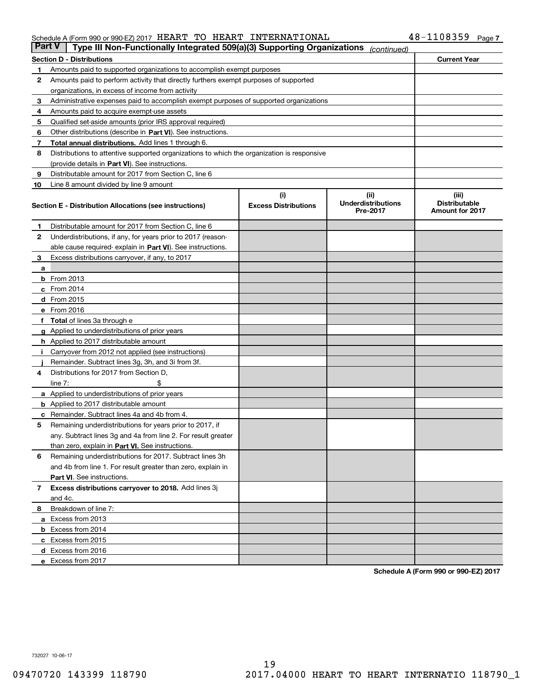#### Schedule A (Form 990 or 990-EZ) 2017  $\rm{HEART}$   $\rm{TO}$   $\rm{HEART}$   $\rm{INTERNATIONAL}$   $\rm{108359}$   $\rm{Page}$

| <b>Part V</b> | Type III Non-Functionally Integrated 509(a)(3) Supporting Organizations                    |                             | (continued)                           |                                                |  |  |  |  |  |
|---------------|--------------------------------------------------------------------------------------------|-----------------------------|---------------------------------------|------------------------------------------------|--|--|--|--|--|
|               | <b>Section D - Distributions</b>                                                           |                             |                                       | <b>Current Year</b>                            |  |  |  |  |  |
| 1             | Amounts paid to supported organizations to accomplish exempt purposes                      |                             |                                       |                                                |  |  |  |  |  |
| 2             | Amounts paid to perform activity that directly furthers exempt purposes of supported       |                             |                                       |                                                |  |  |  |  |  |
|               | organizations, in excess of income from activity                                           |                             |                                       |                                                |  |  |  |  |  |
| з             | Administrative expenses paid to accomplish exempt purposes of supported organizations      |                             |                                       |                                                |  |  |  |  |  |
| 4             | Amounts paid to acquire exempt-use assets                                                  |                             |                                       |                                                |  |  |  |  |  |
| 5             | Qualified set-aside amounts (prior IRS approval required)                                  |                             |                                       |                                                |  |  |  |  |  |
| 6             | Other distributions (describe in Part VI). See instructions.                               |                             |                                       |                                                |  |  |  |  |  |
| 7             | Total annual distributions. Add lines 1 through 6.                                         |                             |                                       |                                                |  |  |  |  |  |
| 8             | Distributions to attentive supported organizations to which the organization is responsive |                             |                                       |                                                |  |  |  |  |  |
|               | (provide details in Part VI). See instructions.                                            |                             |                                       |                                                |  |  |  |  |  |
| 9             | Distributable amount for 2017 from Section C, line 6                                       |                             |                                       |                                                |  |  |  |  |  |
| 10            | Line 8 amount divided by line 9 amount                                                     |                             |                                       |                                                |  |  |  |  |  |
|               |                                                                                            | (i)                         | (ii)                                  | (iii)                                          |  |  |  |  |  |
|               | <b>Section E - Distribution Allocations (see instructions)</b>                             | <b>Excess Distributions</b> | <b>Underdistributions</b><br>Pre-2017 | <b>Distributable</b><br><b>Amount for 2017</b> |  |  |  |  |  |
| 1             | Distributable amount for 2017 from Section C, line 6                                       |                             |                                       |                                                |  |  |  |  |  |
| 2             | Underdistributions, if any, for years prior to 2017 (reason-                               |                             |                                       |                                                |  |  |  |  |  |
|               | able cause required- explain in Part VI). See instructions.                                |                             |                                       |                                                |  |  |  |  |  |
| 3             | Excess distributions carryover, if any, to 2017                                            |                             |                                       |                                                |  |  |  |  |  |
| а             |                                                                                            |                             |                                       |                                                |  |  |  |  |  |
|               | <b>b</b> From 2013                                                                         |                             |                                       |                                                |  |  |  |  |  |
|               | $c$ From 2014                                                                              |                             |                                       |                                                |  |  |  |  |  |
|               | d From 2015                                                                                |                             |                                       |                                                |  |  |  |  |  |
|               | e From 2016                                                                                |                             |                                       |                                                |  |  |  |  |  |
|               | Total of lines 3a through e                                                                |                             |                                       |                                                |  |  |  |  |  |
|               | <b>g</b> Applied to underdistributions of prior years                                      |                             |                                       |                                                |  |  |  |  |  |
|               | <b>h</b> Applied to 2017 distributable amount                                              |                             |                                       |                                                |  |  |  |  |  |
|               | Carryover from 2012 not applied (see instructions)                                         |                             |                                       |                                                |  |  |  |  |  |
|               | Remainder. Subtract lines 3g, 3h, and 3i from 3f.                                          |                             |                                       |                                                |  |  |  |  |  |
| 4             | Distributions for 2017 from Section D,                                                     |                             |                                       |                                                |  |  |  |  |  |
|               | line $7:$                                                                                  |                             |                                       |                                                |  |  |  |  |  |
|               | <b>a</b> Applied to underdistributions of prior years                                      |                             |                                       |                                                |  |  |  |  |  |
|               | <b>b</b> Applied to 2017 distributable amount                                              |                             |                                       |                                                |  |  |  |  |  |
| с             | Remainder. Subtract lines 4a and 4b from 4.                                                |                             |                                       |                                                |  |  |  |  |  |
| 5             | Remaining underdistributions for years prior to 2017, if                                   |                             |                                       |                                                |  |  |  |  |  |
|               | any. Subtract lines 3g and 4a from line 2. For result greater                              |                             |                                       |                                                |  |  |  |  |  |
|               | than zero, explain in Part VI. See instructions.                                           |                             |                                       |                                                |  |  |  |  |  |
| 6             | Remaining underdistributions for 2017. Subtract lines 3h                                   |                             |                                       |                                                |  |  |  |  |  |
|               | and 4b from line 1. For result greater than zero, explain in                               |                             |                                       |                                                |  |  |  |  |  |
|               | Part VI. See instructions.                                                                 |                             |                                       |                                                |  |  |  |  |  |
| 7             | Excess distributions carryover to 2018. Add lines 3j                                       |                             |                                       |                                                |  |  |  |  |  |
|               | and 4c.                                                                                    |                             |                                       |                                                |  |  |  |  |  |
| 8             | Breakdown of line 7:                                                                       |                             |                                       |                                                |  |  |  |  |  |
|               | a Excess from 2013                                                                         |                             |                                       |                                                |  |  |  |  |  |
|               | <b>b</b> Excess from 2014                                                                  |                             |                                       |                                                |  |  |  |  |  |
|               | c Excess from 2015                                                                         |                             |                                       |                                                |  |  |  |  |  |
|               | d Excess from 2016                                                                         |                             |                                       |                                                |  |  |  |  |  |
|               |                                                                                            |                             |                                       |                                                |  |  |  |  |  |
|               | e Excess from 2017                                                                         |                             |                                       |                                                |  |  |  |  |  |

**Schedule A (Form 990 or 990-EZ) 2017**

732027 10-06-17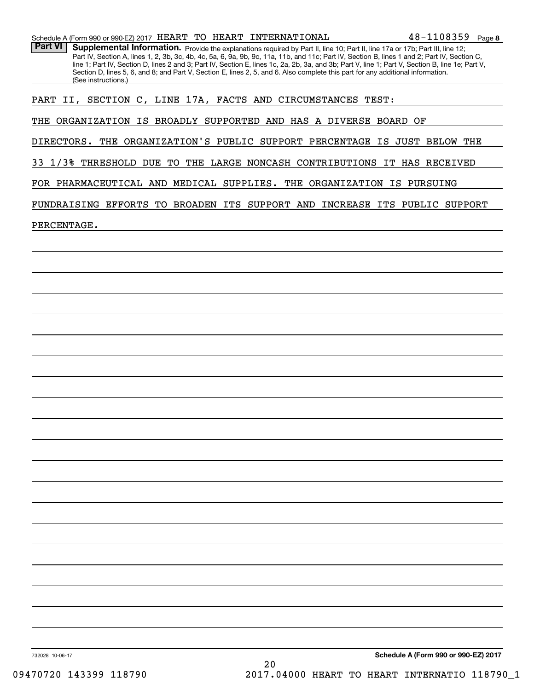|  |  |  |  |  | Schedule A (Form 990 or 990-EZ) 2017 $\,$ HEART $\,$ TO $\,$ HEART $\,$ INTERNATIONAL | $48 - 1108359$ Page 8 |  |
|--|--|--|--|--|---------------------------------------------------------------------------------------|-----------------------|--|
|--|--|--|--|--|---------------------------------------------------------------------------------------|-----------------------|--|

Part VI | Supplemental Information. Provide the explanations required by Part II, line 10; Part II, line 17a or 17b; Part III, line 12; Part IV, Section A, lines 1, 2, 3b, 3c, 4b, 4c, 5a, 6, 9a, 9b, 9c, 11a, 11b, and 11c; Part IV, Section B, lines 1 and 2; Part IV, Section C, line 1; Part IV, Section D, lines 2 and 3; Part IV, Section E, lines 1c, 2a, 2b, 3a, and 3b; Part V, line 1; Part V, Section B, line 1e; Part V, Section D, lines 5, 6, and 8; and Part V, Section E, lines 2, 5, and 6. Also complete this part for any additional information. (See instructions.)

PART II, SECTION C, LINE 17A, FACTS AND CIRCUMSTANCES TEST:

THE ORGANIZATION IS BROADLY SUPPORTED AND HAS A DIVERSE BOARD OF

DIRECTORS. THE ORGANIZATION'S PUBLIC SUPPORT PERCENTAGE IS JUST BELOW THE

33 1/3% THRESHOLD DUE TO THE LARGE NONCASH CONTRIBUTIONS IT HAS RECEIVED

FOR PHARMACEUTICAL AND MEDICAL SUPPLIES. THE ORGANIZATION IS PURSUING

FUNDRAISING EFFORTS TO BROADEN ITS SUPPORT AND INCREASE ITS PUBLIC SUPPORT

PERCENTAGE.

**Schedule A (Form 990 or 990-EZ) 2017**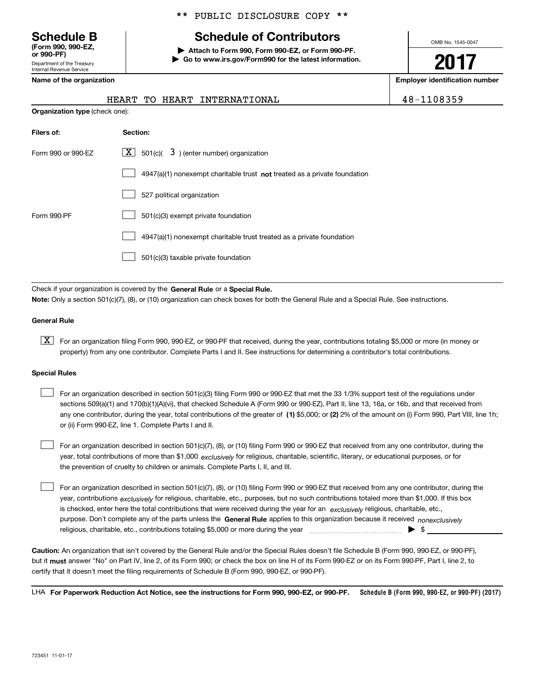Department of the Treasury Internal Revenue Service **(Form 990, 990-EZ, or 990-PF)**

## \*\* PUBLIC DISCLOSURE COPY \*\*

# **Schedule B Schedule of Contributors**

**| Attach to Form 990, Form 990-EZ, or Form 990-PF. | Go to www.irs.gov/Form990 for the latest information.** OMB No. 1545-0047

**2017**

**Name of the organization Employer identification number**

|                                       |  | HEART TO HEART INTERNATIONAL |  |
|---------------------------------------|--|------------------------------|--|
| <b>Organization type (check one):</b> |  |                              |  |

48-1108359

| Filers of:         | Section:                                                                  |  |  |  |  |  |  |
|--------------------|---------------------------------------------------------------------------|--|--|--|--|--|--|
| Form 990 or 990-EZ | $\lfloor x \rfloor$ 501(c)( 3) (enter number) organization                |  |  |  |  |  |  |
|                    | 4947(a)(1) nonexempt charitable trust not treated as a private foundation |  |  |  |  |  |  |
|                    | 527 political organization                                                |  |  |  |  |  |  |
| Form 990-PF        | 501(c)(3) exempt private foundation                                       |  |  |  |  |  |  |
|                    | 4947(a)(1) nonexempt charitable trust treated as a private foundation     |  |  |  |  |  |  |
|                    | 501(c)(3) taxable private foundation                                      |  |  |  |  |  |  |

Check if your organization is covered by the **General Rule** or a **Special Rule. Note:**  Only a section 501(c)(7), (8), or (10) organization can check boxes for both the General Rule and a Special Rule. See instructions.

#### **General Rule**

 $\boxed{\textbf{X}}$  For an organization filing Form 990, 990-EZ, or 990-PF that received, during the year, contributions totaling \$5,000 or more (in money or property) from any one contributor. Complete Parts I and II. See instructions for determining a contributor's total contributions.

#### **Special Rules**

 $\mathcal{L}^{\text{max}}$ 

any one contributor, during the year, total contributions of the greater of  $\,$  (1) \$5,000; or **(2)** 2% of the amount on (i) Form 990, Part VIII, line 1h; For an organization described in section 501(c)(3) filing Form 990 or 990-EZ that met the 33 1/3% support test of the regulations under sections 509(a)(1) and 170(b)(1)(A)(vi), that checked Schedule A (Form 990 or 990-EZ), Part II, line 13, 16a, or 16b, and that received from or (ii) Form 990-EZ, line 1. Complete Parts I and II.  $\mathcal{L}^{\text{max}}$ 

year, total contributions of more than \$1,000 *exclusively* for religious, charitable, scientific, literary, or educational purposes, or for For an organization described in section 501(c)(7), (8), or (10) filing Form 990 or 990-EZ that received from any one contributor, during the the prevention of cruelty to children or animals. Complete Parts I, II, and III.  $\mathcal{L}^{\text{max}}$ 

purpose. Don't complete any of the parts unless the **General Rule** applies to this organization because it received *nonexclusively* year, contributions <sub>exclusively</sub> for religious, charitable, etc., purposes, but no such contributions totaled more than \$1,000. If this box is checked, enter here the total contributions that were received during the year for an  $\;$ exclusively religious, charitable, etc., For an organization described in section 501(c)(7), (8), or (10) filing Form 990 or 990-EZ that received from any one contributor, during the religious, charitable, etc., contributions totaling \$5,000 or more during the year  $\Box$ — $\Box$   $\Box$ 

**Caution:**  An organization that isn't covered by the General Rule and/or the Special Rules doesn't file Schedule B (Form 990, 990-EZ, or 990-PF),  **must** but it answer "No" on Part IV, line 2, of its Form 990; or check the box on line H of its Form 990-EZ or on its Form 990-PF, Part I, line 2, to certify that it doesn't meet the filing requirements of Schedule B (Form 990, 990-EZ, or 990-PF).

**Schedule B (Form 990, 990-EZ, or 990-PF) (2017) For Paperwork Reduction Act Notice, see the instructions for Form 990, 990-EZ, or 990-PF.** LHA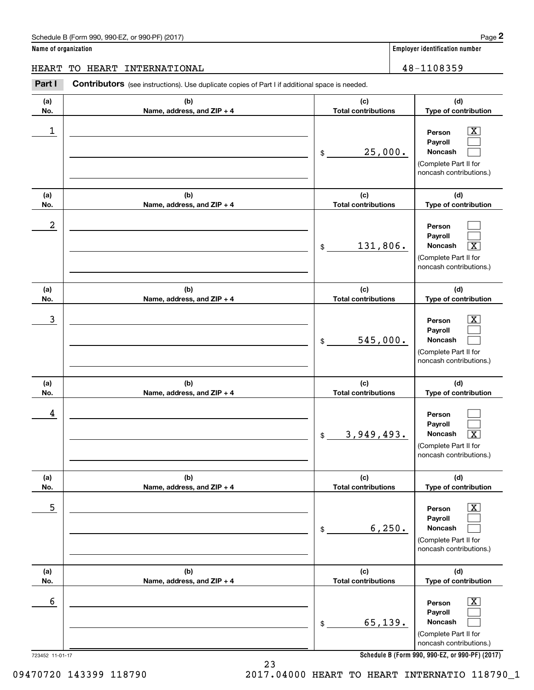## Schedule B (Form 990, 990-EZ, or 990-PF) (2017) **Page 2**

|  |  |  | Name of organization |
|--|--|--|----------------------|
|--|--|--|----------------------|

**Employer identification number** 

## HEART TO HEART INTERNATIONAL 48-1108359

Contributors (see instructions). Use duplicate copies of Part I if additional space is needed. Employer identification Page 2<br> **2** ame of organization<br>
IEART TO HEART INTERNATIONAL<br> **Part I** Contributors (see instructions). Use duplicate copies of Part I if additional space is needed.

| (a)              | (b)                        | (c)                        | (d)                                                                                                         |
|------------------|----------------------------|----------------------------|-------------------------------------------------------------------------------------------------------------|
| No.              | Name, address, and ZIP + 4 | <b>Total contributions</b> | Type of contribution                                                                                        |
| 1                |                            | 25,000.<br>\$              | $\overline{\mathbf{X}}$<br>Person<br>Payroll<br>Noncash<br>(Complete Part II for<br>noncash contributions.) |
| (a)              | (b)                        | (c)                        | (d)                                                                                                         |
| No.              | Name, address, and ZIP + 4 | <b>Total contributions</b> | Type of contribution                                                                                        |
| $\boldsymbol{2}$ |                            | 131,806.<br>\$             | Person<br>Payroll<br>Noncash<br>$\overline{\texttt{X}}$<br>(Complete Part II for<br>noncash contributions.) |
| (a)              | (b)                        | (c)                        | (d)                                                                                                         |
| No.              | Name, address, and ZIP + 4 | <b>Total contributions</b> | Type of contribution                                                                                        |
| 3                |                            | 545,000.<br>\$             | $\overline{\mathbf{X}}$<br>Person<br>Payroll<br>Noncash<br>(Complete Part II for<br>noncash contributions.) |
| (a)              | (b)                        | (c)                        | (d)                                                                                                         |
| No.              | Name, address, and ZIP + 4 | <b>Total contributions</b> | Type of contribution                                                                                        |
| 4                |                            | 3,949,493.<br>\$           | Person<br>Payroll<br>Noncash<br>$\overline{\text{X}}$<br>(Complete Part II for<br>noncash contributions.)   |
| (a)              | (b)                        | (c)                        | (d)                                                                                                         |
| No.              | Name, address, and ZIP + 4 | <b>Total contributions</b> | Type of contribution                                                                                        |
| 5                |                            | 6, 250.<br>\$              | $\overline{\mathbf{X}}$<br>Person<br>Payroll<br>Noncash<br>(Complete Part II for<br>noncash contributions.) |
| (a)              | (b)                        | (c)                        | (d)                                                                                                         |
| No.              | Name, address, and ZIP + 4 | <b>Total contributions</b> | Type of contribution                                                                                        |
| 6                |                            |                            |                                                                                                             |

**Schedule B (Form 990, 990-EZ, or 990-PF) (2017)**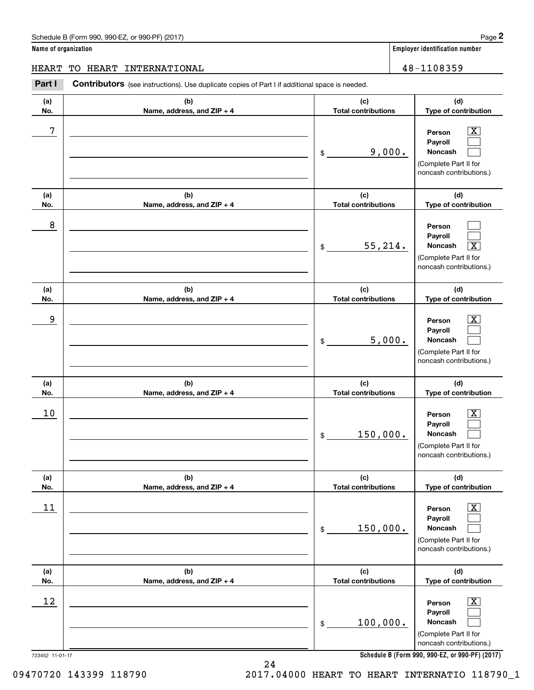## Schedule B (Form 990, 990-EZ, or 990-PF) (2017) **Page 2**

|  |  | Name of organization |  |
|--|--|----------------------|--|
|--|--|----------------------|--|

**Employer identification number** 

## HEART TO HEART INTERNATIONAL 28-1108359

Contributors (see instructions). Use duplicate copies of Part I if additional space is needed. Employer identification Page 2<br> **2** ame of organization<br>
IEART TO HEART INTERNATIONAL<br> **Part I** Contributors (see instructions). Use duplicate copies of Part I if additional space is needed.

| (a) | (b)                        | (c)                        | (d)                                                                                                                                                          |
|-----|----------------------------|----------------------------|--------------------------------------------------------------------------------------------------------------------------------------------------------------|
| No. | Name, address, and ZIP + 4 | <b>Total contributions</b> | Type of contribution                                                                                                                                         |
| 7   |                            | 9,000.<br>$\frac{1}{2}$    | $\overline{\text{X}}$<br>Person<br>Payroll<br><b>Noncash</b><br>(Complete Part II for<br>noncash contributions.)                                             |
| (a) | (b)                        | (c)                        | (d)                                                                                                                                                          |
| No. | Name, address, and ZIP + 4 | <b>Total contributions</b> | Type of contribution                                                                                                                                         |
| 8   |                            | 55, 214.<br>$\mathsf{\$}$  | Person<br>Payroll<br>Noncash<br>$\overline{\text{X}}$<br>(Complete Part II for<br>noncash contributions.)                                                    |
| (a) | (b)                        | (c)                        | (d)                                                                                                                                                          |
| No. | Name, address, and ZIP + 4 | <b>Total contributions</b> | Type of contribution                                                                                                                                         |
| 9   |                            | 5,000.<br>$\mathsf{\$}$    | $\overline{\mathbf{X}}$<br>Person<br>Payroll<br>Noncash<br>(Complete Part II for<br>noncash contributions.)                                                  |
| (a) | (b)                        | (c)                        | (d)                                                                                                                                                          |
| No. | Name, address, and ZIP + 4 | <b>Total contributions</b> | Type of contribution                                                                                                                                         |
| 10  |                            | 150,000.<br>\$             | $\overline{\mathbf{X}}$<br>Person<br>Payroll<br>Noncash<br>(Complete Part II for<br>noncash contributions.)                                                  |
| (a) | (b)                        | (c)                        | (d)                                                                                                                                                          |
| No. | Name, address, and ZIP + 4 | <b>Total contributions</b> | Type of contribution                                                                                                                                         |
| 11  |                            | 150,000.<br>\$             | Х,<br>Person<br>Payroll<br>Noncash<br>(Complete Part II for<br>noncash contributions.)                                                                       |
| (a) | (b)                        | (c)                        | (d)                                                                                                                                                          |
| No. | Name, address, and ZIP + 4 | <b>Total contributions</b> | Type of contribution                                                                                                                                         |
| 12  |                            | 100,000.<br>\$             | $\overline{\text{X}}$<br>Person<br>Payroll<br>Noncash<br>(Complete Part II for<br>noncash contributions.)<br>Cabadule B (Ferm 000, 000 E7, er 000 BE) (9017) |

**Schedule B (Form 990, 990-EZ, or 990-PF) (2017)**

24

723452 11-01-17

09470720 143399 118790 2017.04000 HEART TO HEART INTERNATIO 118790\_1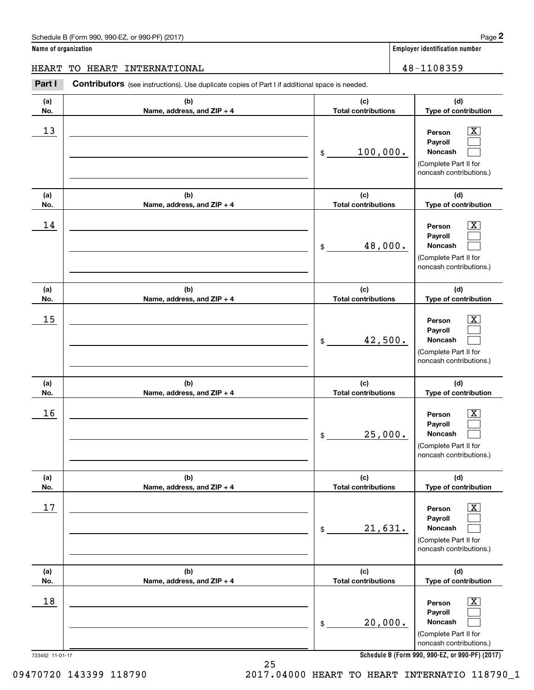**Name of organization Employer identification number**

**(d)**

 $|X|$  $\mathcal{L}^{\text{max}}$  $\mathcal{L}^{\text{max}}$ 

 $\boxed{\text{X}}$  $\mathcal{L}^{\text{max}}$  $\mathcal{L}^{\text{max}}$ 

 $|X|$  $\mathcal{L}^{\text{max}}$  $\mathcal{L}^{\text{max}}$ 

 $\boxed{\text{X}}$  $\mathcal{L}^{\text{max}}$  $\mathcal{L}^{\text{max}}$ 

 $\boxed{\text{X}}$  $\mathcal{L}^{\text{max}}$  $\mathcal{L}^{\text{max}}$ 

 $\boxed{\text{X}}$  $\mathcal{L}^{\text{max}}$  $\mathcal{L}^{\text{max}}$ 

**(d)**

**(d)**

**(d)**

**(d)**

**(d)**

HEART TO HEART INTERNATIONAL 48-1108359

#### 723452 11-01-17 **(a)No.(b)Name, address, and ZIP + 4 (c)Total contributions Type of contribution PersonPayrollNoncash (a)No.(b)Name, address, and ZIP + 4 (c)Total contributions Type of contribution PersonPayrollNoncash (a)No.(b)Name, address, and ZIP + 4 (c)Total contributions Type of contribution PersonPayrollNoncash (a) No.(b) Name, address, and ZIP + 4 (c) Total contributions Type of contribution PersonPayrollNoncash (a) No.(b) Name, address, and ZIP + 4 (c) Total contributions Type of contribution PersonPayrollNoncash (a) No.(b)Name, address, and ZIP + 4 (c) Total contributions Type of contribution PersonPayrollNoncash Contributors** (see instructions). Use duplicate copies of Part I if additional space is needed. \$(Complete Part II for noncash contributions.) \$(Complete Part II for noncash contributions.) \$(Complete Part II for noncash contributions.) \$(Complete Part II for noncash contributions.) \$(Complete Part II for noncash contributions.) \$(Complete Part II for noncash contributions.) Employer identification Page 2<br> **2** ame of organization<br>
IEART TO HEART INTERNATIONAL<br> **Part I** Contributors (see instructions). Use duplicate copies of Part I if additional space is needed.  $13$  Person X 100,000.  $14$  Person X 48,000.  $15$  Person X 42,500.  $16$  Person X 25,000.  $17$  | Person  $\overline{\text{X}}$ 21,631.  $18$  Person  $\overline{\text{X}}$ 20,000.

25

**Schedule B (Form 990, 990-EZ, or 990-PF) (2017)**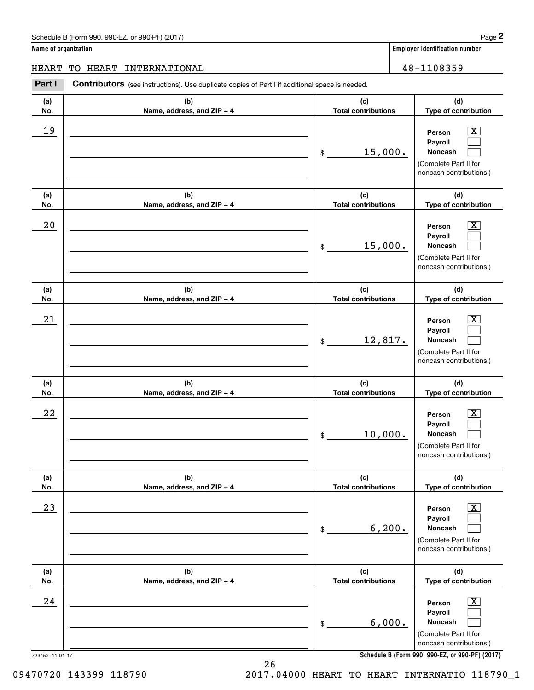**Name of organization Employer identification number**

723452 11-01-17 **(a)No.(b)Name, address, and ZIP + 4 (c)Total contributions (d)Type of contribution PersonPayrollNoncash (a)No.(b)Name, address, and ZIP + 4 (c)Total contributions (d)Type of contribution PersonPayrollNoncash (a)No.(b)Name, address, and ZIP + 4 (c)Total contributions (d)Type of contribution PersonPayrollNoncash (a) No.(b) Name, address, and ZIP + 4 (c) Total contributions (d) Type of contribution PersonPayrollNoncash (a) No.(b) Name, address, and ZIP + 4 (c) Total contributions (d) Type of contribution PersonPayrollNoncash (a) No.(b)Name, address, and ZIP + 4 (c) Total contributions (d)Type of contribution PersonPayrollNoncash Contributors** (see instructions). Use duplicate copies of Part I if additional space is needed. \$(Complete Part II for noncash contributions.) \$(Complete Part II for noncash contributions.) \$(Complete Part II for noncash contributions.) \$(Complete Part II for noncash contributions.) \$(Complete Part II for noncash contributions.) \$(Complete Part II for noncash contributions.) Employer identification Page 2<br> **2** ame of organization<br>
IEART TO HEART INTERNATIONAL<br> **Part I** Contributors (see instructions). Use duplicate copies of Part I if additional space is needed.  $|X|$  $\mathcal{L}^{\text{max}}$  $\mathcal{L}^{\text{max}}$  $\boxed{\text{X}}$  $\mathcal{L}^{\text{max}}$  $\mathcal{L}^{\text{max}}$  $|X|$  $\mathcal{L}^{\text{max}}$  $\mathcal{L}^{\text{max}}$  $\boxed{\text{X}}$  $\mathcal{L}^{\text{max}}$  $\mathcal{L}^{\text{max}}$  $\boxed{\text{X}}$  $\mathcal{L}^{\text{max}}$  $\mathcal{L}^{\text{max}}$  $\boxed{\text{X}}$  $\mathcal{L}^{\text{max}}$  $\mathcal{L}^{\text{max}}$ 19 X 15,000.  $20$  | Person  $\overline{\text{X}}$ 15,000.  $21$  Person X 12,817.  $22$  | Person  $\overline{\text{X}}$ 10,000.  $23$  | Person  $\overline{\text{X}}$ 6,200.  $24$  | Person  $\overline{\text{X}}$ 6,000. HEART TO HEART INTERNATIONAL 48-1108359

**Schedule B (Form 990, 990-EZ, or 990-PF) (2017)**

09470720 143399 118790 2017.04000 HEART TO HEART INTERNATIO 118790\_1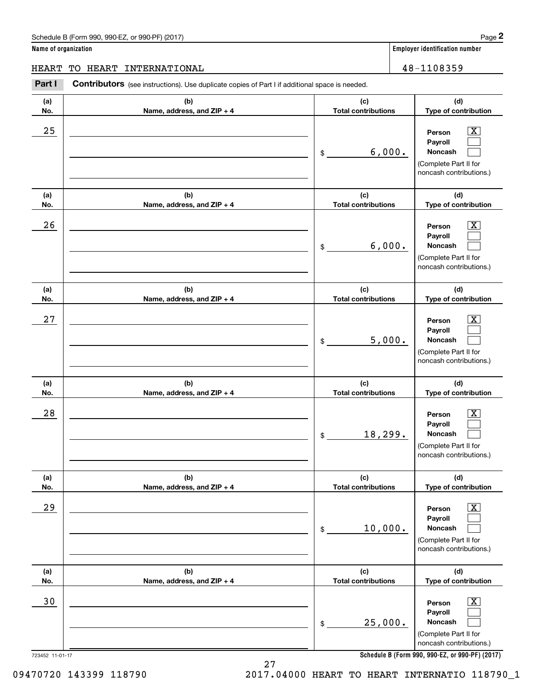## Schedule B (Form 990, 990-EZ, or 990-PF) (2017) **Page 2**

**Name of organization Employer identification number**

**Person**

**(d) Type of contribution**

 $\boxed{\text{X}}$ 

## HEART TO HEART INTERNATIONAL | 48-1108359

**(a) No.(b) Name, address, and ZIP + 4 (c) Total contributions** (schedule B (Form 990, 990-EZ, or 990-PF) (2017)<br> **2 ame of organization**<br> **2 BART TO HEART INTERNATIONAL**<br> **Part I Contributors** (see instructions). Use duplicate copies of Part I if additional space is needed. \$ $25$  | Person  $\overline{\text{X}}$ 

|            |                                   | 6,000.<br>\$                      | Payroll<br><b>Noncash</b><br>(Complete Part II for<br>noncash contributions.)                                    |
|------------|-----------------------------------|-----------------------------------|------------------------------------------------------------------------------------------------------------------|
| (a)<br>No. | (b)<br>Name, address, and ZIP + 4 | (c)<br><b>Total contributions</b> | (d)<br>Type of contribution                                                                                      |
| 26         |                                   | 6,000.<br>\$                      | $\overline{\mathbf{X}}$<br>Person<br>Payroll<br>Noncash<br>(Complete Part II for<br>noncash contributions.)      |
| (a)<br>No. | (b)<br>Name, address, and ZIP + 4 | (c)<br><b>Total contributions</b> | (d)<br>Type of contribution                                                                                      |
| 27         |                                   | 5,000.<br>\$                      | $\overline{\text{X}}$<br>Person<br>Payroll<br><b>Noncash</b><br>(Complete Part II for<br>noncash contributions.) |
| (a)<br>No. | (b)<br>Name, address, and ZIP + 4 | (c)<br><b>Total contributions</b> | (d)<br>Type of contribution                                                                                      |
| 28         |                                   | 18,299.<br>\$                     | $\overline{\text{X}}$<br>Person<br>Payroll<br>Noncash<br>(Complete Part II for<br>noncash contributions.)        |
| (a)<br>No. | (b)<br>Name, address, and ZIP + 4 | (c)<br><b>Total contributions</b> | (d)<br>Type of contribution                                                                                      |
| 29         |                                   | 10,000.<br>\$                     | $\overline{\text{X}}$<br>Person<br>Payroll<br>Noncash<br>(Complete Part II for<br>noncash contributions.)        |
| (a)<br>No. | (b)<br>Name, address, and ZIP + 4 | (c)<br><b>Total contributions</b> | (d)<br>Type of contribution                                                                                      |
| 30         |                                   | 25,000.<br>\$                     | $\boxed{\text{X}}$<br>Person<br>Payroll<br><b>Noncash</b><br>(Complete Part II for<br>noncash contributions.)    |

**Schedule B (Form 990, 990-EZ, or 990-PF) (2017)**

27 09470720 143399 118790 2017.04000 HEART TO HEART INTERNATIO 118790\_1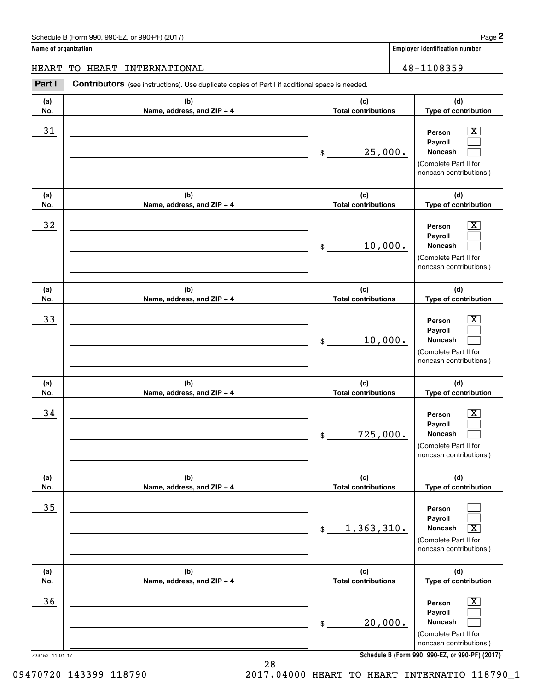**Name of organization Employer identification number**

#### **(a)No.(b)Name, address, and ZIP + 4 (c)Total contributions (d)Type of contribution PersonPayrollNoncash (a)No.(b)Name, address, and ZIP + 4 (c)Total contributions (d)Type of contribution PersonPayrollNoncash (a)No.(b)Name, address, and ZIP + 4 (c)Total contributions (d)Type of contribution PersonPayrollNoncash (a) No.(b) Name, address, and ZIP + 4 (c) Total contributions (d) Type of contribution PersonPayrollNoncash (a) No.(b) Name, address, and ZIP + 4 (c) Total contributions (d) Type of contribution PersonPayrollNoncash (a) No.(b)Name, address, and ZIP + 4 (c) Total contributions (d)Type of contribution PersonPayrollNoncash Contributors** (see instructions). Use duplicate copies of Part I if additional space is needed. \$(Complete Part II for noncash contributions.) \$(Complete Part II for noncash contributions.) \$(Complete Part II for noncash contributions.) \$(Complete Part II for noncash contributions.) \$(Complete Part II for noncash contributions.) \$(Complete Part II for noncash contributions.) Employer identification Page 2<br> **2** ame of organization<br>
IEART TO HEART INTERNATIONAL<br> **Part I** Contributors (see instructions). Use duplicate copies of Part I if additional space is needed.  $|X|$  $\mathcal{L}^{\text{max}}$  $\mathcal{L}^{\text{max}}$  $\boxed{\text{X}}$  $\mathcal{L}^{\text{max}}$  $\mathcal{L}^{\text{max}}$  $|X|$  $\mathcal{L}^{\text{max}}$  $\mathcal{L}^{\text{max}}$  $\boxed{\text{X}}$  $\mathcal{L}^{\text{max}}$  $\mathcal{L}^{\text{max}}$  $\mathcal{L}^{\text{max}}$  $\mathcal{L}^{\text{max}}$  $\sqrt{X}$  $\boxed{\text{X}}$  $\mathcal{L}^{\text{max}}$  $\mathcal{L}^{\text{max}}$ 31 Person X 25,000.  $32$  | Person  $\overline{\text{X}}$ 10,000. 33 Person X 10,000.  $34$  | Person  $\overline{\text{X}}$ 725,000. 35  $1,363,310.$  $36$  Person X 20,000. HEART TO HEART INTERNATIONAL 48-1108359

**Schedule B (Form 990, 990-EZ, or 990-PF) (2017)**

723452 11-01-17

09470720 143399 118790 2017.04000 HEART TO HEART INTERNATIO 118790\_1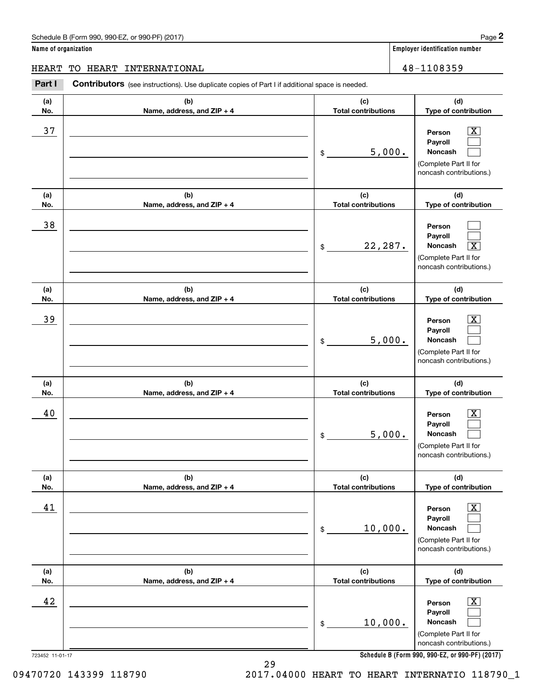## Schedule B (Form 990, 990-EZ, or 990-PF) (2017) **Page 2**

**Name of organization Employer identification number**

## HEART TO HEART INTERNATIONAL 48-1108359

Contributors (see instructions). Use duplicate copies of Part I if additional space is needed. Employer identification Page 2<br> **2** ame of organization<br>
IEART TO HEART INTERNATIONAL<br> **Part I** Contributors (see instructions). Use duplicate copies of Part I if additional space is needed.

| (a) | (b)                        | (c)                        | (d)                                                                                                       |
|-----|----------------------------|----------------------------|-----------------------------------------------------------------------------------------------------------|
| No. | Name, address, and ZIP + 4 | <b>Total contributions</b> | Type of contribution                                                                                      |
| 37  |                            | 5,000.<br>\$               | $\mathbf{X}$<br>Person<br>Payroll<br>Noncash<br>(Complete Part II for<br>noncash contributions.)          |
| (a) | (b)                        | (c)                        | (d)                                                                                                       |
| No. | Name, address, and ZIP + 4 | <b>Total contributions</b> | Type of contribution                                                                                      |
| 38  |                            | 22,287.<br>\$              | Person<br>Payroll<br>Noncash<br>$\overline{\text{X}}$<br>(Complete Part II for<br>noncash contributions.) |
| (a) | (b)                        | (c)                        | (d)                                                                                                       |
| No. | Name, address, and ZIP + 4 | <b>Total contributions</b> | Type of contribution                                                                                      |
| 39  |                            | 5,000.<br>\$               | $\mathbf{X}$<br>Person<br>Payroll<br>Noncash<br>(Complete Part II for<br>noncash contributions.)          |
| (a) | (b)                        | (c)                        | (d)                                                                                                       |
| No. | Name, address, and ZIP + 4 | <b>Total contributions</b> | Type of contribution                                                                                      |
| 40  |                            |                            | $\overline{\mathbf{X}}$<br>Person                                                                         |
|     |                            | 5,000.<br>\$               | Payroll<br>Noncash<br>(Complete Part II for<br>noncash contributions.)                                    |
| (a) | (b)                        | (c)                        | (d)                                                                                                       |
| No. | Name, address, and ZIP + 4 | <b>Total contributions</b> | Type of contribution                                                                                      |
| 41  |                            | 10,000.<br>\$              | $\boxed{\text{X}}$<br>Person<br>Payroll<br>Noncash<br>(Complete Part II for<br>noncash contributions.)    |
| (a) | (b)                        | (c)                        | (d)                                                                                                       |
| No. | Name, address, and ZIP + 4 | <b>Total contributions</b> | Type of contribution                                                                                      |

**Schedule B (Form 990, 990-EZ, or 990-PF) (2017)**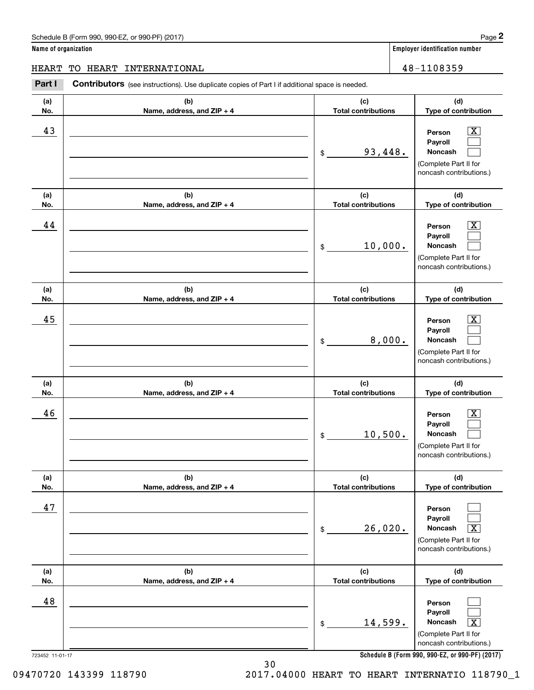**Name of organization Employer identification number**

HEART TO HEART INTERNATIONAL 48-1108359

#### **(a)No.(b)Name, address, and ZIP + 4 (c)Total contributions (d)Type of contribution PersonPayrollNoncash (a)No.(b)Name, address, and ZIP + 4 (c)Total contributions (d)Type of contribution PersonPayrollNoncash (a)No.(b)Name, address, and ZIP + 4 (c)Total contributions (d)Type of contribution PersonPayrollNoncash (a) No.(b) Name, address, and ZIP + 4 (c) Total contributions (d) Type of contribution PersonPayrollNoncash (a) No.(b) Name, address, and ZIP + 4 (c) Total contributions (d) Type of contribution PersonPayrollNoncash (a) No.(b)Name, address, and ZIP + 4 (c) Total contributions (d)Type of contribution PersonPayrollNoncash Contributors** (see instructions). Use duplicate copies of Part I if additional space is needed. \$(Complete Part II for noncash contributions.) \$(Complete Part II for noncash contributions.) \$(Complete Part II for noncash contributions.) \$(Complete Part II for noncash contributions.) \$(Complete Part II for noncash contributions.) \$(Complete Part II for noncash contributions.) Employer identification Page 2<br> **2** ame of organization<br>
IEART TO HEART INTERNATIONAL<br> **Part I** Contributors (see instructions). Use duplicate copies of Part I if additional space is needed.  $|X|$  $\mathcal{L}^{\text{max}}$  $\mathcal{L}^{\text{max}}$  $\boxed{\text{X}}$  $\mathcal{L}^{\text{max}}$  $\mathcal{L}^{\text{max}}$  $|X|$  $\mathcal{L}^{\text{max}}$  $\mathcal{L}^{\text{max}}$  $\boxed{\text{X}}$  $\mathcal{L}^{\text{max}}$  $\mathcal{L}^{\text{max}}$  $\mathcal{L}^{\text{max}}$  $\mathcal{L}^{\text{max}}$  $\sqrt{X}$  $\mathcal{L}^{\text{max}}$  $\mathcal{L}^{\text{max}}$  $\mathbf{X}$ 43 Person X 93,448. 44 X 10,000. 45 X 8,000. 46 X 10,500. 47  $26,020$ . 48 14,599.

**Schedule B (Form 990, 990-EZ, or 990-PF) (2017)**

30

09470720 143399 118790 2017.04000 HEART TO HEART INTERNATIO 118790\_1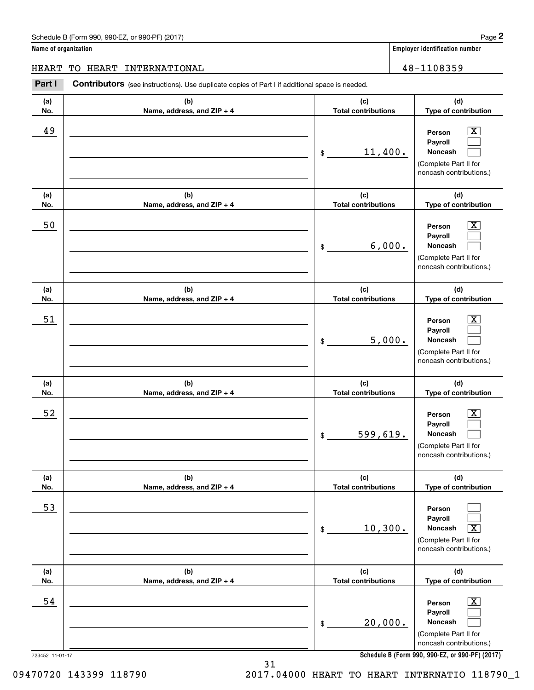**Name of organization Employer identification number**

**(a)No.(b)Name, address, and ZIP + 4 (c)Total contributions (d)Type of contribution PersonPayrollNoncash (a)No.(b)Name, address, and ZIP + 4 (c)Total contributions (d)Type of contribution PersonPayrollNoncash (a)No.(b)Name, address, and ZIP + 4 (c)Total contributions (d)Type of contribution PersonPayrollNoncash (a) No.(b) Name, address, and ZIP + 4 (c) Total contributions (d) Type of contribution PersonPayrollNoncash (a) No.(b) Name, address, and ZIP + 4 (c) Total contributions (d) Type of contribution PersonPayrollNoncash (a) No.(b)Name, address, and ZIP + 4 (c) Total contributions (d)Type of contribution PersonPayrollNoncash Contributors** (see instructions). Use duplicate copies of Part I if additional space is needed. \$(Complete Part II for noncash contributions.) \$(Complete Part II for noncash contributions.) \$(Complete Part II for noncash contributions.) \$(Complete Part II for noncash contributions.) \$(Complete Part II for noncash contributions.) \$(Complete Part II for noncash contributions.) Employer identification Page 2<br> **2** ame of organization<br>
IEART TO HEART INTERNATIONAL<br> **Part I** Contributors (see instructions). Use duplicate copies of Part I if additional space is needed.  $|X|$  $\mathcal{L}^{\text{max}}$  $\mathcal{L}^{\text{max}}$  $\boxed{\text{X}}$  $\mathcal{L}^{\text{max}}$  $\mathcal{L}^{\text{max}}$  $|X|$  $\mathcal{L}^{\text{max}}$  $\mathcal{L}^{\text{max}}$  $\boxed{\text{X}}$  $\mathcal{L}^{\text{max}}$  $\mathcal{L}^{\text{max}}$  $\mathcal{L}^{\text{max}}$  $\mathcal{L}^{\text{max}}$  $\sqrt{X}$  $\boxed{\text{X}}$  $\mathcal{L}^{\text{max}}$  $\mathcal{L}^{\text{max}}$ 49 X 11,400. 50 Person X 6,000. 51 X 5,000. 52 | Person X 599,619. 53  $10,300.$ 54 X 20,000. HEART TO HEART INTERNATIONAL 48-1108359

**Schedule B (Form 990, 990-EZ, or 990-PF) (2017)**

723452 11-01-17

09470720 143399 118790 2017.04000 HEART TO HEART INTERNATIO 118790\_1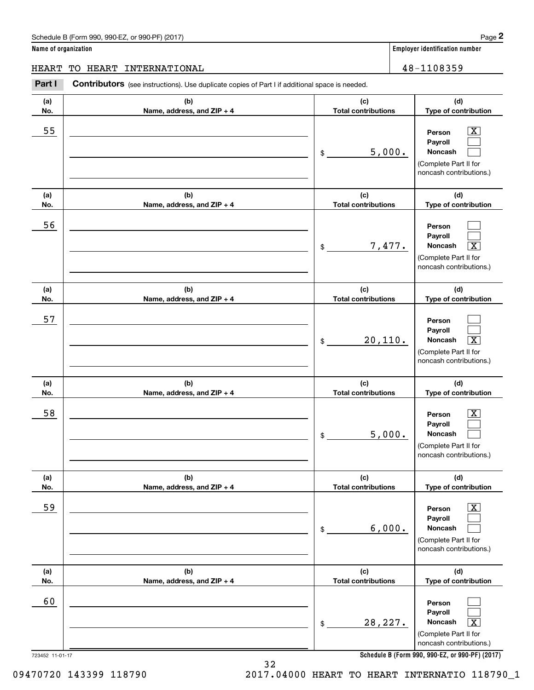**Name of organization Employer identification number**

**(d)**

 $|X|$  $\mathcal{L}^{\text{max}}$  $\mathcal{L}^{\text{max}}$ 

 $\mathcal{L}^{\text{max}}$  $\mathcal{L}^{\text{max}}$  $\overline{\mathbf{X}}$ 

 $\mathcal{L}^{\text{max}}$  $\mathcal{L}^{\text{max}}$  $\boxed{\text{X}}$ 

 $\boxed{\text{X}}$  $\mathcal{L}^{\text{max}}$  $\mathcal{L}^{\text{max}}$ 

 $\boxed{\text{X}}$  $\mathcal{L}^{\text{max}}$  $\mathcal{L}^{\text{max}}$ 

 $\mathcal{L}^{\text{max}}$  $\mathcal{L}^{\text{max}}$  $\mathbf{X}$ 

**(d)**

**(d)**

**(d)**

**(d)**

**(d)**

HEART TO HEART INTERNATIONAL 48-1108359

#### **(a)No.(b)Name, address, and ZIP + 4 (c)Total contributions Type of contribution PersonPayrollNoncash (a)No.(b)Name, address, and ZIP + 4 (c)Total contributions Type of contribution PersonPayrollNoncash (a)No.(b)Name, address, and ZIP + 4 (c)Total contributions Type of contribution PersonPayrollNoncash (a) No.(b) Name, address, and ZIP + 4 (c) Total contributions Type of contribution PersonPayrollNoncash (a) No.(b) Name, address, and ZIP + 4 (c) Total contributions Type of contribution PersonPayrollNoncash (a) No.(b)Name, address, and ZIP + 4 (c) Total contributions Type of contribution PersonPayrollNoncash Contributors** (see instructions). Use duplicate copies of Part I if additional space is needed. \$(Complete Part II for noncash contributions.) \$(Complete Part II for noncash contributions.) \$(Complete Part II for noncash contributions.) \$(Complete Part II for noncash contributions.) \$(Complete Part II for noncash contributions.) \$(Complete Part II for noncash contributions.) Employer identification Page 2<br> **2** ame of organization<br>
IEART TO HEART INTERNATIONAL<br> **Part I** Contributors (see instructions). Use duplicate copies of Part I if additional space is needed. 55 | Person X 5,000. 56 7,477. X 57  $20,110.$ 58 X 5,000. 59 X 6,000. 60  $28,227.$

**Schedule B (Form 990, 990-EZ, or 990-PF) (2017)**

723452 11-01-17

09470720 143399 118790 2017.04000 HEART TO HEART INTERNATIO 118790\_1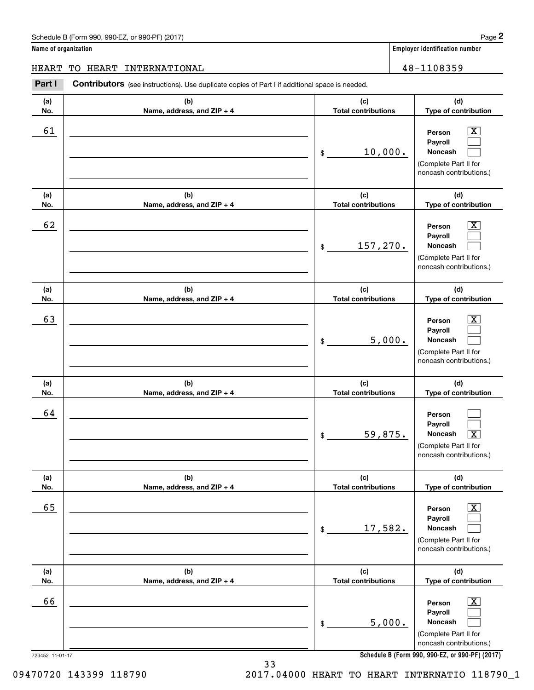## Schedule B (Form 990, 990-EZ, or 990-PF) (2017) **Page 2**

**Name of organization Employer identification number**

Τ

## HEART TO HEART INTERNATIONAL 28-1108359

**(a)(b)(c)Contributors** (see instructions). Use duplicate copies of Part I if additional space is needed. Employer identification Page 2<br> **2** ame of organization<br>
IEART TO HEART INTERNATIONAL<br> **Part I** Contributors (see instructions). Use duplicate copies of Part I if additional space is needed.

| (a) | (b)                        | (c)                        | (d)                                                                                                                                                            |
|-----|----------------------------|----------------------------|----------------------------------------------------------------------------------------------------------------------------------------------------------------|
| No. |                            | <b>Total contributions</b> | Type of contribution                                                                                                                                           |
| 61  | Name, address, and ZIP + 4 | 10,000.<br>\$              | $\overline{\mathbf{x}}$<br>Person<br>Payroll<br>Noncash<br>(Complete Part II for<br>noncash contributions.)                                                    |
| (a) | (b)                        | (c)                        | (d)                                                                                                                                                            |
| No. | Name, address, and ZIP + 4 | <b>Total contributions</b> | Type of contribution                                                                                                                                           |
| 62  |                            | 157,270.<br>\$             | $\overline{\mathbf{x}}$<br>Person<br>Payroll<br>Noncash<br>(Complete Part II for<br>noncash contributions.)                                                    |
| (a) | (b)                        | (c)                        | (d)                                                                                                                                                            |
| No. | Name, address, and ZIP + 4 | <b>Total contributions</b> | Type of contribution                                                                                                                                           |
| 63  |                            | 5,000.<br>\$               | $\overline{\text{X}}$<br>Person<br>Payroll<br>Noncash<br>(Complete Part II for<br>noncash contributions.)                                                      |
| (a) | (b)                        | (c)                        | (d)                                                                                                                                                            |
| No. | Name, address, and ZIP + 4 | <b>Total contributions</b> | Type of contribution                                                                                                                                           |
| 64  |                            | 59,875.<br>\$              | Person<br>Payroll<br>$\overline{\text{X}}$<br>Noncash<br>(Complete Part II for<br>noncash contributions.)                                                      |
| (a) | (b)                        | (c)                        | (d)                                                                                                                                                            |
| No. | Name, address, and ZIP + 4 | <b>Total contributions</b> | Type of contribution                                                                                                                                           |
| 65  |                            | 17,582.<br>\$              | $\overline{\mathbf{X}}$<br>Person<br>Payroll<br>Noncash<br>(Complete Part II for<br>noncash contributions.)                                                    |
| (a) | (b)                        | (c)                        | (d)                                                                                                                                                            |
| No. | Name, address, and ZIP + 4 | <b>Total contributions</b> | Type of contribution                                                                                                                                           |
| 66  |                            | 5,000.<br>\$               | $\overline{\mathbf{X}}$<br>Person<br>Payroll<br>Noncash<br>(Complete Part II for<br>noncash contributions.)<br>Schodule R (Form 000, 000-F7, or 000-PE) (2017) |

723452 11-01-17

09470720 143399 118790 2017.04000 HEART TO HEART INTERNATIO 118790\_1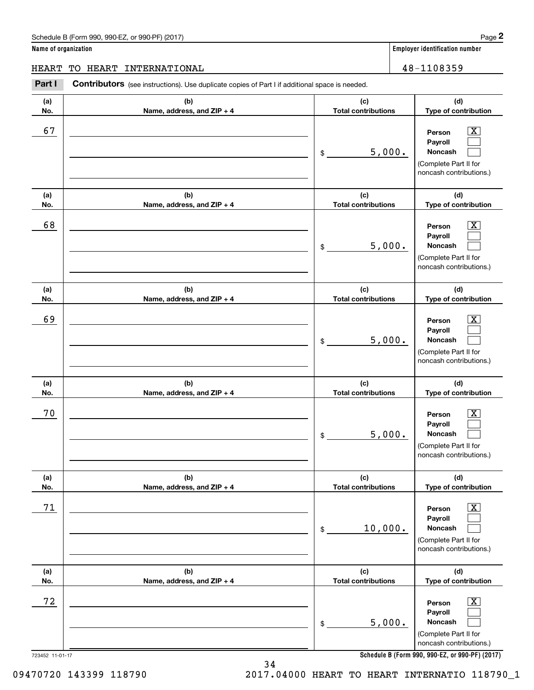# Schedule B (Form 990, 990-EZ, or 990-PF) (2017) **Page 2**

|  |  | Name of organization |
|--|--|----------------------|
|--|--|----------------------|

**Employer identification number** 

**(d) Type of contribution**

# HEART TO HEART INTERNATIONAL 16 and 18-1108359

**(a) No.(b) Name, address, and ZIP + 4 (c) Total contributions** (schedule B (Form 990, 990-EZ, or 990-PF) (2017)<br> **2 ame of organization**<br> **2 BART TO HEART INTERNATIONAL**<br> **Part I Contributors** (see instructions). Use duplicate copies of Part I if additional space is needed. 67 X

| 67                    |                                   | 5,000.<br>\$                      | x<br>Person<br>Payroll<br>Noncash<br>(Complete Part II for<br>noncash contributions.)                                                                          |
|-----------------------|-----------------------------------|-----------------------------------|----------------------------------------------------------------------------------------------------------------------------------------------------------------|
| (a)<br>No.            | (b)<br>Name, address, and ZIP + 4 | (c)<br><b>Total contributions</b> | (d)<br>Type of contribution                                                                                                                                    |
| 68                    |                                   | 5,000.<br>\$                      | X<br>Person<br>Payroll<br>Noncash<br>(Complete Part II for<br>noncash contributions.)                                                                          |
| (a)<br>No.            | (b)<br>Name, address, and ZIP + 4 | (c)<br><b>Total contributions</b> | (d)<br>Type of contribution                                                                                                                                    |
| 69                    |                                   | 5,000.<br>\$                      | x<br>Person<br>Payroll<br>Noncash<br>(Complete Part II for<br>noncash contributions.)                                                                          |
| (a)<br>No.            | (b)<br>Name, address, and ZIP + 4 | (c)<br><b>Total contributions</b> | (d)<br>Type of contribution                                                                                                                                    |
| 70                    |                                   | 5,000.<br>\$                      | x<br>Person<br>Payroll<br>Noncash<br>(Complete Part II for<br>noncash contributions.)                                                                          |
| (a)<br>No.            | (b)<br>Name, address, and ZIP + 4 | (c)<br><b>Total contributions</b> | (d)<br>Type of contribution                                                                                                                                    |
| 71                    |                                   | 10,000.<br>\$                     | $\overline{\text{X}}$<br>Person<br>Payroll<br>Noncash<br>(Complete Part II for<br>noncash contributions.)                                                      |
| (a)<br>No.            | (b)<br>Name, address, and ZIP + 4 | (c)<br><b>Total contributions</b> | (d)<br>Type of contribution                                                                                                                                    |
| 72<br>723452 11-01-17 |                                   | 5,000.<br>\$                      | $\overline{\mathbf{X}}$<br>Person<br>Payroll<br>Noncash<br>(Complete Part II for<br>noncash contributions.)<br>Schedule B (Form 990, 990-EZ, or 990-PF) (2017) |

**Schedule B (Form 990, 990-EZ, or 990-PF) (2017)**

09470720 143399 118790 2017.04000 HEART TO HEART INTERNATIO 118790\_1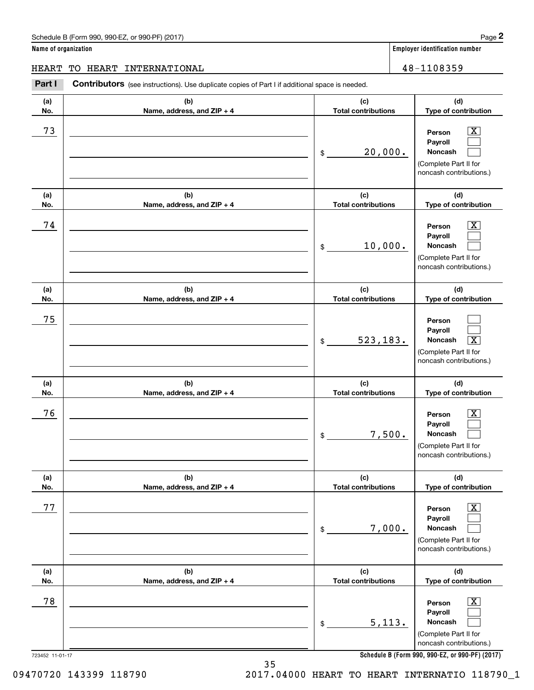# Schedule B (Form 990, 990-EZ, or 990-PF) (2017) **Page 2**

**Name of organization Employer identification number**

**(d) Type of contribution**

HEART TO HEART INTERNATIONAL | 48-1108359

**(c) Total contributions**

# **(a) No.(b) Name, address, and ZIP + 4** (schedule B (Form 990, 990-EZ, or 990-PF) (2017)<br> **2 ame of organization**<br> **2 BART TO HEART INTERNATIONAL**<br> **Part I Contributors** (see instructions). Use duplicate copies of Part I if additional space is needed. 73 X

| 73                    |                                   | 20,000.<br>\$                     | $\overline{\text{X}}$<br>Person<br>Payroll<br>Noncash<br>(Complete Part II for<br>noncash contributions.)                                                    |
|-----------------------|-----------------------------------|-----------------------------------|--------------------------------------------------------------------------------------------------------------------------------------------------------------|
| (a)<br>No.            | (b)<br>Name, address, and ZIP + 4 | (c)<br><b>Total contributions</b> | (d)<br>Type of contribution                                                                                                                                  |
| 74                    |                                   | 10,000.<br>\$                     | X<br>Person<br>Payroll<br>Noncash<br>(Complete Part II for<br>noncash contributions.)                                                                        |
| (a)<br>No.            | (b)<br>Name, address, and ZIP + 4 | (c)<br><b>Total contributions</b> | (d)<br>Type of contribution                                                                                                                                  |
| 75                    |                                   | 523, 183.<br>\$                   | Person<br>Payroll<br>Noncash<br>$\overline{\mathbf{x}}$<br>(Complete Part II for<br>noncash contributions.)                                                  |
| (a)<br>No.            | (b)<br>Name, address, and ZIP + 4 | (c)<br><b>Total contributions</b> | (d)<br>Type of contribution                                                                                                                                  |
| 76                    |                                   | 7,500.<br>\$                      | Person<br>X.<br>Payroll<br>Noncash<br>(Complete Part II for<br>noncash contributions.)                                                                       |
| (a)<br>No.            | (b)<br>Name, address, and ZIP + 4 | (c)<br><b>Total contributions</b> | (d)<br>Type of contribution                                                                                                                                  |
| 77                    |                                   | 7,000.<br>\$                      | $\overline{\text{X}}$<br>Person<br>Payroll<br>Noncash<br>(Complete Part II for<br>noncash contributions.)                                                    |
| (a)<br>No.            | (b)<br>Name, address, and ZIP + 4 | (c)<br><b>Total contributions</b> | (d)<br>Type of contribution                                                                                                                                  |
| 78<br>723452 11-01-17 |                                   | 5,113.<br>\$                      | $\overline{\text{X}}$<br>Person<br>Payroll<br>Noncash<br>(Complete Part II for<br>noncash contributions.)<br>Schedule B (Form 990, 990-EZ, or 990-PF) (2017) |

**Schedule B (Form 990, 990-EZ, or 990-PF) (2017)**

09470720 143399 118790 2017.04000 HEART TO HEART INTERNATIO 118790\_1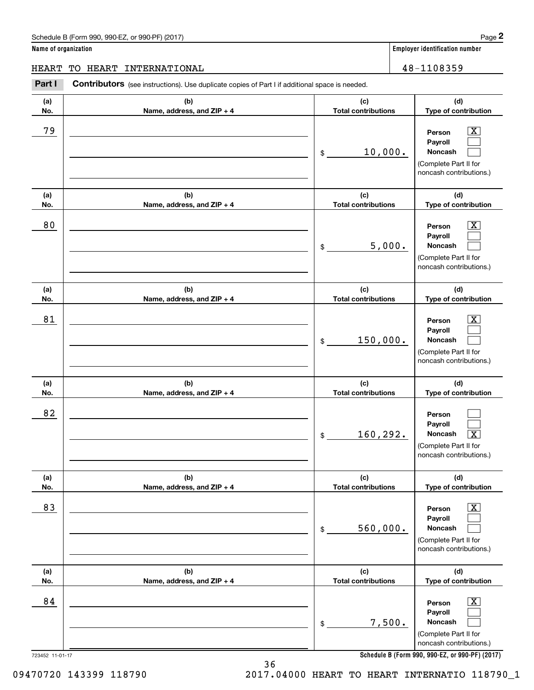**Name of organization Employer identification number**

HEART TO HEART INTERNATIONAL 48-1108359

### **(a)No.(b)Name, address, and ZIP + 4 (c)Total contributions (d)Type of contribution PersonPayrollNoncash (a)No.(b)Name, address, and ZIP + 4 (c)Total contributions (d)Type of contribution PersonPayrollNoncash (a)No.(b)Name, address, and ZIP + 4 (c)Total contributions (d)Type of contribution PersonPayrollNoncash (a) No.(b) Name, address, and ZIP + 4 (c) Total contributions (d) Type of contribution PersonPayrollNoncash (a) No.(b) Name, address, and ZIP + 4 (c) Total contributions (d) Type of contribution PersonPayrollNoncash (a) No.(b)Name, address, and ZIP + 4 (c) Total contributions (d)Type of contribution PersonPayrollNoncash Contributors** (see instructions). Use duplicate copies of Part I if additional space is needed. \$(Complete Part II for noncash contributions.) \$(Complete Part II for noncash contributions.) \$(Complete Part II for noncash contributions.) \$(Complete Part II for noncash contributions.) \$(Complete Part II for noncash contributions.) \$(Complete Part II for noncash contributions.) Employer identification Page 2<br> **2** ame of organization<br>
IEART TO HEART INTERNATIONAL<br> **Part I** Contributors (see instructions). Use duplicate copies of Part I if additional space is needed.  $|X|$  $\mathcal{L}^{\text{max}}$  $\mathcal{L}^{\text{max}}$  $\boxed{\text{X}}$  $\mathcal{L}^{\text{max}}$  $\mathcal{L}^{\text{max}}$  $|X|$  $\mathcal{L}^{\text{max}}$  $\mathcal{L}^{\text{max}}$  $\mathcal{L}^{\text{max}}$  $\mathcal{L}^{\text{max}}$  $\lceil \text{X} \rceil$  $\boxed{\text{X}}$  $\mathcal{L}^{\text{max}}$  $\mathcal{L}^{\text{max}}$  $\boxed{\text{X}}$  $\mathcal{L}^{\text{max}}$  $\mathcal{L}^{\text{max}}$ 79 X 10,000. 80 X 5,000. 81 X 150,000. 82  $160,292.$ 83 X 560,000. 84 X 7,500.

**Schedule B (Form 990, 990-EZ, or 990-PF) (2017)**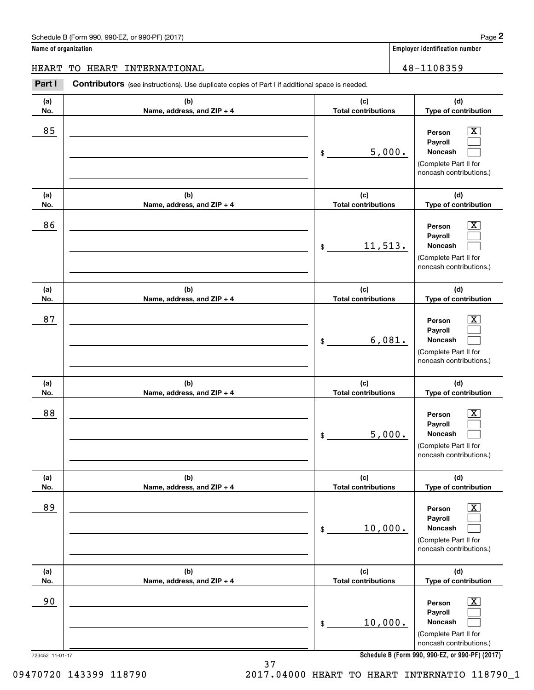**(d)**

 $|X|$  $\mathcal{L}^{\text{max}}$  $\mathcal{L}^{\text{max}}$ 

 $\boxed{\text{X}}$  $\mathcal{L}^{\text{max}}$  $\mathcal{L}^{\text{max}}$ 

 $|X|$  $\mathcal{L}^{\text{max}}$  $\mathcal{L}^{\text{max}}$ 

 $\boxed{\text{X}}$  $\mathcal{L}^{\text{max}}$  $\mathcal{L}^{\text{max}}$ 

 $\boxed{\text{X}}$  $\mathcal{L}^{\text{max}}$  $\mathcal{L}^{\text{max}}$ 

**(d)**

**(d)**

**(d)**

**(d)**

**(d)Type of contribution**

(Complete Part II for noncash contributions.)

**PersonPayrollNoncash**

**Name of organization Employer identification number (a)No.(b)Name, address, and ZIP + 4 (c)Total contributions Type of contribution PersonPayrollNoncash (a)No.(b)Name, address, and ZIP + 4 (c)Total contributions Type of contribution PersonPayrollNoncash (a)No.(b)Name, address, and ZIP + 4 (c)Total contributions Type of contribution PersonPayrollNoncash (a) No.(b) Name, address, and ZIP + 4 (c) Total contributions Type of contribution PersonPayrollNoncash (a) No.(b) Name, address, and ZIP + 4 (c) Total contributions Type of contribution** Schedule B (Form 990, 990-EZ, or 990-PF) (2017) **Page 2** and the state of the state of the state of the state of the state of the state of the state of the state of the state of the state of the state of the state of the s **Contributors** (see instructions). Use duplicate copies of Part I if additional space is needed. \$(Complete Part II for noncash contributions.) \$(Complete Part II for noncash contributions.) \$(Complete Part II for noncash contributions.) \$(Complete Part II for noncash contributions.) Employer identification Page 2<br> **2** ame of organization<br>
IEART TO HEART INTERNATIONAL<br> **Part I** Contributors (see instructions). Use duplicate copies of Part I if additional space is needed. 85 X 5,000. 86 X 11,513. 87 X 6,081. 88 X 5,000. HEART TO HEART INTERNATIONAL 48-1108359

**PersonPayrollNoncash** \$(Complete Part II for noncash contributions.)  $\boxed{\text{X}}$  $\mathcal{L}^{\text{max}}$  $\mathcal{L}^{\text{max}}$ 90 X 10,000.

\$

**Schedule B (Form 990, 990-EZ, or 990-PF) (2017)**

723452 11-01-17

**(a) No.**

09470720 143399 118790 2017.04000 HEART TO HEART INTERNATIO 118790\_1

**(c) Total contributions**

10,000.

37

89 X

**(b)Name, address, and ZIP + 4**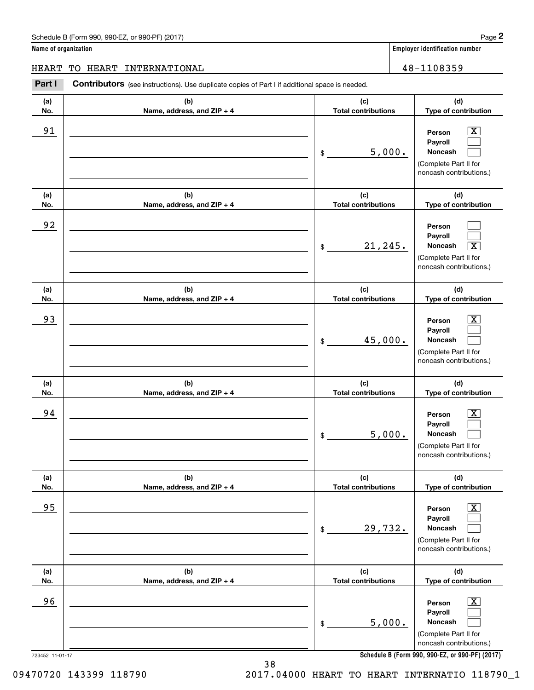# Schedule B (Form 990, 990-EZ, or 990-PF) (2017) **Page 2**

**Name of organization Employer identification number**

# HEART TO HEART INTERNATIONAL 48-1108359

Contributors (see instructions). Use duplicate copies of Part I if additional space is needed. Employer identification Page 2<br> **2** ame of organization<br>
IEART TO HEART INTERNATIONAL<br> **Part I** Contributors (see instructions). Use duplicate copies of Part I if additional space is needed.

| (a) | (b)                        | (c)                        | (d)                                                                                                       |
|-----|----------------------------|----------------------------|-----------------------------------------------------------------------------------------------------------|
| No. | Name, address, and ZIP + 4 | <b>Total contributions</b> | Type of contribution                                                                                      |
| 91  |                            | 5,000.<br>\$               | $\mathbf{X}$<br>Person<br>Payroll<br>Noncash<br>(Complete Part II for<br>noncash contributions.)          |
| (a) | (b)                        | (c)                        | (d)                                                                                                       |
| No. | Name, address, and ZIP + 4 | <b>Total contributions</b> | Type of contribution                                                                                      |
| 92  |                            | 21, 245.<br>\$             | Person<br>Payroll<br>$\overline{\text{X}}$<br>Noncash<br>(Complete Part II for<br>noncash contributions.) |
| (a) | (b)                        | (c)                        | (d)                                                                                                       |
| No. | Name, address, and ZIP + 4 | <b>Total contributions</b> | Type of contribution                                                                                      |
| 93  |                            | 45,000.<br>\$              | X<br>Person<br>Payroll<br>Noncash<br>(Complete Part II for<br>noncash contributions.)                     |
|     |                            |                            |                                                                                                           |
| (a) | (b)                        | (c)                        | (d)                                                                                                       |
| No. | Name, address, and ZIP + 4 | <b>Total contributions</b> | Type of contribution                                                                                      |
| 94  |                            | 5,000.<br>\$               | х<br>Person<br>Payroll<br>Noncash<br>(Complete Part II for<br>noncash contributions.)                     |
| (a) | (b)                        | (c)                        | (d)                                                                                                       |
| No. | Name, address, and ZIP + 4 | <b>Total contributions</b> | Type of contribution                                                                                      |
| 95  |                            | 29,732.<br>\$              | $\boxed{\text{X}}$<br>Person<br>Payroll<br>Noncash<br>(Complete Part II for<br>noncash contributions.)    |
| (a) | (b)                        | (c)                        | (d)                                                                                                       |
| No. | Name, address, and ZIP + 4 | <b>Total contributions</b> | Type of contribution                                                                                      |

**Schedule B (Form 990, 990-EZ, or 990-PF) (2017)**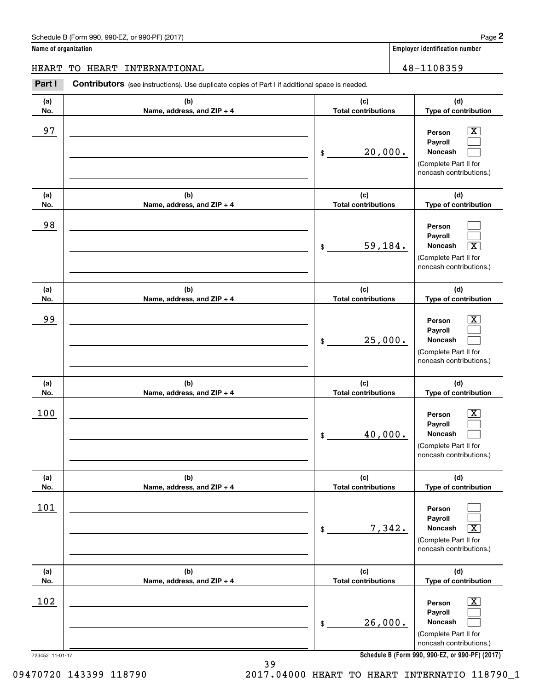**Name of organization Employer identification number**

HEART TO HEART INTERNATIONAL 48-1108359

### **(a)No.(b)Name, address, and ZIP + 4 (c)Total contributions (d)Type of contribution PersonPayrollNoncash (a)No.(b)Name, address, and ZIP + 4 (c)Total contributions (d)Type of contribution PersonPayrollNoncash (a)No.(b)Name, address, and ZIP + 4 (c)Total contributions (d)Type of contribution PersonPayrollNoncash (a) No.(b) Name, address, and ZIP + 4 (c) Total contributions (d) Type of contribution PersonPayrollNoncash (a) No.(b) Name, address, and ZIP + 4 (c) Total contributions (d) Type of contribution PersonPayrollNoncash (a) No.(b)Name, address, and ZIP + 4 (c) Total contributions (d)Type of contribution PersonPayrollNoncash Contributors** (see instructions). Use duplicate copies of Part I if additional space is needed. \$(Complete Part II for noncash contributions.) \$(Complete Part II for noncash contributions.) \$(Complete Part II for noncash contributions.) \$(Complete Part II for noncash contributions.) \$(Complete Part II for noncash contributions.) \$(Complete Part II for noncash contributions.) Employer identification Page 2<br> **2** ame of organization<br>
IEART TO HEART INTERNATIONAL<br> **Part I** Contributors (see instructions). Use duplicate copies of Part I if additional space is needed.  $|X|$  $\mathcal{L}^{\text{max}}$  $\mathcal{L}^{\text{max}}$  $\mathcal{L}^{\text{max}}$  $\mathcal{L}^{\text{max}}$  $\overline{\mathbf{X}}$  $|X|$  $\mathcal{L}^{\text{max}}$  $\mathcal{L}^{\text{max}}$  $\boxed{\text{X}}$  $\mathcal{L}^{\text{max}}$  $\mathcal{L}^{\text{max}}$  $\mathcal{L}^{\text{max}}$  $\mathcal{L}^{\text{max}}$  $\sqrt{X}$  $\boxed{\text{X}}$  $\mathcal{L}^{\text{max}}$  $\mathcal{L}^{\text{max}}$ 97 X 20,000. 98 59,184. X 99 X 25,000. 100 X 40,000. 101 7,342. X  $102$  Person  $\overline{\text{X}}$ 26,000.

**Schedule B (Form 990, 990-EZ, or 990-PF) (2017)**

39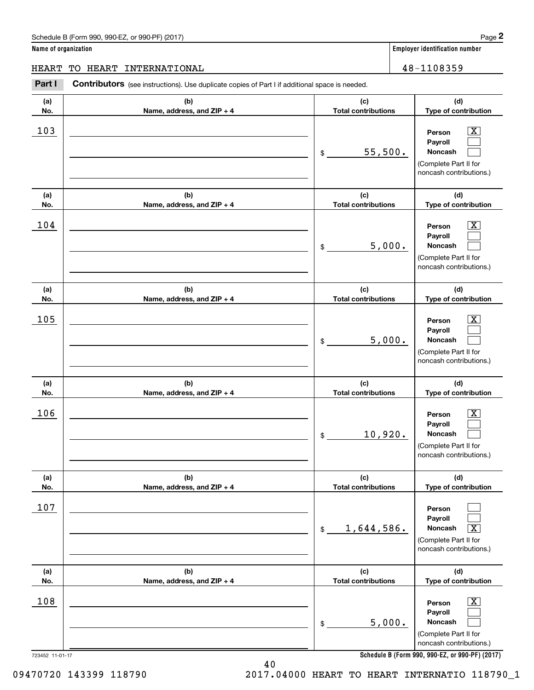**Name of organization Employer identification number**

**(d)**

 $|X|$  $\mathcal{L}^{\text{max}}$  $\mathcal{L}^{\text{max}}$ 

 $\boxed{\text{X}}$  $\mathcal{L}^{\text{max}}$  $\mathcal{L}^{\text{max}}$ 

 $|X|$  $\mathcal{L}^{\text{max}}$  $\mathcal{L}^{\text{max}}$ 

 $\boxed{\text{X}}$  $\mathcal{L}^{\text{max}}$  $\mathcal{L}^{\text{max}}$ 

 $\mathcal{L}^{\text{max}}$  $\mathcal{L}^{\text{max}}$  $\sqrt{X}$ 

> $\boxed{\text{X}}$  $\mathcal{L}^{\text{max}}$  $\mathcal{L}^{\text{max}}$

**(d)**

**(d)**

**(d)**

**(d)**

**(d)**

HEART TO HEART INTERNATIONAL 48-1108359

### 723452 11-01-17 **(a)No.(b)Name, address, and ZIP + 4 (c)Total contributions Type of contribution PersonPayrollNoncash (a)No.(b)Name, address, and ZIP + 4 (c)Total contributions Type of contribution PersonPayrollNoncash (a)No.(b)Name, address, and ZIP + 4 (c)Total contributions Type of contribution PersonPayrollNoncash (a) No.(b) Name, address, and ZIP + 4 (c) Total contributions Type of contribution PersonPayrollNoncash(a) No.(b)Name, address, and ZIP + 4 (c) Total contributions Type of contribution PersonPayrollNoncash (a) No.(b)Name, address, and ZIP + 4 (c) Total contributions Type of contribution PersonPayrollNoncash Contributors** (see instructions). Use duplicate copies of Part I if additional space is needed. \$(Complete Part II for noncash contributions.) \$(Complete Part II for noncash contributions.) \$(Complete Part II for noncash contributions.) \$(Complete Part II for noncash contributions.) \$(Complete Part II for noncash contributions.) \$(Complete Part II for noncash contributions.) Employer identification Page 2<br> **2** ame of organization<br>
IEART TO HEART INTERNATIONAL<br> **Part I** Contributors (see instructions). Use duplicate copies of Part I if additional space is needed.  $103$  Person  $\overline{\text{X}}$ 55,500.  $104$  Person  $\overline{\text{X}}$ 5,000.  $105$  Person  $\overline{\text{X}}$ 5,000.  $106$  Person  $\overline{\text{X}}$ 10,920. 107 1,644,586. X  $108$  Person  $\overline{\text{X}}$ 5,000.

**Schedule B (Form 990, 990-EZ, or 990-PF) (2017)**

09470720 143399 118790 2017.04000 HEART TO HEART INTERNATIO 118790\_1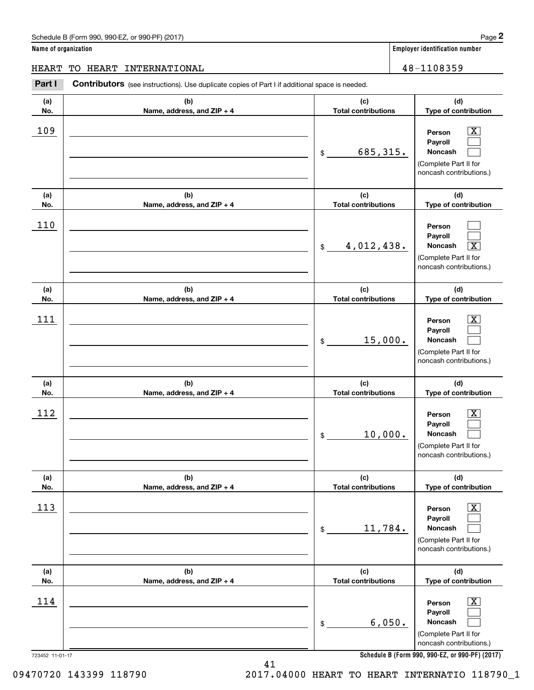**Name of organization Employer identification number**

HEART TO HEART INTERNATIONAL 48-1108359

### **(a)No.(b)Name, address, and ZIP + 4 (c)Total contributions (d)Type of contribution PersonPayrollNoncash (a)No.(b)Name, address, and ZIP + 4 (c)Total contributions (d)Type of contribution PersonPayrollNoncash (a)No.(b)Name, address, and ZIP + 4 (c)Total contributions (d)Type of contribution PersonPayrollNoncash (a) No.(b) Name, address, and ZIP + 4 (c) Total contributions (d) Type of contribution PersonPayrollNoncash(a) No.(b) Name, address, and ZIP + 4 (c) Total contributions (d) Type of contribution PersonPayrollNoncash (a) No.(b)Name, address, and ZIP + 4 (c) Total contributions (d)Type of contribution PersonPayrollNoncash Contributors** (see instructions). Use duplicate copies of Part I if additional space is needed. \$(Complete Part II for noncash contributions.) \$(Complete Part II for noncash contributions.) \$(Complete Part II for noncash contributions.) \$(Complete Part II for noncash contributions.) \$(Complete Part II for noncash contributions.) \$(Complete Part II for noncash contributions.) Employer identification Page 2<br> **2** ame of organization<br>
IEART TO HEART INTERNATIONAL<br> **Part I** Contributors (see instructions). Use duplicate copies of Part I if additional space is needed.  $|X|$  $\mathcal{L}^{\text{max}}$  $\mathcal{L}^{\text{max}}$  $\mathcal{L}^{\text{max}}$  $\mathcal{L}^{\text{max}}$  $\overline{\mathbf{X}}$  $|X|$  $\mathcal{L}^{\text{max}}$  $\mathcal{L}^{\text{max}}$  $\boxed{\text{X}}$  $\mathcal{L}^{\text{max}}$  $\mathcal{L}^{\text{max}}$  $\boxed{\text{X}}$  $\mathcal{L}^{\text{max}}$  $\mathcal{L}^{\text{max}}$  $\boxed{\text{X}}$  $\mathcal{L}^{\text{max}}$  $\mathcal{L}^{\text{max}}$ 109 X 685,315. 110 4,012,438. X  $111$  Person  $\overline{\text{X}}$ 15,000.  $112$  Person  $\overline{\text{X}}$ 10,000. 113 X 11,784.  $114$  Person  $\overline{\text{X}}$ 6,050.

**Schedule B (Form 990, 990-EZ, or 990-PF) (2017)**

723452 11-01-17

09470720 143399 118790 2017.04000 HEART TO HEART INTERNATIO 118790\_1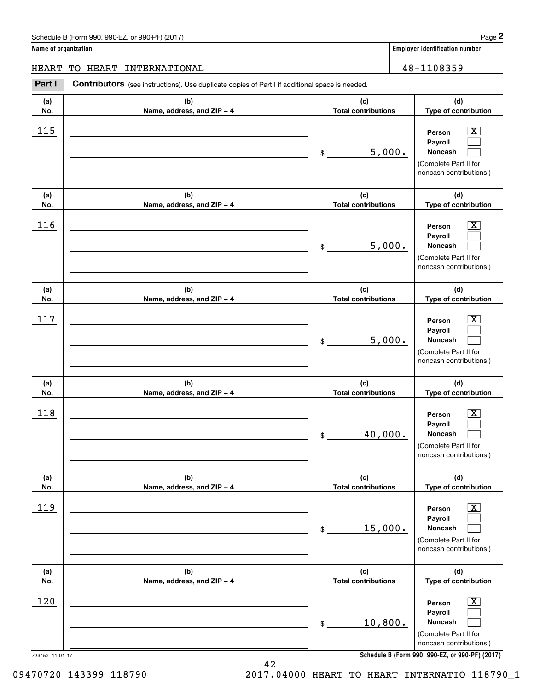**Name of organization Employer identification number**

**PersonPayrollNoncash**

**PersonPayrollNoncash**

**PersonPayrollNoncash**

(Complete Part II for noncash contributions.)

> **PersonPayrollNoncash**

(Complete Part II for noncash contributions.)

> **PersonPayrollNoncash**

> **PersonPayrollNoncash**

(Complete Part II for noncash contributions.)

**(d)Type of contribution**

> $|X|$  $\mathcal{L}^{\text{max}}$  $\mathcal{L}^{\text{max}}$

> $\boxed{\text{X}}$  $\mathcal{L}^{\text{max}}$  $\mathcal{L}^{\text{max}}$

> $|X|$  $\mathcal{L}^{\text{max}}$  $\mathcal{L}^{\text{max}}$

> $\boxed{\text{X}}$  $\mathcal{L}^{\text{max}}$  $\mathcal{L}^{\text{max}}$

> $\boxed{\text{X}}$  $\mathcal{L}^{\text{max}}$  $\mathcal{L}^{\text{max}}$

> $\boxed{\text{X}}$  $\mathcal{L}^{\text{max}}$  $\mathcal{L}^{\text{max}}$

**(d)Type of contribution**

(Complete Part II for noncash contributions.)

> **(d)Type of contribution**

(Complete Part II for noncash contributions.)

> **(d) Type of contribution**

> **(d) Type of contribution**

> **(d)Type of contribution**

(Complete Part II for noncash contributions.)

# **(a)No.(b)Name, address, and ZIP + 4 (c)Total contributions (a)No.(b)Name, address, and ZIP + 4 (c)Total contributions (a)No.(b)Name, address, and ZIP + 4 (c)Total contributions (a) No.(b) Name, address, and ZIP + 4 (c) Total contributions (a) No.(b) Name, address, and ZIP + 4 (c) Total contributions (a) No.(b)Name, address, and ZIP + 4 (c) Total contributions Contributors** (see instructions). Use duplicate copies of Part I if additional space is needed. \$\$\$\$\$Employer identification Page 2<br> **2** ame of organization<br>
IEART TO HEART INTERNATIONAL<br> **Part I** Contributors (see instructions). Use duplicate copies of Part I if additional space is needed.  $115$  Person X 5,000.  $116$  Person X 5,000.  $117$  | Person  $\overline{\text{X}}$ 5,000. 118 X 40,000. 119 X 15,000. HEART TO HEART INTERNATIONAL 48-1108359

**Schedule B (Form 990, 990-EZ, or 990-PF) (2017)**

723452 11-01-17

09470720 143399 118790 2017.04000 HEART TO HEART INTERNATIO 118790\_1

10,800.

\$

42

120 X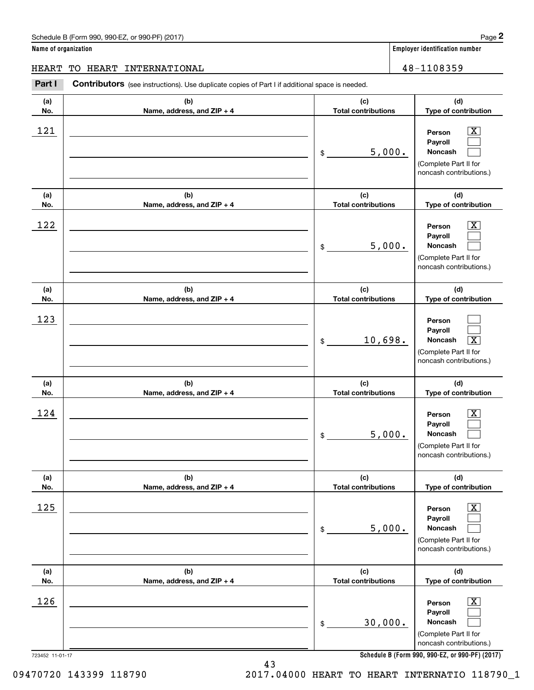**Name of organization Employer identification number**

**PersonPayrollNoncash**

**PersonPayrollNoncash**

**PersonPayrollNoncash**

(Complete Part II for noncash contributions.)

> **PersonPayrollNoncash**

(Complete Part II for noncash contributions.)

> **PersonPayrollNoncash**

(Complete Part II for

**(d)Type of contribution**

> $|X|$  $\mathcal{L}^{\text{max}}$  $\mathcal{L}^{\text{max}}$

> $\boxed{\text{X}}$  $\mathcal{L}^{\text{max}}$  $\mathcal{L}^{\text{max}}$

 $\mathcal{L}^{\text{max}}$  $\mathcal{L}^{\text{max}}$  $\boxed{\text{X}}$ 

 $\boxed{\text{X}}$  $\mathcal{L}^{\text{max}}$  $\mathcal{L}^{\text{max}}$ 

 $\boxed{\text{X}}$  $\mathcal{L}^{\text{max}}$  $\mathcal{L}^{\text{max}}$ 

**(d)Type of contribution**

(Complete Part II for noncash contributions.)

> **(d)Type of contribution**

(Complete Part II for noncash contributions.)

**(d) Type of contribution**

**(d) Type of contribution**

# **(a)No.(b)Name, address, and ZIP + 4 (c)Total contributions (a)No.(b)Name, address, and ZIP + 4 (c)Total contributions (a)No.(b)Name, address, and ZIP + 4 (c)Total contributions (a) No.(b) Name, address, and ZIP + 4 (c) Total contributions (a) No.(b) Name, address, and ZIP + 4 (c) Total contributions** Contributors (see instructions). Use duplicate copies of Part I if additional space is needed. \$\$\$\$\$Employer identification Page 2<br> **2** ame of organization<br>
IEART TO HEART INTERNATIONAL<br> **Part I** Contributors (see instructions). Use duplicate copies of Part I if additional space is needed.  $121$  | Person  $\overline{\text{X}}$ 5,000.  $122$  | Person  $\overline{\text{X}}$ 5,000. 123 10,698.  $124$  | Person  $\overline{\text{X}}$ 5,000.  $125$  Person  $\overline{\text{X}}$ 5,000. HEART TO HEART INTERNATIONAL 48-1108359

|             |                                     |                                   | noncash contributions.)                                                                                       |
|-------------|-------------------------------------|-----------------------------------|---------------------------------------------------------------------------------------------------------------|
| (a)<br>No.  | (b)<br>Name, address, and $ZIP + 4$ | (c)<br><b>Total contributions</b> | (d)<br>Type of contribution                                                                                   |
| <u> 126</u> |                                     | 30,000.<br>\$                     | $\boxed{\text{X}}$<br>Person<br>Payroll<br><b>Noncash</b><br>(Complete Part II for<br>noncash contributions.) |

**Schedule B (Form 990, 990-EZ, or 990-PF) (2017)**

723452 11-01-17

09470720 143399 118790 2017.04000 HEART TO HEART INTERNATIO 118790\_1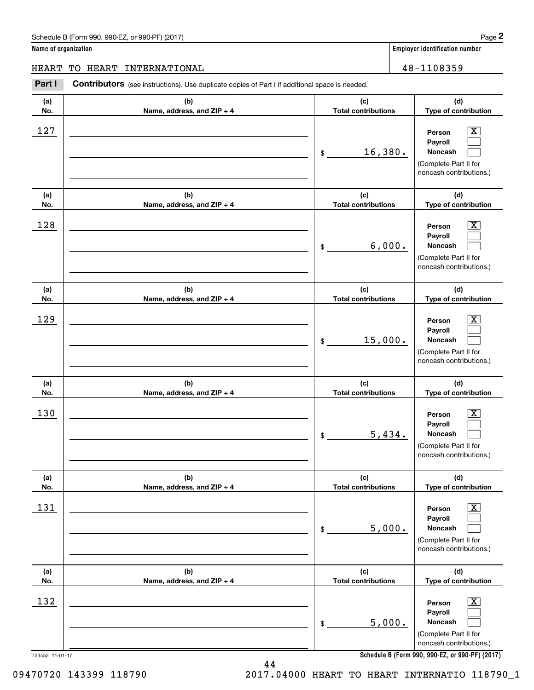**Name of organization Employer identification number**

**(d)**

 $|X|$  $\mathcal{L}^{\text{max}}$  $\mathcal{L}^{\text{max}}$ 

 $\boxed{\text{X}}$  $\mathcal{L}^{\text{max}}$  $\mathcal{L}^{\text{max}}$ 

 $|X|$  $\mathcal{L}^{\text{max}}$  $\mathcal{L}^{\text{max}}$ 

 $\boxed{\text{X}}$  $\mathcal{L}^{\text{max}}$  $\mathcal{L}^{\text{max}}$ 

 $\boxed{\text{X}}$  $\mathcal{L}^{\text{max}}$  $\mathcal{L}^{\text{max}}$ 

 $\boxed{\text{X}}$  $\mathcal{L}^{\text{max}}$  $\mathcal{L}^{\text{max}}$ 

**(d)**

**(d)**

**(d)**

**(d)**

**(d)**

HEART TO HEART INTERNATIONAL 48-1108359

### 723452 11-01-17 **(a)No.(b)Name, address, and ZIP + 4 (c)Total contributions Type of contribution PersonPayrollNoncash (a)No.(b)Name, address, and ZIP + 4 (c)Total contributions Type of contribution PersonPayrollNoncash (a)No.(b)Name, address, and ZIP + 4 (c)Total contributions Type of contribution PersonPayrollNoncash (a) No.(b) Name, address, and ZIP + 4 (c) Total contributions Type of contribution PersonPayrollNoncash (a) No.(b)Name, address, and ZIP + 4 (c) Total contributions Type of contribution PersonPayrollNoncash (a) No.(b)Name, address, and ZIP + 4 (c) Total contributions Type of contribution PersonPayrollNoncash Contributors** (see instructions). Use duplicate copies of Part I if additional space is needed. \$(Complete Part II for noncash contributions.) \$(Complete Part II for noncash contributions.) \$(Complete Part II for noncash contributions.) \$(Complete Part II for noncash contributions.) \$(Complete Part II for noncash contributions.) \$(Complete Part II for noncash contributions.) Employer identification Page 2<br> **2** ame of organization<br>
IEART TO HEART INTERNATIONAL<br> **Part I** Contributors (see instructions). Use duplicate copies of Part I if additional space is needed.  $127$  | Person  $\overline{\text{X}}$ 16,380.  $128$  | Person  $\overline{\text{X}}$ 6,000. 129 X 15,000. 130 X 5,434. 131 X 5,000.  $132$  Person  $\overline{\text{X}}$ 5,000.

**Schedule B (Form 990, 990-EZ, or 990-PF) (2017)**

09470720 143399 118790 2017.04000 HEART TO HEART INTERNATIO 118790\_1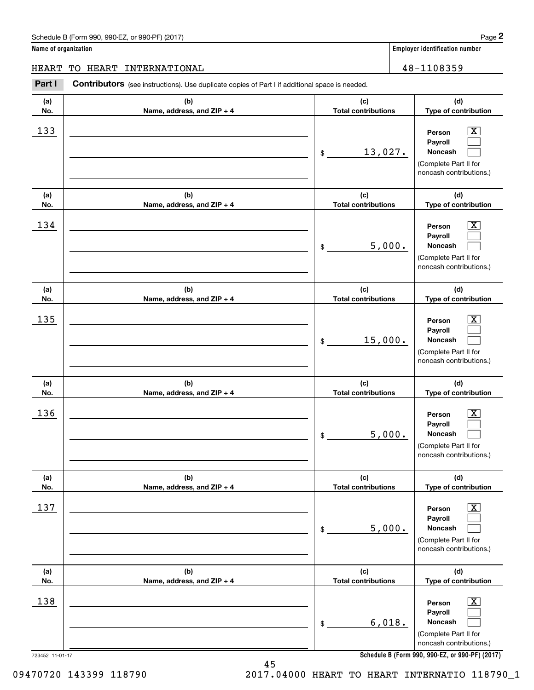**Name of organization Employer identification number**

**(a)No.(b)Name, address, and ZIP + 4 (c)Total contributions (d)Type of contribution PersonPayrollNoncash (a)No.(b)Name, address, and ZIP + 4 (c)Total contributions (d)Type of contribution PersonPayrollNoncash (a)No.(b)Name, address, and ZIP + 4 (c)Total contributions (d)Type of contribution PersonPayrollNoncash (a) No.(b)Name, address, and ZIP + 4 (c) Total contributions (d) Type of contribution PersonPayrollNoncash (a) No.(b)Name, address, and ZIP + 4 (c) Total contributions (d) Type of contribution PersonPayrollNoncash (a) No.(b)Name, address, and ZIP + 4 (c) Total contributions (d)Type of contribution PersonPayrollNoncash Contributors** (see instructions). Use duplicate copies of Part I if additional space is needed. \$(Complete Part II for noncash contributions.) \$(Complete Part II for noncash contributions.) \$(Complete Part II for noncash contributions.) \$(Complete Part II for noncash contributions.) \$(Complete Part II for noncash contributions.) \$(Complete Part II for noncash contributions.) Employer identification Page 2<br> **2** ame of organization<br>
IEART TO HEART INTERNATIONAL<br> **Part I** Contributors (see instructions). Use duplicate copies of Part I if additional space is needed.  $|X|$  $\mathcal{L}^{\text{max}}$  $\mathcal{L}^{\text{max}}$  $\boxed{\text{X}}$  $\mathcal{L}^{\text{max}}$  $\mathcal{L}^{\text{max}}$  $|X|$  $\mathcal{L}^{\text{max}}$  $\mathcal{L}^{\text{max}}$  $\boxed{\text{X}}$  $\mathcal{L}^{\text{max}}$  $\mathcal{L}^{\text{max}}$  $\boxed{\text{X}}$  $\mathcal{L}^{\text{max}}$  $\mathcal{L}^{\text{max}}$  $\boxed{\text{X}}$  $\mathcal{L}^{\text{max}}$  $\mathcal{L}^{\text{max}}$ 133 X 13,027.  $134$  | Person  $\overline{\text{X}}$ 5,000.  $135$  Person  $\overline{\text{X}}$ 15,000.  $136$  Person  $\overline{\text{X}}$ 5,000.  $137$  | Person  $\overline{\text{X}}$ 5,000.  $138$  Person  $\overline{\text{X}}$ 6,018. HEART TO HEART INTERNATIONAL 48-1108359

45

**Schedule B (Form 990, 990-EZ, or 990-PF) (2017)**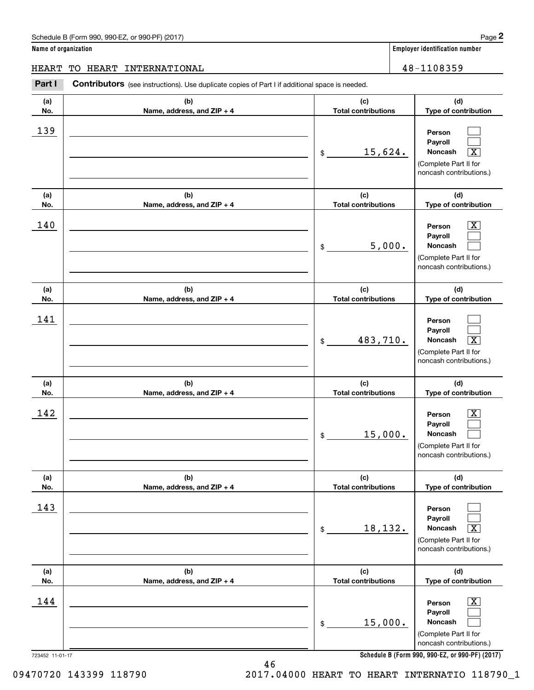**Name of organization Employer identification number (a)No.(b)Name, address, and ZIP + 4 (c)Total contributions (d)Type of contribution PersonPayrollNoncash (a)No.(b)Name, address, and ZIP + 4 (c)Total contributions (d)Type of contribution PersonPayrollNoncash (a)No.(b)Name, address, and ZIP + 4 (c)Total contributions (d)Type of contribution PersonPayrollNoncash (a) No.(b) Name, address, and ZIP + 4 (c) Total contributions (d) Type of contribution PersonPayrollNoncash (a) No.(b) Name, address, and ZIP + 4 (c) Total contributions (d) Type of contribution PersonPayrollNoncash (a) No.(b)Name, address, and ZIP + 4 (c) Total contributions (d)Type of contribution PersonPayroll**Schedule B (Form 990, 990-EZ, or 990-PF) (2017) **Page 2** and the state of the state of the state of the state of the state of the state of the state of the state of the state of the state of the state of the state of the s **Contributors** (see instructions). Use duplicate copies of Part I if additional space is needed. \$(Complete Part II for noncash contributions.) \$(Complete Part II for noncash contributions.) \$(Complete Part II for noncash contributions.) \$(Complete Part II for noncash contributions.) \$(Complete Part II for noncash contributions.) Employer identification Page 2<br> **2** ame of organization<br>
IEART TO HEART INTERNATIONAL<br> **Part I** Contributors (see instructions). Use duplicate copies of Part I if additional space is needed.  $\boxed{\text{X}}$  $\boxed{\text{X}}$  $\boxed{\text{X}}$  $\boxed{\text{X}}$  $\sqrt{X}$  $\boxed{\text{X}}$ 139  $15,624.$  $140$  Person  $\overline{\text{X}}$ 5,000. 141 483,710. X  $142$  Person  $\overline{\text{X}}$ 15,000. 143 18,132. X  $144$  | Person  $\overline{\text{X}}$ HEART TO HEART INTERNATIONAL 48-1108359

**Noncash**

(Complete Part II for

**Schedule B (Form 990, 990-EZ, or 990-PF) (2017)**

46

09470720 143399 118790 2017.04000 HEART TO HEART INTERNATIO 118790\_1

15,000.

\$

 $\mathcal{L}^{\text{max}}$  $\mathcal{L}^{\text{max}}$ 

 $\mathcal{L}^{\text{max}}$  $\mathcal{L}^{\text{max}}$ 

 $\mathcal{L}^{\text{max}}$  $\mathcal{L}^{\text{max}}$ 

 $\mathcal{L}^{\text{max}}$  $\mathcal{L}^{\text{max}}$ 

 $\mathcal{L}^{\text{max}}$  $\mathcal{L}^{\text{max}}$ 

 $\mathcal{L}^{\text{max}}$  $\mathcal{L}^{\text{max}}$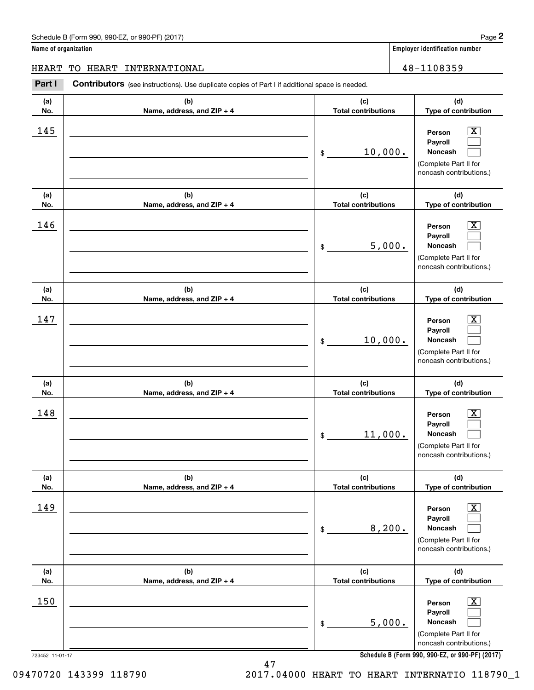**Name of organization Employer identification number**

HEART TO HEART INTERNATIONAL 48-1108359

### **(a)No.(b)Name, address, and ZIP + 4 (c)Total contributions (d)Type of contribution PersonPayrollNoncash (a)No.(b)Name, address, and ZIP + 4 (c)Total contributions (d)Type of contribution PersonPayrollNoncash (a)No.(b)Name, address, and ZIP + 4 (c)Total contributions (d)Type of contribution PersonPayrollNoncash (a) No.(b) Name, address, and ZIP + 4 (c) Total contributions (d) Type of contribution PersonPayrollNoncash(a) No.(b) Name, address, and ZIP + 4 (c) Total contributions (d) Type of contribution PersonPayrollNoncash (a) No.(b)Name, address, and ZIP + 4 (c) Total contributions (d)Type of contribution PersonPayrollNoncash Contributors** (see instructions). Use duplicate copies of Part I if additional space is needed. \$(Complete Part II for noncash contributions.) \$(Complete Part II for noncash contributions.) \$(Complete Part II for noncash contributions.) \$(Complete Part II for noncash contributions.) \$(Complete Part II for noncash contributions.) \$(Complete Part II for noncash contributions.) Employer identification Page 2<br> **2** ame of organization<br>
IEART TO HEART INTERNATIONAL<br> **Part I** Contributors (see instructions). Use duplicate copies of Part I if additional space is needed.  $145$  Person  $\overline{\text{X}}$ 10,000.  $146$  Person  $\overline{\text{X}}$ 5,000.  $147$  | Person  $\overline{\text{X}}$ 10,000.  $148$  Person  $\overline{\text{X}}$ 11,000. 149 X 8,200. 150 X 5,000.

**Schedule B (Form 990, 990-EZ, or 990-PF) (2017)**

47

723452 11-01-17

09470720 143399 118790 2017.04000 HEART TO HEART INTERNATIO 118790\_1

 $|X|$  $\mathcal{L}^{\text{max}}$  $\mathcal{L}^{\text{max}}$ 

 $\boxed{\text{X}}$  $\mathcal{L}^{\text{max}}$  $\mathcal{L}^{\text{max}}$ 

 $|X|$  $\mathcal{L}^{\text{max}}$  $\mathcal{L}^{\text{max}}$ 

 $\boxed{\text{X}}$  $\mathcal{L}^{\text{max}}$  $\mathcal{L}^{\text{max}}$ 

 $\boxed{\text{X}}$  $\mathcal{L}^{\text{max}}$  $\mathcal{L}^{\text{max}}$ 

 $\boxed{\text{X}}$  $\mathcal{L}^{\text{max}}$  $\mathcal{L}^{\text{max}}$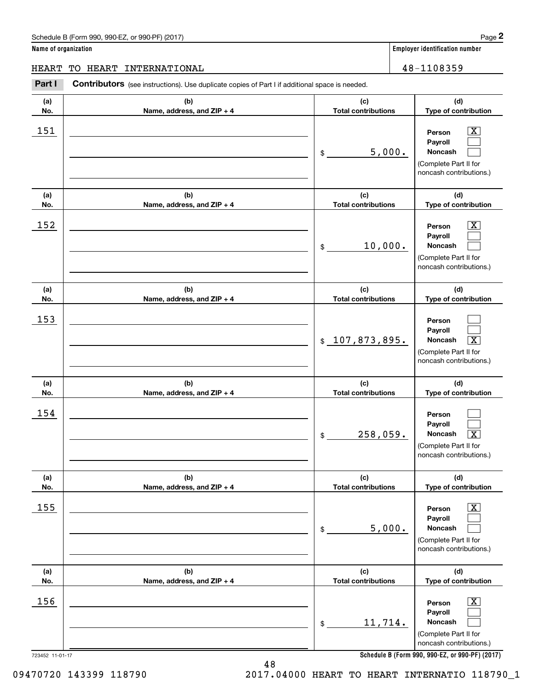# Schedule B (Form 990, 990-EZ, or 990-PF) (2017) **Page 2**

**Name of organization Employer identification number**

**PersonPayrollNoncash**

**PersonPayrollNoncash**

**PersonPayrollNoncash**

(Complete Part II for noncash contributions.)

**(d)Type of contribution**

> $\boxed{\text{X}}$  $\mathcal{L}^{\text{max}}$  $\mathcal{L}^{\text{max}}$

> $\boxed{\text{X}}$  $\mathcal{L}^{\text{max}}$  $\mathcal{L}^{\text{max}}$

 $\mathcal{L}^{\text{max}}$  $\mathcal{L}^{\text{max}}$  $\boxed{\text{X}}$ 

 $\Box$ 

**(d)Type of contribution**

(Complete Part II for noncash contributions.)

> **(d)Type of contribution**

(Complete Part II for noncash contributions.)

**(d) Type of contribution**

# **(a) No.(b)Name, address, and ZIP + 4 (c)Total contributions (a)No.(b)Name, address, and ZIP + 4 (c)Total contributions (a)No.(b)Name, address, and ZIP + 4 (c)Total contributions (a) No.(b) Name, address, and ZIP + 4 (c) Total contributions (a)No.(b)Name, address, and ZIP + 4 (c)**Contributors (see instructions). Use duplicate copies of Part I if additional space is needed. \$\$ $_{\rm $}$   $\,$   $\,107$  ,  $\,873$  ,  $\,895$  .  $\,$   $\,$  Noncash  $\,$   $\,$   $\,\overline{X}$ \$\$Employer identification Page 2<br> **2** ame of organization<br>
IEART TO HEART INTERNATIONAL<br> **Part I** Contributors (see instructions). Use duplicate copies of Part I if additional space is needed. 151 X 5,000.  $152$  Person  $\overline{\text{X}}$ 10,000. <u>153</u> 154 HEART TO HEART INTERNATIONAL 48-1108359

| <u> 154</u> |                            | 258,059.<br>\$             | Person<br>Payroll<br>$\overline{\mathbf{X}}$<br>Noncash<br>(Complete Part II for<br>noncash contributions.) |
|-------------|----------------------------|----------------------------|-------------------------------------------------------------------------------------------------------------|
| (a)         | (b)                        | (c)                        | (d)                                                                                                         |
| No.         | Name, address, and ZIP + 4 | <b>Total contributions</b> | Type of contribution                                                                                        |
| 155         |                            | 5,000.<br>\$               | $\overline{\text{X}}$<br>Person<br>Payroll<br>Noncash<br>(Complete Part II for<br>noncash contributions.)   |
| (a)         | (b)                        | (c)                        | (d)                                                                                                         |
| No.         | Name, address, and ZIP + 4 | <b>Total contributions</b> | Type of contribution                                                                                        |
| 156         |                            | 11,714.<br>\$              | $\overline{\text{X}}$<br>Person<br>Payroll<br>Noncash<br>(Complete Part II for<br>noncash contributions.)   |

**Schedule B (Form 990, 990-EZ, or 990-PF) (2017)**

723452 11-01-17

09470720 143399 118790 2017.04000 HEART TO HEART INTERNATIO 118790\_1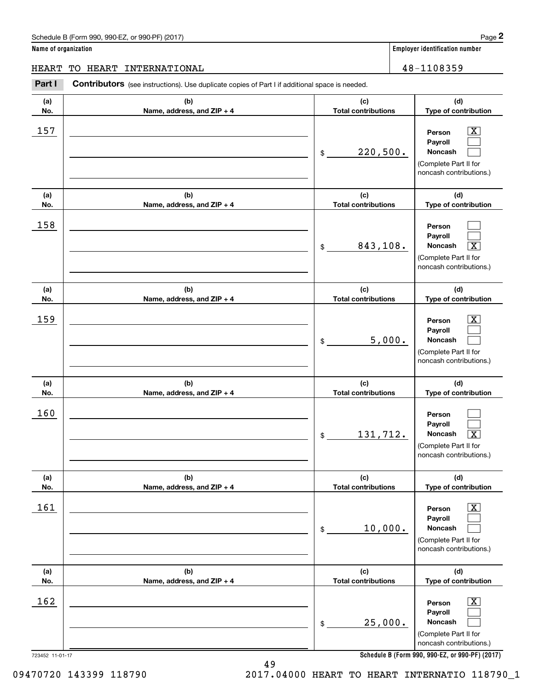**Name of organization Employer identification number**

HEART TO HEART INTERNATIONAL 48-1108359

### **(a)No.(b)Name, address, and ZIP + 4 (c)Total contributions (d)Type of contribution PersonPayrollNoncash (a)No.(b)Name, address, and ZIP + 4 (c)Total contributions (d)Type of contribution PersonPayrollNoncash (a)No.(b)Name, address, and ZIP + 4 (c)Total contributions (d)Type of contribution PersonPayrollNoncash (a) No.(b) Name, address, and ZIP + 4 (c) Total contributions (d) Type of contribution PersonPayrollNoncash (a) No.(b) Name, address, and ZIP + 4 (c) Total contributions (d) Type of contribution PersonPayrollNoncash (a) No.(b)Name, address, and ZIP + 4 (c) Total contributions (d)Type of contribution PersonPayrollNoncash Contributors** (see instructions). Use duplicate copies of Part I if additional space is needed. \$(Complete Part II for noncash contributions.) \$(Complete Part II for noncash contributions.) \$(Complete Part II for noncash contributions.) \$(Complete Part II for noncash contributions.) \$(Complete Part II for noncash contributions.) \$(Complete Part II for noncash contributions.) Employer identification Page 2<br> **2** ame of organization<br>
IEART TO HEART INTERNATIONAL<br> **Part I** Contributors (see instructions). Use duplicate copies of Part I if additional space is needed.  $|X|$  $\mathcal{L}^{\text{max}}$  $\mathcal{L}^{\text{max}}$  $\mathcal{L}^{\text{max}}$  $\mathcal{L}^{\text{max}}$  $\overline{\mathbf{X}}$  $|X|$  $\mathcal{L}^{\text{max}}$  $\mathcal{L}^{\text{max}}$  $\mathcal{L}^{\text{max}}$  $\mathcal{L}^{\text{max}}$  $\lceil \text{X} \rceil$  $\boxed{\text{X}}$  $\mathcal{L}^{\text{max}}$  $\mathcal{L}^{\text{max}}$  $\boxed{\text{X}}$  $\mathcal{L}^{\text{max}}$  $\mathcal{L}^{\text{max}}$  $157$  | Person  $\overline{\text{X}}$ 220,500. 158 843,108. X 159 X 5,000. 160 131,712. X  $161$  Person X 10,000.  $162$  Person  $\overline{\text{X}}$ 25,000.

**Schedule B (Form 990, 990-EZ, or 990-PF) (2017)**

723452 11-01-17

09470720 143399 118790 2017.04000 HEART TO HEART INTERNATIO 118790\_1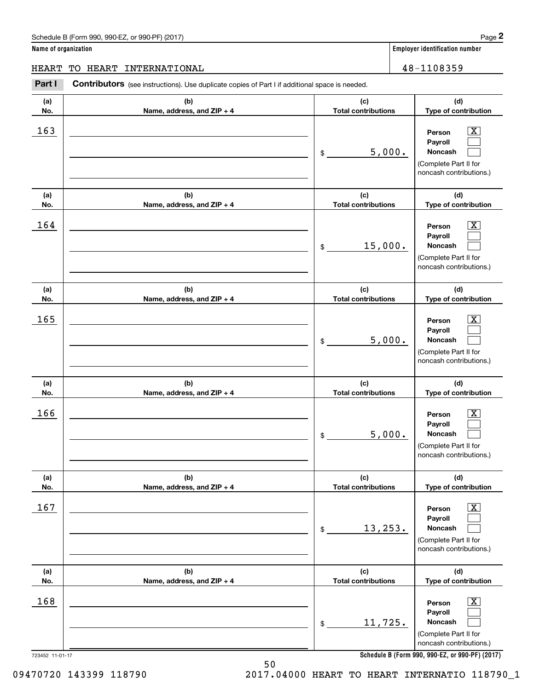|  |  |  | Name of organization |
|--|--|--|----------------------|
|--|--|--|----------------------|

**Employer identification number** 

723452 11-01-17 **(a)No.(b)Name, address, and ZIP + 4 (c)Total contributions (d)Type of contribution PersonPayrollNoncash (a)No.(b)Name, address, and ZIP + 4 (c)Total contributions (d)Type of contribution PersonPayrollNoncash (a)No.(b)Name, address, and ZIP + 4 (c)Total contributions (d)Type of contribution PersonPayrollNoncash (a) No.(b) Name, address, and ZIP + 4 (c) Total contributions (d) Type of contribution PersonPayrollNoncash (a) No.(b) Name, address, and ZIP + 4 (c) Total contributions (d) Type of contribution PersonPayrollNoncash(a) No.(b)Name, address, and ZIP + 4 (c) Total contributions (d)Type of contribution PersonPayrollNoncash Contributors** (see instructions). Use duplicate copies of Part I if additional space is needed. \$(Complete Part II for noncash contributions.) \$(Complete Part II for noncash contributions.) \$(Complete Part II for noncash contributions.) \$(Complete Part II for noncash contributions.) \$(Complete Part II for noncash contributions.) \$(Complete Part II for noncash contributions.) Employer identification Page 2<br> **2** ame of organization<br>
IEART TO HEART INTERNATIONAL<br> **Part I** Contributors (see instructions). Use duplicate copies of Part I if additional space is needed.  $163$  Person  $\overline{\text{X}}$ 5,000.  $164$  Person  $\overline{\text{X}}$ 15,000.  $165$  Person  $\overline{\text{X}}$ 5,000.  $166$  Person  $\overline{\text{X}}$ 5,000.  $167$  | Person  $\overline{\text{X}}$ 13,253.  $168$  | Person  $\overline{\text{X}}$ 11,725. HEART TO HEART INTERNATIONAL 48-1108359

 $|X|$  $\mathcal{L}^{\text{max}}$  $\mathcal{L}^{\text{max}}$ 

 $\boxed{\text{X}}$  $\mathcal{L}^{\text{max}}$  $\mathcal{L}^{\text{max}}$ 

 $|X|$  $\mathcal{L}^{\text{max}}$  $\mathcal{L}^{\text{max}}$ 

 $\boxed{\text{X}}$  $\mathcal{L}^{\text{max}}$  $\mathcal{L}^{\text{max}}$ 

 $\boxed{\text{X}}$  $\mathcal{L}^{\text{max}}$  $\mathcal{L}^{\text{max}}$ 

 $\boxed{\text{X}}$  $\mathcal{L}^{\text{max}}$  $\mathcal{L}^{\text{max}}$ 

**Schedule B (Form 990, 990-EZ, or 990-PF) (2017)**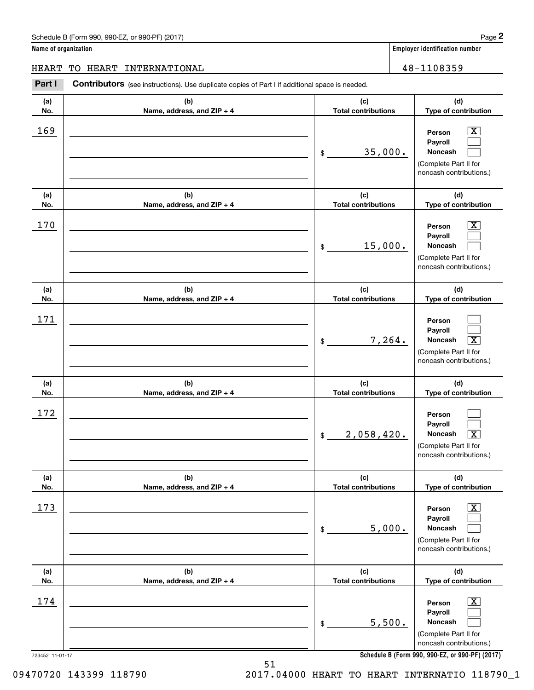**(d)**

 $|X|$  $\mathcal{L}^{\text{max}}$  $\mathcal{L}^{\text{max}}$ 

 $\boxed{\text{X}}$  $\mathcal{L}^{\text{max}}$  $\mathcal{L}^{\text{max}}$ 

 $\mathcal{L}^{\text{max}}$  $\mathcal{L}^{\text{max}}$  $\boxed{\text{X}}$ 

 $\mathcal{L}^{\text{max}}$  $\mathcal{L}^{\text{max}}$  $\sqrt{X}$ 

**(d)**

**(d)**

**(d)**

**(d)**

**Name of organization Employer identification number (a)No.(b)Name, address, and ZIP + 4 (c)Total contributions Type of contribution PersonPayrollNoncash (a)No.(b)Name, address, and ZIP + 4 (c)Total contributions Type of contribution PersonPayrollNoncash (a)No.(b)Name, address, and ZIP + 4 (c)Total contributions Type of contribution PersonPayrollNoncash (a) No.(b) Name, address, and ZIP + 4 (c) Total contributions Type of contribution PersonPayrollNoncash(a) No.(b) (c)** Schedule B (Form 990, 990-EZ, or 990-PF) (2017) **Page 2** Contributors (see instructions). Use duplicate copies of Part I if additional space is needed. \$(Complete Part II for noncash contributions.) \$(Complete Part II for noncash contributions.) \$(Complete Part II for noncash contributions.) \$(Complete Part II for noncash contributions.) Employer identification Page 2<br> **2** ame of organization<br>
IEART TO HEART INTERNATIONAL<br> **Part I** Contributors (see instructions). Use duplicate copies of Part I if additional space is needed. 169 X 35,000. 170 X 15,000. 171 7,264. X 172  $2,058,420.$ HEART TO HEART INTERNATIONAL 48-1108359

| No. | Name, address, and $ZIP + 4$ | <b>Total contributions</b> | Type of contribution                                                                                               |
|-----|------------------------------|----------------------------|--------------------------------------------------------------------------------------------------------------------|
| 173 |                              | 5,000.<br>\$               | $\overline{\texttt{x}}$<br>Person<br>Payroll<br><b>Noncash</b><br>(Complete Part II for<br>noncash contributions.) |
| (a) | (b)                          | (c)                        | (d)                                                                                                                |
| No. | Name, address, and $ZIP + 4$ | <b>Total contributions</b> | Type of contribution                                                                                               |
| 174 |                              |                            | $\overline{\text{X}}$<br>Person<br>Payroll                                                                         |

**Schedule B (Form 990, 990-EZ, or 990-PF) (2017)**

723452 11-01-17

09470720 143399 118790 2017.04000 HEART TO HEART INTERNATIO 118790\_1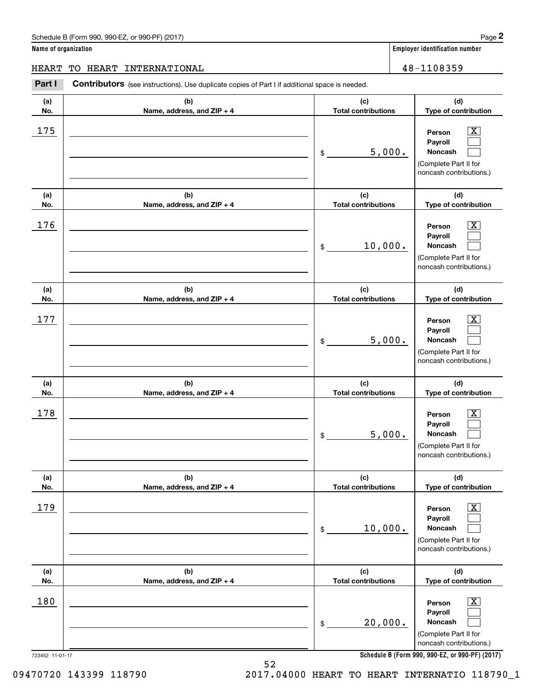**Name of organization Employer identification number**

**(d)**

 $|X|$  $\mathcal{L}^{\text{max}}$  $\mathcal{L}^{\text{max}}$ 

 $\boxed{\text{X}}$  $\mathcal{L}^{\text{max}}$  $\mathcal{L}^{\text{max}}$ 

 $|X|$  $\mathcal{L}^{\text{max}}$  $\mathcal{L}^{\text{max}}$ 

 $\boxed{\text{X}}$  $\mathcal{L}^{\text{max}}$  $\mathcal{L}^{\text{max}}$ 

 $\boxed{\text{X}}$  $\mathcal{L}^{\text{max}}$  $\mathcal{L}^{\text{max}}$ 

 $\boxed{\text{X}}$  $\mathcal{L}^{\text{max}}$  $\mathcal{L}^{\text{max}}$ 

**(d)**

**(d)**

**(d)**

**(d)**

**(d)**

HEART TO HEART INTERNATIONAL 48-1108359

### **(a)No.(b)Name, address, and ZIP + 4 (c)Total contributions Type of contribution PersonPayrollNoncash (a)No.(b)Name, address, and ZIP + 4 (c)Total contributions Type of contribution PersonPayrollNoncash (a)No.(b)Name, address, and ZIP + 4 (c)Total contributions Type of contribution PersonPayrollNoncash (a) No.(b) Name, address, and ZIP + 4 (c) Total contributions Type of contribution PersonPayrollNoncash (a) No.(b) Name, address, and ZIP + 4 (c) Total contributions Type of contribution PersonPayrollNoncash (a) No.(b)Name, address, and ZIP + 4 (c) Total contributions Type of contribution PersonPayrollNoncash Contributors** (see instructions). Use duplicate copies of Part I if additional space is needed. \$(Complete Part II for noncash contributions.) \$(Complete Part II for noncash contributions.) \$(Complete Part II for noncash contributions.) \$(Complete Part II for noncash contributions.) \$(Complete Part II for noncash contributions.) \$(Complete Part II for noncash contributions.) Employer identification Page 2<br> **2** ame of organization<br>
IEART TO HEART INTERNATIONAL<br> **Part I** Contributors (see instructions). Use duplicate copies of Part I if additional space is needed.  $175$  | Person  $\overline{\text{X}}$ 5,000.  $176$  | Person  $\overline{\text{X}}$ 10,000.  $177$  | Person  $\overline{\text{X}}$ 5,000.  $178$  | Person  $\overline{\text{X}}$ 5,000. 179 X 10,000. 180 X 20,000.

**Schedule B (Form 990, 990-EZ, or 990-PF) (2017)**

723452 11-01-17

09470720 143399 118790 2017.04000 HEART TO HEART INTERNATIO 118790\_1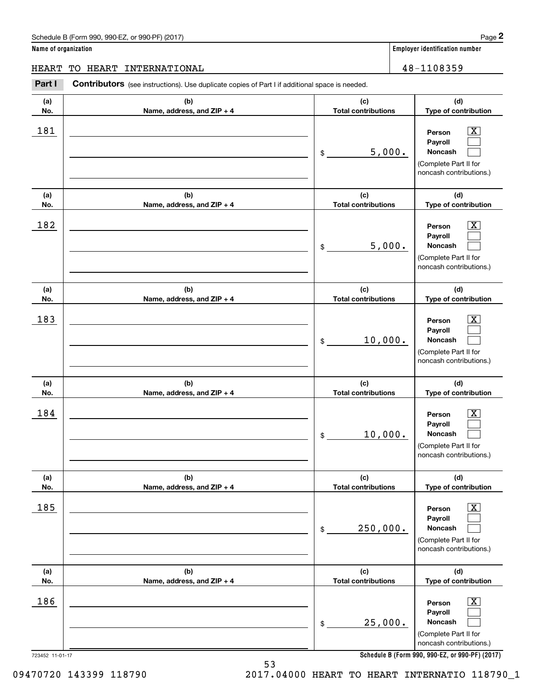**Person PayrollNoncash**

**PersonPayrollNoncash**

**(d) Type of contribution**

> $\boxed{\text{X}}$  $\mathcal{L}^{\text{max}}$  $\mathcal{L}^{\text{max}}$

> $\boxed{\text{X}}$  $\mathcal{L}^{\text{max}}$  $\mathcal{L}^{\text{max}}$

**(d)Type of contribution**

**(d)Type of contribution**

**Name of organization Employer identification number (a) No.(b)Name, address, and ZIP + 4 (c) Total contributions (a) No.(b)Name, address, and ZIP + 4 (c)Total contributions (a)No.(b)Name, address, and ZIP + 4 (c)Total contributions** Schedule B (Form 990, 990-EZ, or 990-PF) (2017) **Page 2** Contributors (see instructions). Use duplicate copies of Part I if additional space is needed. \$(Complete Part II for noncash contributions.) \$(Complete Part II for noncash contributions.) \$Employer identification Page 2<br> **2** ame of organization<br>
IEART TO HEART INTERNATIONAL<br> **Part I** Contributors (see instructions). Use duplicate copies of Part I if additional space is needed. 181 X 5,000.  $182$  Person  $\overline{\text{X}}$ 5,000. 10,000. HEART TO HEART INTERNATIONAL 48-1108359

| 183             |                                   | 10,000.<br>\$                     | $\overline{\mathbf{X}}$<br>Person<br>Payroll<br>Noncash<br>(Complete Part II for<br>noncash contributions.)     |
|-----------------|-----------------------------------|-----------------------------------|-----------------------------------------------------------------------------------------------------------------|
| (a)<br>No.      | (b)<br>Name, address, and ZIP + 4 | (c)<br><b>Total contributions</b> | (d)<br>Type of contribution                                                                                     |
| 184             |                                   | 10,000.<br>$\frac{1}{2}$          | $\boxed{\mathrm{X}}$<br>Person<br>Payroll<br><b>Noncash</b><br>(Complete Part II for<br>noncash contributions.) |
| (a)<br>No.      | (b)<br>Name, address, and ZIP + 4 | (c)<br><b>Total contributions</b> | (d)<br>Type of contribution                                                                                     |
| 185             |                                   | 250,000.<br>\$                    | $\overline{\mathbf{X}}$<br>Person<br>Payroll<br>Noncash<br>(Complete Part II for<br>noncash contributions.)     |
| (a)<br>No.      | (b)<br>Name, address, and ZIP + 4 | (c)<br><b>Total contributions</b> | (d)<br>Type of contribution                                                                                     |
| 186             |                                   | 25,000.<br>\$                     | $\overline{\mathbf{x}}$<br>Person<br>Payroll<br>Noncash<br>(Complete Part II for<br>noncash contributions.)     |
| 723452 11-01-17 | 53                                |                                   | Schedule B (Form 990, 990-EZ, or 990-PF) (2017)                                                                 |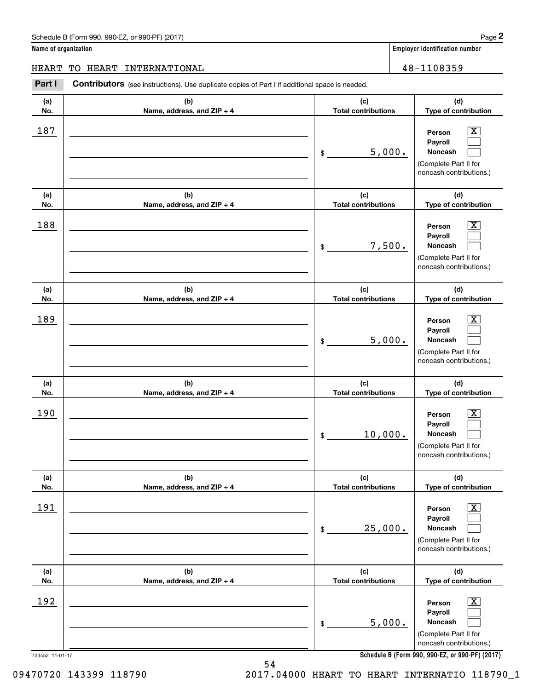**(d)**

 $|X|$  $\mathcal{L}^{\text{max}}$  $\mathcal{L}^{\text{max}}$ 

 $\boxed{\text{X}}$  $\mathcal{L}^{\text{max}}$  $\mathcal{L}^{\text{max}}$ 

 $\boxed{\text{X}}$  $\mathcal{L}^{\text{max}}$  $\mathcal{L}^{\text{max}}$ 

 $\boxed{\text{X}}$  $\mathcal{L}^{\text{max}}$  $\mathcal{L}^{\text{max}}$ 

 $\boxed{\text{X}}$  $\mathcal{L}^{\text{max}}$ 

**(d)**

**(d)**

**(d)**

**(d)**

**Noncash**

**Name of organization Employer identification number (a)No.(b)Name, address, and ZIP + 4 (c)Total contributions Type of contribution PersonPayrollNoncash (a)No.(b)Name, address, and ZIP + 4 (c)Total contributions Type of contribution PersonPayrollNoncash (a)No.(b)Name, address, and ZIP + 4 (c)Total contributions Type of contribution PersonPayrollNoncash (a) No.(b) Name, address, and ZIP + 4 (c) Total contributions Type of contribution PersonPayrollNoncash(a) No.(b) Name, address, and ZIP + 4 (c) Total contributions Type of contribution PersonPayroll**Schedule B (Form 990, 990-EZ, or 990-PF) (2017) **Page 2** Contributors (see instructions). Use duplicate copies of Part I if additional space is needed. \$(Complete Part II for noncash contributions.) \$(Complete Part II for noncash contributions.) \$(Complete Part II for noncash contributions.) \$(Complete Part II for noncash contributions.) Employer identification Page 2<br> **2** ame of organization<br>
IEART TO HEART INTERNATIONAL<br> **Part I** Contributors (see instructions). Use duplicate copies of Part I if additional space is needed. 187 X 5,000. 188 X 7,500. 189 X 5,000. 190 X 10,000. 191 X HEART TO HEART INTERNATIONAL 48-1108359

|            |                                     | 25,000.<br>\$                     | <b>Noncash</b><br>(Complete Part II for<br>noncash contributions.)                                                 |
|------------|-------------------------------------|-----------------------------------|--------------------------------------------------------------------------------------------------------------------|
| (a)<br>No. | (b)<br>Name, address, and $ZIP + 4$ | (c)<br><b>Total contributions</b> | (d)<br>Type of contribution                                                                                        |
| 192        |                                     | 5,000.<br>\$                      | $\overline{\mathbf{X}}$<br>Person<br>Payroll<br><b>Noncash</b><br>(Complete Part II for<br>noncash contributions.) |

**Schedule B (Form 990, 990-EZ, or 990-PF) (2017)**

723452 11-01-17

09470720 143399 118790 2017.04000 HEART TO HEART INTERNATIO 118790\_1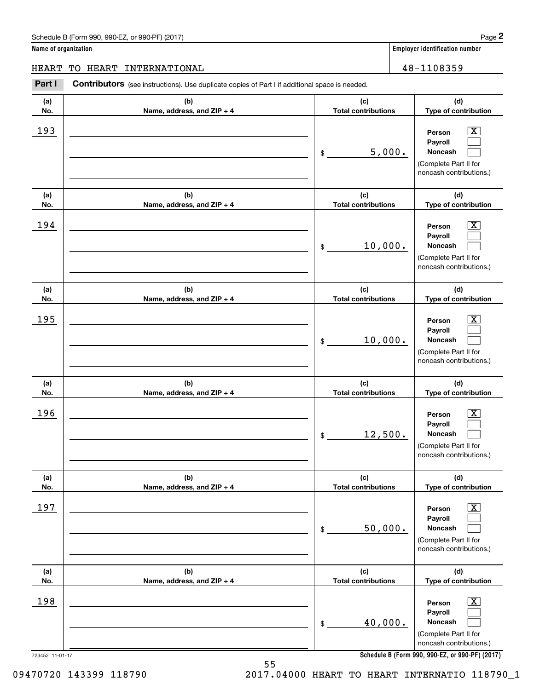**Name of organization Employer identification number**

**(d)**

 $|X|$  $\mathcal{L}^{\text{max}}$  $\mathcal{L}^{\text{max}}$ 

 $\boxed{\text{X}}$  $\mathcal{L}^{\text{max}}$  $\mathcal{L}^{\text{max}}$ 

 $|X|$  $\mathcal{L}^{\text{max}}$  $\mathcal{L}^{\text{max}}$ 

 $\boxed{\text{X}}$  $\mathcal{L}^{\text{max}}$  $\mathcal{L}^{\text{max}}$ 

 $\boxed{\text{X}}$  $\mathcal{L}^{\text{max}}$  $\mathcal{L}^{\text{max}}$ 

 $\boxed{\text{X}}$  $\mathcal{L}^{\text{max}}$  $\mathcal{L}^{\text{max}}$ 

**(d)**

**(d)**

**(d)**

**(d)**

**(d)**

HEART TO HEART INTERNATIONAL 48-1108359

### **(a)No.(b)Name, address, and ZIP + 4 (c)Total contributions Type of contribution PersonPayrollNoncash (a)No.(b)Name, address, and ZIP + 4 (c)Total contributions Type of contribution PersonPayrollNoncash (a)No.(b)Name, address, and ZIP + 4 (c)Total contributions Type of contribution PersonPayrollNoncash (a) No.(b) Name, address, and ZIP + 4 (c) Total contributions Type of contribution PersonPayrollNoncash (a) No.(b) Name, address, and ZIP + 4 (c) Total contributions Type of contribution PersonPayrollNoncash (a) No.(b)Name, address, and ZIP + 4 (c) Total contributions Type of contribution PersonPayrollNoncash Contributors** (see instructions). Use duplicate copies of Part I if additional space is needed. \$(Complete Part II for noncash contributions.) \$(Complete Part II for noncash contributions.) \$(Complete Part II for noncash contributions.) \$(Complete Part II for noncash contributions.) \$(Complete Part II for noncash contributions.) \$(Complete Part II for noncash contributions.) Employer identification Page 2<br> **2** ame of organization<br>
IEART TO HEART INTERNATIONAL<br> **Part I** Contributors (see instructions). Use duplicate copies of Part I if additional space is needed. 193 X 5,000.  $194$  Person  $\overline{\text{X}}$ 10,000. 195 X 10,000. 196 X 12,500. 197 X 50,000. 198 X 40,000.

**Schedule B (Form 990, 990-EZ, or 990-PF) (2017)**

723452 11-01-17

09470720 143399 118790 2017.04000 HEART TO HEART INTERNATIO 118790\_1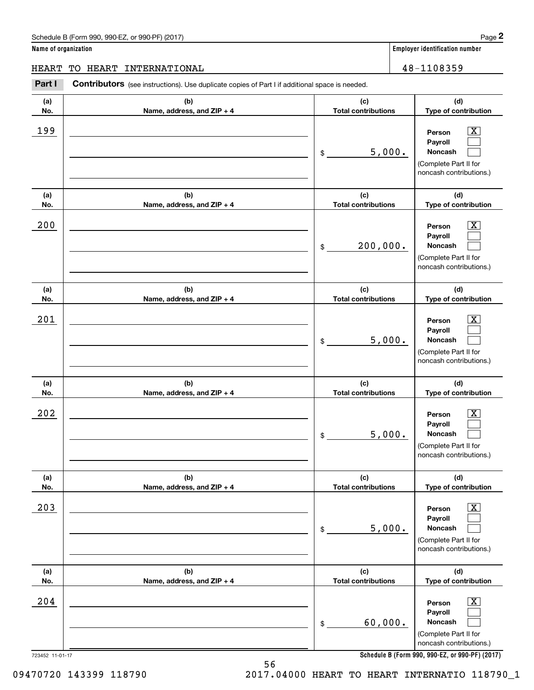|  |  |  | Name of organization |
|--|--|--|----------------------|
|--|--|--|----------------------|

**Employer identification number** 

723452 11-01-17 **(a)No.(b)Name, address, and ZIP + 4 (c)Total contributions (d)Type of contribution PersonPayrollNoncash (a)No.(b)Name, address, and ZIP + 4 (c)Total contributions (d)Type of contribution PersonPayrollNoncash (a)No.(b)Name, address, and ZIP + 4 (c)Total contributions (d)Type of contribution PersonPayrollNoncash (a) No.(b) Name, address, and ZIP + 4 (c) Total contributions (d) Type of contribution PersonPayrollNoncash (a) No.(b) Name, address, and ZIP + 4 (c) Total contributions (d) Type of contribution PersonPayrollNoncash(a) No.(b)Name, address, and ZIP + 4 (c) Total contributions (d)Type of contribution PersonPayrollNoncash Contributors** (see instructions). Use duplicate copies of Part I if additional space is needed. \$(Complete Part II for noncash contributions.) \$(Complete Part II for noncash contributions.) \$(Complete Part II for noncash contributions.) \$(Complete Part II for noncash contributions.) \$(Complete Part II for noncash contributions.) \$(Complete Part II for noncash contributions.) Employer identification Page 2<br> **2** ame of organization<br>
IEART TO HEART INTERNATIONAL<br> **Part I** Contributors (see instructions). Use duplicate copies of Part I if additional space is needed. 199 X 5,000. 200 X 200,000.  $201$  | Person  $\overline{\text{X}}$ 5,000.  $202$  | Person  $\overline{\text{X}}$ 5,000.  $203$  | Person  $\overline{\text{X}}$ 5,000.  $204$  | Person  $\overline{\text{X}}$ 60,000. HEART TO HEART INTERNATIONAL 48-1108359

**Schedule B (Form 990, 990-EZ, or 990-PF) (2017)**

 $|X|$  $\mathcal{L}^{\text{max}}$  $\mathcal{L}^{\text{max}}$ 

 $\boxed{\text{X}}$  $\mathcal{L}^{\text{max}}$  $\mathcal{L}^{\text{max}}$ 

 $|X|$  $\mathcal{L}^{\text{max}}$  $\mathcal{L}^{\text{max}}$ 

 $\boxed{\text{X}}$  $\mathcal{L}^{\text{max}}$  $\mathcal{L}^{\text{max}}$ 

 $\boxed{\text{X}}$  $\mathcal{L}^{\text{max}}$  $\mathcal{L}^{\text{max}}$ 

 $\boxed{\text{X}}$  $\mathcal{L}^{\text{max}}$  $\mathcal{L}^{\text{max}}$ 

09470720 143399 118790 2017.04000 HEART TO HEART INTERNATIO 118790\_1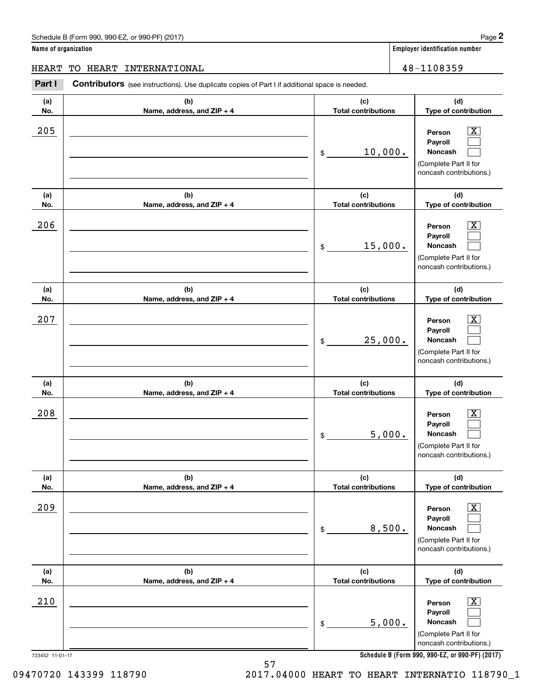**Name of organization Employer identification number (a)No.(b)Name, address, and ZIP + 4 (c)Total contributions (d)Type of contribution PersonPayrollNoncash (a)No.(b)Name, address, and ZIP + 4 (c)Total contributions (d)Type of contribution PersonPayrollNoncash (a)No.(b)Name, address, and ZIP + 4 (c)Total contributions (d)Type of contribution PersonPayrollNoncash (a) No.(b) Name, address, and ZIP + 4 (c) Total contributions (d) Type of contribution PersonPayrollNoncash (a) No.(b) Name, address, and ZIP + 4 (c) Total contributions (d) Type of contribution PersonPayrollNoncash (a) No.(b)Name, address, and ZIP + 4 (c) Total contributions (d)Type of contribution PersonPayrollNoncash** Schedule B (Form 990, 990-EZ, or 990-PF) (2017) **Page 2** and the state of the state of the state of the state of the state of the state of the state of the state of the state of the state of the state of the state of the s **Contributors** (see instructions). Use duplicate copies of Part I if additional space is needed. \$(Complete Part II for noncash contributions.) \$(Complete Part II for noncash contributions.) \$(Complete Part II for noncash contributions.) \$(Complete Part II for noncash contributions.) \$(Complete Part II for noncash contributions.) \$Employer identification Page 2<br> **2** ame of organization<br>
IEART TO HEART INTERNATIONAL<br> **Part I** Contributors (see instructions). Use duplicate copies of Part I if additional space is needed.  $205$  | Person  $\overline{\text{X}}$ 10,000.  $206$  | Person  $\overline{\text{X}}$ 15,000.  $207$  | Person  $\overline{\text{X}}$ 25,000.  $208$  | Person  $\overline{\text{X}}$ 5,000. 209 X 8,500.  $210$  Person  $\overline{\text{X}}$ 5,000. HEART TO HEART INTERNATIONAL 48-1108359

**Schedule B (Form 990, 990-EZ, or 990-PF) (2017)**

(Complete Part II for noncash contributions.)

 $|X|$  $\mathcal{L}^{\text{max}}$  $\mathcal{L}^{\text{max}}$ 

 $\boxed{\text{X}}$  $\mathcal{L}^{\text{max}}$  $\mathcal{L}^{\text{max}}$ 

 $|X|$  $\mathcal{L}^{\text{max}}$  $\mathcal{L}^{\text{max}}$ 

 $\boxed{\text{X}}$  $\mathcal{L}^{\text{max}}$  $\mathcal{L}^{\text{max}}$ 

 $\boxed{\text{X}}$  $\mathcal{L}^{\text{max}}$  $\mathcal{L}^{\text{max}}$ 

 $\boxed{\text{X}}$  $\mathcal{L}^{\text{max}}$  $\mathcal{L}^{\text{max}}$ 

723452 11-01-17

09470720 143399 118790 2017.04000 HEART TO HEART INTERNATIO 118790\_1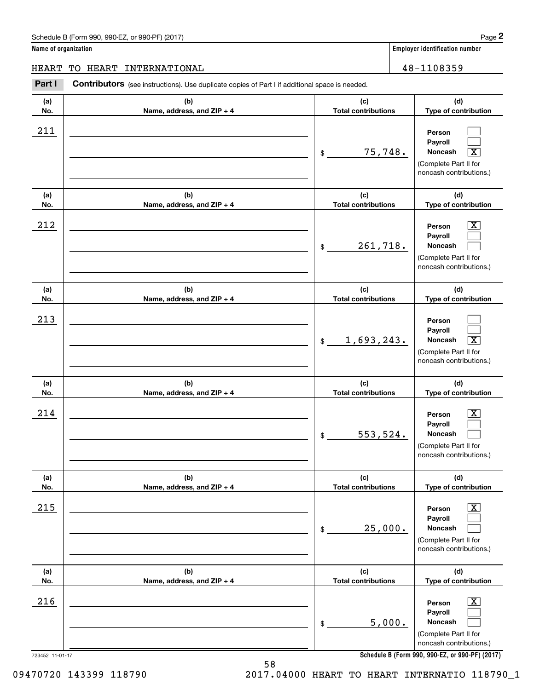# Schedule B (Form 990, 990-EZ, or 990-PF) (2017) **Page 2**

**Name of organization Employer identification number**

Τ

# HEART TO HEART INTERNATIONAL 28-1108359

**(a)No.(b)(c)Contributors** (see instructions). Use duplicate copies of Part I if additional space is needed. Employer identification Page 2<br> **2** ame of organization<br>
IEART TO HEART INTERNATIONAL<br> **Part I** Contributors (see instructions). Use duplicate copies of Part I if additional space is needed.

| (a) | (b)                        | (c)                          | (d)                                                                                                         |
|-----|----------------------------|------------------------------|-------------------------------------------------------------------------------------------------------------|
| No. | Name, address, and ZIP + 4 | <b>Total contributions</b>   | Type of contribution                                                                                        |
| 211 |                            | 75,748.<br>\$                | Person<br>Payroll<br>$\overline{\mathbf{X}}$<br>Noncash<br>(Complete Part II for<br>noncash contributions.) |
| (a) | (b)                        | (c)                          | (d)                                                                                                         |
| No. | Name, address, and ZIP + 4 | <b>Total contributions</b>   | Type of contribution                                                                                        |
| 212 |                            | 261,718.<br>\$               | $\mathbf{X}$<br>Person<br>Payroll<br>Noncash<br>(Complete Part II for<br>noncash contributions.)            |
| (a) | (b)                        | (c)                          | (d)                                                                                                         |
| No. | Name, address, and ZIP + 4 | <b>Total contributions</b>   | Type of contribution                                                                                        |
| 213 |                            | 1,693,243.<br>$$\mathbb{S}$$ | Person<br>Payroll<br>$\boxed{\text{X}}$<br>Noncash<br>(Complete Part II for<br>noncash contributions.)      |
| (a) | (b)                        | (c)                          | (d)                                                                                                         |
| No. | Name, address, and ZIP + 4 | <b>Total contributions</b>   | Type of contribution                                                                                        |
| 214 |                            | 553,524.<br>\$               | X<br>Person<br>Payroll<br>Noncash<br>(Complete Part II for<br>noncash contributions.)                       |
| (a) | (b)                        | (c)                          | (d)                                                                                                         |
| No. | Name, address, and ZIP + 4 | <b>Total contributions</b>   | Type of contribution                                                                                        |
| 215 |                            | 25,000.<br>\$                | $\boxed{\text{X}}$<br>Person<br>Payroll<br>Noncash<br>(Complete Part II for<br>noncash contributions.)      |
| (a) | (b)                        | (c)                          | (d)                                                                                                         |
| No. | Name, address, and ZIP + 4 | <b>Total contributions</b>   | Type of contribution                                                                                        |
| 216 |                            | 5,000.<br>\$                 | $\boxed{\text{X}}$<br>Person<br>Payroll<br>Noncash<br>(Complete Part II for<br>noncash contributions.)      |

**Schedule B (Form 990, 990-EZ, or 990-PF) (2017)**

09470720 143399 118790 2017.04000 HEART TO HEART INTERNATIO 118790\_1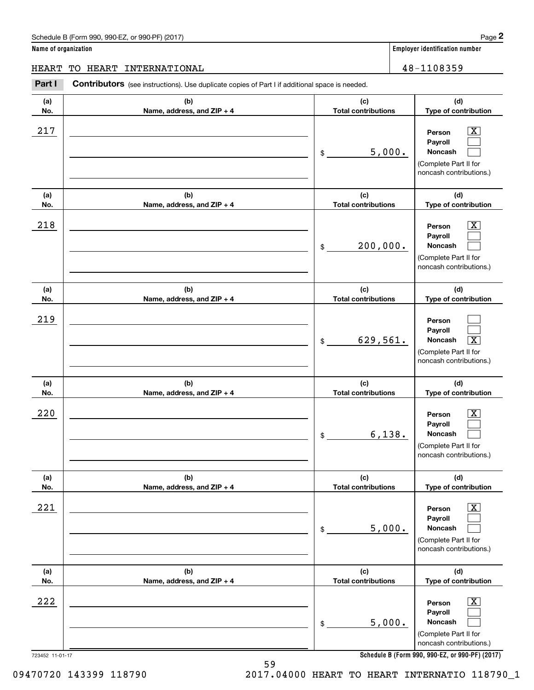# Schedule B (Form 990, 990-EZ, or 990-PF) (2017) **Page 2**

**Name of organization Employer identification number**

**(d) Type of contribution**

# HEART TO HEART INTERNATIONAL 2000 2000 2000 2000 2000 2000 48-1108359

**(a) No.(b) Name, address, and ZIP + 4 (c) Total contributions Contributors** (see instructions). Use duplicate copies of Part I if additional space is needed. Employer identification Page 2<br> **2** ame of organization<br>
IEART TO HEART INTERNATIONAL<br> **Part I** Contributors (see instructions). Use duplicate copies of Part I if additional space is needed.  $217$  | Person  $\overline{\text{X}}$ 

| 217             |                                   | 5,000.<br>\$                      | $\overline{\texttt{X}}$<br>Person<br>Payroll<br>Noncash<br>(Complete Part II for<br>noncash contributions.) |
|-----------------|-----------------------------------|-----------------------------------|-------------------------------------------------------------------------------------------------------------|
| (a)<br>No.      | (b)<br>Name, address, and ZIP + 4 | (c)<br><b>Total contributions</b> | (d)<br>Type of contribution                                                                                 |
| 218             |                                   | 200,000.<br>\$                    | $\overline{\text{X}}$<br>Person<br>Payroll<br>Noncash<br>(Complete Part II for<br>noncash contributions.)   |
| (a)<br>No.      | (b)<br>Name, address, and ZIP + 4 | (c)<br><b>Total contributions</b> | (d)<br>Type of contribution                                                                                 |
| 219             |                                   | 629,561.<br>\$                    | Person<br>Payroll<br>$\overline{\texttt{x}}$<br>Noncash<br>(Complete Part II for<br>noncash contributions.) |
| (a)<br>No.      | (b)<br>Name, address, and ZIP + 4 | (c)<br><b>Total contributions</b> | (d)<br>Type of contribution                                                                                 |
| 220             |                                   | 6,138.<br>\$                      | x<br>Person<br>Payroll<br>Noncash<br>(Complete Part II for<br>noncash contributions.)                       |
| (a)<br>No.      | (b)<br>Name, address, and ZIP + 4 | (c)<br><b>Total contributions</b> | (d)<br>Type of contribution                                                                                 |
| 221             |                                   | 5,000.<br>\$                      | $\overline{\mathbf{X}}$<br>Person<br>Payroll<br>Noncash<br>(Complete Part II for<br>noncash contributions.) |
| (a)<br>No.      | (b)<br>Name, address, and ZIP + 4 | (c)<br><b>Total contributions</b> | (d)<br>Type of contribution                                                                                 |
| 222             |                                   | 5,000.<br>\$                      | $\overline{\mathbf{X}}$<br>Person<br>Payroll<br>Noncash<br>(Complete Part II for<br>noncash contributions.) |
| 723452 11-01-17 |                                   |                                   | Schedule B (Form 990, 990-EZ, or 990-PF) (2017)                                                             |

**Schedule B (Form 990, 990-EZ, or 990-PF) (2017)**

09470720 143399 118790 2017.04000 HEART TO HEART INTERNATIO 118790\_1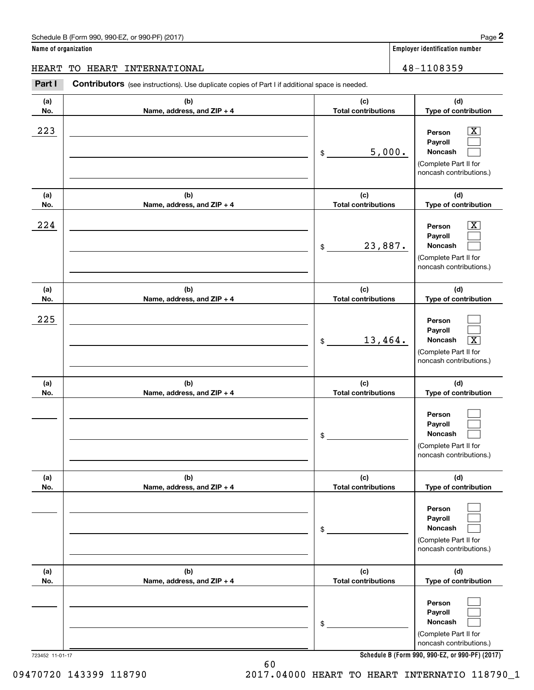**Name of organization Employer identification number**

# HEART TO HEART INTERNATIONAL 48-1108359

**(a)No.(b)Name, address, and ZIP + 4 (c)Total contributions (d)Type of contribution PersonPayrollNoncash (a)No.(b)Name, address, and ZIP + 4 (c)Total contributions (d)Type of contribution PersonPayrollNoncash (a)No.(b)Name, address, and ZIP + 4 (c)Total contributions (d)Type of contribution PersonPayrollNoncash (a) No.(b) Name, address, and ZIP + 4 (c) Total contributions (d) Type of contribution PersonPayrollNoncash(a) No.(b) Name, address, and ZIP + 4 (c) Total contributions (d) Type of contribution PersonPayrollNoncash(a) No.(b)Name, address, and ZIP + 4 (c) Total contributions (d)Type of contribution PersonPayrollNoncash** Contributors (see instructions). Use duplicate copies of Part I if additional space is needed. \$(Complete Part II for noncash contributions.) \$(Complete Part II for noncash contributions.) \$(Complete Part II for noncash contributions.) \$(Complete Part II for noncash contributions.) \$(Complete Part II for noncash contributions.) \$(Complete Part II for noncash contributions.) Employer identification Page 2<br> **2** ame of organization<br>
IEART TO HEART INTERNATIONAL<br> **Part I** Contributors (see instructions). Use duplicate copies of Part I if additional space is needed.  $|X|$  $\mathcal{L}^{\text{max}}$  $\mathcal{L}^{\text{max}}$  $\boxed{\text{X}}$  $\mathcal{L}^{\text{max}}$  $\mathcal{L}^{\text{max}}$  $\mathcal{L}^{\text{max}}$  $\mathcal{L}^{\text{max}}$  $\boxed{\text{X}}$  $\mathcal{L}^{\text{max}}$  $\mathcal{L}^{\text{max}}$  $\mathcal{L}^{\text{max}}$  $\mathcal{L}^{\text{max}}$  $\mathcal{L}^{\text{max}}$  $\mathcal{L}^{\text{max}}$  $\mathcal{L}^{\text{max}}$  $\mathcal{L}^{\text{max}}$  $\mathcal{L}^{\text{max}}$  $223$  | Person  $\overline{\text{X}}$ 5,000.  $224$  | Person  $\overline{\text{X}}$ 23,887. 225 13,464. X

**Schedule B (Form 990, 990-EZ, or 990-PF) (2017)**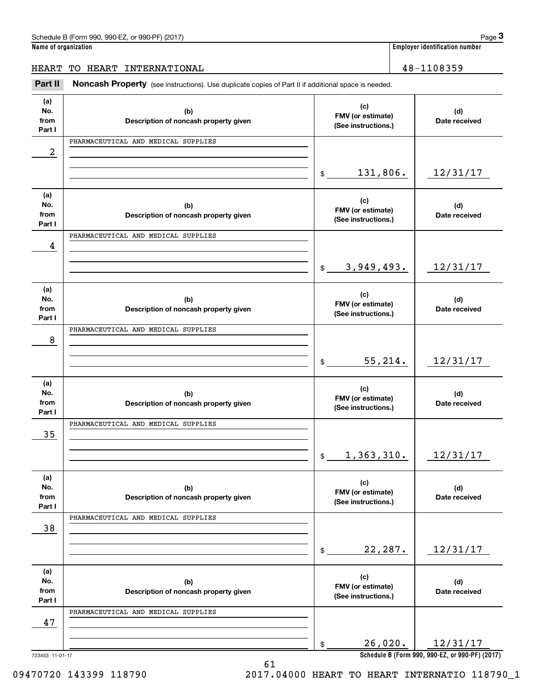| Schedule<br>2017) ،<br>or 990-PF<br>.990-E7<br>n 990.<br>∵ Horm) ن |  |  | $\overline{\phantom{a}}$<br>auc |
|--------------------------------------------------------------------|--|--|---------------------------------|
| . .                                                                |  |  |                                 |

**Name of organization Employer identification number**

HEART TO HEART INTERNATIONAL 48-1108359

(see instructions). The control of the US (Form 990, 990-EZ, or 990-PF) (2017)<br> **3Part II if additional space is needed.**<br> **Part II Noncash Property** (see instructions). Use duplicate copies of Part II if additional space

| (a)<br>No.<br>from<br>Part I | (b)<br>Description of noncash property given | (c)<br>FMV (or estimate)<br>(See instructions.) | (d)<br>Date received                            |
|------------------------------|----------------------------------------------|-------------------------------------------------|-------------------------------------------------|
|                              | PHARMACEUTICAL AND MEDICAL SUPPLIES          |                                                 |                                                 |
| 2                            |                                              |                                                 |                                                 |
|                              |                                              |                                                 |                                                 |
|                              |                                              | 131,806.<br>\$                                  | 12/31/17                                        |
|                              |                                              |                                                 |                                                 |
| (a)                          |                                              | (c)                                             |                                                 |
| No.                          | (b)                                          | FMV (or estimate)                               | (d)                                             |
| from                         | Description of noncash property given        | (See instructions.)                             | Date received                                   |
| Part I                       |                                              |                                                 |                                                 |
|                              | PHARMACEUTICAL AND MEDICAL SUPPLIES          |                                                 |                                                 |
| 4                            |                                              |                                                 |                                                 |
|                              |                                              |                                                 |                                                 |
|                              |                                              | 3,949,493.<br>$\mathsf{\$}$                     | 12/31/17                                        |
|                              |                                              |                                                 |                                                 |
| (a)<br>No.                   |                                              | (c)                                             |                                                 |
| from                         | (b)<br>Description of noncash property given | FMV (or estimate)                               | (d)<br>Date received                            |
| Part I                       |                                              | (See instructions.)                             |                                                 |
|                              | PHARMACEUTICAL AND MEDICAL SUPPLIES          |                                                 |                                                 |
| 8                            |                                              |                                                 |                                                 |
|                              |                                              |                                                 |                                                 |
|                              |                                              | 55, 214.<br>$\frac{1}{2}$                       | 12/31/17                                        |
|                              |                                              |                                                 |                                                 |
| (a)                          |                                              |                                                 |                                                 |
| No.                          | (b)                                          | (c)                                             | (d)                                             |
| from                         | Description of noncash property given        | FMV (or estimate)                               | Date received                                   |
| Part I                       |                                              | (See instructions.)                             |                                                 |
|                              | PHARMACEUTICAL AND MEDICAL SUPPLIES          |                                                 |                                                 |
| 35                           |                                              |                                                 |                                                 |
|                              |                                              |                                                 |                                                 |
|                              |                                              | 1,363,310.<br>$\mathfrak{S}$                    | 12/31/17                                        |
|                              |                                              |                                                 |                                                 |
| (a)                          |                                              |                                                 |                                                 |
| No.                          | (b)                                          | (c)<br>FMV (or estimate)                        | (d)                                             |
| from                         | Description of noncash property given        | (See instructions.)                             | Date received                                   |
| Part I                       |                                              |                                                 |                                                 |
|                              | PHARMACEUTICAL AND MEDICAL SUPPLIES          |                                                 |                                                 |
| 38                           |                                              |                                                 |                                                 |
|                              |                                              |                                                 |                                                 |
|                              |                                              | 22, 287.<br>\$                                  | 12/31/17                                        |
|                              |                                              |                                                 |                                                 |
| (a)                          |                                              | (c)                                             |                                                 |
| No.<br>from                  | (b)                                          | FMV (or estimate)                               | (d)                                             |
| Part I                       | Description of noncash property given        | (See instructions.)                             | Date received                                   |
|                              | PHARMACEUTICAL AND MEDICAL SUPPLIES          |                                                 |                                                 |
| 47                           |                                              |                                                 |                                                 |
|                              |                                              |                                                 |                                                 |
|                              |                                              | 26,020.<br>\$                                   | 12/31/17                                        |
|                              |                                              |                                                 |                                                 |
| 723453 11-01-17              |                                              |                                                 | Schedule B (Form 990, 990-EZ, or 990-PF) (2017) |

61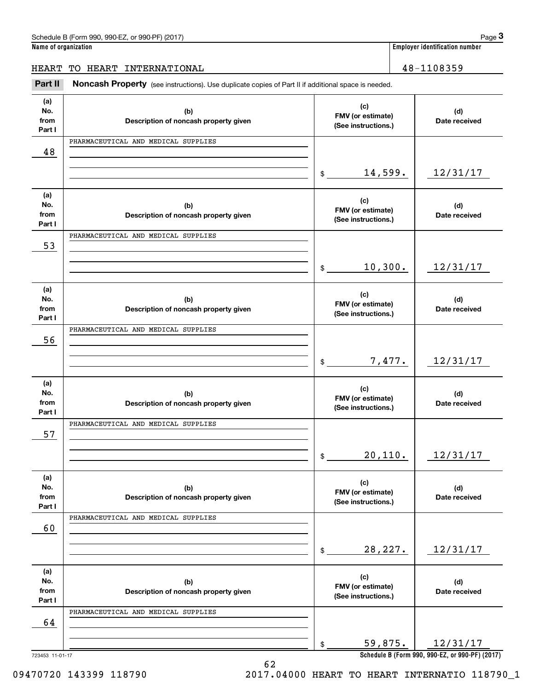| Schedule<br>2017) ،<br>or 990-PF<br>.990-E7<br>n 990.<br>∵ Horm) ن |  |  | $\overline{\phantom{a}}$<br>auc |
|--------------------------------------------------------------------|--|--|---------------------------------|
| . .                                                                |  |  |                                 |

**Name of organization Employer identification number**

# HEART TO HEART INTERNATIONAL 28-1108359

(see instructions). The control of the US (Form 990, 990-EZ, or 990-PF) (2017)<br> **3Part II if additional space is needed.**<br> **Part II Noncash Property** (see instructions). Use duplicate copies of Part II if additional space

| (a)<br>(c)<br>No.<br>(b)<br>FMV (or estimate)<br>from<br>Description of noncash property given<br>(See instructions.)<br>Part I | (d)<br>Date received                            |
|---------------------------------------------------------------------------------------------------------------------------------|-------------------------------------------------|
| PHARMACEUTICAL AND MEDICAL SUPPLIES                                                                                             |                                                 |
| 48                                                                                                                              |                                                 |
|                                                                                                                                 |                                                 |
| 14,599.<br>$\frac{1}{2}$                                                                                                        | 12/31/17                                        |
|                                                                                                                                 |                                                 |
| (a)                                                                                                                             |                                                 |
| (c)<br>No.<br>(b)                                                                                                               | (d)                                             |
| FMV (or estimate)<br>from<br>Description of noncash property given<br>(See instructions.)                                       | Date received                                   |
| Part I                                                                                                                          |                                                 |
| PHARMACEUTICAL AND MEDICAL SUPPLIES                                                                                             |                                                 |
| 53                                                                                                                              |                                                 |
|                                                                                                                                 |                                                 |
| 10,300.<br>$\frac{1}{2}$                                                                                                        | 12/31/17                                        |
|                                                                                                                                 |                                                 |
| (a)                                                                                                                             |                                                 |
| (c)<br>No.<br>(b)<br>FMV (or estimate)                                                                                          | (d)                                             |
| from<br>Description of noncash property given<br>(See instructions.)                                                            | Date received                                   |
| Part I                                                                                                                          |                                                 |
| PHARMACEUTICAL AND MEDICAL SUPPLIES                                                                                             |                                                 |
| 56                                                                                                                              |                                                 |
|                                                                                                                                 |                                                 |
| 7,477.<br>$\frac{1}{2}$                                                                                                         | 12/31/17                                        |
|                                                                                                                                 |                                                 |
| (a)<br>(c)                                                                                                                      |                                                 |
| No.<br>(b)<br>FMV (or estimate)                                                                                                 | (d)                                             |
| from<br>Description of noncash property given<br>(See instructions.)                                                            | Date received                                   |
| Part I                                                                                                                          |                                                 |
| PHARMACEUTICAL AND MEDICAL SUPPLIES                                                                                             |                                                 |
| 57                                                                                                                              |                                                 |
|                                                                                                                                 |                                                 |
| 20,110.<br>$\frac{1}{2}$                                                                                                        | 12/31/17                                        |
|                                                                                                                                 |                                                 |
| (a)<br>(c)                                                                                                                      |                                                 |
| No.<br>(b)<br>FMV (or estimate)<br>from                                                                                         | (d)                                             |
| Description of noncash property given<br>(See instructions.)<br>Part I                                                          | Date received                                   |
| PHARMACEUTICAL AND MEDICAL SUPPLIES                                                                                             |                                                 |
| 60                                                                                                                              |                                                 |
|                                                                                                                                 |                                                 |
| 28, 227.                                                                                                                        | 12/31/17                                        |
| \$                                                                                                                              |                                                 |
|                                                                                                                                 |                                                 |
| (a)<br>(c)<br>No.                                                                                                               |                                                 |
| (b)<br>FMV (or estimate)<br>from<br>Description of noncash property given                                                       | (d)<br>Date received                            |
| (See instructions.)<br>Part I                                                                                                   |                                                 |
| PHARMACEUTICAL AND MEDICAL SUPPLIES                                                                                             |                                                 |
| 64                                                                                                                              |                                                 |
|                                                                                                                                 |                                                 |
| 59,875.<br>\$                                                                                                                   | 12/31/17                                        |
| 723453 11-01-17                                                                                                                 | Schedule B (Form 990, 990-EZ, or 990-PF) (2017) |

62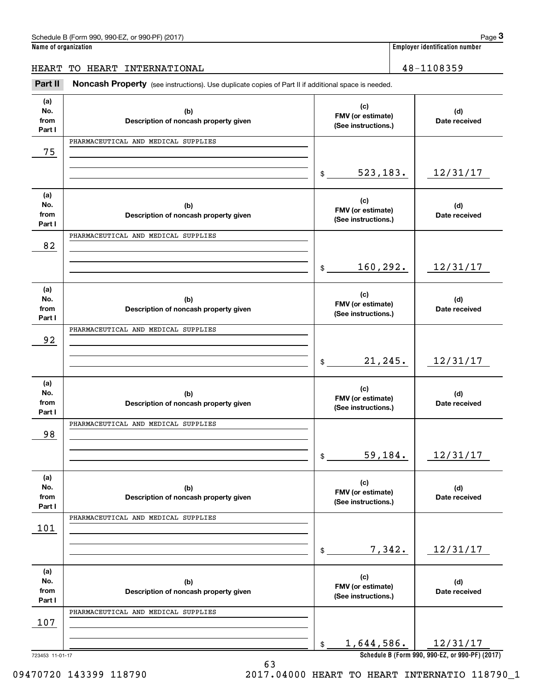| Schedule<br>2017) ،<br>or 990-PF<br>.990-E7<br>n 990.<br>∵ Horm) ن |  |  | $\overline{\phantom{a}}$<br>auc |
|--------------------------------------------------------------------|--|--|---------------------------------|
| . .                                                                |  |  |                                 |

**Name of organization Employer identification number**

# HEART TO HEART INTERNATIONAL 28-1108359

(see instructions). The control of the US (Form 990, 990-EZ, or 990-PF) (2017)<br> **3Part II if additional space is needed.**<br> **Part II Noncash Property** (see instructions). Use duplicate copies of Part II if additional space

| (a)<br>No.<br>from<br>Part I | (b)<br>Description of noncash property given | (c)<br>FMV (or estimate)<br>(See instructions.) | (d)<br>Date received                            |
|------------------------------|----------------------------------------------|-------------------------------------------------|-------------------------------------------------|
|                              | PHARMACEUTICAL AND MEDICAL SUPPLIES          |                                                 |                                                 |
| 75                           |                                              |                                                 |                                                 |
|                              |                                              |                                                 |                                                 |
|                              |                                              | 523, 183.<br>\$                                 | 12/31/17                                        |
| (a)                          |                                              |                                                 |                                                 |
| No.                          | (b)                                          | (c)                                             | (d)                                             |
| from                         | Description of noncash property given        | FMV (or estimate)<br>(See instructions.)        | Date received                                   |
| Part I                       |                                              |                                                 |                                                 |
|                              | PHARMACEUTICAL AND MEDICAL SUPPLIES          |                                                 |                                                 |
| 82                           |                                              |                                                 |                                                 |
|                              |                                              | 160,292.<br>\$                                  | 12/31/17                                        |
|                              |                                              |                                                 |                                                 |
| (a)                          |                                              | (c)                                             |                                                 |
| No.                          | (b)                                          | FMV (or estimate)                               | (d)                                             |
| from<br>Part I               | Description of noncash property given        | (See instructions.)                             | Date received                                   |
|                              | PHARMACEUTICAL AND MEDICAL SUPPLIES          |                                                 |                                                 |
| 92                           |                                              |                                                 |                                                 |
|                              |                                              |                                                 |                                                 |
|                              |                                              | 21, 245.<br>$\frac{1}{2}$                       | 12/31/17                                        |
|                              |                                              |                                                 |                                                 |
| (a)<br>No.                   |                                              | (c)                                             |                                                 |
| from                         | (b)<br>Description of noncash property given | FMV (or estimate)                               | (d)<br>Date received                            |
| Part I                       |                                              | (See instructions.)                             |                                                 |
|                              | PHARMACEUTICAL AND MEDICAL SUPPLIES          |                                                 |                                                 |
| 98                           |                                              |                                                 |                                                 |
|                              |                                              | 59,184.                                         | 12/31/17                                        |
|                              |                                              | $\frac{1}{2}$                                   |                                                 |
| (a)                          |                                              |                                                 |                                                 |
| No.                          | (b)                                          | (c)<br>FMV (or estimate)                        | (d)                                             |
| from                         | Description of noncash property given        | (See instructions.)                             | Date received                                   |
| Part I                       | PHARMACEUTICAL AND MEDICAL SUPPLIES          |                                                 |                                                 |
| 101                          |                                              |                                                 |                                                 |
|                              |                                              |                                                 |                                                 |
|                              |                                              | 7,342.<br>\$                                    | 12/31/17                                        |
|                              |                                              |                                                 |                                                 |
| (a)                          |                                              | (c)                                             |                                                 |
| No.<br>from                  | (b)                                          | FMV (or estimate)                               | (d)                                             |
| Part I                       | Description of noncash property given        | (See instructions.)                             | Date received                                   |
|                              | PHARMACEUTICAL AND MEDICAL SUPPLIES          |                                                 |                                                 |
| 107                          |                                              |                                                 |                                                 |
|                              |                                              |                                                 |                                                 |
|                              |                                              | 1,644,586.<br>\$                                | 12/31/17                                        |
|                              |                                              |                                                 | Schedule B (Form 990, 990-EZ, or 990-PF) (2017) |

63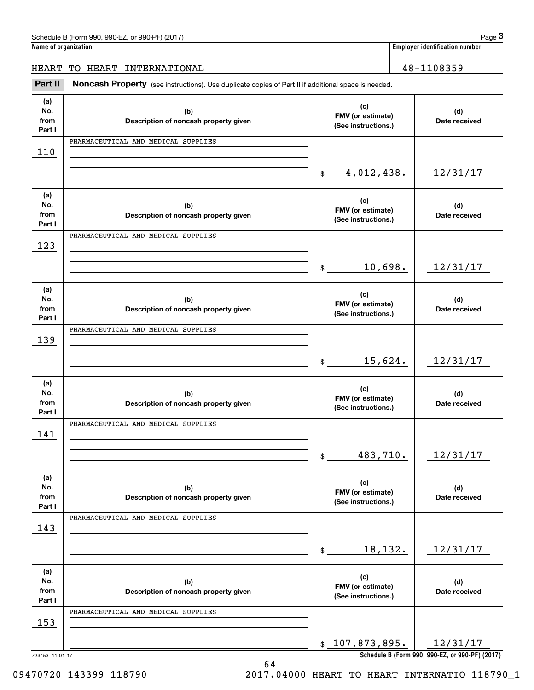| . 990-EZ. or 990-PF) (2017)<br>Schedule B (Form 990, | Page                                  |
|------------------------------------------------------|---------------------------------------|
| Name of organization                                 | <b>Employer identification number</b> |

# HEART TO HEART INTERNATIONAL 28-1108359

(see instructions). The control of the US (Form 990, 990-EZ, or 990-PF) (2017)<br> **3Part II if additional space is needed.**<br> **Part II Noncash Property** (see instructions). Use duplicate copies of Part II if additional space

| (a)                   |                                              | (c)                                      |                                                 |
|-----------------------|----------------------------------------------|------------------------------------------|-------------------------------------------------|
| No.<br>from<br>Part I | (b)<br>Description of noncash property given | FMV (or estimate)<br>(See instructions.) | (d)<br>Date received                            |
|                       | PHARMACEUTICAL AND MEDICAL SUPPLIES          |                                          |                                                 |
| 110                   |                                              |                                          |                                                 |
|                       |                                              | 4,012,438.<br>$\frac{1}{2}$              | 12/31/17                                        |
| (a)<br>No.            | (b)                                          | (c)                                      | (d)                                             |
| from<br>Part I        | Description of noncash property given        | FMV (or estimate)<br>(See instructions.) | Date received                                   |
|                       | PHARMACEUTICAL AND MEDICAL SUPPLIES          |                                          |                                                 |
| 123                   |                                              |                                          |                                                 |
|                       |                                              | 10,698.<br>$\mathbb{S}$                  | 12/31/17                                        |
| (a)                   |                                              | (c)                                      |                                                 |
| No.<br>from           | (b)<br>Description of noncash property given | FMV (or estimate)                        | (d)<br>Date received                            |
| Part I                |                                              | (See instructions.)                      |                                                 |
|                       | PHARMACEUTICAL AND MEDICAL SUPPLIES          |                                          |                                                 |
| 139                   |                                              |                                          |                                                 |
|                       |                                              | 15,624.<br>$\mathbb{S}$                  | 12/31/17                                        |
| (a)                   |                                              | (c)                                      |                                                 |
| No.<br>from           | (b)<br>Description of noncash property given | FMV (or estimate)                        | (d)<br>Date received                            |
| Part I                |                                              | (See instructions.)                      |                                                 |
|                       | PHARMACEUTICAL AND MEDICAL SUPPLIES          |                                          |                                                 |
| 141                   |                                              |                                          |                                                 |
|                       |                                              | 483,710.<br>\$                           | 12/31/17                                        |
| (a)                   |                                              |                                          |                                                 |
| No.                   | (b)                                          | (c)<br>FMV (or estimate)                 | (d)                                             |
| from<br>Part I        | Description of noncash property given        | (See instructions.)                      | Date received                                   |
|                       | PHARMACEUTICAL AND MEDICAL SUPPLIES          |                                          |                                                 |
| 143                   |                                              |                                          |                                                 |
|                       |                                              |                                          |                                                 |
|                       |                                              | 18,132.<br>\$                            | 12/31/17                                        |
| (a)                   |                                              | (c)                                      |                                                 |
| No.<br>from           | (b)<br>Description of noncash property given | FMV (or estimate)                        | (d)<br>Date received                            |
| Part I                |                                              | (See instructions.)                      |                                                 |
|                       | PHARMACEUTICAL AND MEDICAL SUPPLIES          |                                          |                                                 |
| <u>153</u>            |                                              |                                          |                                                 |
|                       |                                              | \$107,873,895.                           | 12/31/17                                        |
| 723453 11-01-17       | 64                                           |                                          | Schedule B (Form 990, 990-EZ, or 990-PF) (2017) |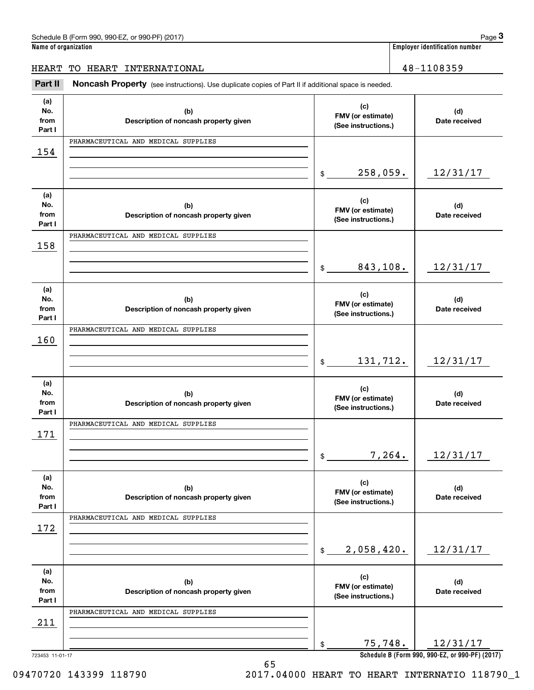| Schedule B (Form 990,<br>990-EZ.<br>. or 990-PF) (2017` | Page                                  |
|---------------------------------------------------------|---------------------------------------|
| Name of organization                                    | <b>Employer identification number</b> |

# HEART TO HEART INTERNATIONAL 48-1108359

(see instructions). The control of the US (Form 990, 990-EZ, or 990-PF) (2017)<br> **3Part II if additional space is needed.**<br> **Part II Noncash Property** (see instructions). Use duplicate copies of Part II if additional space

| (a)<br>No.<br>from<br>Part I | (b)<br>Description of noncash property given | (c)<br>FMV (or estimate)<br>(See instructions.) | (d)<br>Date received                            |
|------------------------------|----------------------------------------------|-------------------------------------------------|-------------------------------------------------|
|                              | PHARMACEUTICAL AND MEDICAL SUPPLIES          |                                                 |                                                 |
| 154                          |                                              |                                                 |                                                 |
|                              |                                              |                                                 |                                                 |
|                              |                                              | 258,059.<br>$\frac{1}{2}$                       | 12/31/17                                        |
|                              |                                              |                                                 |                                                 |
| (a)<br>No.                   | (b)                                          | (c)                                             | (d)                                             |
| from                         | Description of noncash property given        | FMV (or estimate)                               | Date received                                   |
| Part I                       |                                              | (See instructions.)                             |                                                 |
|                              | PHARMACEUTICAL AND MEDICAL SUPPLIES          |                                                 |                                                 |
| 158                          |                                              |                                                 |                                                 |
|                              |                                              |                                                 |                                                 |
|                              |                                              | 843,108.<br>$\frac{1}{2}$                       | 12/31/17                                        |
|                              |                                              |                                                 |                                                 |
| (a)<br>No.                   | (b)                                          | (c)                                             | (d)                                             |
| from                         | Description of noncash property given        | FMV (or estimate)                               | Date received                                   |
| Part I                       |                                              | (See instructions.)                             |                                                 |
|                              | PHARMACEUTICAL AND MEDICAL SUPPLIES          |                                                 |                                                 |
| 160                          |                                              |                                                 |                                                 |
|                              |                                              |                                                 |                                                 |
|                              |                                              | 131,712.<br>$\frac{1}{2}$                       | 12/31/17                                        |
| (a)                          |                                              |                                                 |                                                 |
| No.                          | (b)                                          | (c)                                             | (d)                                             |
| from                         | Description of noncash property given        | FMV (or estimate)<br>(See instructions.)        | Date received                                   |
| Part I                       |                                              |                                                 |                                                 |
|                              | PHARMACEUTICAL AND MEDICAL SUPPLIES          |                                                 |                                                 |
| 171                          |                                              |                                                 |                                                 |
|                              |                                              | 7,264.<br>$\frac{1}{2}$                         | 12/31/17                                        |
|                              |                                              |                                                 |                                                 |
| (a)                          |                                              |                                                 |                                                 |
| No.                          | (b)                                          | (c)<br>FMV (or estimate)                        | (d)                                             |
| from                         | Description of noncash property given        | (See instructions.)                             | Date received                                   |
| Part I                       | PHARMACEUTICAL AND MEDICAL SUPPLIES          |                                                 |                                                 |
| 172                          |                                              |                                                 |                                                 |
|                              |                                              |                                                 |                                                 |
|                              |                                              | 2,058,420.<br>\$                                | 12/31/17                                        |
|                              |                                              |                                                 |                                                 |
| (a)                          |                                              | (c)                                             |                                                 |
| No.                          | (b)                                          | FMV (or estimate)                               | (d)                                             |
| from                         | Description of noncash property given        | (See instructions.)                             | Date received                                   |
| Part I                       | PHARMACEUTICAL AND MEDICAL SUPPLIES          |                                                 |                                                 |
| 211                          |                                              |                                                 |                                                 |
|                              |                                              |                                                 |                                                 |
|                              |                                              | 75,748.<br>\$                                   | 12/31/17                                        |
| 723453 11-01-17              |                                              |                                                 | Schedule B (Form 990, 990-EZ, or 990-PF) (2017) |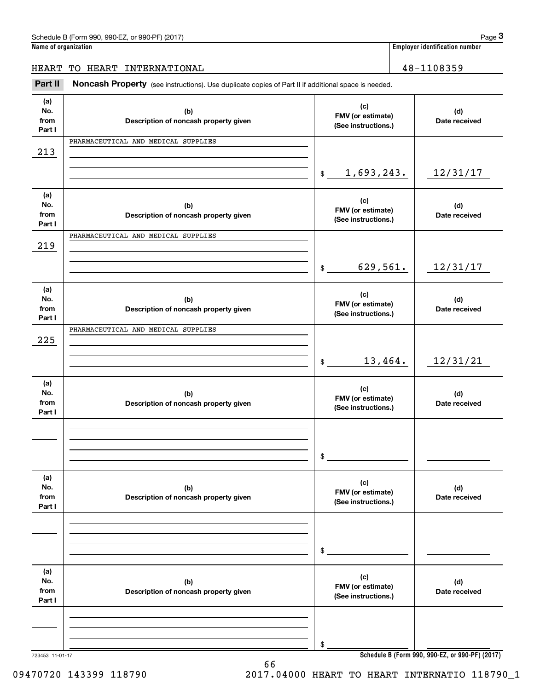| . 990-EZ. or 990-PF) (2017)<br>Schedule B (Form 990, | Page                                  |
|------------------------------------------------------|---------------------------------------|
| Name of organization                                 | <b>Employer identification number</b> |

# HEART TO HEART INTERNATIONAL 48-1108359

(see instructions). The control of the US (Form 990, 990-EZ, or 990-PF) (2017)<br> **3Part II if additional space is needed.**<br> **Part II Noncash Property** (see instructions). Use duplicate copies of Part II if additional space

| (a)<br>No.<br>from<br>Part I | (b)<br>Description of noncash property given | (c)<br>FMV (or estimate)<br>(See instructions.) | (d)<br>Date received |  |  |  |  |  |
|------------------------------|----------------------------------------------|-------------------------------------------------|----------------------|--|--|--|--|--|
|                              | PHARMACEUTICAL AND MEDICAL SUPPLIES          |                                                 |                      |  |  |  |  |  |
| 213                          |                                              |                                                 |                      |  |  |  |  |  |
|                              |                                              |                                                 |                      |  |  |  |  |  |
|                              |                                              | 1,693,243.<br>\$                                | 12/31/17             |  |  |  |  |  |
| (a)                          |                                              |                                                 |                      |  |  |  |  |  |
| No.                          | (b)                                          | (c)<br>FMV (or estimate)                        | (d)                  |  |  |  |  |  |
| from                         | Description of noncash property given        | (See instructions.)                             | Date received        |  |  |  |  |  |
| Part I                       |                                              |                                                 |                      |  |  |  |  |  |
|                              | PHARMACEUTICAL AND MEDICAL SUPPLIES          |                                                 |                      |  |  |  |  |  |
| 219                          |                                              |                                                 |                      |  |  |  |  |  |
|                              |                                              |                                                 |                      |  |  |  |  |  |
|                              |                                              | 629,561.<br>\$                                  | 12/31/17             |  |  |  |  |  |
|                              |                                              |                                                 |                      |  |  |  |  |  |
| (a)                          |                                              |                                                 |                      |  |  |  |  |  |
| No.                          | (b)                                          | (c)<br>FMV (or estimate)                        | (d)                  |  |  |  |  |  |
| from                         | Description of noncash property given        | (See instructions.)                             | Date received        |  |  |  |  |  |
| Part I                       |                                              |                                                 |                      |  |  |  |  |  |
|                              | PHARMACEUTICAL AND MEDICAL SUPPLIES          |                                                 |                      |  |  |  |  |  |
| 225                          |                                              |                                                 |                      |  |  |  |  |  |
|                              |                                              |                                                 |                      |  |  |  |  |  |
|                              |                                              | 13,464.<br>\$                                   | 12/31/21             |  |  |  |  |  |
|                              |                                              |                                                 |                      |  |  |  |  |  |
| (a)                          |                                              |                                                 |                      |  |  |  |  |  |
| No.                          | (b)                                          | (c)<br>FMV (or estimate)                        | (d)                  |  |  |  |  |  |
| from                         | Description of noncash property given        | (See instructions.)                             | Date received        |  |  |  |  |  |
| Part I                       |                                              |                                                 |                      |  |  |  |  |  |
|                              |                                              |                                                 |                      |  |  |  |  |  |
|                              |                                              |                                                 |                      |  |  |  |  |  |
|                              |                                              |                                                 |                      |  |  |  |  |  |
|                              |                                              | \$                                              |                      |  |  |  |  |  |
|                              |                                              |                                                 |                      |  |  |  |  |  |
| (a)                          |                                              |                                                 |                      |  |  |  |  |  |
| No.                          | (b)                                          | (c)<br>FMV (or estimate)                        | (d)                  |  |  |  |  |  |
| from                         | Description of noncash property given        | (See instructions.)                             | Date received        |  |  |  |  |  |
| Part I                       |                                              |                                                 |                      |  |  |  |  |  |
|                              |                                              |                                                 |                      |  |  |  |  |  |
|                              |                                              |                                                 |                      |  |  |  |  |  |
|                              |                                              |                                                 |                      |  |  |  |  |  |
|                              |                                              | \$                                              |                      |  |  |  |  |  |
|                              |                                              |                                                 |                      |  |  |  |  |  |
| (a)                          |                                              | (c)                                             |                      |  |  |  |  |  |
| No.                          | (b)                                          | FMV (or estimate)                               | (d)                  |  |  |  |  |  |
| from                         | Description of noncash property given        | (See instructions.)                             | Date received        |  |  |  |  |  |
| Part I                       |                                              |                                                 |                      |  |  |  |  |  |
|                              |                                              |                                                 |                      |  |  |  |  |  |
|                              |                                              |                                                 |                      |  |  |  |  |  |
|                              |                                              |                                                 |                      |  |  |  |  |  |
|                              |                                              | \$                                              |                      |  |  |  |  |  |
| 723453 11-01-17              |                                              | Schedule B (Form 990, 990-EZ, or 990-PF) (2017) |                      |  |  |  |  |  |

66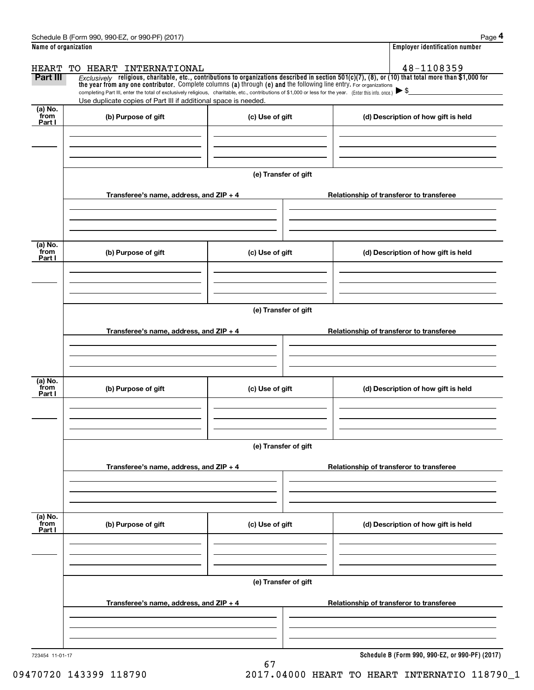|                                                                                                                                                                                                                      | Schedule B (Form 990, 990-EZ, or 990-PF) (2017)                                                                                                                                                                                                                                 |                                       | Page 4                                          |  |  |  |
|----------------------------------------------------------------------------------------------------------------------------------------------------------------------------------------------------------------------|---------------------------------------------------------------------------------------------------------------------------------------------------------------------------------------------------------------------------------------------------------------------------------|---------------------------------------|-------------------------------------------------|--|--|--|
| Name of organization                                                                                                                                                                                                 |                                                                                                                                                                                                                                                                                 | <b>Employer identification number</b> |                                                 |  |  |  |
| TO HEART INTERNATIONAL<br><b>HEART</b><br>$Exclusively$ religious, charitable, etc., contributions to organizations described in section 501(c)(7), (8), or (10) that total more than \$1,000 for<br><b>Part III</b> |                                                                                                                                                                                                                                                                                 |                                       | 48-1108359                                      |  |  |  |
|                                                                                                                                                                                                                      | the year from any one contributor. Complete columns (a) through (e) and the following line entry. For organizations<br>completing Part III, enter the total of exclusively religious, charitable, etc., contributions of \$1,000 or less for the year. (Enter this info. once.) |                                       |                                                 |  |  |  |
| (a) No.                                                                                                                                                                                                              | Use duplicate copies of Part III if additional space is needed.                                                                                                                                                                                                                 |                                       |                                                 |  |  |  |
| from<br>Part I                                                                                                                                                                                                       | (b) Purpose of gift                                                                                                                                                                                                                                                             | (c) Use of gift                       | (d) Description of how gift is held             |  |  |  |
|                                                                                                                                                                                                                      |                                                                                                                                                                                                                                                                                 |                                       |                                                 |  |  |  |
|                                                                                                                                                                                                                      |                                                                                                                                                                                                                                                                                 | (e) Transfer of gift                  |                                                 |  |  |  |
|                                                                                                                                                                                                                      | Transferee's name, address, and $ZIP + 4$                                                                                                                                                                                                                                       |                                       | Relationship of transferor to transferee        |  |  |  |
| (a) No.<br>from                                                                                                                                                                                                      |                                                                                                                                                                                                                                                                                 |                                       |                                                 |  |  |  |
| Part I                                                                                                                                                                                                               | (b) Purpose of gift                                                                                                                                                                                                                                                             | (c) Use of gift                       | (d) Description of how gift is held             |  |  |  |
|                                                                                                                                                                                                                      |                                                                                                                                                                                                                                                                                 | (e) Transfer of gift                  |                                                 |  |  |  |
|                                                                                                                                                                                                                      | Transferee's name, address, and ZIP + 4                                                                                                                                                                                                                                         |                                       | Relationship of transferor to transferee        |  |  |  |
|                                                                                                                                                                                                                      |                                                                                                                                                                                                                                                                                 |                                       |                                                 |  |  |  |
| (a) No.<br>from<br>Part I                                                                                                                                                                                            | (b) Purpose of gift                                                                                                                                                                                                                                                             | (c) Use of gift                       | (d) Description of how gift is held             |  |  |  |
|                                                                                                                                                                                                                      |                                                                                                                                                                                                                                                                                 | (e) Transfer of gift                  |                                                 |  |  |  |
|                                                                                                                                                                                                                      | Transferee's name, address, and ZIP + 4                                                                                                                                                                                                                                         |                                       | Relationship of transferor to transferee        |  |  |  |
| (a) No.<br>from                                                                                                                                                                                                      |                                                                                                                                                                                                                                                                                 |                                       |                                                 |  |  |  |
| Part I                                                                                                                                                                                                               | (b) Purpose of gift                                                                                                                                                                                                                                                             | (c) Use of gift                       | (d) Description of how gift is held             |  |  |  |
|                                                                                                                                                                                                                      |                                                                                                                                                                                                                                                                                 | (e) Transfer of gift                  |                                                 |  |  |  |
|                                                                                                                                                                                                                      | Transferee's name, address, and ZIP + 4                                                                                                                                                                                                                                         |                                       | Relationship of transferor to transferee        |  |  |  |
|                                                                                                                                                                                                                      |                                                                                                                                                                                                                                                                                 |                                       |                                                 |  |  |  |
| 723454 11-01-17                                                                                                                                                                                                      |                                                                                                                                                                                                                                                                                 |                                       | Schedule B (Form 990, 990-EZ, or 990-PF) (2017) |  |  |  |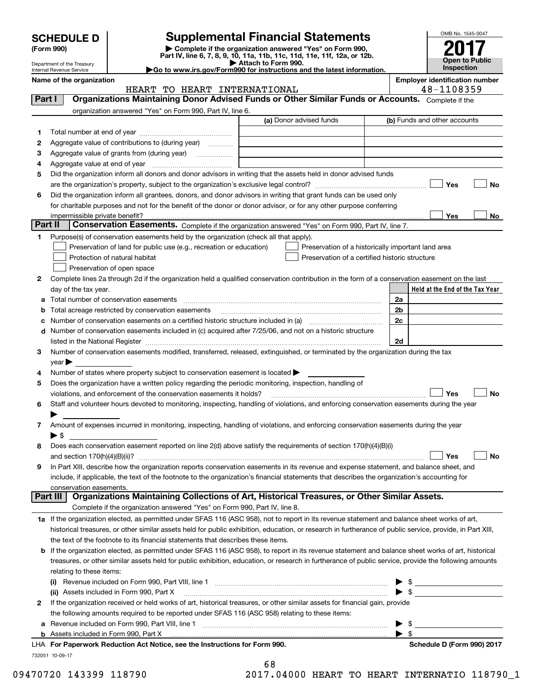| <b>SCHEDULE D</b> |  |
|-------------------|--|
|-------------------|--|

# **SCHEDULE D Supplemental Financial Statements**

(Form 990)<br>
Pepartment of the Treasury<br>
Department of the Treasury<br>
Department of the Treasury<br>
Department of the Treasury<br> **Co to www.irs.gov/Form990 for instructions and the latest information.**<br> **Co to www.irs.gov/Form9** 



Department of the Treasury Internal Revenue Service

|         | Name of the organization<br>HEART TO HEART INTERNATIONAL                                                                                                  | <b>Employer identification number</b><br>48-1108359 |                                                    |                                 |  |  |  |  |
|---------|-----------------------------------------------------------------------------------------------------------------------------------------------------------|-----------------------------------------------------|----------------------------------------------------|---------------------------------|--|--|--|--|
| Part I  | Organizations Maintaining Donor Advised Funds or Other Similar Funds or Accounts. Complete if the                                                         |                                                     |                                                    |                                 |  |  |  |  |
|         | organization answered "Yes" on Form 990, Part IV, line 6.                                                                                                 |                                                     |                                                    |                                 |  |  |  |  |
|         |                                                                                                                                                           | (a) Donor advised funds                             |                                                    | (b) Funds and other accounts    |  |  |  |  |
| 1       |                                                                                                                                                           |                                                     |                                                    |                                 |  |  |  |  |
| 2       | Aggregate value of contributions to (during year)                                                                                                         |                                                     |                                                    |                                 |  |  |  |  |
|         |                                                                                                                                                           |                                                     |                                                    |                                 |  |  |  |  |
| з       | Aggregate value of grants from (during year)                                                                                                              |                                                     |                                                    |                                 |  |  |  |  |
| 4       |                                                                                                                                                           |                                                     |                                                    |                                 |  |  |  |  |
| 5       | Did the organization inform all donors and donor advisors in writing that the assets held in donor advised funds                                          |                                                     |                                                    |                                 |  |  |  |  |
|         |                                                                                                                                                           |                                                     |                                                    | Yes<br>No                       |  |  |  |  |
| 6       | Did the organization inform all grantees, donors, and donor advisors in writing that grant funds can be used only                                         |                                                     |                                                    |                                 |  |  |  |  |
|         | for charitable purposes and not for the benefit of the donor or donor advisor, or for any other purpose conferring                                        |                                                     |                                                    |                                 |  |  |  |  |
| Part II | Conservation Easements. Complete if the organization answered "Yes" on Form 990, Part IV, line 7.                                                         |                                                     |                                                    | Yes<br>No                       |  |  |  |  |
|         |                                                                                                                                                           |                                                     |                                                    |                                 |  |  |  |  |
| 1       | Purpose(s) of conservation easements held by the organization (check all that apply).                                                                     |                                                     |                                                    |                                 |  |  |  |  |
|         | Preservation of land for public use (e.g., recreation or education)                                                                                       |                                                     | Preservation of a historically important land area |                                 |  |  |  |  |
|         | Protection of natural habitat                                                                                                                             |                                                     | Preservation of a certified historic structure     |                                 |  |  |  |  |
|         | Preservation of open space                                                                                                                                |                                                     |                                                    |                                 |  |  |  |  |
| 2       | Complete lines 2a through 2d if the organization held a qualified conservation contribution in the form of a conservation easement on the last            |                                                     |                                                    |                                 |  |  |  |  |
|         | day of the tax year.                                                                                                                                      |                                                     |                                                    | Held at the End of the Tax Year |  |  |  |  |
| а       | Total number of conservation easements                                                                                                                    |                                                     |                                                    | 2a                              |  |  |  |  |
| b       | Total acreage restricted by conservation easements                                                                                                        |                                                     |                                                    | 2b                              |  |  |  |  |
| с       |                                                                                                                                                           |                                                     |                                                    | 2c                              |  |  |  |  |
| d       | Number of conservation easements included in (c) acquired after 7/25/06, and not on a historic structure                                                  |                                                     |                                                    |                                 |  |  |  |  |
|         |                                                                                                                                                           |                                                     |                                                    | 2d                              |  |  |  |  |
| 3       | Number of conservation easements modified, transferred, released, extinguished, or terminated by the organization during the tax                          |                                                     |                                                    |                                 |  |  |  |  |
|         | year                                                                                                                                                      |                                                     |                                                    |                                 |  |  |  |  |
| 4       | Number of states where property subject to conservation easement is located >                                                                             |                                                     |                                                    |                                 |  |  |  |  |
| 5       | Does the organization have a written policy regarding the periodic monitoring, inspection, handling of                                                    |                                                     |                                                    |                                 |  |  |  |  |
|         | violations, and enforcement of the conservation easements it holds?                                                                                       |                                                     |                                                    | <b>No</b><br>Yes                |  |  |  |  |
| 6       | Staff and volunteer hours devoted to monitoring, inspecting, handling of violations, and enforcing conservation easements during the year                 |                                                     |                                                    |                                 |  |  |  |  |
|         |                                                                                                                                                           |                                                     |                                                    |                                 |  |  |  |  |
| 7       | Amount of expenses incurred in monitoring, inspecting, handling of violations, and enforcing conservation easements during the year                       |                                                     |                                                    |                                 |  |  |  |  |
|         | $\blacktriangleright$ \$                                                                                                                                  |                                                     |                                                    |                                 |  |  |  |  |
| 8       | Does each conservation easement reported on line 2(d) above satisfy the requirements of section 170(h)(4)(B)(i)                                           |                                                     |                                                    |                                 |  |  |  |  |
|         |                                                                                                                                                           |                                                     |                                                    | No<br>Yes                       |  |  |  |  |
|         | In Part XIII, describe how the organization reports conservation easements in its revenue and expense statement, and balance sheet, and                   |                                                     |                                                    |                                 |  |  |  |  |
|         | include, if applicable, the text of the footnote to the organization's financial statements that describes the organization's accounting for              |                                                     |                                                    |                                 |  |  |  |  |
|         | conservation easements.<br>Organizations Maintaining Collections of Art, Historical Treasures, or Other Similar Assets.<br>Part III                       |                                                     |                                                    |                                 |  |  |  |  |
|         | Complete if the organization answered "Yes" on Form 990, Part IV, line 8.                                                                                 |                                                     |                                                    |                                 |  |  |  |  |
|         | 1a If the organization elected, as permitted under SFAS 116 (ASC 958), not to report in its revenue statement and balance sheet works of art,             |                                                     |                                                    |                                 |  |  |  |  |
|         | historical treasures, or other similar assets held for public exhibition, education, or research in furtherance of public service, provide, in Part XIII, |                                                     |                                                    |                                 |  |  |  |  |
|         | the text of the footnote to its financial statements that describes these items.                                                                          |                                                     |                                                    |                                 |  |  |  |  |
| b       | If the organization elected, as permitted under SFAS 116 (ASC 958), to report in its revenue statement and balance sheet works of art, historical         |                                                     |                                                    |                                 |  |  |  |  |
|         | treasures, or other similar assets held for public exhibition, education, or research in furtherance of public service, provide the following amounts     |                                                     |                                                    |                                 |  |  |  |  |
|         |                                                                                                                                                           |                                                     |                                                    |                                 |  |  |  |  |
|         | relating to these items:                                                                                                                                  |                                                     |                                                    |                                 |  |  |  |  |
|         | (ii) Assets included in Form 990, Part X                                                                                                                  |                                                     |                                                    | $\blacktriangleright$ \$        |  |  |  |  |
| 2       | If the organization received or held works of art, historical treasures, or other similar assets for financial gain, provide                              |                                                     |                                                    |                                 |  |  |  |  |
|         | the following amounts required to be reported under SFAS 116 (ASC 958) relating to these items:                                                           |                                                     |                                                    |                                 |  |  |  |  |
| а       |                                                                                                                                                           |                                                     |                                                    | -\$                             |  |  |  |  |
|         | <b>b</b> Assets included in Form 990, Part X                                                                                                              |                                                     |                                                    | $\blacktriangleright$ s         |  |  |  |  |
|         | LHA For Paperwork Reduction Act Notice, see the Instructions for Form 990.                                                                                |                                                     |                                                    | Schedule D (Form 990) 2017      |  |  |  |  |
|         | 732051 10-09-17                                                                                                                                           |                                                     |                                                    |                                 |  |  |  |  |
|         |                                                                                                                                                           | c o                                                 |                                                    |                                 |  |  |  |  |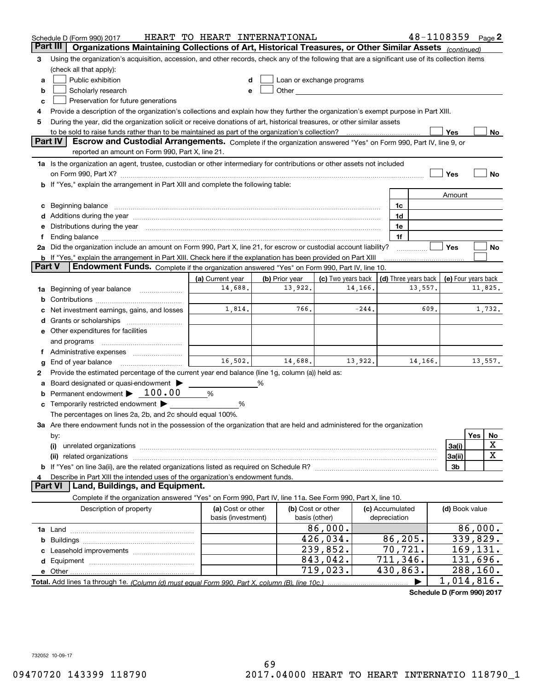| 48-1108359 Page 2<br>HEART TO HEART INTERNATIONAL<br>Schedule D (Form 990) 2017 |                                                                                                                                                                                                                                |                                         |                |                                                                                                                                                                                                                               |                 |                                 |                      |                     |          |             |
|---------------------------------------------------------------------------------|--------------------------------------------------------------------------------------------------------------------------------------------------------------------------------------------------------------------------------|-----------------------------------------|----------------|-------------------------------------------------------------------------------------------------------------------------------------------------------------------------------------------------------------------------------|-----------------|---------------------------------|----------------------|---------------------|----------|-------------|
|                                                                                 | Organizations Maintaining Collections of Art, Historical Treasures, or Other Similar Assets (continued)<br>Part III                                                                                                            |                                         |                |                                                                                                                                                                                                                               |                 |                                 |                      |                     |          |             |
| 3                                                                               | Using the organization's acquisition, accession, and other records, check any of the following that are a significant use of its collection items                                                                              |                                         |                |                                                                                                                                                                                                                               |                 |                                 |                      |                     |          |             |
|                                                                                 | (check all that apply):                                                                                                                                                                                                        |                                         |                |                                                                                                                                                                                                                               |                 |                                 |                      |                     |          |             |
| a                                                                               | Public exhibition                                                                                                                                                                                                              |                                         |                | Loan or exchange programs                                                                                                                                                                                                     |                 |                                 |                      |                     |          |             |
| b                                                                               | Scholarly research                                                                                                                                                                                                             |                                         |                | Other and the contract of the contract of the contract of the contract of the contract of the contract of the contract of the contract of the contract of the contract of the contract of the contract of the contract of the |                 |                                 |                      |                     |          |             |
| c                                                                               | Preservation for future generations                                                                                                                                                                                            |                                         |                |                                                                                                                                                                                                                               |                 |                                 |                      |                     |          |             |
|                                                                                 | Provide a description of the organization's collections and explain how they further the organization's exempt purpose in Part XIII.                                                                                           |                                         |                |                                                                                                                                                                                                                               |                 |                                 |                      |                     |          |             |
| 5                                                                               | During the year, did the organization solicit or receive donations of art, historical treasures, or other similar assets                                                                                                       |                                         |                |                                                                                                                                                                                                                               |                 |                                 |                      |                     |          |             |
|                                                                                 | to be sold to raise funds rather than to be maintained as part of the organization's collection?                                                                                                                               |                                         |                |                                                                                                                                                                                                                               |                 |                                 |                      | Yes                 |          | No          |
|                                                                                 | <b>Part IV</b><br>Escrow and Custodial Arrangements. Complete if the organization answered "Yes" on Form 990, Part IV, line 9, or                                                                                              |                                         |                |                                                                                                                                                                                                                               |                 |                                 |                      |                     |          |             |
|                                                                                 | reported an amount on Form 990, Part X, line 21.                                                                                                                                                                               |                                         |                |                                                                                                                                                                                                                               |                 |                                 |                      |                     |          |             |
|                                                                                 | 1a Is the organization an agent, trustee, custodian or other intermediary for contributions or other assets not included                                                                                                       |                                         |                |                                                                                                                                                                                                                               |                 |                                 |                      |                     |          |             |
|                                                                                 | on Form 990, Part X? [11] matter contracts and contracts and contracts are contracted to the set of the set of                                                                                                                 |                                         |                |                                                                                                                                                                                                                               |                 |                                 |                      | Yes                 |          | No          |
|                                                                                 | b If "Yes," explain the arrangement in Part XIII and complete the following table:                                                                                                                                             |                                         |                |                                                                                                                                                                                                                               |                 |                                 |                      |                     |          |             |
|                                                                                 |                                                                                                                                                                                                                                |                                         |                |                                                                                                                                                                                                                               |                 |                                 |                      | Amount              |          |             |
| c                                                                               | Beginning balance                                                                                                                                                                                                              |                                         |                |                                                                                                                                                                                                                               |                 | 1c                              |                      |                     |          |             |
|                                                                                 | Additions during the year manufactured and an annual contract of the year manufactured and all the year manufactured and all the year manufactured and all the year manufactured and all the year manufactured and all the yea |                                         |                |                                                                                                                                                                                                                               |                 | 1d                              |                      |                     |          |             |
|                                                                                 | e Distributions during the year manufactured and continuum and contact the year manufactured and contact the year manufactured and contact the year manufactured and contact the year manufactured and contact the year manufa |                                         |                |                                                                                                                                                                                                                               |                 | 1e<br>1f                        |                      |                     |          |             |
|                                                                                 | 2a Did the organization include an amount on Form 990, Part X, line 21, for escrow or custodial account liability?                                                                                                             |                                         |                |                                                                                                                                                                                                                               |                 |                                 |                      | Yes                 |          | No          |
|                                                                                 | <b>b</b> If "Yes," explain the arrangement in Part XIII. Check here if the explanation has been provided on Part XIII                                                                                                          |                                         |                |                                                                                                                                                                                                                               |                 |                                 |                      |                     |          |             |
| <b>Part V</b>                                                                   | Endowment Funds. Complete if the organization answered "Yes" on Form 990, Part IV, line 10.                                                                                                                                    |                                         |                |                                                                                                                                                                                                                               |                 |                                 |                      |                     |          |             |
|                                                                                 |                                                                                                                                                                                                                                | (a) Current year                        | (b) Prior year | (c) Two years back                                                                                                                                                                                                            |                 |                                 | (d) Three years back | (e) Four years back |          |             |
| 1a                                                                              | Beginning of year balance                                                                                                                                                                                                      | 14,688.                                 | 13,922.        |                                                                                                                                                                                                                               | 14,166.         |                                 | 13,557.              |                     |          | 11,825.     |
|                                                                                 |                                                                                                                                                                                                                                |                                         |                |                                                                                                                                                                                                                               |                 |                                 |                      |                     |          |             |
|                                                                                 | Net investment earnings, gains, and losses                                                                                                                                                                                     | 1,814.                                  | 766.           |                                                                                                                                                                                                                               | 609.<br>$-244.$ |                                 |                      | 1,732.              |          |             |
|                                                                                 | Grants or scholarships                                                                                                                                                                                                         |                                         |                |                                                                                                                                                                                                                               |                 |                                 |                      |                     |          |             |
|                                                                                 | e Other expenditures for facilities                                                                                                                                                                                            |                                         |                |                                                                                                                                                                                                                               |                 |                                 |                      |                     |          |             |
|                                                                                 | and programs                                                                                                                                                                                                                   |                                         |                |                                                                                                                                                                                                                               |                 |                                 |                      |                     |          |             |
|                                                                                 |                                                                                                                                                                                                                                |                                         |                |                                                                                                                                                                                                                               |                 |                                 |                      |                     |          |             |
|                                                                                 | End of year balance                                                                                                                                                                                                            | 16,502.                                 | 14,688.        |                                                                                                                                                                                                                               | 13,922.         |                                 | 14,166.              |                     |          | 13,557.     |
| 2                                                                               | Provide the estimated percentage of the current year end balance (line 1g, column (a)) held as:                                                                                                                                |                                         |                |                                                                                                                                                                                                                               |                 |                                 |                      |                     |          |             |
|                                                                                 | Board designated or quasi-endowment >                                                                                                                                                                                          |                                         | %              |                                                                                                                                                                                                                               |                 |                                 |                      |                     |          |             |
| b                                                                               | Permanent endowment $\blacktriangleright$ 100.00                                                                                                                                                                               | %                                       |                |                                                                                                                                                                                                                               |                 |                                 |                      |                     |          |             |
| c                                                                               | Temporarily restricted endowment                                                                                                                                                                                               | %                                       |                |                                                                                                                                                                                                                               |                 |                                 |                      |                     |          |             |
|                                                                                 | The percentages on lines 2a, 2b, and 2c should equal 100%.                                                                                                                                                                     |                                         |                |                                                                                                                                                                                                                               |                 |                                 |                      |                     |          |             |
|                                                                                 | <b>3a</b> Are there endowment funds not in the possession of the organization that are held and administered for the organization                                                                                              |                                         |                |                                                                                                                                                                                                                               |                 |                                 |                      |                     |          |             |
|                                                                                 | by:                                                                                                                                                                                                                            |                                         |                |                                                                                                                                                                                                                               |                 |                                 |                      |                     | Yes      | No          |
|                                                                                 | (i)                                                                                                                                                                                                                            |                                         |                |                                                                                                                                                                                                                               |                 | 3a(i)                           |                      | X                   |          |             |
|                                                                                 | related organizations<br>(ii)                                                                                                                                                                                                  |                                         |                |                                                                                                                                                                                                                               |                 |                                 |                      | 3a(ii)              |          | $\mathbf X$ |
|                                                                                 |                                                                                                                                                                                                                                |                                         |                |                                                                                                                                                                                                                               |                 |                                 |                      | 3b                  |          |             |
|                                                                                 | Describe in Part XIII the intended uses of the organization's endowment funds.<br>Land, Buildings, and Equipment.<br><b>Part VI</b>                                                                                            |                                         |                |                                                                                                                                                                                                                               |                 |                                 |                      |                     |          |             |
|                                                                                 | Complete if the organization answered "Yes" on Form 990, Part IV, line 11a. See Form 990, Part X, line 10.                                                                                                                     |                                         |                |                                                                                                                                                                                                                               |                 |                                 |                      |                     |          |             |
|                                                                                 |                                                                                                                                                                                                                                |                                         |                |                                                                                                                                                                                                                               |                 |                                 |                      |                     |          |             |
|                                                                                 | Description of property                                                                                                                                                                                                        | (a) Cost or other<br>basis (investment) |                | (b) Cost or other                                                                                                                                                                                                             |                 | (c) Accumulated<br>depreciation |                      | (d) Book value      |          |             |
|                                                                                 |                                                                                                                                                                                                                                | basis (other)<br>86,000.                |                |                                                                                                                                                                                                                               |                 |                                 | 86,000.              |                     |          |             |
|                                                                                 |                                                                                                                                                                                                                                |                                         |                | 426,034.                                                                                                                                                                                                                      |                 | 86, 205.                        |                      |                     | 339,829. |             |
| b                                                                               |                                                                                                                                                                                                                                |                                         |                | 239,852.                                                                                                                                                                                                                      |                 | 70,721.                         |                      |                     | 169,131. |             |
|                                                                                 |                                                                                                                                                                                                                                |                                         |                | 843,042.                                                                                                                                                                                                                      |                 | 711,346.                        |                      |                     | 131,696. |             |
|                                                                                 |                                                                                                                                                                                                                                |                                         |                | 719,023.                                                                                                                                                                                                                      |                 | 430,863.                        |                      |                     | 288,160. |             |
|                                                                                 | 1,014,816.                                                                                                                                                                                                                     |                                         |                |                                                                                                                                                                                                                               |                 |                                 |                      |                     |          |             |
|                                                                                 |                                                                                                                                                                                                                                |                                         |                |                                                                                                                                                                                                                               |                 |                                 |                      |                     |          |             |

**Schedule D (Form 990) 2017**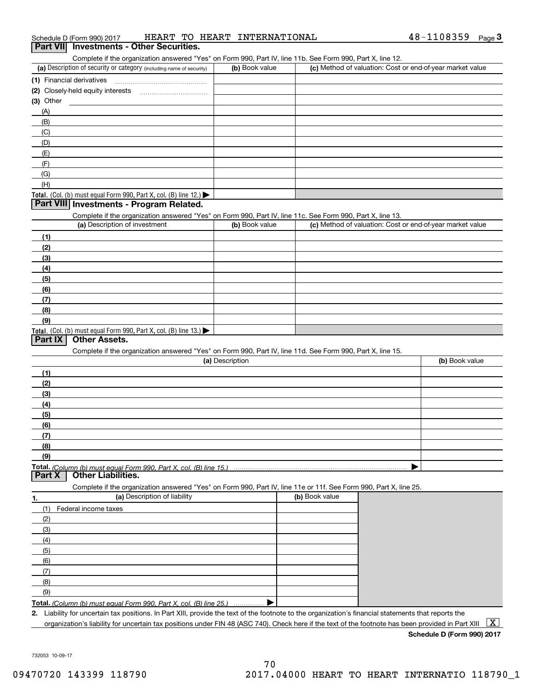| Complete if the organization answered "Yes" on Form 990, Part IV, line 11b. See Form 990, Part X, line 12.<br>(a) Description of security or category (including name of security)<br>(b) Book value<br>(2) Closely-held equity interests<br>$(3)$ Other<br>(A)<br>(B)<br>(C)<br>(D)<br>(E)<br>(F)<br>(G)<br>(H)<br>Total. (Col. (b) must equal Form 990, Part X, col. (B) line 12.)<br>Part VIII Investments - Program Related.<br>Complete if the organization answered "Yes" on Form 990, Part IV, line 11c. See Form 990, Part X, line 13.<br>(a) Description of investment<br>(b) Book value<br>(1)<br>(2)<br>(3)<br>(4)<br>(5)<br>(6)<br>(7)<br>(8)<br>(9)<br>Total. (Col. (b) must equal Form 990, Part X, col. (B) line 13.)<br><b>Other Assets.</b><br>Part IX<br>Complete if the organization answered "Yes" on Form 990, Part IV, line 11d. See Form 990, Part X, line 15.<br>(a) Description<br>(1)<br>(2)<br>(3)<br>(4)<br>(5)<br>(6)<br>(7)<br>(8)<br>(9)<br><b>Other Liabilities.</b><br>Part X<br>Complete if the organization answered "Yes" on Form 990, Part IV, line 11e or 11f. See Form 990, Part X, line 25.<br>(a) Description of liability<br>(b) Book value<br>1.<br>(1)<br>Federal income taxes<br>(2)<br>(3) |                                                           |                |
|------------------------------------------------------------------------------------------------------------------------------------------------------------------------------------------------------------------------------------------------------------------------------------------------------------------------------------------------------------------------------------------------------------------------------------------------------------------------------------------------------------------------------------------------------------------------------------------------------------------------------------------------------------------------------------------------------------------------------------------------------------------------------------------------------------------------------------------------------------------------------------------------------------------------------------------------------------------------------------------------------------------------------------------------------------------------------------------------------------------------------------------------------------------------------------------------------------------------------------------|-----------------------------------------------------------|----------------|
|                                                                                                                                                                                                                                                                                                                                                                                                                                                                                                                                                                                                                                                                                                                                                                                                                                                                                                                                                                                                                                                                                                                                                                                                                                          |                                                           |                |
|                                                                                                                                                                                                                                                                                                                                                                                                                                                                                                                                                                                                                                                                                                                                                                                                                                                                                                                                                                                                                                                                                                                                                                                                                                          | (c) Method of valuation: Cost or end-of-year market value |                |
|                                                                                                                                                                                                                                                                                                                                                                                                                                                                                                                                                                                                                                                                                                                                                                                                                                                                                                                                                                                                                                                                                                                                                                                                                                          |                                                           |                |
|                                                                                                                                                                                                                                                                                                                                                                                                                                                                                                                                                                                                                                                                                                                                                                                                                                                                                                                                                                                                                                                                                                                                                                                                                                          |                                                           |                |
|                                                                                                                                                                                                                                                                                                                                                                                                                                                                                                                                                                                                                                                                                                                                                                                                                                                                                                                                                                                                                                                                                                                                                                                                                                          |                                                           |                |
|                                                                                                                                                                                                                                                                                                                                                                                                                                                                                                                                                                                                                                                                                                                                                                                                                                                                                                                                                                                                                                                                                                                                                                                                                                          |                                                           |                |
|                                                                                                                                                                                                                                                                                                                                                                                                                                                                                                                                                                                                                                                                                                                                                                                                                                                                                                                                                                                                                                                                                                                                                                                                                                          |                                                           |                |
|                                                                                                                                                                                                                                                                                                                                                                                                                                                                                                                                                                                                                                                                                                                                                                                                                                                                                                                                                                                                                                                                                                                                                                                                                                          |                                                           |                |
|                                                                                                                                                                                                                                                                                                                                                                                                                                                                                                                                                                                                                                                                                                                                                                                                                                                                                                                                                                                                                                                                                                                                                                                                                                          |                                                           |                |
|                                                                                                                                                                                                                                                                                                                                                                                                                                                                                                                                                                                                                                                                                                                                                                                                                                                                                                                                                                                                                                                                                                                                                                                                                                          |                                                           |                |
|                                                                                                                                                                                                                                                                                                                                                                                                                                                                                                                                                                                                                                                                                                                                                                                                                                                                                                                                                                                                                                                                                                                                                                                                                                          |                                                           |                |
|                                                                                                                                                                                                                                                                                                                                                                                                                                                                                                                                                                                                                                                                                                                                                                                                                                                                                                                                                                                                                                                                                                                                                                                                                                          |                                                           |                |
|                                                                                                                                                                                                                                                                                                                                                                                                                                                                                                                                                                                                                                                                                                                                                                                                                                                                                                                                                                                                                                                                                                                                                                                                                                          |                                                           |                |
|                                                                                                                                                                                                                                                                                                                                                                                                                                                                                                                                                                                                                                                                                                                                                                                                                                                                                                                                                                                                                                                                                                                                                                                                                                          |                                                           |                |
|                                                                                                                                                                                                                                                                                                                                                                                                                                                                                                                                                                                                                                                                                                                                                                                                                                                                                                                                                                                                                                                                                                                                                                                                                                          |                                                           |                |
|                                                                                                                                                                                                                                                                                                                                                                                                                                                                                                                                                                                                                                                                                                                                                                                                                                                                                                                                                                                                                                                                                                                                                                                                                                          | (c) Method of valuation: Cost or end-of-year market value |                |
|                                                                                                                                                                                                                                                                                                                                                                                                                                                                                                                                                                                                                                                                                                                                                                                                                                                                                                                                                                                                                                                                                                                                                                                                                                          |                                                           |                |
|                                                                                                                                                                                                                                                                                                                                                                                                                                                                                                                                                                                                                                                                                                                                                                                                                                                                                                                                                                                                                                                                                                                                                                                                                                          |                                                           |                |
|                                                                                                                                                                                                                                                                                                                                                                                                                                                                                                                                                                                                                                                                                                                                                                                                                                                                                                                                                                                                                                                                                                                                                                                                                                          |                                                           |                |
|                                                                                                                                                                                                                                                                                                                                                                                                                                                                                                                                                                                                                                                                                                                                                                                                                                                                                                                                                                                                                                                                                                                                                                                                                                          |                                                           |                |
|                                                                                                                                                                                                                                                                                                                                                                                                                                                                                                                                                                                                                                                                                                                                                                                                                                                                                                                                                                                                                                                                                                                                                                                                                                          |                                                           |                |
|                                                                                                                                                                                                                                                                                                                                                                                                                                                                                                                                                                                                                                                                                                                                                                                                                                                                                                                                                                                                                                                                                                                                                                                                                                          |                                                           |                |
|                                                                                                                                                                                                                                                                                                                                                                                                                                                                                                                                                                                                                                                                                                                                                                                                                                                                                                                                                                                                                                                                                                                                                                                                                                          |                                                           |                |
|                                                                                                                                                                                                                                                                                                                                                                                                                                                                                                                                                                                                                                                                                                                                                                                                                                                                                                                                                                                                                                                                                                                                                                                                                                          |                                                           |                |
|                                                                                                                                                                                                                                                                                                                                                                                                                                                                                                                                                                                                                                                                                                                                                                                                                                                                                                                                                                                                                                                                                                                                                                                                                                          |                                                           |                |
|                                                                                                                                                                                                                                                                                                                                                                                                                                                                                                                                                                                                                                                                                                                                                                                                                                                                                                                                                                                                                                                                                                                                                                                                                                          |                                                           |                |
|                                                                                                                                                                                                                                                                                                                                                                                                                                                                                                                                                                                                                                                                                                                                                                                                                                                                                                                                                                                                                                                                                                                                                                                                                                          |                                                           |                |
|                                                                                                                                                                                                                                                                                                                                                                                                                                                                                                                                                                                                                                                                                                                                                                                                                                                                                                                                                                                                                                                                                                                                                                                                                                          |                                                           | (b) Book value |
|                                                                                                                                                                                                                                                                                                                                                                                                                                                                                                                                                                                                                                                                                                                                                                                                                                                                                                                                                                                                                                                                                                                                                                                                                                          |                                                           |                |
|                                                                                                                                                                                                                                                                                                                                                                                                                                                                                                                                                                                                                                                                                                                                                                                                                                                                                                                                                                                                                                                                                                                                                                                                                                          |                                                           |                |
|                                                                                                                                                                                                                                                                                                                                                                                                                                                                                                                                                                                                                                                                                                                                                                                                                                                                                                                                                                                                                                                                                                                                                                                                                                          |                                                           |                |
|                                                                                                                                                                                                                                                                                                                                                                                                                                                                                                                                                                                                                                                                                                                                                                                                                                                                                                                                                                                                                                                                                                                                                                                                                                          |                                                           |                |
|                                                                                                                                                                                                                                                                                                                                                                                                                                                                                                                                                                                                                                                                                                                                                                                                                                                                                                                                                                                                                                                                                                                                                                                                                                          |                                                           |                |
|                                                                                                                                                                                                                                                                                                                                                                                                                                                                                                                                                                                                                                                                                                                                                                                                                                                                                                                                                                                                                                                                                                                                                                                                                                          |                                                           |                |
|                                                                                                                                                                                                                                                                                                                                                                                                                                                                                                                                                                                                                                                                                                                                                                                                                                                                                                                                                                                                                                                                                                                                                                                                                                          |                                                           |                |
|                                                                                                                                                                                                                                                                                                                                                                                                                                                                                                                                                                                                                                                                                                                                                                                                                                                                                                                                                                                                                                                                                                                                                                                                                                          |                                                           |                |
|                                                                                                                                                                                                                                                                                                                                                                                                                                                                                                                                                                                                                                                                                                                                                                                                                                                                                                                                                                                                                                                                                                                                                                                                                                          |                                                           |                |
|                                                                                                                                                                                                                                                                                                                                                                                                                                                                                                                                                                                                                                                                                                                                                                                                                                                                                                                                                                                                                                                                                                                                                                                                                                          |                                                           |                |
|                                                                                                                                                                                                                                                                                                                                                                                                                                                                                                                                                                                                                                                                                                                                                                                                                                                                                                                                                                                                                                                                                                                                                                                                                                          |                                                           |                |
|                                                                                                                                                                                                                                                                                                                                                                                                                                                                                                                                                                                                                                                                                                                                                                                                                                                                                                                                                                                                                                                                                                                                                                                                                                          |                                                           |                |
|                                                                                                                                                                                                                                                                                                                                                                                                                                                                                                                                                                                                                                                                                                                                                                                                                                                                                                                                                                                                                                                                                                                                                                                                                                          |                                                           |                |
|                                                                                                                                                                                                                                                                                                                                                                                                                                                                                                                                                                                                                                                                                                                                                                                                                                                                                                                                                                                                                                                                                                                                                                                                                                          |                                                           |                |
|                                                                                                                                                                                                                                                                                                                                                                                                                                                                                                                                                                                                                                                                                                                                                                                                                                                                                                                                                                                                                                                                                                                                                                                                                                          |                                                           |                |
|                                                                                                                                                                                                                                                                                                                                                                                                                                                                                                                                                                                                                                                                                                                                                                                                                                                                                                                                                                                                                                                                                                                                                                                                                                          |                                                           |                |
| (4)                                                                                                                                                                                                                                                                                                                                                                                                                                                                                                                                                                                                                                                                                                                                                                                                                                                                                                                                                                                                                                                                                                                                                                                                                                      |                                                           |                |
| (5)                                                                                                                                                                                                                                                                                                                                                                                                                                                                                                                                                                                                                                                                                                                                                                                                                                                                                                                                                                                                                                                                                                                                                                                                                                      |                                                           |                |
| (6)                                                                                                                                                                                                                                                                                                                                                                                                                                                                                                                                                                                                                                                                                                                                                                                                                                                                                                                                                                                                                                                                                                                                                                                                                                      |                                                           |                |
| (7)                                                                                                                                                                                                                                                                                                                                                                                                                                                                                                                                                                                                                                                                                                                                                                                                                                                                                                                                                                                                                                                                                                                                                                                                                                      |                                                           |                |

**Total.**  *(Column (b) must equal Form 990, Part X, col. (B) line 25.)* . . . . . . . . . . . . . . .  $\blacktriangleright$ 

**2.**Liability for uncertain tax positions. In Part XIII, provide the text of the footnote to the organization's financial statements that reports the organization's liability for uncertain tax positions under FIN 48 (ASC 740). Check here if the text of the footnote has been provided in Part XIII  $~\boxed{\rm X}$ 

**Schedule D (Form 990) 2017**

732053 10-09-17

(9)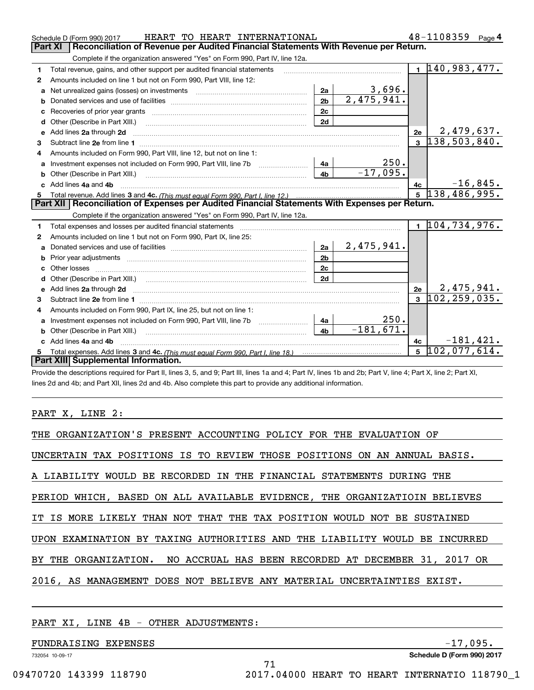|   | HEART TO HEART INTERNATIONAL<br>Schedule D (Form 990) 2017                                                                                                                                                                          |                |                   |                | 48-1108359<br>Page $4$      |  |  |  |  |
|---|-------------------------------------------------------------------------------------------------------------------------------------------------------------------------------------------------------------------------------------|----------------|-------------------|----------------|-----------------------------|--|--|--|--|
|   | <b>Part XI</b><br>Reconciliation of Revenue per Audited Financial Statements With Revenue per Return.                                                                                                                               |                |                   |                |                             |  |  |  |  |
|   | Complete if the organization answered "Yes" on Form 990, Part IV, line 12a.                                                                                                                                                         |                |                   |                |                             |  |  |  |  |
| 1 | Total revenue, gains, and other support per audited financial statements                                                                                                                                                            |                |                   |                | $1\overline{140,983,477}$ . |  |  |  |  |
| 2 | Amounts included on line 1 but not on Form 990, Part VIII, line 12:                                                                                                                                                                 |                |                   |                |                             |  |  |  |  |
| a | Net unrealized gains (losses) on investments [11] matter contracts and the unrealized gains (losses) on investments                                                                                                                 | 2a             | 3,696.            |                |                             |  |  |  |  |
| b |                                                                                                                                                                                                                                     | 2 <sub>b</sub> | 2,475,941.        |                |                             |  |  |  |  |
|   |                                                                                                                                                                                                                                     | 2c             |                   |                |                             |  |  |  |  |
| d |                                                                                                                                                                                                                                     | 2d             |                   |                |                             |  |  |  |  |
| е | Add lines 2a through 2d                                                                                                                                                                                                             |                |                   | 2e             | 2,479,637.                  |  |  |  |  |
| 3 |                                                                                                                                                                                                                                     |                |                   | $\mathbf{3}$   | 138,503,840.                |  |  |  |  |
| 4 | Amounts included on Form 990, Part VIII, line 12, but not on line 1:                                                                                                                                                                |                |                   |                |                             |  |  |  |  |
|   | Investment expenses not included on Form 990, Part VIII, line 7b [111] [11] Investment expenses not included on Form 990, Part VIII, line 7b                                                                                        | - 4a           | 250.              |                |                             |  |  |  |  |
|   |                                                                                                                                                                                                                                     | 4 <sub>b</sub> | $-17,095.$        |                |                             |  |  |  |  |
|   | c Add lines 4a and 4b                                                                                                                                                                                                               |                |                   | 4c             | $-16,845.$                  |  |  |  |  |
|   |                                                                                                                                                                                                                                     |                |                   |                |                             |  |  |  |  |
|   |                                                                                                                                                                                                                                     |                |                   |                | $5\overline{138,486,995.}$  |  |  |  |  |
|   | Part XII Reconciliation of Expenses per Audited Financial Statements With Expenses per Return.                                                                                                                                      |                |                   |                |                             |  |  |  |  |
|   | Complete if the organization answered "Yes" on Form 990, Part IV, line 12a.                                                                                                                                                         |                |                   |                |                             |  |  |  |  |
| 1 | Total expenses and losses per audited financial statements [11] [12] contain an intervention and contain a statements [13] [13] and the statements [13] [13] and the statements [13] and the statements [13] and the statement      |                |                   |                | 1 104,734,976.              |  |  |  |  |
| 2 | Amounts included on line 1 but not on Form 990, Part IX, line 25:                                                                                                                                                                   |                |                   |                |                             |  |  |  |  |
| a |                                                                                                                                                                                                                                     | 2a             | <u>2,475,941.</u> |                |                             |  |  |  |  |
| b |                                                                                                                                                                                                                                     | 2 <sub>b</sub> |                   |                |                             |  |  |  |  |
|   | Other losses                                                                                                                                                                                                                        | 2c             |                   |                |                             |  |  |  |  |
|   |                                                                                                                                                                                                                                     | 2d             |                   |                |                             |  |  |  |  |
| e | Add lines 2a through 2d <b>contained a contained a contained a contained a</b> contained a contact the state of the state of the state of the state of the state of the state of the state of the state of the state of the state o |                |                   | 2e             | 2,475,941.                  |  |  |  |  |
| 3 | Subtract line 2e from line 1 <b>manufacture in the contract of the 2e</b> from line 1                                                                                                                                               |                |                   | $\mathbf{3}$   | 102, 259, 035.              |  |  |  |  |
| 4 | Amounts included on Form 990, Part IX, line 25, but not on line 1:                                                                                                                                                                  |                |                   |                |                             |  |  |  |  |
| a | Investment expenses not included on Form 990, Part VIII, line 7b [11, 111, 111, 111]                                                                                                                                                | 4a             | 250.              |                |                             |  |  |  |  |
|   | Other (Describe in Part XIII.)                                                                                                                                                                                                      | 4 <sub>b</sub> | $-181,671.$       |                |                             |  |  |  |  |
|   | c Add lines 4a and 4b                                                                                                                                                                                                               |                |                   | 4c             | $-181, 421.$                |  |  |  |  |
|   | Part XIII Supplemental Information.                                                                                                                                                                                                 |                |                   | $\overline{5}$ | 102,077,614.                |  |  |  |  |

Provide the descriptions required for Part II, lines 3, 5, and 9; Part III, lines 1a and 4; Part IV, lines 1b and 2b; Part V, line 4; Part X, line 2; Part XI, lines 2d and 4b; and Part XII, lines 2d and 4b. Also complete this part to provide any additional information.

### PART X, LINE 2:

| THE ORGANIZATION'S PRESENT ACCOUNTING POLICY FOR THE EVALUATION OF         |
|----------------------------------------------------------------------------|
| UNCERTAIN TAX POSITIONS IS TO REVIEW THOSE POSITIONS ON AN ANNUAL BASIS.   |
| A LIABILITY WOULD BE RECORDED IN THE FINANCIAL STATEMENTS DURING THE       |
| PERIOD WHICH, BASED ON ALL AVAILABLE EVIDENCE, THE ORGANIZATIOIN BELIEVES  |
| IT IS MORE LIKELY THAN NOT THAT THE TAX POSITION WOULD NOT BE SUSTAINED    |
| UPON EXAMINATION BY TAXING AUTHORITIES AND THE LIABILITY WOULD BE INCURRED |
| BY THE ORGANIZATION. NO ACCRUAL HAS BEEN RECORDED AT DECEMBER 31, 2017 OR  |
| 2016, AS MANAGEMENT DOES NOT BELIEVE ANY MATERIAL UNCERTAINTIES EXIST.     |
|                                                                            |

71

## PART XI, LINE 4B - OTHER ADJUSTMENTS:

# FUNDRAISING EXPENSES  $-17,095$ .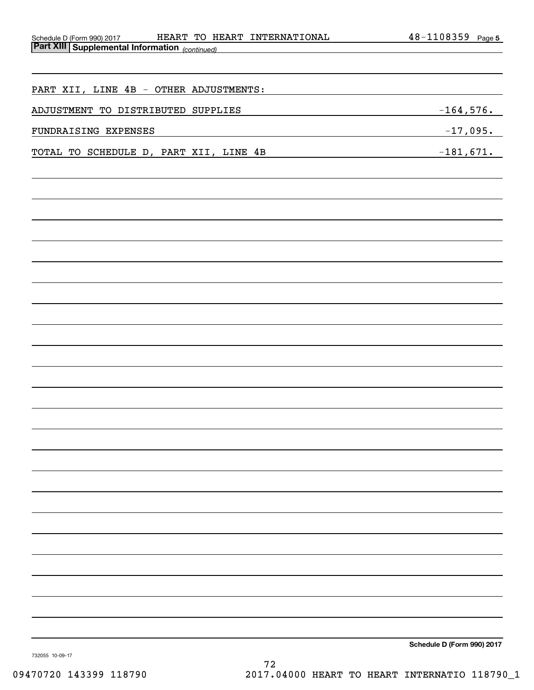| HEART TO HEART INTERNATIONAL                                                             | $48 - 1108359$ Page 5      |
|------------------------------------------------------------------------------------------|----------------------------|
| Schedule D (Form 990) 2017 HEART TO H.<br>Part XIII Supplemental Information (continued) |                            |
|                                                                                          |                            |
|                                                                                          |                            |
| PART XII, LINE 4B - OTHER ADJUSTMENTS:                                                   |                            |
| ADJUSTMENT TO DISTRIBUTED SUPPLIES                                                       | $-164,576.$                |
| FUNDRAISING EXPENSES                                                                     | $-17,095.$                 |
|                                                                                          |                            |
| TOTAL TO SCHEDULE D, PART XII, LINE 4B                                                   | $-181,671.$                |
|                                                                                          |                            |
|                                                                                          |                            |
|                                                                                          |                            |
|                                                                                          |                            |
|                                                                                          |                            |
|                                                                                          |                            |
|                                                                                          |                            |
|                                                                                          |                            |
|                                                                                          |                            |
|                                                                                          |                            |
|                                                                                          |                            |
|                                                                                          |                            |
|                                                                                          |                            |
|                                                                                          |                            |
|                                                                                          |                            |
|                                                                                          |                            |
|                                                                                          |                            |
|                                                                                          |                            |
|                                                                                          |                            |
|                                                                                          |                            |
|                                                                                          |                            |
|                                                                                          |                            |
|                                                                                          |                            |
|                                                                                          |                            |
|                                                                                          |                            |
|                                                                                          |                            |
|                                                                                          |                            |
|                                                                                          |                            |
|                                                                                          |                            |
|                                                                                          |                            |
|                                                                                          |                            |
|                                                                                          |                            |
|                                                                                          | Schedule D (Form 990) 2017 |

732055 10-09-17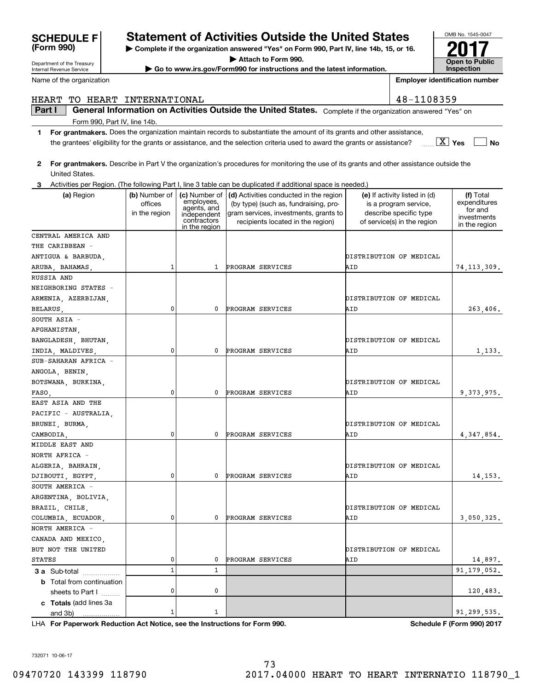# **SCHEDULE F Statement of Activities Outside the United States**

**| Complete if the organization answered "Yes" on Form 990, Part IV, line 14b, 15, or 16.**

**| Attach to Form 990.**

**| Go to www.irs.gov/Form990 for instructions and the latest information.**

**For grantmakers.**  Describe in Part V the organization's procedures for monitoring the use of its grants and other assistance outside the

**Part I**  $\parallel$  General Information on Activities Outside the United States. Complete if the organization answered "Yes" on

HEART TO HEART INTERNATIONAL 48-1108359

**1For grantmakers.**  Does the organization maintain records to substantiate the amount of its grants and other assistance,

the grantees' eligibility for the grants or assistance, and the selection criteria used to award the grants or assistance?

**3** Activities per Region. (The following Part I, line 3 table can be duplicated if additional space is needed.) **(a)** Region **| (b)** Number of | **(c)** Number of | **(d)** Activities conducted in the region | **(e)** If activity listed in (d) **(f) 3 a** Sub-total .................. **b** Total from continuation **c Totals**  (add lines 3a LHA For Paperwork Reduction Act Notice, see the Instructions for Form 990. Schedule F (Form 990) 2017 United States. (a) Region  $\vert$  (b) Number of officesin the region employees, agents, and independent contractors in the region (by type) (such as, fundraising, program services, investments, grants to recipients located in the region) (e) If activity listed in (d) is a program service, describe specific type of service(s) in the region (f) Total expenditures for and investments in the region sheets to Part  $1$   $\ldots$ ... and 3b) 74,113,309. 263,406. 1,133. 9,373,975. 4,347,854. 14,153. 3,050,325. 14,897. PROGRAM SERVICES AID PROGRAM SERVICES PROGRAM SERVICES PROGRAM SERVICES PROGRAM SERVICES PROGRAM SERVICES 91,179,052. DISTRIBUTION OF MEDICAL DISTRIBUTION OF MEDICAL DISTRIBUTION OF MEDICAL DISTRIBUTION OF MEDICAL PROGRAM SERVICES PROGRAM SERVICES AIDAIDAID AIDAIDAIDATD ANTIGUA & BARBUDA, THE CARIBBEAN -CENTRAL AMERICA AND RUSSIA AND SOUTH ASIA DISTRIBUTION OF MEDICAL 1000000 $\Omega$ SUB-SAHARAN AFRICA EAST ASIA AND THE MIDDLE EAST AND SOUTH AMERICA NORTH AMERICA - NEIGHBORING STATES - AFGHANISTAN, DISTRIBUTION OF MEDICAL DISTRIBUTION OF MEDICAL 110000000ANGOLA, BENIN, PACIFIC - AUSTRALIA, NORTH AFRICA - ARGENTINA, BOLIVIA, CANADA AND MEXICO, ARMENIA, AZERBIJAN, BANGLADESH, BHUTAN, BOTSWANA, BURKINA, BRUNEI, BURMA, 1ARUBA, BAHAMAS BELARUS, INDIA, MALDIVES, FASO, CAMBODIA, DJIBOUTI, EGYPT, COLUMBIA, ECUADOR, STATES ALGERIA, BAHRAIN, BRAZIL, CHILE, BUT NOT THE UNITED DISTRIBUTION OF MEDICAL 0 120,483. 1 91,299,535. 01

Internal Revenue Service

Department of the Treasury

**2**

Name of the organization

**(Form 990)**

Form 990, Part IV, line 14b.

**Employer identification number**

**Yes** X

**No**

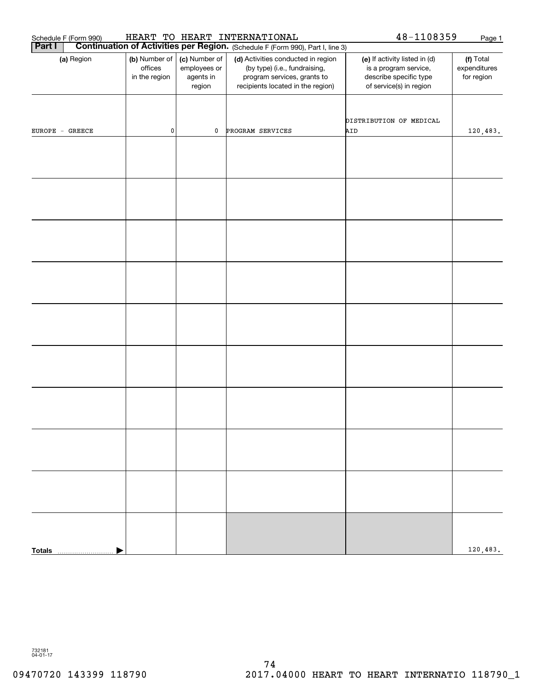| Schedule F (Form 990) | HEART TO HEART INTERNATIONAL              | 48-1108359                                           | Page 1                                                                                                                                  |                                                                                                             |                                         |
|-----------------------|-------------------------------------------|------------------------------------------------------|-----------------------------------------------------------------------------------------------------------------------------------------|-------------------------------------------------------------------------------------------------------------|-----------------------------------------|
| Part I                |                                           |                                                      | <b>Continuation of Activities per Region.</b> (Schedule F (Form 990), Part I, line 3)                                                   |                                                                                                             |                                         |
| (a) Region            | (b) Number of<br>offices<br>in the region | (c) Number of<br>employees or<br>agents in<br>region | (d) Activities conducted in region<br>(by type) (i.e., fundraising,<br>program services, grants to<br>recipients located in the region) | (e) If activity listed in (d)<br>is a program service,<br>describe specific type<br>of service(s) in region | (f) Total<br>expenditures<br>for region |
| $EUROPE - GREECE$     | $\pmb{0}$                                 | $\mathbf 0$                                          | PROGRAM SERVICES                                                                                                                        | DISTRIBUTION OF MEDICAL<br>AID                                                                              | 120,483.                                |
|                       |                                           |                                                      |                                                                                                                                         |                                                                                                             |                                         |
|                       |                                           |                                                      |                                                                                                                                         |                                                                                                             |                                         |
|                       |                                           |                                                      |                                                                                                                                         |                                                                                                             |                                         |
|                       |                                           |                                                      |                                                                                                                                         |                                                                                                             |                                         |
|                       |                                           |                                                      |                                                                                                                                         |                                                                                                             |                                         |
|                       |                                           |                                                      |                                                                                                                                         |                                                                                                             |                                         |
|                       |                                           |                                                      |                                                                                                                                         |                                                                                                             |                                         |
|                       |                                           |                                                      |                                                                                                                                         |                                                                                                             |                                         |
|                       |                                           |                                                      |                                                                                                                                         |                                                                                                             |                                         |
|                       |                                           |                                                      |                                                                                                                                         |                                                                                                             |                                         |
| <b>Totals</b>         |                                           |                                                      |                                                                                                                                         |                                                                                                             | 120,483.                                |

732181 04-01-17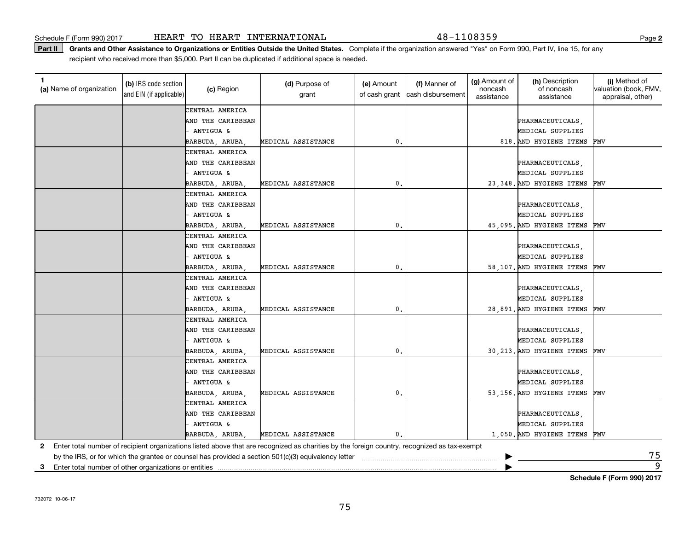Part II | Grants and Other Assistance to Organizations or Entities Outside the United States. Complete if the organization answered "Yes" on Form 990, Part IV, line 15, for any recipient who received more than \$5,000. Part II can be duplicated if additional space is needed.

| 1.<br>(a) Name of organization                             | (b) IRS code section<br>and EIN (if applicable) | (c) Region        | (d) Purpose of<br>grant                                                                                                                      | (e) Amount<br>of cash grant | (f) Manner of<br>cash disbursement | (g) Amount of<br>noncash<br>assistance | (h) Description<br>of noncash<br>assistance | (i) Method of<br>valuation (book, FMV,<br>appraisal, other) |
|------------------------------------------------------------|-------------------------------------------------|-------------------|----------------------------------------------------------------------------------------------------------------------------------------------|-----------------------------|------------------------------------|----------------------------------------|---------------------------------------------|-------------------------------------------------------------|
|                                                            |                                                 | CENTRAL AMERICA   |                                                                                                                                              |                             |                                    |                                        |                                             |                                                             |
|                                                            |                                                 | AND THE CARIBBEAN |                                                                                                                                              |                             |                                    |                                        | PHARMACEUTICALS,                            |                                                             |
|                                                            |                                                 | ANTIGUA &         |                                                                                                                                              |                             |                                    |                                        | MEDICAL SUPPLIES                            |                                                             |
|                                                            |                                                 | BARBUDA, ARUBA    | MEDICAL ASSISTANCE                                                                                                                           | $\mathsf{0}\,.$             |                                    |                                        | 818. AND HYGIENE ITEMS                      | FMV                                                         |
|                                                            |                                                 | CENTRAL AMERICA   |                                                                                                                                              |                             |                                    |                                        |                                             |                                                             |
|                                                            |                                                 | AND THE CARIBBEAN |                                                                                                                                              |                             |                                    |                                        | PHARMACEUTICALS,                            |                                                             |
|                                                            |                                                 | ANTIGUA &         |                                                                                                                                              |                             |                                    |                                        | MEDICAL SUPPLIES                            |                                                             |
|                                                            |                                                 | BARBUDA, ARUBA,   | MEDICAL ASSISTANCE                                                                                                                           | 0.                          |                                    |                                        | 23,348. AND HYGIENE ITEMS                   | FMV                                                         |
|                                                            |                                                 | CENTRAL AMERICA   |                                                                                                                                              |                             |                                    |                                        |                                             |                                                             |
|                                                            |                                                 | AND THE CARIBBEAN |                                                                                                                                              |                             |                                    |                                        | PHARMACEUTICALS,                            |                                                             |
|                                                            |                                                 | ANTIGUA &         |                                                                                                                                              |                             |                                    |                                        | MEDICAL SUPPLIES                            |                                                             |
|                                                            |                                                 | BARBUDA, ARUBA,   | MEDICAL ASSISTANCE                                                                                                                           | $\mathfrak o$ .             |                                    |                                        | 45,095. AND HYGIENE ITEMS                   | FMV                                                         |
|                                                            |                                                 | CENTRAL AMERICA   |                                                                                                                                              |                             |                                    |                                        |                                             |                                                             |
|                                                            |                                                 | AND THE CARIBBEAN |                                                                                                                                              |                             |                                    |                                        | PHARMACEUTICALS,                            |                                                             |
|                                                            |                                                 | ANTIGUA &         |                                                                                                                                              |                             |                                    |                                        | MEDICAL SUPPLIES                            |                                                             |
|                                                            |                                                 | BARBUDA, ARUBA,   | MEDICAL ASSISTANCE                                                                                                                           | $\mathfrak o$ .             |                                    |                                        | 58,107. AND HYGIENE ITEMS                   | FMV                                                         |
|                                                            |                                                 | CENTRAL AMERICA   |                                                                                                                                              |                             |                                    |                                        |                                             |                                                             |
|                                                            |                                                 | AND THE CARIBBEAN |                                                                                                                                              |                             |                                    |                                        | PHARMACEUTICALS,                            |                                                             |
|                                                            |                                                 | ANTIGUA &         |                                                                                                                                              |                             |                                    |                                        | MEDICAL SUPPLIES                            |                                                             |
|                                                            |                                                 | BARBUDA, ARUBA,   | MEDICAL ASSISTANCE                                                                                                                           | $\mathbf{0}$ .              |                                    |                                        | 28,891. AND HYGIENE ITEMS                   | FMV                                                         |
|                                                            |                                                 | CENTRAL AMERICA   |                                                                                                                                              |                             |                                    |                                        |                                             |                                                             |
|                                                            |                                                 | AND THE CARIBBEAN |                                                                                                                                              |                             |                                    |                                        | PHARMACEUTICALS,                            |                                                             |
|                                                            |                                                 | ANTIGUA &         |                                                                                                                                              |                             |                                    |                                        | MEDICAL SUPPLIES                            |                                                             |
|                                                            |                                                 | BARBUDA, ARUBA,   | MEDICAL ASSISTANCE                                                                                                                           | 0.                          |                                    |                                        | 30, 213. AND HYGIENE ITEMS                  | FMV                                                         |
|                                                            |                                                 | CENTRAL AMERICA   |                                                                                                                                              |                             |                                    |                                        |                                             |                                                             |
|                                                            |                                                 | AND THE CARIBBEAN |                                                                                                                                              |                             |                                    |                                        | PHARMACEUTICALS,                            |                                                             |
|                                                            |                                                 | ANTIGUA &         |                                                                                                                                              |                             |                                    |                                        | MEDICAL SUPPLIES                            |                                                             |
|                                                            |                                                 | BARBUDA, ARUBA,   | MEDICAL ASSISTANCE                                                                                                                           | 0                           |                                    |                                        | 53,156. AND HYGIENE ITEMS                   | FMV                                                         |
|                                                            |                                                 | CENTRAL AMERICA   |                                                                                                                                              |                             |                                    |                                        |                                             |                                                             |
|                                                            |                                                 | AND THE CARIBBEAN |                                                                                                                                              |                             |                                    |                                        | PHARMACEUTICALS,                            |                                                             |
|                                                            |                                                 | ANTIGUA &         |                                                                                                                                              |                             |                                    |                                        | MEDICAL SUPPLIES                            |                                                             |
|                                                            |                                                 | BARBUDA, ARUBA,   | MEDICAL ASSISTANCE                                                                                                                           | 0.                          |                                    |                                        | 1,050. AND HYGIENE ITEMS FMV                |                                                             |
| 2                                                          |                                                 |                   | Enter total number of recipient organizations listed above that are recognized as charities by the foreign country, recognized as tax-exempt |                             |                                    |                                        |                                             |                                                             |
|                                                            |                                                 |                   | by the IRS, or for which the grantee or counsel has provided a section 501(c)(3) equivalency letter                                          |                             |                                    |                                        |                                             | <u>75</u>                                                   |
| 3<br>Enter total number of other organizations or entities |                                                 |                   |                                                                                                                                              |                             |                                    |                                        |                                             | 9                                                           |

**Schedule F (Form 990) 2017**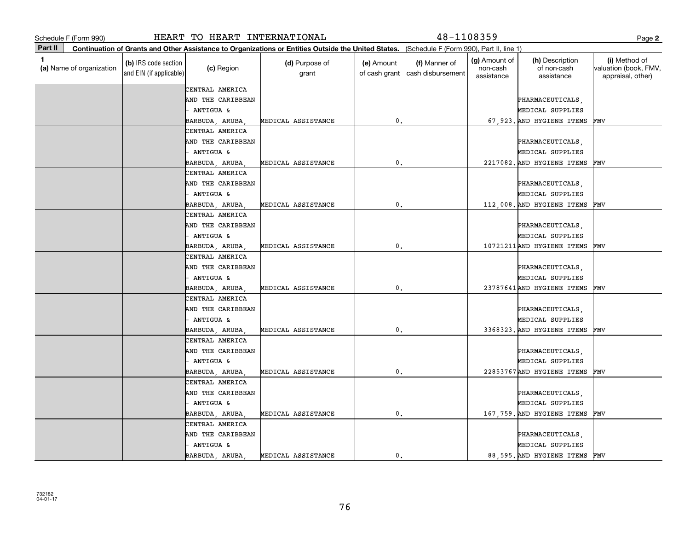|         | Schedule F (Form 990)    |                                                 | HEART TO HEART INTERNATIONAL |                                                                                                                                              |                             | 48-1108359                         |                                         |                                              | Page 2                                                      |
|---------|--------------------------|-------------------------------------------------|------------------------------|----------------------------------------------------------------------------------------------------------------------------------------------|-----------------------------|------------------------------------|-----------------------------------------|----------------------------------------------|-------------------------------------------------------------|
| Part II |                          |                                                 |                              | Continuation of Grants and Other Assistance to Organizations or Entities Outside the United States. (Schedule F (Form 990), Part II, line 1) |                             |                                    |                                         |                                              |                                                             |
| 1       | (a) Name of organization | (b) IRS code section<br>and EIN (if applicable) | (c) Region                   | (d) Purpose of<br>grant                                                                                                                      | (e) Amount<br>of cash grant | (f) Manner of<br>cash disbursement | (g) Amount of<br>non-cash<br>assistance | (h) Description<br>of non-cash<br>assistance | (i) Method of<br>valuation (book, FMV,<br>appraisal, other) |
|         |                          |                                                 | CENTRAL AMERICA              |                                                                                                                                              |                             |                                    |                                         |                                              |                                                             |
|         |                          |                                                 | AND THE CARIBBEAN            |                                                                                                                                              |                             |                                    |                                         | PHARMACEUTICALS,                             |                                                             |
|         |                          |                                                 | ANTIGUA &                    |                                                                                                                                              |                             |                                    |                                         | MEDICAL SUPPLIES                             |                                                             |
|         |                          |                                                 | BARBUDA, ARUBA               | MEDICAL ASSISTANCE                                                                                                                           | 0.                          |                                    |                                         | 67,923. AND HYGIENE ITEMS                    | FMV                                                         |
|         |                          |                                                 | CENTRAL AMERICA              |                                                                                                                                              |                             |                                    |                                         |                                              |                                                             |
|         |                          |                                                 | AND THE CARIBBEAN            |                                                                                                                                              |                             |                                    |                                         | PHARMACEUTICALS,                             |                                                             |
|         |                          |                                                 | ANTIGUA &                    |                                                                                                                                              |                             |                                    |                                         | MEDICAL SUPPLIES                             |                                                             |
|         |                          |                                                 | BARBUDA, ARUBA,              | MEDICAL ASSISTANCE                                                                                                                           | $\mathbf{0}$                |                                    |                                         | 2217082. AND HYGIENE ITEMS                   | FMV                                                         |
|         |                          |                                                 | CENTRAL AMERICA              |                                                                                                                                              |                             |                                    |                                         |                                              |                                                             |
|         |                          |                                                 | AND THE CARIBBEAN            |                                                                                                                                              |                             |                                    |                                         | PHARMACEUTICALS,                             |                                                             |
|         |                          |                                                 | ANTIGUA &                    |                                                                                                                                              |                             |                                    |                                         | MEDICAL SUPPLIES                             |                                                             |
|         |                          |                                                 | BARBUDA, ARUBA               | MEDICAL ASSISTANCE                                                                                                                           | 0.                          |                                    |                                         | 112,008. AND HYGIENE ITEMS                   | FMV                                                         |
|         |                          |                                                 | CENTRAL AMERICA              |                                                                                                                                              |                             |                                    |                                         |                                              |                                                             |
|         |                          |                                                 | AND THE CARIBBEAN            |                                                                                                                                              |                             |                                    |                                         | PHARMACEUTICALS,                             |                                                             |
|         |                          |                                                 | ANTIGUA &                    |                                                                                                                                              |                             |                                    |                                         | MEDICAL SUPPLIES                             |                                                             |
|         |                          |                                                 | BARBUDA, ARUBA,              | MEDICAL ASSISTANCE                                                                                                                           | $\mathbf{0}$                |                                    |                                         | 10721211AND HYGIENE ITEMS                    | FMV                                                         |
|         |                          |                                                 | CENTRAL AMERICA              |                                                                                                                                              |                             |                                    |                                         |                                              |                                                             |
|         |                          |                                                 | AND THE CARIBBEAN            |                                                                                                                                              |                             |                                    |                                         | PHARMACEUTICALS,                             |                                                             |
|         |                          |                                                 | <b>ANTIGUA &amp;</b>         |                                                                                                                                              |                             |                                    |                                         | MEDICAL SUPPLIES                             |                                                             |
|         |                          |                                                 | BARBUDA, ARUBA               | MEDICAL ASSISTANCE                                                                                                                           | 0.                          |                                    |                                         | 23787641AND HYGIENE ITEMS                    | FMV                                                         |
|         |                          |                                                 | CENTRAL AMERICA              |                                                                                                                                              |                             |                                    |                                         |                                              |                                                             |
|         |                          |                                                 | AND THE CARIBBEAN            |                                                                                                                                              |                             |                                    |                                         | PHARMACEUTICALS,                             |                                                             |
|         |                          |                                                 | ANTIGUA &                    |                                                                                                                                              |                             |                                    |                                         | MEDICAL SUPPLIES                             |                                                             |
|         |                          |                                                 | BARBUDA, ARUBA               | MEDICAL ASSISTANCE                                                                                                                           | 0.                          |                                    |                                         | 3368323. AND HYGIENE ITEMS                   | FMV                                                         |
|         |                          |                                                 | CENTRAL AMERICA              |                                                                                                                                              |                             |                                    |                                         |                                              |                                                             |
|         |                          |                                                 | AND THE CARIBBEAN            |                                                                                                                                              |                             |                                    |                                         | PHARMACEUTICALS,                             |                                                             |
|         |                          |                                                 | ANTIGUA &                    |                                                                                                                                              |                             |                                    |                                         | MEDICAL SUPPLIES                             |                                                             |
|         |                          |                                                 | BARBUDA, ARUBA,              | MEDICAL ASSISTANCE                                                                                                                           | $\mathbf{0}$                |                                    |                                         | 22853767 AND HYGIENE ITEMS                   | FMV                                                         |
|         |                          |                                                 | CENTRAL AMERICA              |                                                                                                                                              |                             |                                    |                                         |                                              |                                                             |
|         |                          |                                                 | AND THE CARIBBEAN            |                                                                                                                                              |                             |                                    |                                         | PHARMACEUTICALS,                             |                                                             |
|         |                          |                                                 | ANTIGUA &                    |                                                                                                                                              |                             |                                    |                                         | MEDICAL SUPPLIES                             |                                                             |
|         |                          |                                                 | BARBUDA, ARUBA               | MEDICAL ASSISTANCE                                                                                                                           | 0.                          |                                    |                                         | 167,759. AND HYGIENE ITEMS                   | FMV                                                         |
|         |                          |                                                 | CENTRAL AMERICA              |                                                                                                                                              |                             |                                    |                                         |                                              |                                                             |
|         |                          |                                                 | AND THE CARIBBEAN            |                                                                                                                                              |                             |                                    |                                         | PHARMACEUTICALS,                             |                                                             |
|         |                          |                                                 | ANTIGUA &                    |                                                                                                                                              |                             |                                    |                                         | MEDICAL SUPPLIES                             |                                                             |
|         |                          |                                                 | BARBUDA, ARUBA,              | MEDICAL ASSISTANCE                                                                                                                           | 0.                          |                                    |                                         | 88,595. AND HYGIENE ITEMS                    | FMV                                                         |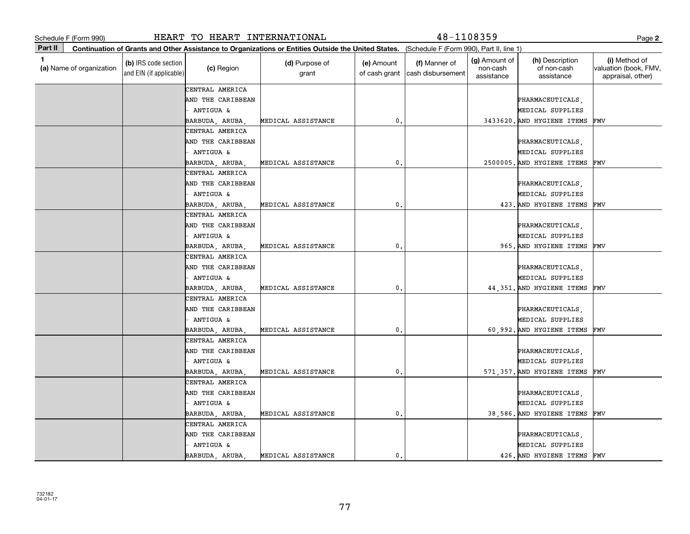|             | Schedule F (Form 990)    |                                                 | HEART TO HEART INTERNATIONAL |                                                                                                                                              |                             | 48-1108359                         |                                         |                                              | Page 2                                                      |
|-------------|--------------------------|-------------------------------------------------|------------------------------|----------------------------------------------------------------------------------------------------------------------------------------------|-----------------------------|------------------------------------|-----------------------------------------|----------------------------------------------|-------------------------------------------------------------|
| Part II     |                          |                                                 |                              | Continuation of Grants and Other Assistance to Organizations or Entities Outside the United States. (Schedule F (Form 990), Part II, line 1) |                             |                                    |                                         |                                              |                                                             |
| $\mathbf 1$ | (a) Name of organization | (b) IRS code section<br>and EIN (if applicable) | (c) Region                   | (d) Purpose of<br>grant                                                                                                                      | (e) Amount<br>of cash grant | (f) Manner of<br>cash disbursement | (g) Amount of<br>non-cash<br>assistance | (h) Description<br>of non-cash<br>assistance | (i) Method of<br>valuation (book, FMV,<br>appraisal, other) |
|             |                          |                                                 | CENTRAL AMERICA              |                                                                                                                                              |                             |                                    |                                         |                                              |                                                             |
|             |                          |                                                 | AND THE CARIBBEAN            |                                                                                                                                              |                             |                                    |                                         | PHARMACEUTICALS,                             |                                                             |
|             |                          |                                                 | ANTIGUA &                    |                                                                                                                                              |                             |                                    |                                         | MEDICAL SUPPLIES                             |                                                             |
|             |                          |                                                 | BARBUDA, ARUBA               | MEDICAL ASSISTANCE                                                                                                                           | 0.                          |                                    |                                         | 3433620. AND HYGIENE ITEMS                   | FMV                                                         |
|             |                          |                                                 | CENTRAL AMERICA              |                                                                                                                                              |                             |                                    |                                         |                                              |                                                             |
|             |                          |                                                 | AND THE CARIBBEAN            |                                                                                                                                              |                             |                                    |                                         | PHARMACEUTICALS,                             |                                                             |
|             |                          |                                                 | ANTIGUA &                    |                                                                                                                                              |                             |                                    |                                         | MEDICAL SUPPLIES                             |                                                             |
|             |                          |                                                 | BARBUDA, ARUBA,              | MEDICAL ASSISTANCE                                                                                                                           | $\mathbf{0}$                |                                    |                                         | 2500005. AND HYGIENE ITEMS                   | FMV                                                         |
|             |                          |                                                 | CENTRAL AMERICA              |                                                                                                                                              |                             |                                    |                                         |                                              |                                                             |
|             |                          |                                                 | AND THE CARIBBEAN            |                                                                                                                                              |                             |                                    |                                         | PHARMACEUTICALS,                             |                                                             |
|             |                          |                                                 | ANTIGUA &                    |                                                                                                                                              |                             |                                    |                                         | MEDICAL SUPPLIES                             |                                                             |
|             |                          |                                                 | BARBUDA, ARUBA,              | MEDICAL ASSISTANCE                                                                                                                           | 0.                          |                                    |                                         | 423. AND HYGIENE ITEMS                       | FMV                                                         |
|             |                          |                                                 | CENTRAL AMERICA              |                                                                                                                                              |                             |                                    |                                         |                                              |                                                             |
|             |                          |                                                 | AND THE CARIBBEAN            |                                                                                                                                              |                             |                                    |                                         | PHARMACEUTICALS,                             |                                                             |
|             |                          |                                                 | ANTIGUA &                    |                                                                                                                                              |                             |                                    |                                         | MEDICAL SUPPLIES                             |                                                             |
|             |                          |                                                 | BARBUDA, ARUBA,              | MEDICAL ASSISTANCE                                                                                                                           | 0.                          |                                    |                                         | 965. AND HYGIENE ITEMS                       | FMV                                                         |
|             |                          |                                                 | CENTRAL AMERICA              |                                                                                                                                              |                             |                                    |                                         |                                              |                                                             |
|             |                          |                                                 | AND THE CARIBBEAN            |                                                                                                                                              |                             |                                    |                                         | PHARMACEUTICALS,                             |                                                             |
|             |                          |                                                 | - ANTIGUA &                  |                                                                                                                                              |                             |                                    |                                         | MEDICAL SUPPLIES                             |                                                             |
|             |                          |                                                 | BARBUDA, ARUBA,              | MEDICAL ASSISTANCE                                                                                                                           | 0.                          |                                    |                                         | 44,351. AND HYGIENE ITEMS                    | FMV                                                         |
|             |                          |                                                 | CENTRAL AMERICA              |                                                                                                                                              |                             |                                    |                                         |                                              |                                                             |
|             |                          |                                                 | AND THE CARIBBEAN            |                                                                                                                                              |                             |                                    |                                         | PHARMACEUTICALS,                             |                                                             |
|             |                          |                                                 | ANTIGUA &                    |                                                                                                                                              |                             |                                    |                                         | MEDICAL SUPPLIES                             |                                                             |
|             |                          |                                                 | BARBUDA, ARUBA,              | MEDICAL ASSISTANCE                                                                                                                           | 0.                          |                                    |                                         | 60,992. AND HYGIENE ITEMS                    | FMV                                                         |
|             |                          |                                                 | CENTRAL AMERICA              |                                                                                                                                              |                             |                                    |                                         |                                              |                                                             |
|             |                          |                                                 | AND THE CARIBBEAN            |                                                                                                                                              |                             |                                    |                                         | PHARMACEUTICALS,                             |                                                             |
|             |                          |                                                 | ANTIGUA &                    |                                                                                                                                              |                             |                                    |                                         | MEDICAL SUPPLIES                             |                                                             |
|             |                          |                                                 | BARBUDA, ARUBA,              | MEDICAL ASSISTANCE                                                                                                                           | 0.                          |                                    |                                         | 571,357. AND HYGIENE ITEMS                   | FMV                                                         |
|             |                          |                                                 | CENTRAL AMERICA              |                                                                                                                                              |                             |                                    |                                         |                                              |                                                             |
|             |                          |                                                 | AND THE CARIBBEAN            |                                                                                                                                              |                             |                                    |                                         | PHARMACEUTICALS,                             |                                                             |
|             |                          |                                                 | ANTIGUA &                    |                                                                                                                                              |                             |                                    |                                         | MEDICAL SUPPLIES                             |                                                             |
|             |                          |                                                 | BARBUDA, ARUBA,              | MEDICAL ASSISTANCE                                                                                                                           | 0.                          |                                    |                                         | 38,586. AND HYGIENE ITEMS                    | FMV                                                         |
|             |                          |                                                 | CENTRAL AMERICA              |                                                                                                                                              |                             |                                    |                                         |                                              |                                                             |
|             |                          |                                                 | AND THE CARIBBEAN            |                                                                                                                                              |                             |                                    |                                         | PHARMACEUTICALS,                             |                                                             |
|             |                          |                                                 | ANTIGUA &                    |                                                                                                                                              |                             |                                    |                                         | MEDICAL SUPPLIES                             |                                                             |
|             |                          |                                                 | BARBUDA, ARUBA,              | MEDICAL ASSISTANCE                                                                                                                           | 0.                          |                                    |                                         | 426. AND HYGIENE ITEMS                       | FMV                                                         |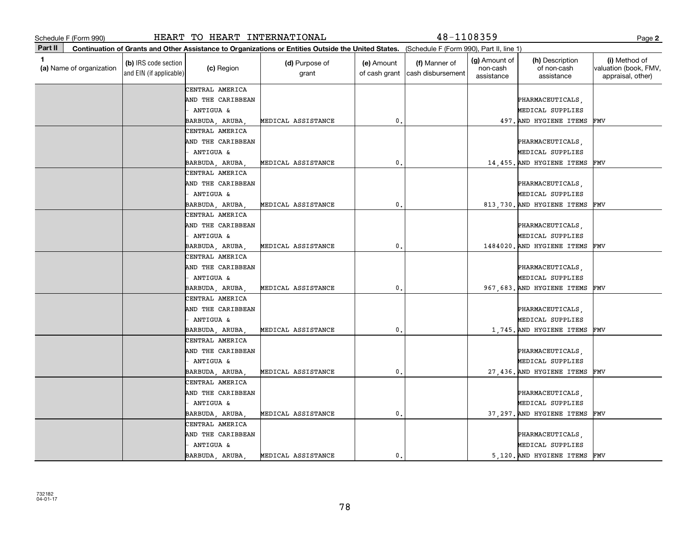|         | Schedule F (Form 990)    |                                                 | HEART TO HEART INTERNATIONAL |                                                                                                                                              |                             | 48-1108359                         |                                         |                                              | Page 2                                                      |
|---------|--------------------------|-------------------------------------------------|------------------------------|----------------------------------------------------------------------------------------------------------------------------------------------|-----------------------------|------------------------------------|-----------------------------------------|----------------------------------------------|-------------------------------------------------------------|
| Part II |                          |                                                 |                              | Continuation of Grants and Other Assistance to Organizations or Entities Outside the United States. (Schedule F (Form 990), Part II, line 1) |                             |                                    |                                         |                                              |                                                             |
| 1       | (a) Name of organization | (b) IRS code section<br>and EIN (if applicable) | (c) Region                   | (d) Purpose of<br>grant                                                                                                                      | (e) Amount<br>of cash grant | (f) Manner of<br>cash disbursement | (g) Amount of<br>non-cash<br>assistance | (h) Description<br>of non-cash<br>assistance | (i) Method of<br>valuation (book, FMV,<br>appraisal, other) |
|         |                          |                                                 | CENTRAL AMERICA              |                                                                                                                                              |                             |                                    |                                         |                                              |                                                             |
|         |                          |                                                 | AND THE CARIBBEAN            |                                                                                                                                              |                             |                                    |                                         | PHARMACEUTICALS,                             |                                                             |
|         |                          |                                                 | - ANTIGUA &                  |                                                                                                                                              |                             |                                    |                                         | MEDICAL SUPPLIES                             |                                                             |
|         |                          |                                                 | BARBUDA, ARUBA               | MEDICAL ASSISTANCE                                                                                                                           | 0.                          |                                    |                                         | 497. AND HYGIENE ITEMS                       | FMV                                                         |
|         |                          |                                                 | CENTRAL AMERICA              |                                                                                                                                              |                             |                                    |                                         |                                              |                                                             |
|         |                          |                                                 | AND THE CARIBBEAN            |                                                                                                                                              |                             |                                    |                                         | PHARMACEUTICALS,                             |                                                             |
|         |                          |                                                 | ANTIGUA &                    |                                                                                                                                              |                             |                                    |                                         | MEDICAL SUPPLIES                             |                                                             |
|         |                          |                                                 | BARBUDA, ARUBA,              | MEDICAL ASSISTANCE                                                                                                                           | $\mathbf 0$                 |                                    |                                         | 14,455. AND HYGIENE ITEMS                    | FMV                                                         |
|         |                          |                                                 | CENTRAL AMERICA              |                                                                                                                                              |                             |                                    |                                         |                                              |                                                             |
|         |                          |                                                 | AND THE CARIBBEAN            |                                                                                                                                              |                             |                                    |                                         | PHARMACEUTICALS,                             |                                                             |
|         |                          |                                                 | ANTIGUA &                    |                                                                                                                                              |                             |                                    |                                         | MEDICAL SUPPLIES                             |                                                             |
|         |                          |                                                 | BARBUDA, ARUBA               | MEDICAL ASSISTANCE                                                                                                                           | 0.                          |                                    |                                         | 813,730. AND HYGIENE ITEMS                   | FMV                                                         |
|         |                          |                                                 | CENTRAL AMERICA              |                                                                                                                                              |                             |                                    |                                         |                                              |                                                             |
|         |                          |                                                 | AND THE CARIBBEAN            |                                                                                                                                              |                             |                                    |                                         | PHARMACEUTICALS,                             |                                                             |
|         |                          |                                                 | <b>ANTIGUA &amp;</b>         |                                                                                                                                              |                             |                                    |                                         | MEDICAL SUPPLIES                             |                                                             |
|         |                          |                                                 | BARBUDA, ARUBA               | MEDICAL ASSISTANCE                                                                                                                           | $\mathbf 0$ .               |                                    |                                         | 1484020. AND HYGIENE ITEMS                   | FMV                                                         |
|         |                          |                                                 | CENTRAL AMERICA              |                                                                                                                                              |                             |                                    |                                         |                                              |                                                             |
|         |                          |                                                 | AND THE CARIBBEAN            |                                                                                                                                              |                             |                                    |                                         | PHARMACEUTICALS,                             |                                                             |
|         |                          |                                                 | - ANTIGUA &                  |                                                                                                                                              |                             |                                    |                                         | MEDICAL SUPPLIES                             |                                                             |
|         |                          |                                                 | BARBUDA, ARUBA               | MEDICAL ASSISTANCE                                                                                                                           | 0.                          |                                    |                                         | 967,683. AND HYGIENE ITEMS                   | FMV                                                         |
|         |                          |                                                 | CENTRAL AMERICA              |                                                                                                                                              |                             |                                    |                                         |                                              |                                                             |
|         |                          |                                                 | AND THE CARIBBEAN            |                                                                                                                                              |                             |                                    |                                         | PHARMACEUTICALS,                             |                                                             |
|         |                          |                                                 | - ANTIGUA &                  |                                                                                                                                              |                             |                                    |                                         | MEDICAL SUPPLIES                             |                                                             |
|         |                          |                                                 | BARBUDA, ARUBA,              | MEDICAL ASSISTANCE                                                                                                                           | 0.                          |                                    |                                         | 1,745. AND HYGIENE ITEMS                     | FMV                                                         |
|         |                          |                                                 | CENTRAL AMERICA              |                                                                                                                                              |                             |                                    |                                         |                                              |                                                             |
|         |                          |                                                 | AND THE CARIBBEAN            |                                                                                                                                              |                             |                                    |                                         | PHARMACEUTICALS,                             |                                                             |
|         |                          |                                                 | ANTIGUA &                    |                                                                                                                                              |                             |                                    |                                         | MEDICAL SUPPLIES                             |                                                             |
|         |                          |                                                 | BARBUDA, ARUBA,              | MEDICAL ASSISTANCE                                                                                                                           | 0.                          |                                    |                                         | 27,436. AND HYGIENE ITEMS                    | FMV                                                         |
|         |                          |                                                 | CENTRAL AMERICA              |                                                                                                                                              |                             |                                    |                                         |                                              |                                                             |
|         |                          |                                                 | AND THE CARIBBEAN            |                                                                                                                                              |                             |                                    |                                         | PHARMACEUTICALS,                             |                                                             |
|         |                          |                                                 | - ANTIGUA &                  |                                                                                                                                              |                             |                                    |                                         | MEDICAL SUPPLIES                             |                                                             |
|         |                          |                                                 | BARBUDA, ARUBA               | MEDICAL ASSISTANCE                                                                                                                           | $\mathbf{0}$ .              |                                    |                                         | 37,297. AND HYGIENE ITEMS                    | FMV                                                         |
|         |                          |                                                 | CENTRAL AMERICA              |                                                                                                                                              |                             |                                    |                                         |                                              |                                                             |
|         |                          |                                                 | AND THE CARIBBEAN            |                                                                                                                                              |                             |                                    |                                         | PHARMACEUTICALS,                             |                                                             |
|         |                          |                                                 | ANTIGUA &                    |                                                                                                                                              |                             |                                    |                                         | MEDICAL SUPPLIES                             |                                                             |
|         |                          |                                                 | BARBUDA, ARUBA,              | MEDICAL ASSISTANCE                                                                                                                           | 0.                          |                                    |                                         | 5,120. AND HYGIENE ITEMS                     | FMV                                                         |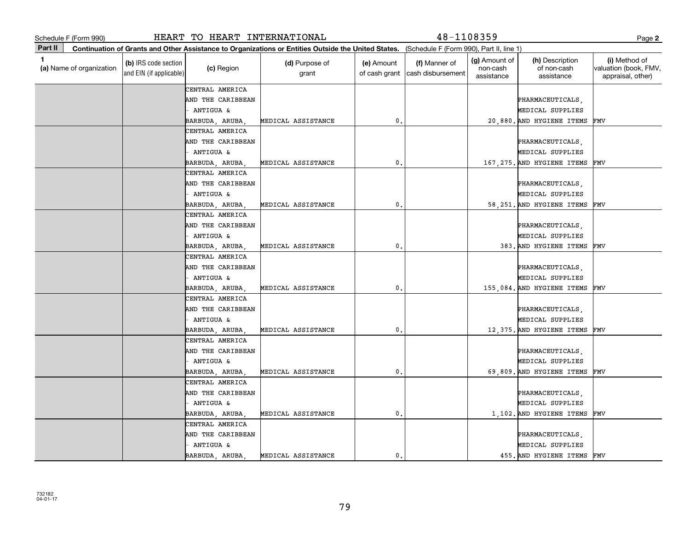|              | Schedule F (Form 990)    |                                                 | HEART TO HEART INTERNATIONAL   |                                                                                                                                              |                             | $48 - 1108359$                     |                                                |                                              | Page 2                                                      |
|--------------|--------------------------|-------------------------------------------------|--------------------------------|----------------------------------------------------------------------------------------------------------------------------------------------|-----------------------------|------------------------------------|------------------------------------------------|----------------------------------------------|-------------------------------------------------------------|
| Part II      |                          |                                                 |                                | Continuation of Grants and Other Assistance to Organizations or Entities Outside the United States. (Schedule F (Form 990), Part II, line 1) |                             |                                    |                                                |                                              |                                                             |
| $\mathbf{1}$ | (a) Name of organization | (b) IRS code section<br>and EIN (if applicable) | (c) Region                     | (d) Purpose of<br>grant                                                                                                                      | (e) Amount<br>of cash grant | (f) Manner of<br>cash disbursement | <b>(g)</b> Amount of<br>non-cash<br>assistance | (h) Description<br>of non-cash<br>assistance | (i) Method of<br>valuation (book, FMV,<br>appraisal, other) |
|              |                          |                                                 | CENTRAL AMERICA                |                                                                                                                                              |                             |                                    |                                                |                                              |                                                             |
|              |                          |                                                 | AND THE CARIBBEAN              |                                                                                                                                              |                             |                                    |                                                | PHARMACEUTICALS,                             |                                                             |
|              |                          |                                                 | ANTIGUA &                      |                                                                                                                                              |                             |                                    |                                                | MEDICAL SUPPLIES                             |                                                             |
|              |                          |                                                 | BARBUDA, ARUBA                 | MEDICAL ASSISTANCE                                                                                                                           | 0.                          |                                    |                                                | 20,880. AND HYGIENE ITEMS                    | FMV                                                         |
|              |                          |                                                 | CENTRAL AMERICA                |                                                                                                                                              |                             |                                    |                                                |                                              |                                                             |
|              |                          |                                                 | AND THE CARIBBEAN              |                                                                                                                                              |                             |                                    |                                                | PHARMACEUTICALS,                             |                                                             |
|              |                          |                                                 | ANTIGUA &                      |                                                                                                                                              |                             |                                    |                                                | MEDICAL SUPPLIES                             |                                                             |
|              |                          |                                                 | BARBUDA, ARUBA,                | MEDICAL ASSISTANCE                                                                                                                           | $\mathbf{0}$                |                                    |                                                | 167, 275. AND HYGIENE ITEMS                  | FMV                                                         |
|              |                          |                                                 | CENTRAL AMERICA                |                                                                                                                                              |                             |                                    |                                                |                                              |                                                             |
|              |                          |                                                 | AND THE CARIBBEAN              |                                                                                                                                              |                             |                                    |                                                | PHARMACEUTICALS,                             |                                                             |
|              |                          |                                                 | ANTIGUA &                      |                                                                                                                                              |                             |                                    |                                                | MEDICAL SUPPLIES                             |                                                             |
|              |                          |                                                 | BARBUDA, ARUBA,                | MEDICAL ASSISTANCE                                                                                                                           | 0.                          |                                    |                                                | 58.251. AND HYGIENE ITEMS                    | FMV                                                         |
|              |                          |                                                 | CENTRAL AMERICA                |                                                                                                                                              |                             |                                    |                                                |                                              |                                                             |
|              |                          |                                                 | AND THE CARIBBEAN              |                                                                                                                                              |                             |                                    |                                                | PHARMACEUTICALS,                             |                                                             |
|              |                          |                                                 | ANTIGUA &                      |                                                                                                                                              |                             |                                    |                                                | MEDICAL SUPPLIES                             |                                                             |
|              |                          |                                                 | BARBUDA, ARUBA,                | MEDICAL ASSISTANCE                                                                                                                           | 0.                          |                                    |                                                | 383. AND HYGIENE ITEMS                       | FMV                                                         |
|              |                          |                                                 | CENTRAL AMERICA                |                                                                                                                                              |                             |                                    |                                                |                                              |                                                             |
|              |                          |                                                 | AND THE CARIBBEAN              |                                                                                                                                              |                             |                                    |                                                | PHARMACEUTICALS,                             |                                                             |
|              |                          |                                                 | <b>ANTIGUA &amp;</b>           |                                                                                                                                              |                             |                                    |                                                | MEDICAL SUPPLIES                             |                                                             |
|              |                          |                                                 | BARBUDA, ARUBA,                | MEDICAL ASSISTANCE                                                                                                                           | 0,                          |                                    |                                                | 155,084. AND HYGIENE ITEMS                   | FMV                                                         |
|              |                          |                                                 | CENTRAL AMERICA                |                                                                                                                                              |                             |                                    |                                                |                                              |                                                             |
|              |                          |                                                 | AND THE CARIBBEAN              |                                                                                                                                              |                             |                                    |                                                | PHARMACEUTICALS,                             |                                                             |
|              |                          |                                                 | ANTIGUA &                      |                                                                                                                                              |                             |                                    |                                                | MEDICAL SUPPLIES                             |                                                             |
|              |                          |                                                 | BARBUDA, ARUBA,                | MEDICAL ASSISTANCE                                                                                                                           | 0.                          |                                    |                                                | 12,375. AND HYGIENE ITEMS                    | FMV                                                         |
|              |                          |                                                 | CENTRAL AMERICA                |                                                                                                                                              |                             |                                    |                                                |                                              |                                                             |
|              |                          |                                                 | AND THE CARIBBEAN              |                                                                                                                                              |                             |                                    |                                                | PHARMACEUTICALS,                             |                                                             |
|              |                          |                                                 | ANTIGUA &                      |                                                                                                                                              |                             |                                    |                                                | MEDICAL SUPPLIES                             |                                                             |
|              |                          |                                                 | BARBUDA, ARUBA,                | MEDICAL ASSISTANCE                                                                                                                           | $\mathbf{0}$                |                                    |                                                | 69,809. AND HYGIENE ITEMS                    | FMV                                                         |
|              |                          |                                                 | CENTRAL AMERICA                |                                                                                                                                              |                             |                                    |                                                |                                              |                                                             |
|              |                          |                                                 | AND THE CARIBBEAN              |                                                                                                                                              |                             |                                    |                                                | PHARMACEUTICALS,                             |                                                             |
|              |                          |                                                 | ANTIGUA &                      |                                                                                                                                              |                             |                                    |                                                | MEDICAL SUPPLIES                             |                                                             |
|              |                          |                                                 | BARBUDA, ARUBA,                | MEDICAL ASSISTANCE                                                                                                                           | 0.                          |                                    |                                                | 1,102. AND HYGIENE ITEMS                     | FMV                                                         |
|              |                          |                                                 | CENTRAL AMERICA                |                                                                                                                                              |                             |                                    |                                                |                                              |                                                             |
|              |                          |                                                 | AND THE CARIBBEAN<br>ANTIGUA & |                                                                                                                                              |                             |                                    |                                                | PHARMACEUTICALS,<br>MEDICAL SUPPLIES         |                                                             |
|              |                          |                                                 | BARBUDA, ARUBA,                | MEDICAL ASSISTANCE                                                                                                                           | 0.                          |                                    |                                                | 455. AND HYGIENE ITEMS                       | FMV                                                         |
|              |                          |                                                 |                                |                                                                                                                                              |                             |                                    |                                                |                                              |                                                             |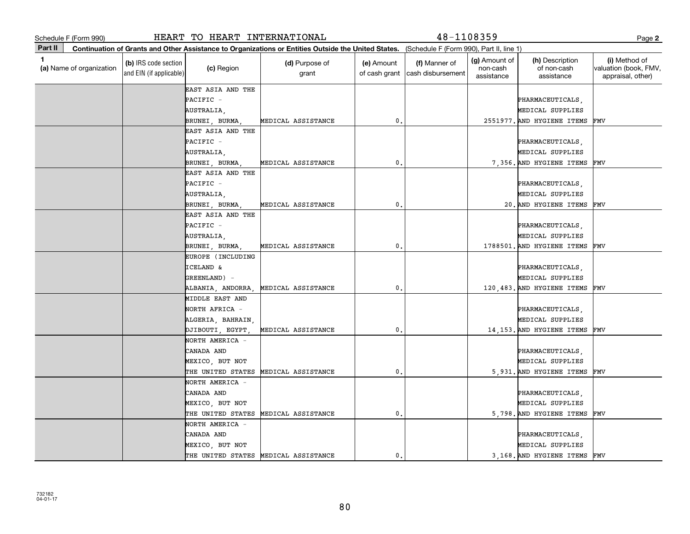|         | Schedule F (Form 990)    |                                                 | HEART TO HEART INTERNATIONAL |                                                                                                                                              |                  | 48-1108359                                         |                                                |                                              | Page 2                                                      |
|---------|--------------------------|-------------------------------------------------|------------------------------|----------------------------------------------------------------------------------------------------------------------------------------------|------------------|----------------------------------------------------|------------------------------------------------|----------------------------------------------|-------------------------------------------------------------|
| Part II |                          |                                                 |                              | Continuation of Grants and Other Assistance to Organizations or Entities Outside the United States. (Schedule F (Form 990), Part II, line 1) |                  |                                                    |                                                |                                              |                                                             |
| 1       | (a) Name of organization | (b) IRS code section<br>and EIN (if applicable) | (c) Region                   | (d) Purpose of<br>grant                                                                                                                      | (e) Amount       | (f) Manner of<br>of cash grant   cash disbursement | <b>(g)</b> Amount of<br>non-cash<br>assistance | (h) Description<br>of non-cash<br>assistance | (i) Method of<br>valuation (book, FMV,<br>appraisal, other) |
|         |                          |                                                 | EAST ASIA AND THE            |                                                                                                                                              |                  |                                                    |                                                |                                              |                                                             |
|         |                          |                                                 | PACIFIC -                    |                                                                                                                                              |                  |                                                    |                                                | PHARMACEUTICALS,                             |                                                             |
|         |                          |                                                 | AUSTRALIA,                   |                                                                                                                                              |                  |                                                    |                                                | MEDICAL SUPPLIES                             |                                                             |
|         |                          |                                                 | BRUNEI, BURMA,               | MEDICAL ASSISTANCE                                                                                                                           | 0.               |                                                    |                                                | 2551977. AND HYGIENE ITEMS                   | FMV                                                         |
|         |                          |                                                 | EAST ASIA AND THE            |                                                                                                                                              |                  |                                                    |                                                |                                              |                                                             |
|         |                          |                                                 | PACIFIC -                    |                                                                                                                                              |                  |                                                    |                                                | PHARMACEUTICALS,                             |                                                             |
|         |                          |                                                 | AUSTRALIA,                   |                                                                                                                                              |                  |                                                    |                                                | MEDICAL SUPPLIES                             |                                                             |
|         |                          |                                                 | BRUNEI, BURMA,               | MEDICAL ASSISTANCE                                                                                                                           | $\mathfrak o$ .  |                                                    |                                                | 7,356. AND HYGIENE ITEMS                     | FMV                                                         |
|         |                          |                                                 | EAST ASIA AND THE            |                                                                                                                                              |                  |                                                    |                                                |                                              |                                                             |
|         |                          |                                                 | PACIFIC -                    |                                                                                                                                              |                  |                                                    |                                                | PHARMACEUTICALS,                             |                                                             |
|         |                          |                                                 | AUSTRALIA,                   |                                                                                                                                              |                  |                                                    |                                                | MEDICAL SUPPLIES                             |                                                             |
|         |                          |                                                 | BRUNEI, BURMA                | MEDICAL ASSISTANCE                                                                                                                           | $\mathfrak o$ .  |                                                    |                                                | 20. AND HYGIENE ITEMS                        | FMV                                                         |
|         |                          |                                                 | EAST ASIA AND THE            |                                                                                                                                              |                  |                                                    |                                                |                                              |                                                             |
|         |                          |                                                 | PACIFIC -                    |                                                                                                                                              |                  |                                                    |                                                | PHARMACEUTICALS,                             |                                                             |
|         |                          |                                                 | AUSTRALIA,                   |                                                                                                                                              |                  |                                                    |                                                | MEDICAL SUPPLIES                             |                                                             |
|         |                          |                                                 | BRUNEI, BURMA,               | MEDICAL ASSISTANCE                                                                                                                           | $\mathfrak{o}$ . |                                                    |                                                | 1788501. AND HYGIENE ITEMS                   | FMV                                                         |
|         |                          |                                                 | EUROPE (INCLUDING            |                                                                                                                                              |                  |                                                    |                                                |                                              |                                                             |
|         |                          |                                                 | <b>ICELAND &amp;</b>         |                                                                                                                                              |                  |                                                    |                                                | PHARMACEUTICALS,                             |                                                             |
|         |                          |                                                 | GREENLAND) -                 |                                                                                                                                              |                  |                                                    |                                                | MEDICAL SUPPLIES                             |                                                             |
|         |                          |                                                 | ALBANIA, ANDORRA             | MEDICAL ASSISTANCE                                                                                                                           | $\mathbf 0$ .    |                                                    |                                                | 120,483. AND HYGIENE ITEMS                   | FMV                                                         |
|         |                          |                                                 | MIDDLE EAST AND              |                                                                                                                                              |                  |                                                    |                                                |                                              |                                                             |
|         |                          |                                                 | NORTH AFRICA -               |                                                                                                                                              |                  |                                                    |                                                | PHARMACEUTICALS,                             |                                                             |
|         |                          |                                                 | ALGERIA, BAHRAIN,            |                                                                                                                                              |                  |                                                    |                                                | MEDICAL SUPPLIES                             |                                                             |
|         |                          |                                                 | PJIBOUTI, EGYPT,             | MEDICAL ASSISTANCE                                                                                                                           | $\mathbf{0}$ .   |                                                    |                                                | 14,153. AND HYGIENE ITEMS                    | FMV                                                         |
|         |                          |                                                 | NORTH AMERICA -              |                                                                                                                                              |                  |                                                    |                                                |                                              |                                                             |
|         |                          |                                                 | CANADA AND                   |                                                                                                                                              |                  |                                                    |                                                | PHARMACEUTICALS,                             |                                                             |
|         |                          |                                                 | MEXICO, BUT NOT              |                                                                                                                                              |                  |                                                    |                                                | MEDICAL SUPPLIES                             |                                                             |
|         |                          |                                                 | THE UNITED STATES            | MEDICAL ASSISTANCE                                                                                                                           | $\mathbf{0}$ .   |                                                    |                                                | 5,931. AND HYGIENE ITEMS                     | FMV                                                         |
|         |                          |                                                 | NORTH AMERICA -              |                                                                                                                                              |                  |                                                    |                                                |                                              |                                                             |
|         |                          |                                                 | CANADA AND                   |                                                                                                                                              |                  |                                                    |                                                | PHARMACEUTICALS,                             |                                                             |
|         |                          |                                                 | MEXICO, BUT NOT              |                                                                                                                                              |                  |                                                    |                                                | MEDICAL SUPPLIES                             |                                                             |
|         |                          |                                                 | THE UNITED STATES            | MEDICAL ASSISTANCE                                                                                                                           | $\mathfrak o$ .  |                                                    |                                                | 5,798. AND HYGIENE ITEMS                     | FMV                                                         |
|         |                          |                                                 | NORTH AMERICA -              |                                                                                                                                              |                  |                                                    |                                                |                                              |                                                             |
|         |                          |                                                 | CANADA AND                   |                                                                                                                                              |                  |                                                    |                                                | PHARMACEUTICALS,                             |                                                             |
|         |                          |                                                 | MEXICO, BUT NOT              |                                                                                                                                              |                  |                                                    |                                                | MEDICAL SUPPLIES                             |                                                             |
|         |                          |                                                 | THE UNITED STATES            | MEDICAL ASSISTANCE                                                                                                                           | $\mathbf{0}$ .   |                                                    |                                                | 3,168. AND HYGIENE ITEMS FMV                 |                                                             |
|         |                          |                                                 |                              |                                                                                                                                              |                  |                                                    |                                                |                                              |                                                             |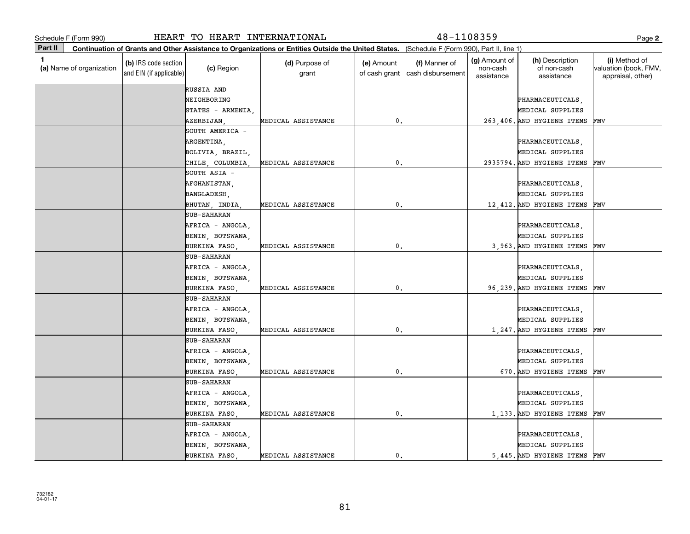|              | Schedule F (Form 990)    |                                                 | HEART TO HEART INTERNATIONAL |                                                                                                                                              |                             | 48-1108359                         |                                         |                                              | Page 2                                                      |
|--------------|--------------------------|-------------------------------------------------|------------------------------|----------------------------------------------------------------------------------------------------------------------------------------------|-----------------------------|------------------------------------|-----------------------------------------|----------------------------------------------|-------------------------------------------------------------|
| Part II      |                          |                                                 |                              | Continuation of Grants and Other Assistance to Organizations or Entities Outside the United States. (Schedule F (Form 990), Part II, line 1) |                             |                                    |                                         |                                              |                                                             |
| $\mathbf{1}$ | (a) Name of organization | (b) IRS code section<br>and EIN (if applicable) | (c) Region                   | (d) Purpose of<br>grant                                                                                                                      | (e) Amount<br>of cash grant | (f) Manner of<br>cash disbursement | (g) Amount of<br>non-cash<br>assistance | (h) Description<br>of non-cash<br>assistance | (i) Method of<br>valuation (book, FMV,<br>appraisal, other) |
|              |                          |                                                 | RUSSIA AND                   |                                                                                                                                              |                             |                                    |                                         |                                              |                                                             |
|              |                          |                                                 | NEIGHBORING                  |                                                                                                                                              |                             |                                    |                                         | PHARMACEUTICALS,                             |                                                             |
|              |                          |                                                 | STATES - ARMENIA,            |                                                                                                                                              |                             |                                    |                                         | MEDICAL SUPPLIES                             |                                                             |
|              |                          |                                                 | AZERBIJAN,                   | MEDICAL ASSISTANCE                                                                                                                           | 0.                          |                                    |                                         | 263,406. AND HYGIENE ITEMS                   | FMV                                                         |
|              |                          |                                                 | SOUTH AMERICA -              |                                                                                                                                              |                             |                                    |                                         |                                              |                                                             |
|              |                          |                                                 | ARGENTINA,                   |                                                                                                                                              |                             |                                    |                                         | PHARMACEUTICALS,                             |                                                             |
|              |                          |                                                 | BOLIVIA, BRAZIL,             |                                                                                                                                              |                             |                                    |                                         | MEDICAL SUPPLIES                             |                                                             |
|              |                          |                                                 | CHILE, COLUMBIA,             | MEDICAL ASSISTANCE                                                                                                                           | $\mathbf{0}$                |                                    |                                         | 2935794. AND HYGIENE ITEMS                   | FMV                                                         |
|              |                          |                                                 | SOUTH ASIA -                 |                                                                                                                                              |                             |                                    |                                         |                                              |                                                             |
|              |                          |                                                 | AFGHANISTAN,                 |                                                                                                                                              |                             |                                    |                                         | PHARMACEUTICALS,                             |                                                             |
|              |                          |                                                 | BANGLADESH,                  |                                                                                                                                              |                             |                                    |                                         | MEDICAL SUPPLIES                             |                                                             |
|              |                          |                                                 | BHUTAN, INDIA                | MEDICAL ASSISTANCE                                                                                                                           | 0.                          |                                    |                                         | 12,412. AND HYGIENE ITEMS                    | FMV                                                         |
|              |                          |                                                 | <b>SUB-SAHARAN</b>           |                                                                                                                                              |                             |                                    |                                         |                                              |                                                             |
|              |                          |                                                 | AFRICA - ANGOLA,             |                                                                                                                                              |                             |                                    |                                         | PHARMACEUTICALS,                             |                                                             |
|              |                          |                                                 | BENIN, BOTSWANA,             |                                                                                                                                              |                             |                                    |                                         | MEDICAL SUPPLIES                             |                                                             |
|              |                          |                                                 | BURKINA FASO                 | MEDICAL ASSISTANCE                                                                                                                           | $\mathbf 0$ .               |                                    |                                         | 3,963. AND HYGIENE ITEMS                     | FMV                                                         |
|              |                          |                                                 | <b>SUB-SAHARAN</b>           |                                                                                                                                              |                             |                                    |                                         |                                              |                                                             |
|              |                          |                                                 | AFRICA - ANGOLA,             |                                                                                                                                              |                             |                                    |                                         | PHARMACEUTICALS,                             |                                                             |
|              |                          |                                                 | BENIN, BOTSWANA,             |                                                                                                                                              |                             |                                    |                                         | MEDICAL SUPPLIES                             |                                                             |
|              |                          |                                                 | BURKINA FASO                 | MEDICAL ASSISTANCE                                                                                                                           | 0.                          |                                    |                                         | 96,239. AND HYGIENE ITEMS                    | FMV                                                         |
|              |                          |                                                 | <b>SUB-SAHARAN</b>           |                                                                                                                                              |                             |                                    |                                         |                                              |                                                             |
|              |                          |                                                 | AFRICA - ANGOLA,             |                                                                                                                                              |                             |                                    |                                         | PHARMACEUTICALS,                             |                                                             |
|              |                          |                                                 | BENIN, BOTSWANA,             |                                                                                                                                              |                             |                                    |                                         | MEDICAL SUPPLIES                             |                                                             |
|              |                          |                                                 | BURKINA FASO,                | MEDICAL ASSISTANCE                                                                                                                           | 0.                          |                                    |                                         | 1,247. AND HYGIENE ITEMS                     | FMV                                                         |
|              |                          |                                                 | <b>SUB-SAHARAN</b>           |                                                                                                                                              |                             |                                    |                                         |                                              |                                                             |
|              |                          |                                                 | AFRICA - ANGOLA,             |                                                                                                                                              |                             |                                    |                                         | PHARMACEUTICALS,                             |                                                             |
|              |                          |                                                 | BENIN, BOTSWANA,             |                                                                                                                                              |                             |                                    |                                         | MEDICAL SUPPLIES                             |                                                             |
|              |                          |                                                 | <b>BURKINA FASO</b>          | MEDICAL ASSISTANCE                                                                                                                           | 0.                          |                                    |                                         | 670. AND HYGIENE ITEMS                       | FMV                                                         |
|              |                          |                                                 | <b>SUB-SAHARAN</b>           |                                                                                                                                              |                             |                                    |                                         |                                              |                                                             |
|              |                          |                                                 | AFRICA - ANGOLA,             |                                                                                                                                              |                             |                                    |                                         | PHARMACEUTICALS,                             |                                                             |
|              |                          |                                                 | BENIN, BOTSWANA,             |                                                                                                                                              |                             |                                    |                                         | MEDICAL SUPPLIES                             |                                                             |
|              |                          |                                                 | BURKINA FASO,                | MEDICAL ASSISTANCE                                                                                                                           | 0.                          |                                    |                                         | 1,133. AND HYGIENE ITEMS                     | FMV                                                         |
|              |                          |                                                 | <b>SUB-SAHARAN</b>           |                                                                                                                                              |                             |                                    |                                         |                                              |                                                             |
|              |                          |                                                 | AFRICA - ANGOLA,             |                                                                                                                                              |                             |                                    |                                         | PHARMACEUTICALS,                             |                                                             |
|              |                          |                                                 | BENIN, BOTSWANA,             |                                                                                                                                              |                             |                                    |                                         | MEDICAL SUPPLIES                             |                                                             |
|              |                          |                                                 | BURKINA FASO                 | MEDICAL ASSISTANCE                                                                                                                           | 0.                          |                                    |                                         | 5,445. AND HYGIENE ITEMS                     | FMV                                                         |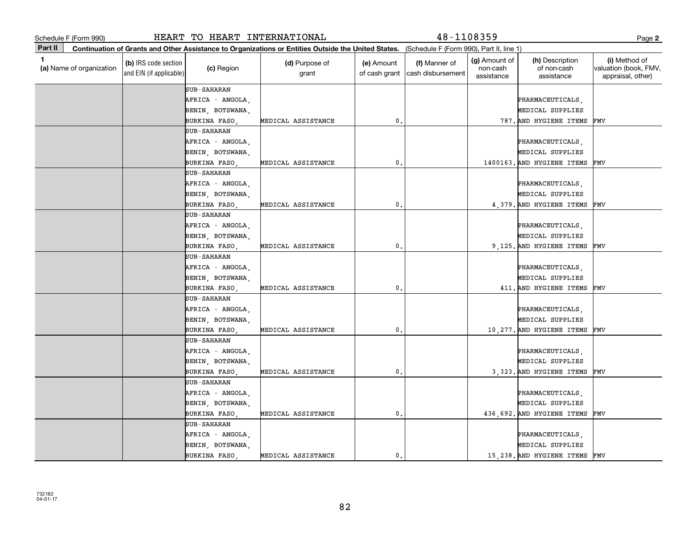|             | Schedule F (Form 990)    |                                                 | HEART TO HEART INTERNATIONAL |                                                                                                                                              |                             | $48 - 1108359$                     |                                         |                                              | Page 2                                                      |
|-------------|--------------------------|-------------------------------------------------|------------------------------|----------------------------------------------------------------------------------------------------------------------------------------------|-----------------------------|------------------------------------|-----------------------------------------|----------------------------------------------|-------------------------------------------------------------|
| Part II     |                          |                                                 |                              | Continuation of Grants and Other Assistance to Organizations or Entities Outside the United States. (Schedule F (Form 990), Part II, line 1) |                             |                                    |                                         |                                              |                                                             |
| $\mathbf 1$ | (a) Name of organization | (b) IRS code section<br>and EIN (if applicable) | (c) Region                   | (d) Purpose of<br>grant                                                                                                                      | (e) Amount<br>of cash grant | (f) Manner of<br>cash disbursement | (g) Amount of<br>non-cash<br>assistance | (h) Description<br>of non-cash<br>assistance | (i) Method of<br>valuation (book, FMV,<br>appraisal, other) |
|             |                          |                                                 | <b>SUB-SAHARAN</b>           |                                                                                                                                              |                             |                                    |                                         |                                              |                                                             |
|             |                          |                                                 | AFRICA - ANGOLA,             |                                                                                                                                              |                             |                                    |                                         | PHARMACEUTICALS,                             |                                                             |
|             |                          |                                                 | BENIN, BOTSWANA,             |                                                                                                                                              |                             |                                    |                                         | MEDICAL SUPPLIES                             |                                                             |
|             |                          |                                                 | BURKINA FASO                 | MEDICAL ASSISTANCE                                                                                                                           | 0.                          |                                    |                                         | 787. AND HYGIENE ITEMS                       | FMV                                                         |
|             |                          |                                                 | <b>SUB-SAHARAN</b>           |                                                                                                                                              |                             |                                    |                                         |                                              |                                                             |
|             |                          |                                                 | AFRICA - ANGOLA,             |                                                                                                                                              |                             |                                    |                                         | PHARMACEUTICALS,                             |                                                             |
|             |                          |                                                 | BENIN, BOTSWANA,             |                                                                                                                                              |                             |                                    |                                         | MEDICAL SUPPLIES                             |                                                             |
|             |                          |                                                 | BURKINA FASO                 | MEDICAL ASSISTANCE                                                                                                                           | $\mathbf{0}$                |                                    |                                         | 1400163. AND HYGIENE ITEMS                   | FMV                                                         |
|             |                          |                                                 | <b>SUB-SAHARAN</b>           |                                                                                                                                              |                             |                                    |                                         |                                              |                                                             |
|             |                          |                                                 | AFRICA - ANGOLA,             |                                                                                                                                              |                             |                                    |                                         | PHARMACEUTICALS,                             |                                                             |
|             |                          |                                                 | BENIN, BOTSWANA,             |                                                                                                                                              |                             |                                    |                                         | MEDICAL SUPPLIES                             |                                                             |
|             |                          |                                                 | BURKINA FASO,                | MEDICAL ASSISTANCE                                                                                                                           | 0.                          |                                    |                                         | 4.379. AND HYGIENE ITEMS                     | FMV                                                         |
|             |                          |                                                 | <b>SUB-SAHARAN</b>           |                                                                                                                                              |                             |                                    |                                         |                                              |                                                             |
|             |                          |                                                 | AFRICA - ANGOLA,             |                                                                                                                                              |                             |                                    |                                         | PHARMACEUTICALS,                             |                                                             |
|             |                          |                                                 | BENIN, BOTSWANA,             |                                                                                                                                              |                             |                                    |                                         | MEDICAL SUPPLIES                             |                                                             |
|             |                          |                                                 | BURKINA FASO                 | MEDICAL ASSISTANCE                                                                                                                           | 0.                          |                                    |                                         | 9,125. AND HYGIENE ITEMS                     | FMV                                                         |
|             |                          |                                                 | <b>SUB-SAHARAN</b>           |                                                                                                                                              |                             |                                    |                                         |                                              |                                                             |
|             |                          |                                                 | AFRICA - ANGOLA,             |                                                                                                                                              |                             |                                    |                                         | PHARMACEUTICALS,                             |                                                             |
|             |                          |                                                 | BENIN, BOTSWANA,             |                                                                                                                                              |                             |                                    |                                         | MEDICAL SUPPLIES                             |                                                             |
|             |                          |                                                 | BURKINA FASO                 | MEDICAL ASSISTANCE                                                                                                                           | $\mathbf{0}$                |                                    |                                         | 411. AND HYGIENE ITEMS                       | FMV                                                         |
|             |                          |                                                 | <b>SUB-SAHARAN</b>           |                                                                                                                                              |                             |                                    |                                         |                                              |                                                             |
|             |                          |                                                 | AFRICA - ANGOLA,             |                                                                                                                                              |                             |                                    |                                         | PHARMACEUTICALS,                             |                                                             |
|             |                          |                                                 | BENIN, BOTSWANA,             |                                                                                                                                              |                             |                                    |                                         | MEDICAL SUPPLIES                             |                                                             |
|             |                          |                                                 | BURKINA FASO,                | MEDICAL ASSISTANCE                                                                                                                           | 0.                          |                                    |                                         | 10,277. AND HYGIENE ITEMS                    | FMV                                                         |
|             |                          |                                                 | <b>SUB-SAHARAN</b>           |                                                                                                                                              |                             |                                    |                                         |                                              |                                                             |
|             |                          |                                                 | AFRICA - ANGOLA,             |                                                                                                                                              |                             |                                    |                                         | PHARMACEUTICALS,                             |                                                             |
|             |                          |                                                 | BENIN, BOTSWANA,             |                                                                                                                                              |                             |                                    |                                         | MEDICAL SUPPLIES                             |                                                             |
|             |                          |                                                 | BURKINA FASO                 | MEDICAL ASSISTANCE                                                                                                                           | $\mathbf{0}$                |                                    |                                         | 3,323. AND HYGIENE ITEMS                     | FMV                                                         |
|             |                          |                                                 | <b>SUB-SAHARAN</b>           |                                                                                                                                              |                             |                                    |                                         |                                              |                                                             |
|             |                          |                                                 | AFRICA - ANGOLA,             |                                                                                                                                              |                             |                                    |                                         | PHARMACEUTICALS,                             |                                                             |
|             |                          |                                                 | BENIN, BOTSWANA,             |                                                                                                                                              |                             |                                    |                                         | MEDICAL SUPPLIES                             |                                                             |
|             |                          |                                                 | BURKINA FASO,                | MEDICAL ASSISTANCE                                                                                                                           | 0.                          |                                    |                                         | 436,692. AND HYGIENE ITEMS                   | FMV                                                         |
|             |                          |                                                 | <b>SUB-SAHARAN</b>           |                                                                                                                                              |                             |                                    |                                         |                                              |                                                             |
|             |                          |                                                 | AFRICA - ANGOLA,             |                                                                                                                                              |                             |                                    |                                         | PHARMACEUTICALS,                             |                                                             |
|             |                          |                                                 | BENIN, BOTSWANA,             |                                                                                                                                              |                             |                                    |                                         | MEDICAL SUPPLIES                             |                                                             |
|             |                          |                                                 | BURKINA FASO                 | MEDICAL ASSISTANCE                                                                                                                           | 0.                          |                                    |                                         | 15,238. AND HYGIENE ITEMS                    | FMV                                                         |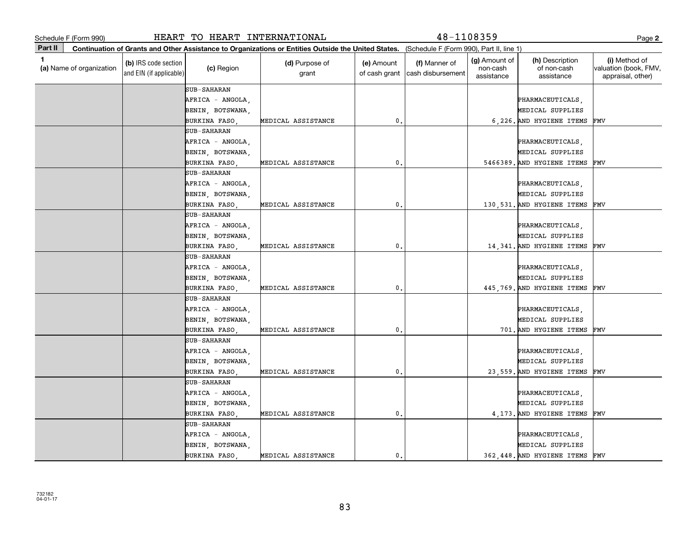|         | Schedule F (Form 990)    |                                                 | HEART TO HEART INTERNATIONAL |                                                                                                                                              |                             | $48 - 1108359$                     |                                                |                                              | Page 2                                                      |
|---------|--------------------------|-------------------------------------------------|------------------------------|----------------------------------------------------------------------------------------------------------------------------------------------|-----------------------------|------------------------------------|------------------------------------------------|----------------------------------------------|-------------------------------------------------------------|
| Part II |                          |                                                 |                              | Continuation of Grants and Other Assistance to Organizations or Entities Outside the United States. (Schedule F (Form 990), Part II, line 1) |                             |                                    |                                                |                                              |                                                             |
| 1.      | (a) Name of organization | (b) IRS code section<br>and EIN (if applicable) | (c) Region                   | (d) Purpose of<br>grant                                                                                                                      | (e) Amount<br>of cash grant | (f) Manner of<br>cash disbursement | <b>(g)</b> Amount of<br>non-cash<br>assistance | (h) Description<br>of non-cash<br>assistance | (i) Method of<br>valuation (book, FMV,<br>appraisal, other) |
|         |                          |                                                 | <b>SUB-SAHARAN</b>           |                                                                                                                                              |                             |                                    |                                                |                                              |                                                             |
|         |                          |                                                 | AFRICA - ANGOLA,             |                                                                                                                                              |                             |                                    |                                                | PHARMACEUTICALS,                             |                                                             |
|         |                          |                                                 | BENIN, BOTSWANA,             |                                                                                                                                              |                             |                                    |                                                | MEDICAL SUPPLIES                             |                                                             |
|         |                          |                                                 | BURKINA FASO                 | MEDICAL ASSISTANCE                                                                                                                           | 0.                          |                                    |                                                | 6.226. AND HYGIENE ITEMS                     | FMV                                                         |
|         |                          |                                                 | <b>SUB-SAHARAN</b>           |                                                                                                                                              |                             |                                    |                                                |                                              |                                                             |
|         |                          |                                                 | AFRICA - ANGOLA,             |                                                                                                                                              |                             |                                    |                                                | PHARMACEUTICALS,                             |                                                             |
|         |                          |                                                 | BENIN, BOTSWANA,             |                                                                                                                                              |                             |                                    |                                                | MEDICAL SUPPLIES                             |                                                             |
|         |                          |                                                 | BURKINA FASO                 | MEDICAL ASSISTANCE                                                                                                                           | $\mathbf{0}$                |                                    |                                                | 5466389. AND HYGIENE ITEMS                   | FMV                                                         |
|         |                          |                                                 | <b>SUB-SAHARAN</b>           |                                                                                                                                              |                             |                                    |                                                |                                              |                                                             |
|         |                          |                                                 | AFRICA - ANGOLA,             |                                                                                                                                              |                             |                                    |                                                | PHARMACEUTICALS,                             |                                                             |
|         |                          |                                                 | BENIN, BOTSWANA,             |                                                                                                                                              |                             |                                    |                                                | MEDICAL SUPPLIES                             |                                                             |
|         |                          |                                                 | BURKINA FASO,                | MEDICAL ASSISTANCE                                                                                                                           | 0.                          |                                    |                                                | 130.531. AND HYGIENE ITEMS                   | FMV                                                         |
|         |                          |                                                 | <b>SUB-SAHARAN</b>           |                                                                                                                                              |                             |                                    |                                                |                                              |                                                             |
|         |                          |                                                 | AFRICA - ANGOLA,             |                                                                                                                                              |                             |                                    |                                                | PHARMACEUTICALS,                             |                                                             |
|         |                          |                                                 | BENIN, BOTSWANA,             |                                                                                                                                              |                             |                                    |                                                | MEDICAL SUPPLIES                             |                                                             |
|         |                          |                                                 | BURKINA FASO                 | MEDICAL ASSISTANCE                                                                                                                           | 0.                          |                                    |                                                | 14,341. AND HYGIENE ITEMS                    | FMV                                                         |
|         |                          |                                                 | <b>SUB-SAHARAN</b>           |                                                                                                                                              |                             |                                    |                                                |                                              |                                                             |
|         |                          |                                                 | AFRICA - ANGOLA,             |                                                                                                                                              |                             |                                    |                                                | PHARMACEUTICALS,                             |                                                             |
|         |                          |                                                 | BENIN, BOTSWANA,             |                                                                                                                                              |                             |                                    |                                                | MEDICAL SUPPLIES                             |                                                             |
|         |                          |                                                 | BURKINA FASO                 | MEDICAL ASSISTANCE                                                                                                                           | 0.                          |                                    |                                                | 445,769. AND HYGIENE ITEMS                   | FMV                                                         |
|         |                          |                                                 | <b>SUB-SAHARAN</b>           |                                                                                                                                              |                             |                                    |                                                |                                              |                                                             |
|         |                          |                                                 | AFRICA - ANGOLA,             |                                                                                                                                              |                             |                                    |                                                | PHARMACEUTICALS,                             |                                                             |
|         |                          |                                                 | BENIN, BOTSWANA,             |                                                                                                                                              |                             |                                    |                                                | MEDICAL SUPPLIES                             |                                                             |
|         |                          |                                                 | BURKINA FASO,                | MEDICAL ASSISTANCE                                                                                                                           | 0.                          |                                    |                                                | 701. AND HYGIENE ITEMS                       | FMV                                                         |
|         |                          |                                                 | <b>SUB-SAHARAN</b>           |                                                                                                                                              |                             |                                    |                                                |                                              |                                                             |
|         |                          |                                                 | AFRICA - ANGOLA,             |                                                                                                                                              |                             |                                    |                                                | PHARMACEUTICALS,                             |                                                             |
|         |                          |                                                 | BENIN, BOTSWANA,             |                                                                                                                                              |                             |                                    |                                                | MEDICAL SUPPLIES                             |                                                             |
|         |                          |                                                 | BURKINA FASO                 | MEDICAL ASSISTANCE                                                                                                                           | $\mathbf{0}$                |                                    |                                                | 23,559. AND HYGIENE ITEMS                    | FMV                                                         |
|         |                          |                                                 | <b>SUB-SAHARAN</b>           |                                                                                                                                              |                             |                                    |                                                |                                              |                                                             |
|         |                          |                                                 | AFRICA - ANGOLA,             |                                                                                                                                              |                             |                                    |                                                | PHARMACEUTICALS,                             |                                                             |
|         |                          |                                                 | BENIN, BOTSWANA,             |                                                                                                                                              |                             |                                    |                                                | MEDICAL SUPPLIES                             |                                                             |
|         |                          |                                                 | BURKINA FASO,                | MEDICAL ASSISTANCE                                                                                                                           | 0.                          |                                    |                                                | 4,173. AND HYGIENE ITEMS                     | FMV                                                         |
|         |                          |                                                 | <b>SUB-SAHARAN</b>           |                                                                                                                                              |                             |                                    |                                                |                                              |                                                             |
|         |                          |                                                 | AFRICA - ANGOLA,             |                                                                                                                                              |                             |                                    |                                                | PHARMACEUTICALS,                             |                                                             |
|         |                          |                                                 | BENIN, BOTSWANA,             |                                                                                                                                              |                             |                                    |                                                | MEDICAL SUPPLIES                             |                                                             |
|         |                          |                                                 | BURKINA FASO                 | MEDICAL ASSISTANCE                                                                                                                           | 0.                          |                                    |                                                | 362,448. AND HYGIENE ITEMS                   | FMV                                                         |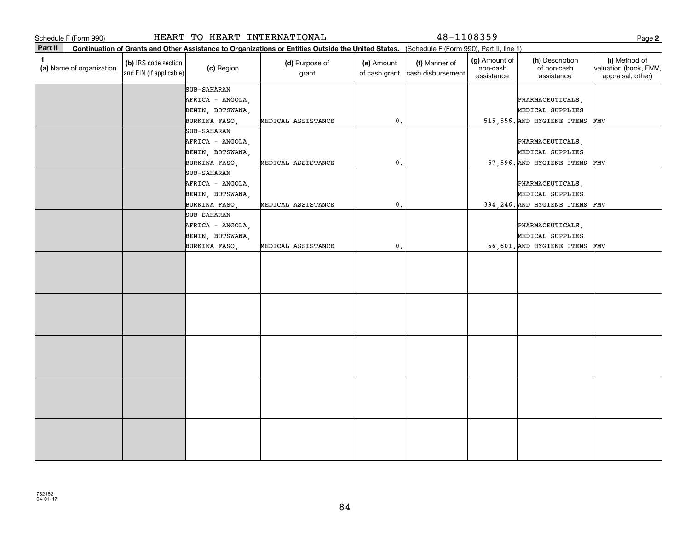|         | Schedule F (Form 990)    |                                                 | HEART TO HEART INTERNATIONAL                               |                                                                                                                                              |                             | 48-1108359                         |                                         |                                               | Page 2                                                      |
|---------|--------------------------|-------------------------------------------------|------------------------------------------------------------|----------------------------------------------------------------------------------------------------------------------------------------------|-----------------------------|------------------------------------|-----------------------------------------|-----------------------------------------------|-------------------------------------------------------------|
| Part II |                          |                                                 |                                                            | Continuation of Grants and Other Assistance to Organizations or Entities Outside the United States. (Schedule F (Form 990), Part II, line 1) |                             |                                    |                                         |                                               |                                                             |
| 1       | (a) Name of organization | (b) IRS code section<br>and EIN (if applicable) | (c) Region                                                 | (d) Purpose of<br>grant                                                                                                                      | (e) Amount<br>of cash grant | (f) Manner of<br>cash disbursement | (g) Amount of<br>non-cash<br>assistance | (h) Description<br>of non-cash<br>assistance  | (i) Method of<br>valuation (book, FMV,<br>appraisal, other) |
|         |                          |                                                 | <b>SUB-SAHARAN</b><br>AFRICA - ANGOLA,<br>BENIN, BOTSWANA, |                                                                                                                                              |                             |                                    |                                         | PHARMACEUTICALS,<br>MEDICAL SUPPLIES          |                                                             |
|         |                          |                                                 | BURKINA FASO,                                              | MEDICAL ASSISTANCE                                                                                                                           | 0,                          |                                    |                                         | 515,556. AND HYGIENE ITEMS                    | FMV                                                         |
|         |                          |                                                 | <b>SUB-SAHARAN</b><br>AFRICA - ANGOLA,<br>BENIN, BOTSWANA, |                                                                                                                                              |                             |                                    |                                         | PHARMACEUTICALS,<br>MEDICAL SUPPLIES          |                                                             |
|         |                          |                                                 | BURKINA FASO,                                              | MEDICAL ASSISTANCE                                                                                                                           | 0.                          |                                    |                                         | 57,596. AND HYGIENE ITEMS                     | FMV                                                         |
|         |                          |                                                 | <b>SUB-SAHARAN</b><br>AFRICA - ANGOLA,<br>BENIN, BOTSWANA, |                                                                                                                                              |                             |                                    |                                         | PHARMACEUTICALS,<br>MEDICAL SUPPLIES          |                                                             |
|         |                          |                                                 | BURKINA FASO,                                              | MEDICAL ASSISTANCE                                                                                                                           | 0.                          |                                    |                                         | 394, 246. AND HYGIENE ITEMS                   | FMV                                                         |
|         |                          |                                                 | <b>SUB-SAHARAN</b><br>AFRICA - ANGOLA,                     |                                                                                                                                              |                             |                                    |                                         | PHARMACEUTICALS,                              |                                                             |
|         |                          |                                                 | BENIN, BOTSWANA,<br>BURKINA FASO,                          | MEDICAL ASSISTANCE                                                                                                                           | 0.                          |                                    |                                         | MEDICAL SUPPLIES<br>66,601. AND HYGIENE ITEMS | FMV                                                         |
|         |                          |                                                 |                                                            |                                                                                                                                              |                             |                                    |                                         |                                               |                                                             |
|         |                          |                                                 |                                                            |                                                                                                                                              |                             |                                    |                                         |                                               |                                                             |
|         |                          |                                                 |                                                            |                                                                                                                                              |                             |                                    |                                         |                                               |                                                             |
|         |                          |                                                 |                                                            |                                                                                                                                              |                             |                                    |                                         |                                               |                                                             |
|         |                          |                                                 |                                                            |                                                                                                                                              |                             |                                    |                                         |                                               |                                                             |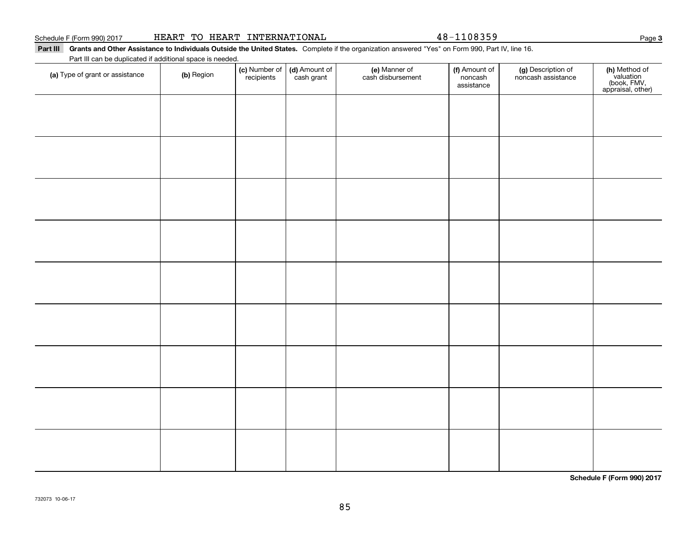| HEART TO HEART |  | INTERNATIONAL |
|----------------|--|---------------|
|----------------|--|---------------|

48-1108359

Part III Grants and Other Assistance to Individuals Outside the United States. Complete if the organization answered "Yes" on Form 990, Part IV, line 16.

Part III can be duplicated if additional space is needed.

| (a) Type of grant or assistance | (b) Region | (c) Number of<br>recipients | (d) Amount of<br>cash grant | (e) Manner of<br>cash disbursement | (f) Amount of<br>noncash<br>assistance | (g) Description of<br>noncash assistance | (h) Method of<br>valuation<br>(book, FMV,<br>appraisal, other) |
|---------------------------------|------------|-----------------------------|-----------------------------|------------------------------------|----------------------------------------|------------------------------------------|----------------------------------------------------------------|
|                                 |            |                             |                             |                                    |                                        |                                          |                                                                |
|                                 |            |                             |                             |                                    |                                        |                                          |                                                                |
|                                 |            |                             |                             |                                    |                                        |                                          |                                                                |
|                                 |            |                             |                             |                                    |                                        |                                          |                                                                |
|                                 |            |                             |                             |                                    |                                        |                                          |                                                                |
|                                 |            |                             |                             |                                    |                                        |                                          |                                                                |
|                                 |            |                             |                             |                                    |                                        |                                          |                                                                |
|                                 |            |                             |                             |                                    |                                        |                                          |                                                                |
|                                 |            |                             |                             |                                    |                                        |                                          |                                                                |
|                                 |            |                             |                             |                                    |                                        |                                          |                                                                |
|                                 |            |                             |                             |                                    |                                        |                                          |                                                                |
|                                 |            |                             |                             |                                    |                                        |                                          |                                                                |

**Schedule F (Form 990) 2017**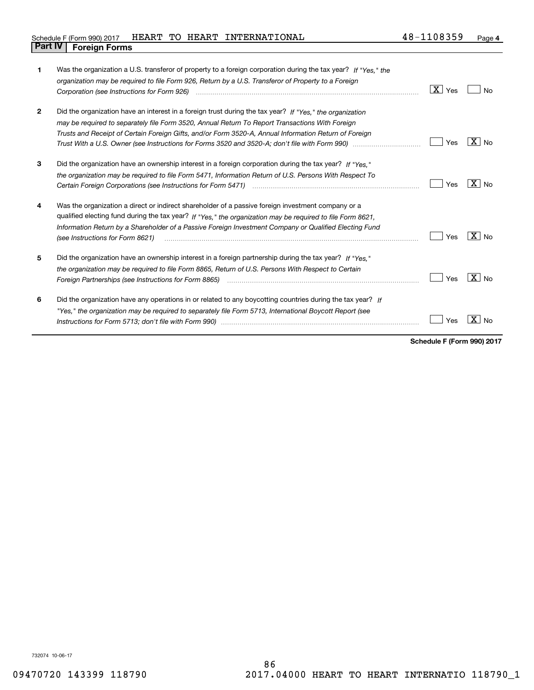|                                |  | Schedule F (Form 990) 2017 HEART TO HEART INTERNATIONAL | 48-1108359 | Page 4 |
|--------------------------------|--|---------------------------------------------------------|------------|--------|
| <b>Part IV   Foreign Forms</b> |  |                                                         |            |        |

| 1            | Was the organization a U.S. transferor of property to a foreign corporation during the tax year? If "Yes." the<br>organization may be required to file Form 926, Return by a U.S. Transferor of Property to a Foreign<br>Corporation (see Instructions for Form 926) <i>manual content content corporation (see Instructions</i> for Form 926)                 | $\mid$ $\rm X\mid$ Yes | Nο             |
|--------------|----------------------------------------------------------------------------------------------------------------------------------------------------------------------------------------------------------------------------------------------------------------------------------------------------------------------------------------------------------------|------------------------|----------------|
| $\mathbf{2}$ | Did the organization have an interest in a foreign trust during the tax year? If "Yes." the organization<br>may be required to separately file Form 3520, Annual Return To Report Transactions With Foreign<br>Trusts and Receipt of Certain Foreign Gifts, and/or Form 3520-A, Annual Information Return of Foreign                                           | Yes                    | ΧI<br>No       |
| 3            | Did the organization have an ownership interest in a foreign corporation during the tax year? If "Yes."<br>the organization may be required to file Form 5471, Information Return of U.S. Persons With Respect To                                                                                                                                              | Yes                    | $X \mid N_{0}$ |
| 4            | Was the organization a direct or indirect shareholder of a passive foreign investment company or a<br>qualified electing fund during the tax year? If "Yes," the organization may be required to file Form 8621,<br>Information Return by a Shareholder of a Passive Foreign Investment Company or Qualified Electing Fund<br>(see Instructions for Form 8621) | Yes                    | $X _{N0}$      |
| 5            | Did the organization have an ownership interest in a foreign partnership during the tax year? If "Yes."<br>the organization may be required to file Form 8865, Return of U.S. Persons With Respect to Certain<br>Foreign Partnerships (see Instructions for Form 8865)                                                                                         | Yes                    | $X \mid N_{0}$ |
| 6            | Did the organization have any operations in or related to any boycotting countries during the tax year? If<br>"Yes," the organization may be required to separately file Form 5713, International Boycott Report (see                                                                                                                                          | Yes                    |                |

**Schedule F (Form 990) 2017**

732074 10-06-17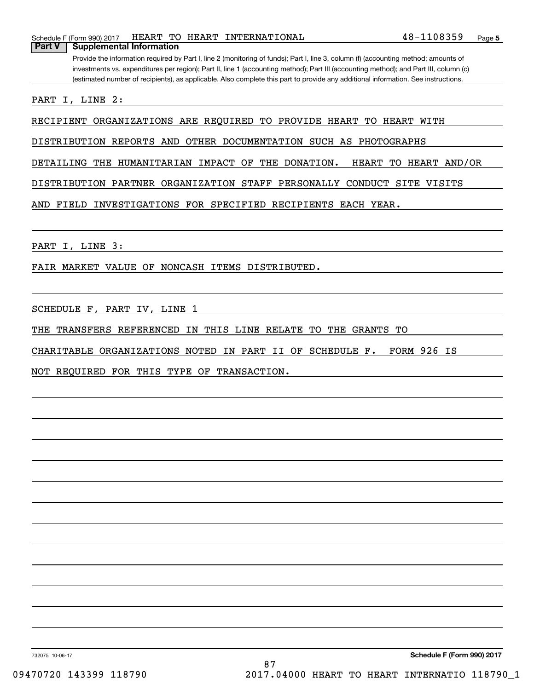Schedule F (Form 990) 2017 HEART TO HEART INTERNATIONAL 4 8-1108359 Page **Part V Supplemental Information**

Provide the information required by Part I, line 2 (monitoring of funds); Part I, line 3, column (f) (accounting method; amounts of investments vs. expenditures per region); Part II, line 1 (accounting method); Part III (accounting method); and Part III, column (c) (estimated number of recipients), as applicable. Also complete this part to provide any additional information. See instructions.

PART I, LINE 2:

RECIPIENT ORGANIZATIONS ARE REQUIRED TO PROVIDE HEART TO HEART WITH

DISTRIBUTION REPORTS AND OTHER DOCUMENTATION SUCH AS PHOTOGRAPHS

DETAILING THE HUMANITARIAN IMPACT OF THE DONATION. HEART TO HEART AND/OR

DISTRIBUTION PARTNER ORGANIZATION STAFF PERSONALLY CONDUCT SITE VISITS

AND FIELD INVESTIGATIONS FOR SPECIFIED RECIPIENTS EACH YEAR.

PART I, LINE 3:

FAIR MARKET VALUE OF NONCASH ITEMS DISTRIBUTED.

SCHEDULE F, PART IV, LINE 1

THE TRANSFERS REFERENCED IN THIS LINE RELATE TO THE GRANTS TO

CHARITABLE ORGANIZATIONS NOTED IN PART II OF SCHEDULE F. FORM 926 IS

NOT REQUIRED FOR THIS TYPE OF TRANSACTION.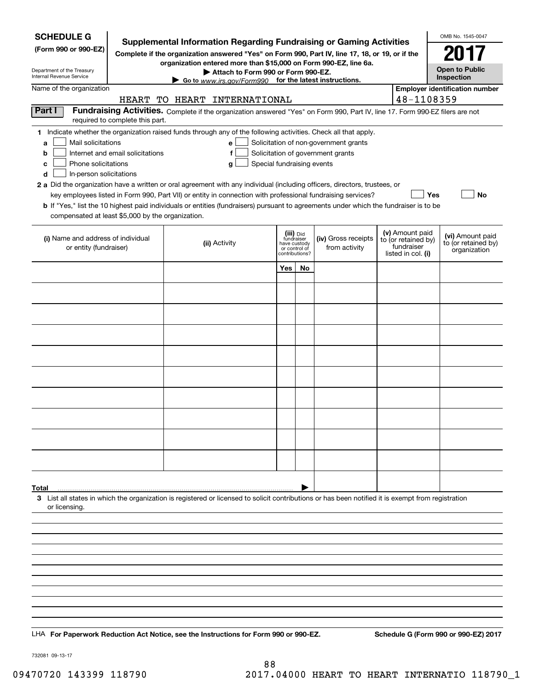| <b>SCHEDULE G</b>                                                                                                                                          |                                                                                                                               | Supplemental Information Regarding Fundraising or Gaming Activities                                                                                |                                                          |                |                                       |                    |                                   | OMB No. 1545-0047                       |  |  |  |
|------------------------------------------------------------------------------------------------------------------------------------------------------------|-------------------------------------------------------------------------------------------------------------------------------|----------------------------------------------------------------------------------------------------------------------------------------------------|----------------------------------------------------------|----------------|---------------------------------------|--------------------|-----------------------------------|-----------------------------------------|--|--|--|
| (Form 990 or 990-EZ)                                                                                                                                       |                                                                                                                               | Complete if the organization answered "Yes" on Form 990, Part IV, line 17, 18, or 19, or if the                                                    |                                                          |                |                                       |                    |                                   | 2017                                    |  |  |  |
| Department of the Treasury                                                                                                                                 |                                                                                                                               | organization entered more than \$15,000 on Form 990-EZ, line 6a.<br>Attach to Form 990 or Form 990-EZ.                                             |                                                          |                |                                       |                    |                                   | <b>Open to Public</b>                   |  |  |  |
| Internal Revenue Service                                                                                                                                   |                                                                                                                               | Go to www.irs.gov/Form990 for the latest instructions.                                                                                             |                                                          |                |                                       |                    |                                   | Inspection                              |  |  |  |
| Name of the organization                                                                                                                                   |                                                                                                                               | HEART TO HEART INTERNATIONAL                                                                                                                       |                                                          |                |                                       |                    | 48-1108359                        | <b>Employer identification number</b>   |  |  |  |
| Part I                                                                                                                                                     | Fundraising Activities. Complete if the organization answered "Yes" on Form 990, Part IV, line 17. Form 990-EZ filers are not |                                                                                                                                                    |                                                          |                |                                       |                    |                                   |                                         |  |  |  |
|                                                                                                                                                            | required to complete this part.                                                                                               |                                                                                                                                                    |                                                          |                |                                       |                    |                                   |                                         |  |  |  |
| Mail solicitations<br>a                                                                                                                                    |                                                                                                                               | 1 Indicate whether the organization raised funds through any of the following activities. Check all that apply.<br>e                               |                                                          |                | Solicitation of non-government grants |                    |                                   |                                         |  |  |  |
| b                                                                                                                                                          | Internet and email solicitations<br>Solicitation of government grants<br>f                                                    |                                                                                                                                                    |                                                          |                |                                       |                    |                                   |                                         |  |  |  |
| Phone solicitations<br>Special fundraising events<br>c<br>g                                                                                                |                                                                                                                               |                                                                                                                                                    |                                                          |                |                                       |                    |                                   |                                         |  |  |  |
| d<br>In-person solicitations<br>2 a Did the organization have a written or oral agreement with any individual (including officers, directors, trustees, or |                                                                                                                               |                                                                                                                                                    |                                                          |                |                                       |                    |                                   |                                         |  |  |  |
|                                                                                                                                                            |                                                                                                                               | key employees listed in Form 990, Part VII) or entity in connection with professional fundraising services?                                        |                                                          |                |                                       |                    | Yes                               | No                                      |  |  |  |
| compensated at least \$5,000 by the organization.                                                                                                          |                                                                                                                               | <b>b</b> If "Yes," list the 10 highest paid individuals or entities (fundraisers) pursuant to agreements under which the fundraiser is to be       |                                                          |                |                                       |                    |                                   |                                         |  |  |  |
|                                                                                                                                                            |                                                                                                                               |                                                                                                                                                    |                                                          |                |                                       |                    | (v) Amount paid                   |                                         |  |  |  |
| (i) Name and address of individual<br>or entity (fundraiser)                                                                                               |                                                                                                                               | (ii) Activity                                                                                                                                      | (iii) Did<br>fundraiser<br>have custody<br>or control of |                | (iv) Gross receipts<br>from activity  |                    | to (or retained by)<br>fundraiser | (vi) Amount paid<br>to (or retained by) |  |  |  |
|                                                                                                                                                            |                                                                                                                               |                                                                                                                                                    |                                                          | contributions? |                                       | listed in col. (i) |                                   | organization                            |  |  |  |
|                                                                                                                                                            |                                                                                                                               |                                                                                                                                                    | <b>Yes</b>                                               | No             |                                       |                    |                                   |                                         |  |  |  |
|                                                                                                                                                            |                                                                                                                               |                                                                                                                                                    |                                                          |                |                                       |                    |                                   |                                         |  |  |  |
|                                                                                                                                                            |                                                                                                                               |                                                                                                                                                    |                                                          |                |                                       |                    |                                   |                                         |  |  |  |
|                                                                                                                                                            |                                                                                                                               |                                                                                                                                                    |                                                          |                |                                       |                    |                                   |                                         |  |  |  |
|                                                                                                                                                            |                                                                                                                               |                                                                                                                                                    |                                                          |                |                                       |                    |                                   |                                         |  |  |  |
|                                                                                                                                                            |                                                                                                                               |                                                                                                                                                    |                                                          |                |                                       |                    |                                   |                                         |  |  |  |
|                                                                                                                                                            |                                                                                                                               |                                                                                                                                                    |                                                          |                |                                       |                    |                                   |                                         |  |  |  |
|                                                                                                                                                            |                                                                                                                               |                                                                                                                                                    |                                                          |                |                                       |                    |                                   |                                         |  |  |  |
|                                                                                                                                                            |                                                                                                                               |                                                                                                                                                    |                                                          |                |                                       |                    |                                   |                                         |  |  |  |
|                                                                                                                                                            |                                                                                                                               |                                                                                                                                                    |                                                          |                |                                       |                    |                                   |                                         |  |  |  |
|                                                                                                                                                            |                                                                                                                               |                                                                                                                                                    |                                                          |                |                                       |                    |                                   |                                         |  |  |  |
|                                                                                                                                                            |                                                                                                                               |                                                                                                                                                    |                                                          |                |                                       |                    |                                   |                                         |  |  |  |
|                                                                                                                                                            |                                                                                                                               |                                                                                                                                                    |                                                          |                |                                       |                    |                                   |                                         |  |  |  |
| Total                                                                                                                                                      |                                                                                                                               |                                                                                                                                                    |                                                          |                |                                       |                    |                                   |                                         |  |  |  |
|                                                                                                                                                            |                                                                                                                               | 3 List all states in which the organization is registered or licensed to solicit contributions or has been notified it is exempt from registration |                                                          |                |                                       |                    |                                   |                                         |  |  |  |
| or licensing.                                                                                                                                              |                                                                                                                               |                                                                                                                                                    |                                                          |                |                                       |                    |                                   |                                         |  |  |  |
|                                                                                                                                                            |                                                                                                                               |                                                                                                                                                    |                                                          |                |                                       |                    |                                   |                                         |  |  |  |
|                                                                                                                                                            |                                                                                                                               |                                                                                                                                                    |                                                          |                |                                       |                    |                                   |                                         |  |  |  |
|                                                                                                                                                            |                                                                                                                               |                                                                                                                                                    |                                                          |                |                                       |                    |                                   |                                         |  |  |  |
|                                                                                                                                                            |                                                                                                                               |                                                                                                                                                    |                                                          |                |                                       |                    |                                   |                                         |  |  |  |
|                                                                                                                                                            |                                                                                                                               |                                                                                                                                                    |                                                          |                |                                       |                    |                                   |                                         |  |  |  |
|                                                                                                                                                            |                                                                                                                               |                                                                                                                                                    |                                                          |                |                                       |                    |                                   |                                         |  |  |  |
|                                                                                                                                                            |                                                                                                                               |                                                                                                                                                    |                                                          |                |                                       |                    |                                   |                                         |  |  |  |
|                                                                                                                                                            |                                                                                                                               | LHA For Paperwork Reduction Act Notice, see the Instructions for Form 990 or 990-EZ.                                                               |                                                          |                |                                       |                    |                                   | Schedule G (Form 990 or 990-EZ) 2017    |  |  |  |

732081 09-13-17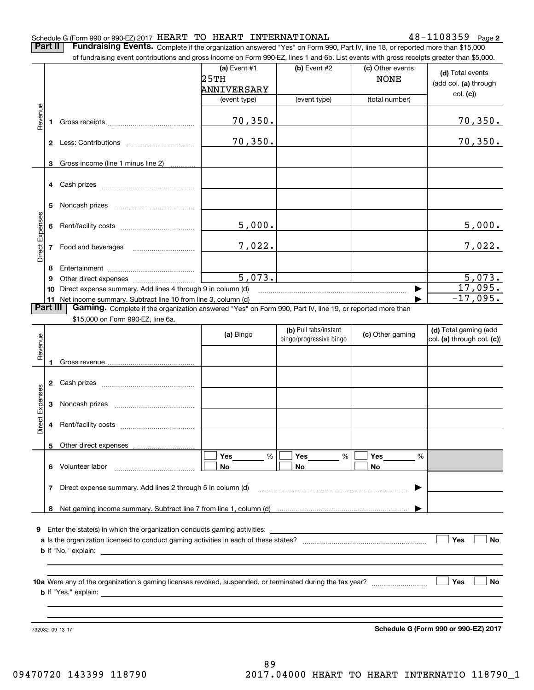#### Schedule G (Form 990 or 990-EZ) 2017  ${\tt HEART}$  to  ${\tt HEART}$  international formulation and  $48\text{--}1108359$  and  ${\tt Page}$

**2**

**Part II** | Fundraising Events. Complete if the organization answered "Yes" on Form 990, Part IV, line 18, or reported more than \$15,000

|                 |    | of fundraising event contributions and gross income on Form 990-EZ, lines 1 and 6b. List events with gross receipts greater than \$5,000.                                                                                                 |                                              |                         |                                 |                                           |
|-----------------|----|-------------------------------------------------------------------------------------------------------------------------------------------------------------------------------------------------------------------------------------------|----------------------------------------------|-------------------------|---------------------------------|-------------------------------------------|
|                 |    |                                                                                                                                                                                                                                           | (a) Event $#1$<br>25TH<br><b>ANNIVERSARY</b> | (b) Event #2            | (c) Other events<br><b>NONE</b> | (d) Total events<br>(add col. (a) through |
|                 |    |                                                                                                                                                                                                                                           | (event type)                                 | (event type)            | (total number)                  | col. (c)                                  |
| Revenue         |    |                                                                                                                                                                                                                                           | 70,350.                                      |                         |                                 | 70, 350.                                  |
|                 |    |                                                                                                                                                                                                                                           | 70,350.                                      |                         |                                 | 70,350.                                   |
|                 | 3  | Gross income (line 1 minus line 2)                                                                                                                                                                                                        |                                              |                         |                                 |                                           |
|                 |    |                                                                                                                                                                                                                                           |                                              |                         |                                 |                                           |
|                 | 5  |                                                                                                                                                                                                                                           |                                              |                         |                                 |                                           |
| Direct Expenses |    |                                                                                                                                                                                                                                           | 5,000.                                       |                         |                                 | 5,000.                                    |
|                 |    | 7 Food and beverages                                                                                                                                                                                                                      | 7,022.                                       |                         |                                 | 7,022.                                    |
|                 | 8  |                                                                                                                                                                                                                                           |                                              |                         |                                 |                                           |
|                 | 9  |                                                                                                                                                                                                                                           | $\overline{5,073}$ .                         |                         |                                 | 5,073.                                    |
|                 | 10 | Direct expense summary. Add lines 4 through 9 in column (d)                                                                                                                                                                               |                                              |                         |                                 | 17,095.                                   |
| Part III        |    | 11 Net income summary. Subtract line 10 from line 3, column (d)<br>Gaming. Complete if the organization answered "Yes" on Form 990, Part IV, line 19, or reported more than                                                               |                                              |                         |                                 | $-17,095.$                                |
|                 |    | \$15,000 on Form 990-EZ, line 6a.                                                                                                                                                                                                         |                                              |                         |                                 |                                           |
|                 |    |                                                                                                                                                                                                                                           |                                              | (b) Pull tabs/instant   |                                 | (d) Total gaming (add                     |
|                 |    |                                                                                                                                                                                                                                           | (a) Bingo                                    | bingo/progressive bingo | (c) Other gaming                | col. (a) through col. (c))                |
| Revenue         | 1. |                                                                                                                                                                                                                                           |                                              |                         |                                 |                                           |
|                 |    |                                                                                                                                                                                                                                           |                                              |                         |                                 |                                           |
| Direct Expenses | 3  |                                                                                                                                                                                                                                           |                                              |                         |                                 |                                           |
|                 | 4  |                                                                                                                                                                                                                                           |                                              |                         |                                 |                                           |
|                 | 5  | Other direct expenses                                                                                                                                                                                                                     |                                              |                         |                                 |                                           |
|                 |    | 6 Volunteer labor                                                                                                                                                                                                                         | Yes<br>%<br>No                               | Yes<br>$\%$<br>No       | Yes<br>%<br>No                  |                                           |
|                 | 7  | Direct expense summary. Add lines 2 through 5 in column (d)                                                                                                                                                                               |                                              |                         |                                 |                                           |
|                 |    |                                                                                                                                                                                                                                           |                                              |                         |                                 |                                           |
|                 |    |                                                                                                                                                                                                                                           |                                              |                         |                                 |                                           |
|                 |    | 9 Enter the state(s) in which the organization conducts gaming activities:                                                                                                                                                                |                                              |                         |                                 |                                           |
|                 |    | <b>b</b> If "No," explain: <u>example and the set of the set of the set of the set of the set of the set of the set of the set of the set of the set of the set of the set of the set of the set of the set of the set of the set of </u> |                                              |                         |                                 | Yes<br>No                                 |
|                 |    |                                                                                                                                                                                                                                           |                                              |                         |                                 |                                           |
|                 |    |                                                                                                                                                                                                                                           |                                              |                         |                                 |                                           |
|                 |    |                                                                                                                                                                                                                                           |                                              |                         |                                 | Yes<br>No                                 |
|                 |    |                                                                                                                                                                                                                                           |                                              |                         |                                 |                                           |

732082 09-13-17

**Schedule G (Form 990 or 990-EZ) 2017**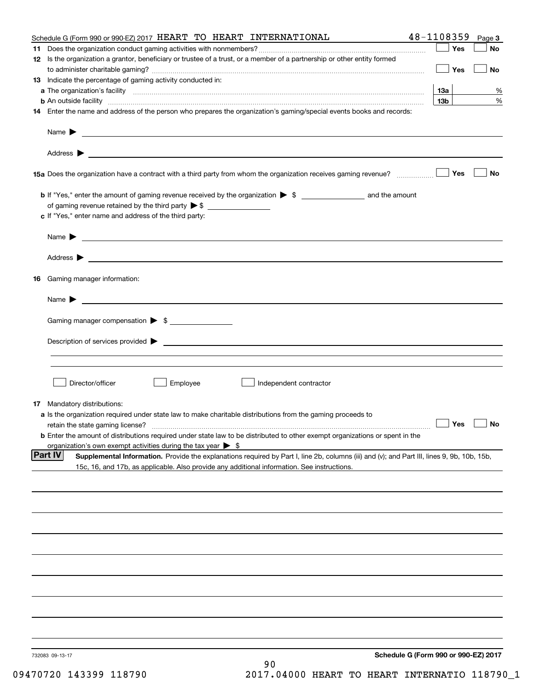|    | Schedule G (Form 990 or 990-EZ) 2017 HEART TO HEART INTERNATIONAL                                                                                                                                                                                            | 48-1108359                           | Page 3    |
|----|--------------------------------------------------------------------------------------------------------------------------------------------------------------------------------------------------------------------------------------------------------------|--------------------------------------|-----------|
|    |                                                                                                                                                                                                                                                              | Yes                                  | No        |
|    | 12 Is the organization a grantor, beneficiary or trustee of a trust, or a member of a partnership or other entity formed                                                                                                                                     | Yes                                  | No        |
|    | 13 Indicate the percentage of gaming activity conducted in:                                                                                                                                                                                                  |                                      |           |
|    |                                                                                                                                                                                                                                                              | 13а                                  | %         |
|    | <b>b</b> An outside facility <i>www.communicality www.communicality.communicality www.communicality www.communicality.communicality www.communicality.com</i>                                                                                                | 13 <sub>b</sub>                      | %         |
|    | 14 Enter the name and address of the person who prepares the organization's gaming/special events books and records:                                                                                                                                         |                                      |           |
|    | Name $\triangleright$ $\square$                                                                                                                                                                                                                              |                                      |           |
|    |                                                                                                                                                                                                                                                              |                                      |           |
|    | 15a Does the organization have a contract with a third party from whom the organization receives gaming revenue?                                                                                                                                             | Yes                                  | <b>No</b> |
|    |                                                                                                                                                                                                                                                              |                                      |           |
|    |                                                                                                                                                                                                                                                              |                                      |           |
|    | c If "Yes," enter name and address of the third party:                                                                                                                                                                                                       |                                      |           |
|    |                                                                                                                                                                                                                                                              |                                      |           |
|    |                                                                                                                                                                                                                                                              |                                      |           |
| 16 | Gaming manager information:                                                                                                                                                                                                                                  |                                      |           |
|    | Name $\blacktriangleright$                                                                                                                                                                                                                                   |                                      |           |
|    |                                                                                                                                                                                                                                                              |                                      |           |
|    | Gaming manager compensation > \$                                                                                                                                                                                                                             |                                      |           |
|    | $Description of services provided$ $\triangleright$                                                                                                                                                                                                          |                                      |           |
|    |                                                                                                                                                                                                                                                              |                                      |           |
|    | Director/officer<br>Employee<br>Independent contractor                                                                                                                                                                                                       |                                      |           |
|    |                                                                                                                                                                                                                                                              |                                      |           |
|    | 17 Mandatory distributions:<br>a Is the organization required under state law to make charitable distributions from the gaming proceeds to                                                                                                                   |                                      |           |
|    | retain the state gaming license?                                                                                                                                                                                                                             | $\Box$ Yes                           | $\Box$ No |
|    | <b>b</b> Enter the amount of distributions required under state law to be distributed to other exempt organizations or spent in the                                                                                                                          |                                      |           |
|    | organization's own exempt activities during the tax year $\triangleright$ \$                                                                                                                                                                                 |                                      |           |
|    | <b>Part IV</b><br>Supplemental Information. Provide the explanations required by Part I, line 2b, columns (iii) and (v); and Part III, lines 9, 9b, 10b, 15b,<br>15c, 16, and 17b, as applicable. Also provide any additional information. See instructions. |                                      |           |
|    |                                                                                                                                                                                                                                                              |                                      |           |
|    |                                                                                                                                                                                                                                                              |                                      |           |
|    |                                                                                                                                                                                                                                                              |                                      |           |
|    |                                                                                                                                                                                                                                                              |                                      |           |
|    |                                                                                                                                                                                                                                                              |                                      |           |
|    |                                                                                                                                                                                                                                                              |                                      |           |
|    |                                                                                                                                                                                                                                                              |                                      |           |
|    |                                                                                                                                                                                                                                                              |                                      |           |
|    |                                                                                                                                                                                                                                                              |                                      |           |
|    | 732083 09-13-17                                                                                                                                                                                                                                              | Schedule G (Form 990 or 990-EZ) 2017 |           |
|    | 90                                                                                                                                                                                                                                                           |                                      |           |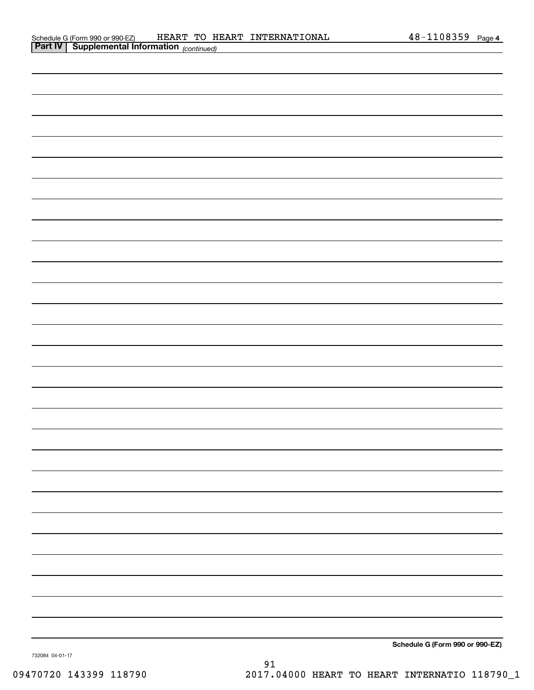| <b>Part IV   Supplemental Information</b> (continued) |                                 |
|-------------------------------------------------------|---------------------------------|
|                                                       |                                 |
|                                                       |                                 |
|                                                       |                                 |
|                                                       |                                 |
|                                                       |                                 |
|                                                       |                                 |
|                                                       |                                 |
|                                                       |                                 |
|                                                       |                                 |
|                                                       |                                 |
|                                                       |                                 |
|                                                       |                                 |
|                                                       |                                 |
|                                                       |                                 |
|                                                       |                                 |
|                                                       |                                 |
|                                                       |                                 |
|                                                       |                                 |
|                                                       |                                 |
|                                                       |                                 |
|                                                       |                                 |
|                                                       |                                 |
|                                                       |                                 |
|                                                       |                                 |
|                                                       |                                 |
|                                                       |                                 |
|                                                       |                                 |
|                                                       |                                 |
|                                                       |                                 |
|                                                       | Schedule G (Form 990 or 990-EZ) |

732084 04-01-17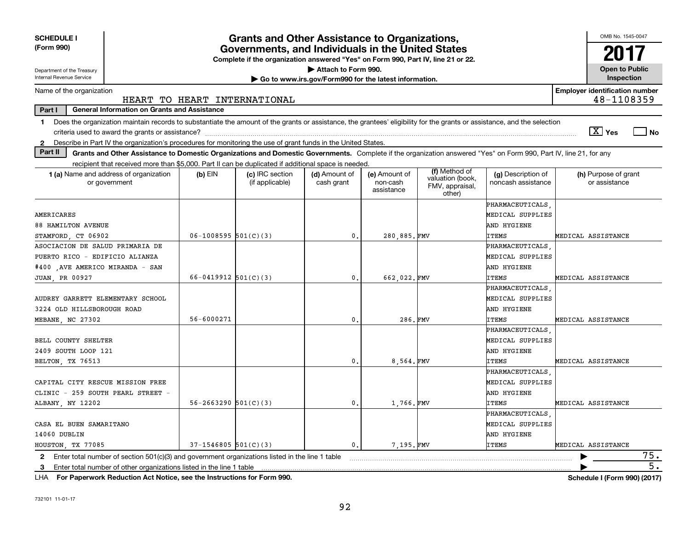| <b>SCHEDULE I</b><br>(Form 990)                                                                                                                                                | <b>Grants and Other Assistance to Organizations,</b><br>Governments, and Individuals in the United States<br>Complete if the organization answered "Yes" on Form 990, Part IV, line 21 or 22. |                                    |                                                       |                                         |                                                                |                                          |                                                     |                  |  |  |  |
|--------------------------------------------------------------------------------------------------------------------------------------------------------------------------------|-----------------------------------------------------------------------------------------------------------------------------------------------------------------------------------------------|------------------------------------|-------------------------------------------------------|-----------------------------------------|----------------------------------------------------------------|------------------------------------------|-----------------------------------------------------|------------------|--|--|--|
|                                                                                                                                                                                |                                                                                                                                                                                               |                                    |                                                       |                                         |                                                                |                                          |                                                     |                  |  |  |  |
| Department of the Treasury<br><b>Internal Revenue Service</b>                                                                                                                  |                                                                                                                                                                                               |                                    | Attach to Form 990.                                   |                                         |                                                                |                                          | <b>Open to Public</b><br>Inspection                 |                  |  |  |  |
|                                                                                                                                                                                |                                                                                                                                                                                               |                                    | Go to www.irs.gov/Form990 for the latest information. |                                         |                                                                |                                          |                                                     |                  |  |  |  |
| Name of the organization                                                                                                                                                       |                                                                                                                                                                                               | HEART TO HEART INTERNATIONAL       |                                                       |                                         |                                                                |                                          | <b>Employer identification number</b><br>48-1108359 |                  |  |  |  |
| Part I<br><b>General Information on Grants and Assistance</b>                                                                                                                  |                                                                                                                                                                                               |                                    |                                                       |                                         |                                                                |                                          |                                                     |                  |  |  |  |
| Does the organization maintain records to substantiate the amount of the grants or assistance, the grantees' eligibility for the grants or assistance, and the selection<br>1. |                                                                                                                                                                                               |                                    |                                                       |                                         |                                                                |                                          |                                                     |                  |  |  |  |
|                                                                                                                                                                                |                                                                                                                                                                                               |                                    |                                                       |                                         |                                                                |                                          | $\boxed{\text{X}}$ Yes                              | ∣ No             |  |  |  |
| Describe in Part IV the organization's procedures for monitoring the use of grant funds in the United States.<br>$\mathbf{2}$                                                  |                                                                                                                                                                                               |                                    |                                                       |                                         |                                                                |                                          |                                                     |                  |  |  |  |
| Part II<br>Grants and Other Assistance to Domestic Organizations and Domestic Governments. Complete if the organization answered "Yes" on Form 990, Part IV, line 21, for any  |                                                                                                                                                                                               |                                    |                                                       |                                         |                                                                |                                          |                                                     |                  |  |  |  |
| recipient that received more than \$5,000. Part II can be duplicated if additional space is needed.                                                                            |                                                                                                                                                                                               |                                    |                                                       |                                         |                                                                |                                          |                                                     |                  |  |  |  |
| 1 (a) Name and address of organization<br>or government                                                                                                                        | $(b)$ EIN                                                                                                                                                                                     | (c) IRC section<br>(if applicable) | (d) Amount of<br>cash grant                           | (e) Amount of<br>non-cash<br>assistance | (f) Method of<br>valuation (book,<br>FMV, appraisal,<br>other) | (g) Description of<br>noncash assistance | (h) Purpose of grant<br>or assistance               |                  |  |  |  |
|                                                                                                                                                                                |                                                                                                                                                                                               |                                    |                                                       |                                         |                                                                | PHARMACEUTICALS                          |                                                     |                  |  |  |  |
| AMERICARES                                                                                                                                                                     |                                                                                                                                                                                               |                                    |                                                       |                                         |                                                                | MEDICAL SUPPLIES                         |                                                     |                  |  |  |  |
| <b>88 HAMILTON AVENUE</b>                                                                                                                                                      |                                                                                                                                                                                               |                                    |                                                       |                                         |                                                                | AND HYGIENE                              |                                                     |                  |  |  |  |
| STAMFORD, CT 06902                                                                                                                                                             | $06-1008595$ 501(C)(3)                                                                                                                                                                        |                                    | $\mathbf{0}$                                          | 280,885.FMV                             |                                                                | <b>ITEMS</b>                             | MEDICAL ASSISTANCE                                  |                  |  |  |  |
| ASOCIACION DE SALUD PRIMARIA DE                                                                                                                                                |                                                                                                                                                                                               |                                    |                                                       |                                         |                                                                | PHARMACEUTICALS                          |                                                     |                  |  |  |  |
| PUERTO RICO - EDIFICIO ALIANZA                                                                                                                                                 |                                                                                                                                                                                               |                                    |                                                       |                                         |                                                                | MEDICAL SUPPLIES                         |                                                     |                  |  |  |  |
| #400 AVE AMERICO MIRANDA - SAN                                                                                                                                                 |                                                                                                                                                                                               |                                    |                                                       |                                         |                                                                | AND HYGIENE                              |                                                     |                  |  |  |  |
| <b>JUAN, PR 00927</b>                                                                                                                                                          | $66 - 0419912$ $501(C)(3)$                                                                                                                                                                    |                                    | $\mathbf{0}$ .                                        | 662.022.FMV                             |                                                                | ITEMS                                    | MEDICAL ASSISTANCE                                  |                  |  |  |  |
|                                                                                                                                                                                |                                                                                                                                                                                               |                                    |                                                       |                                         |                                                                | PHARMACEUTICALS                          |                                                     |                  |  |  |  |
| AUDREY GARRETT ELEMENTARY SCHOOL                                                                                                                                               |                                                                                                                                                                                               |                                    |                                                       |                                         |                                                                | MEDICAL SUPPLIES                         |                                                     |                  |  |  |  |
| 3224 OLD HILLSBOROUGH ROAD                                                                                                                                                     |                                                                                                                                                                                               |                                    |                                                       |                                         |                                                                | AND HYGIENE                              |                                                     |                  |  |  |  |
| MEBANE, NC 27302                                                                                                                                                               | 56-6000271                                                                                                                                                                                    |                                    | $\mathbf{0}$                                          | 286.FMV                                 |                                                                | <b>ITEMS</b>                             | MEDICAL ASSISTANCE                                  |                  |  |  |  |
|                                                                                                                                                                                |                                                                                                                                                                                               |                                    |                                                       |                                         |                                                                | PHARMACEUTICALS                          |                                                     |                  |  |  |  |
| BELL COUNTY SHELTER                                                                                                                                                            |                                                                                                                                                                                               |                                    |                                                       |                                         |                                                                | MEDICAL SUPPLIES                         |                                                     |                  |  |  |  |
| 2409 SOUTH LOOP 121                                                                                                                                                            |                                                                                                                                                                                               |                                    |                                                       |                                         |                                                                | AND HYGIENE                              |                                                     |                  |  |  |  |
| BELTON, TX 76513                                                                                                                                                               |                                                                                                                                                                                               |                                    | $\mathbf{0}$ .                                        | 8.564.FMV                               |                                                                | <b>ITEMS</b>                             | MEDICAL ASSISTANCE                                  |                  |  |  |  |
|                                                                                                                                                                                |                                                                                                                                                                                               |                                    |                                                       |                                         |                                                                | PHARMACEUTICALS                          |                                                     |                  |  |  |  |
| CAPITAL CITY RESCUE MISSION FREE                                                                                                                                               |                                                                                                                                                                                               |                                    |                                                       |                                         |                                                                | MEDICAL SUPPLIES                         |                                                     |                  |  |  |  |
| CLINIC - 259 SOUTH PEARL STREET -                                                                                                                                              |                                                                                                                                                                                               |                                    |                                                       |                                         |                                                                | AND HYGIENE                              |                                                     |                  |  |  |  |
| ALBANY, NY 12202                                                                                                                                                               | $56 - 2663290$ $501(C)(3)$                                                                                                                                                                    |                                    | 0.                                                    | 1.766.FMV                               |                                                                | <b>ITEMS</b>                             | MEDICAL ASSISTANCE                                  |                  |  |  |  |
|                                                                                                                                                                                |                                                                                                                                                                                               |                                    |                                                       |                                         |                                                                | PHARMACEUTICALS                          |                                                     |                  |  |  |  |
| CASA EL BUEN SAMARITANO                                                                                                                                                        |                                                                                                                                                                                               |                                    |                                                       |                                         |                                                                | MEDICAL SUPPLIES                         |                                                     |                  |  |  |  |
| 14060 DUBLIN                                                                                                                                                                   |                                                                                                                                                                                               |                                    |                                                       |                                         |                                                                | AND HYGIENE                              |                                                     |                  |  |  |  |
| HOUSTON, TX 77085                                                                                                                                                              | $37-1546805$ 501(C)(3)                                                                                                                                                                        |                                    | 0.                                                    | 7.195.FMV                               |                                                                | <b>ITEMS</b>                             | MEDICAL ASSISTANCE                                  |                  |  |  |  |
|                                                                                                                                                                                |                                                                                                                                                                                               |                                    |                                                       |                                         |                                                                |                                          |                                                     | 75.              |  |  |  |
| Enter total number of section 501(c)(3) and government organizations listed in the line 1 table<br>$\mathbf{2}$                                                                |                                                                                                                                                                                               |                                    |                                                       |                                         |                                                                |                                          |                                                     | $\overline{5}$ . |  |  |  |
| Enter total number of other organizations listed in the line 1 table<br>3.                                                                                                     |                                                                                                                                                                                               |                                    |                                                       |                                         |                                                                |                                          |                                                     |                  |  |  |  |

**For Paperwork Reduction Act Notice, see the Instructions for Form 990. Schedule I (Form 990) (2017)** LHA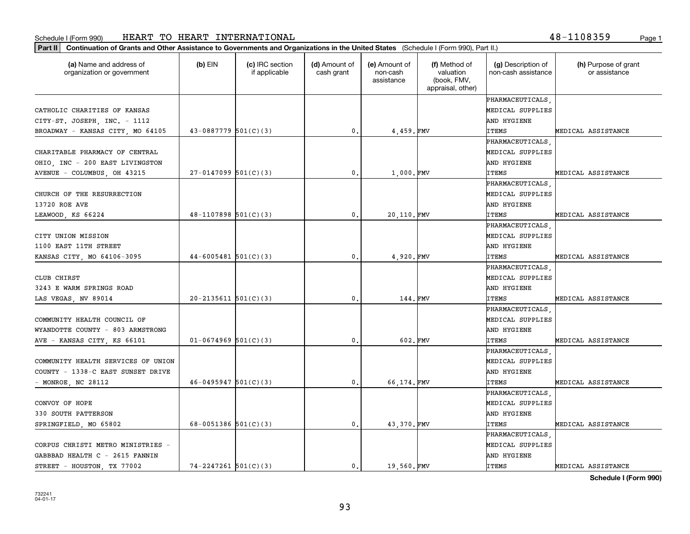| (a) Name and address of<br>organization or government | $(b)$ EIN                | (c) IRC section<br>if applicable | (d) Amount of<br>cash grant | (e) Amount of<br>non-cash<br>assistance | (f) Method of<br>valuation<br>(book, FMV,<br>appraisal, other) | (g) Description of<br>non-cash assistance | (h) Purpose of grant<br>or assistance |
|-------------------------------------------------------|--------------------------|----------------------------------|-----------------------------|-----------------------------------------|----------------------------------------------------------------|-------------------------------------------|---------------------------------------|
|                                                       |                          |                                  |                             |                                         |                                                                | PHARMACEUTICALS                           |                                       |
| CATHOLIC CHARITIES OF KANSAS                          |                          |                                  |                             |                                         |                                                                | MEDICAL SUPPLIES                          |                                       |
| CITY-ST. JOSEPH, INC. - 1112                          |                          |                                  |                             |                                         |                                                                | AND HYGIENE                               |                                       |
| BROADWAY - KANSAS CITY, MO 64105                      | $43-0887779$ 501(C)(3)   |                                  | $\mathbf{0}$ .              | 4,459.FMV                               |                                                                | <b>ITEMS</b>                              | MEDICAL ASSISTANCE                    |
|                                                       |                          |                                  |                             |                                         |                                                                | PHARMACEUTICALS                           |                                       |
| CHARITABLE PHARMACY OF CENTRAL                        |                          |                                  |                             |                                         |                                                                | MEDICAL SUPPLIES                          |                                       |
| OHIO, INC - 200 EAST LIVINGSTON                       |                          |                                  |                             |                                         |                                                                | AND HYGIENE                               |                                       |
| AVENUE - COLUMBUS, OH 43215                           | $27-0147099$ 501(C)(3)   |                                  | 0.                          | 1,000.FMV                               |                                                                | <b>ITEMS</b>                              | MEDICAL ASSISTANCE                    |
|                                                       |                          |                                  |                             |                                         |                                                                | PHARMACEUTICALS                           |                                       |
| CHURCH OF THE RESURRECTION                            |                          |                                  |                             |                                         |                                                                | MEDICAL SUPPLIES                          |                                       |
| 13720 ROE AVE                                         |                          |                                  |                             |                                         |                                                                | AND HYGIENE                               |                                       |
| LEAWOOD, KS 66224                                     | $48-1107898$ 501(C)(3)   |                                  | 0.                          | 20,110.FMV                              |                                                                | <b>ITEMS</b>                              | MEDICAL ASSISTANCE                    |
|                                                       |                          |                                  |                             |                                         |                                                                | PHARMACEUTICALS                           |                                       |
| CITY UNION MISSION                                    |                          |                                  |                             |                                         |                                                                | MEDICAL SUPPLIES                          |                                       |
| 1100 EAST 11TH STREET                                 |                          |                                  |                             |                                         |                                                                | AND HYGIENE                               |                                       |
| KANSAS CITY, MO 64106-3095                            | $44-6005481$ 501(C)(3)   |                                  | 0.                          | 4,920.FMV                               |                                                                | <b>ITEMS</b>                              | MEDICAL ASSISTANCE                    |
|                                                       |                          |                                  |                             |                                         |                                                                | PHARMACEUTICALS                           |                                       |
| CLUB CHIRST                                           |                          |                                  |                             |                                         |                                                                | MEDICAL SUPPLIES                          |                                       |
| 3243 E WARM SPRINGS ROAD                              |                          |                                  |                             |                                         |                                                                | AND HYGIENE                               |                                       |
| LAS VEGAS, NV 89014                                   | $20-2135611$ $501(C)(3)$ |                                  | $\mathbf{0}$ .              | 144.FMV                                 |                                                                | <b>ITEMS</b>                              | MEDICAL ASSISTANCE                    |
|                                                       |                          |                                  |                             |                                         |                                                                | PHARMACEUTICALS                           |                                       |
| COMMUNITY HEALTH COUNCIL OF                           |                          |                                  |                             |                                         |                                                                | MEDICAL SUPPLIES                          |                                       |
| WYANDOTTE COUNTY - 803 ARMSTRONG                      |                          |                                  |                             |                                         |                                                                | AND HYGIENE                               |                                       |
| AVE - KANSAS CITY, KS 66101                           | $01-0674969$ 501(C)(3)   |                                  | 0.                          | 602.FMV                                 |                                                                | <b>ITEMS</b>                              | MEDICAL ASSISTANCE                    |
|                                                       |                          |                                  |                             |                                         |                                                                | PHARMACEUTICALS                           |                                       |
| COMMUNITY HEALTH SERVICES OF UNION                    |                          |                                  |                             |                                         |                                                                | MEDICAL SUPPLIES                          |                                       |
| COUNTY - 1338-C EAST SUNSET DRIVE                     |                          |                                  |                             |                                         |                                                                | AND HYGIENE                               |                                       |
| - MONROE, NC 28112                                    | $46 - 0495947$ 501(C)(3) |                                  | 0.                          | 66,174.FMV                              |                                                                | <b>ITEMS</b>                              | MEDICAL ASSISTANCE                    |
|                                                       |                          |                                  |                             |                                         |                                                                | PHARMACEUTICALS                           |                                       |
| CONVOY OF HOPE                                        |                          |                                  |                             |                                         |                                                                | MEDICAL SUPPLIES                          |                                       |
| 330 SOUTH PATTERSON                                   |                          |                                  |                             |                                         |                                                                | AND HYGIENE                               |                                       |
| SPRINGFIELD, MO 65802                                 | 68-0051386 $501(C)(3)$   |                                  | 0.                          | 43,370. FMV                             |                                                                | <b>ITEMS</b>                              | MEDICAL ASSISTANCE                    |
|                                                       |                          |                                  |                             |                                         |                                                                | PHARMACEUTICALS                           |                                       |
| CORPUS CHRISTI METRO MINISTRIES -                     |                          |                                  |                             |                                         |                                                                | MEDICAL SUPPLIES                          |                                       |
| GABBBAD HEALTH C - 2615 FANNIN                        |                          |                                  |                             |                                         |                                                                | AND HYGIENE                               |                                       |
| STREET - HOUSTON, TX 77002                            | $74 - 2247261$ 501(C)(3) |                                  | 0.                          | 19,560.FMV                              |                                                                | <b>ITEMS</b>                              | MEDICAL ASSISTANCE                    |

**Schedule I (Form 990)**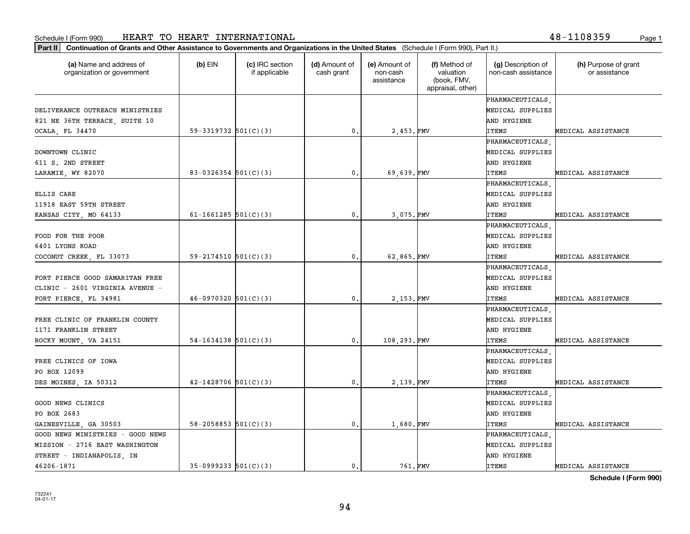**Part II Continuation of Grants and Other Assistance to Governments and Organizations in the United States**  (Schedule I (Form 990), Part II.)

46206-1871

| (a) Name and address of<br>organization or government | $(b)$ EIN                  | (c) IRC section<br>if applicable | (d) Amount of<br>cash grant | (e) Amount of<br>non-cash<br>assistance | (f) Method of<br>valuation<br>(book, FMV,<br>appraisal, other) | (g) Description of<br>non-cash assistance | (h) Purpose of grant<br>or assistance |
|-------------------------------------------------------|----------------------------|----------------------------------|-----------------------------|-----------------------------------------|----------------------------------------------------------------|-------------------------------------------|---------------------------------------|
|                                                       |                            |                                  |                             |                                         |                                                                | PHARMACEUTICALS                           |                                       |
| DELIVERANCE OUTREACH MINISTRIES                       |                            |                                  |                             |                                         |                                                                | MEDICAL SUPPLIES                          |                                       |
| 821 NE 36TH TERRACE, SUITE 10                         |                            |                                  |                             |                                         |                                                                | AND HYGIENE                               |                                       |
| OCALA, FL 34470                                       | 59-3319732 $501(C)(3)$     |                                  | 0.                          | 2,453. FMV                              |                                                                | <b>ITEMS</b>                              | MEDICAL ASSISTANCE                    |
|                                                       |                            |                                  |                             |                                         |                                                                | PHARMACEUTICALS                           |                                       |
| DOWNTOWN CLINIC                                       |                            |                                  |                             |                                         |                                                                | MEDICAL SUPPLIES                          |                                       |
| 611 S. 2ND STREET                                     |                            |                                  |                             |                                         |                                                                | AND HYGIENE                               |                                       |
| LARAMIE, WY 82070                                     | $83-0326354$ 501(C)(3)     |                                  | 0.                          | 69,639.FMV                              |                                                                | <b>ITEMS</b>                              | MEDICAL ASSISTANCE                    |
|                                                       |                            |                                  |                             |                                         |                                                                | PHARMACEUTICALS                           |                                       |
| ELLIS CARE                                            |                            |                                  |                             |                                         |                                                                | MEDICAL SUPPLIES                          |                                       |
| 11918 EAST 59TH STREET                                |                            |                                  |                             |                                         |                                                                | AND HYGIENE                               |                                       |
| KANSAS CITY, MO 64133                                 | 61-1661285 $501(C)(3)$     |                                  | 0.                          | 3,075.FMV                               |                                                                | <b>ITEMS</b>                              | MEDICAL ASSISTANCE                    |
|                                                       |                            |                                  |                             |                                         |                                                                | PHARMACEUTICALS                           |                                       |
| FOOD FOR THE POOR                                     |                            |                                  |                             |                                         |                                                                | MEDICAL SUPPLIES                          |                                       |
| 6401 LYONS ROAD                                       |                            |                                  |                             |                                         |                                                                | AND HYGIENE                               |                                       |
| COCONUT CREEK, FL 33073                               | $59 - 2174510$ $501(C)(3)$ |                                  | $\mathbf{0}$ .              | 62,865.FMV                              |                                                                | <b>ITEMS</b>                              | MEDICAL ASSISTANCE                    |
|                                                       |                            |                                  |                             |                                         |                                                                | PHARMACEUTICALS                           |                                       |
| FORT PIERCE GOOD SAMARITAN FREE                       |                            |                                  |                             |                                         |                                                                | MEDICAL SUPPLIES                          |                                       |
| CLINIC - 2601 VIRGINIA AVENUE -                       |                            |                                  |                             |                                         |                                                                | AND HYGIENE                               |                                       |
| FORT PIERCE, FL 34981                                 | $46-0970320$ 501(C)(3)     |                                  | 0.                          | 2,153. FMV                              |                                                                | <b>ITEMS</b>                              | MEDICAL ASSISTANCE                    |
|                                                       |                            |                                  |                             |                                         |                                                                | PHARMACEUTICALS                           |                                       |
| FREE CLINIC OF FRANKLIN COUNTY                        |                            |                                  |                             |                                         |                                                                | MEDICAL SUPPLIES                          |                                       |
| 1171 FRANKLIN STREET                                  |                            |                                  |                             |                                         |                                                                | AND HYGIENE                               |                                       |
| ROCKY MOUNT, VA 24151                                 | $54-1634138$ $501(C)(3)$   |                                  | $\mathbf{0}$ .              | 108,293.FMV                             |                                                                | <b>ITEMS</b>                              | MEDICAL ASSISTANCE                    |
|                                                       |                            |                                  |                             |                                         |                                                                | PHARMACEUTICALS                           |                                       |
| FREE CLINICS OF IOWA                                  |                            |                                  |                             |                                         |                                                                | MEDICAL SUPPLIES                          |                                       |
| PO BOX 12099                                          |                            |                                  |                             |                                         |                                                                | AND HYGIENE                               |                                       |
| DES MOINES, IA 50312                                  | $42 - 1428706$ 501(C)(3)   |                                  | $\mathbf{0}$ .              | 2,139. FMV                              |                                                                | <b>ITEMS</b>                              | MEDICAL ASSISTANCE                    |
|                                                       |                            |                                  |                             |                                         |                                                                | PHARMACEUTICALS                           |                                       |
| GOOD NEWS CLINICS                                     |                            |                                  |                             |                                         |                                                                | MEDICAL SUPPLIES                          |                                       |
| PO BOX 2683                                           |                            |                                  |                             |                                         |                                                                | AND HYGIENE                               |                                       |
| GAINESVILLE, GA 30503                                 | 58-2058853 $501(C)(3)$     |                                  | 0.                          | 1,680.FMV                               |                                                                | <b>ITEMS</b>                              | MEDICAL ASSISTANCE                    |
| GOOD NEWS MINISTRIES - GOOD NEWS                      |                            |                                  |                             |                                         |                                                                | PHARMACEUTICALS                           |                                       |
| MISSION - 2716 EAST WASHINGTON                        |                            |                                  |                             |                                         |                                                                | MEDICAL SUPPLIES                          |                                       |
| STREET - INDIANAPOLIS, IN                             |                            |                                  |                             |                                         |                                                                | AND HYGIENE                               |                                       |

35-0999233 501(C)(3) | 0. 761. FMV ITEMS MEDICAL ASSISTANCE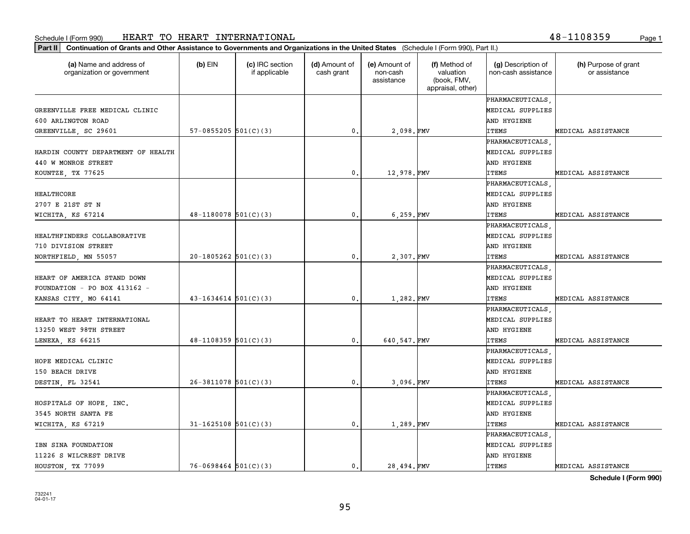**Part II Continuation of Grants and Other Assistance to Governments and Organizations in the United States**  (Schedule I (Form 990), Part II.)

| (a) Name and address of<br>organization or government | $(b)$ EIN                  | (c) IRC section<br>if applicable | (d) Amount of<br>cash grant | (e) Amount of<br>non-cash<br>assistance | (f) Method of<br>valuation<br>(book, FMV,<br>appraisal, other) | (g) Description of<br>non-cash assistance | (h) Purpose of grant<br>or assistance |
|-------------------------------------------------------|----------------------------|----------------------------------|-----------------------------|-----------------------------------------|----------------------------------------------------------------|-------------------------------------------|---------------------------------------|
|                                                       |                            |                                  |                             |                                         |                                                                | PHARMACEUTICALS                           |                                       |
| GREENVILLE FREE MEDICAL CLINIC                        |                            |                                  |                             |                                         |                                                                | MEDICAL SUPPLIES                          |                                       |
| 600 ARLINGTON ROAD                                    |                            |                                  |                             |                                         |                                                                | AND HYGIENE                               |                                       |
| GREENVILLE, SC 29601                                  | 57-0855205 $501(C)(3)$     |                                  | $\mathbf{0}$ .              | 2,098.FMV                               |                                                                | <b>ITEMS</b>                              | MEDICAL ASSISTANCE                    |
|                                                       |                            |                                  |                             |                                         |                                                                | PHARMACEUTICALS                           |                                       |
| HARDIN COUNTY DEPARTMENT OF HEALTH                    |                            |                                  |                             |                                         |                                                                | MEDICAL SUPPLIES                          |                                       |
| 440 W MONROE STREET                                   |                            |                                  |                             |                                         |                                                                | AND HYGIENE                               |                                       |
| KOUNTZE, TX 77625                                     |                            |                                  | $\mathbf{0}$ .              | 12,978.FMV                              |                                                                | <b>ITEMS</b>                              | MEDICAL ASSISTANCE                    |
|                                                       |                            |                                  |                             |                                         |                                                                | PHARMACEUTICALS                           |                                       |
| HEALTHCORE                                            |                            |                                  |                             |                                         |                                                                | MEDICAL SUPPLIES                          |                                       |
| 2707 E 21ST ST N                                      |                            |                                  |                             |                                         |                                                                | AND HYGIENE                               |                                       |
| WICHITA, KS 67214                                     | $48-1180078$ $501(C)(3)$   |                                  | 0.                          | 6,259.FMV                               |                                                                | <b>ITEMS</b>                              | MEDICAL ASSISTANCE                    |
|                                                       |                            |                                  |                             |                                         |                                                                | PHARMACEUTICALS                           |                                       |
| HEALTHFINDERS COLLABORATIVE                           |                            |                                  |                             |                                         |                                                                | MEDICAL SUPPLIES                          |                                       |
| 710 DIVISION STREET                                   |                            |                                  |                             |                                         |                                                                | AND HYGIENE                               |                                       |
| NORTHFIELD, MN 55057                                  | $20-1805262$ $501(C)(3)$   |                                  | $\mathbf{0}$ .              | 2,307. FMV                              |                                                                | <b>ITEMS</b>                              | MEDICAL ASSISTANCE                    |
|                                                       |                            |                                  |                             |                                         |                                                                | PHARMACEUTICALS                           |                                       |
| HEART OF AMERICA STAND DOWN                           |                            |                                  |                             |                                         |                                                                | MEDICAL SUPPLIES                          |                                       |
| FOUNDATION - PO BOX 413162 -                          |                            |                                  |                             |                                         |                                                                | AND HYGIENE                               |                                       |
| KANSAS CITY, MO 64141                                 | $43 - 1634614$ 501(C)(3)   |                                  | $\mathbf{0}$ .              | 1,282. FMV                              |                                                                | <b>ITEMS</b>                              | MEDICAL ASSISTANCE                    |
|                                                       |                            |                                  |                             |                                         |                                                                | PHARMACEUTICALS                           |                                       |
| HEART TO HEART INTERNATIONAL                          |                            |                                  |                             |                                         |                                                                | MEDICAL SUPPLIES                          |                                       |
| 13250 WEST 98TH STREET                                |                            |                                  |                             |                                         |                                                                | AND HYGIENE                               |                                       |
| LENEXA, KS 66215                                      | $48-1108359$ $501(C)(3)$   |                                  | 0.                          | 640, 547. FMV                           |                                                                | <b>ITEMS</b>                              | MEDICAL ASSISTANCE                    |
|                                                       |                            |                                  |                             |                                         |                                                                | PHARMACEUTICALS                           |                                       |
| HOPE MEDICAL CLINIC                                   |                            |                                  |                             |                                         |                                                                | MEDICAL SUPPLIES                          |                                       |
| 150 BEACH DRIVE                                       |                            |                                  |                             |                                         |                                                                | AND HYGIENE                               |                                       |
| DESTIN, FL 32541                                      | $26-3811078$ 501(C)(3)     |                                  | 0.                          | 3,096.FMV                               |                                                                | <b>ITEMS</b>                              | MEDICAL ASSISTANCE                    |
|                                                       |                            |                                  |                             |                                         |                                                                | PHARMACEUTICALS                           |                                       |
| HOSPITALS OF HOPE, INC.                               |                            |                                  |                             |                                         |                                                                | MEDICAL SUPPLIES                          |                                       |
| 3545 NORTH SANTA FE                                   |                            |                                  |                             |                                         |                                                                | AND HYGIENE                               |                                       |
| WICHITA, KS 67219                                     | $31 - 1625108$ $501(C)(3)$ |                                  | 0.                          | 1,289. FMV                              |                                                                | <b>ITEMS</b>                              | MEDICAL ASSISTANCE                    |
|                                                       |                            |                                  |                             |                                         |                                                                | PHARMACEUTICALS                           |                                       |
| IBN SINA FOUNDATION                                   |                            |                                  |                             |                                         |                                                                | MEDICAL SUPPLIES                          |                                       |
| 11226 S WILCREST DRIVE                                |                            |                                  |                             |                                         |                                                                | AND HYGIENE                               |                                       |

Т

**Schedule I (Form 990)** HOUSTON, TX 77099  $\begin{vmatrix} 76-0698464 & 501(C)(3) \end{vmatrix}$  0. 28,494. FMV ITEMS MEDICAL ASSISTANCE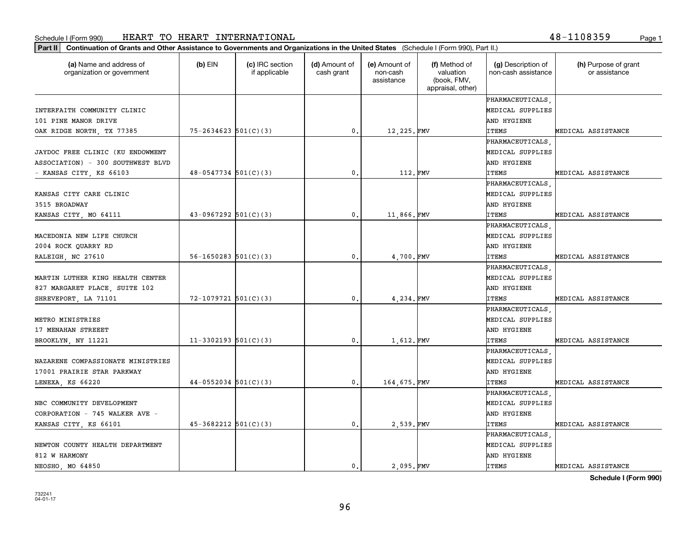**Part II Continuation of Grants and Other Assistance to Governments and Organizations in the United States**  (Schedule I (Form 990), Part II.)

| (a) Name and address of<br>organization or government | $(b)$ EIN                  | (c) IRC section<br>if applicable | (d) Amount of<br>cash grant | (e) Amount of<br>non-cash<br>assistance | (f) Method of<br>valuation<br>(book, FMV,<br>appraisal, other) | (g) Description of<br>non-cash assistance | (h) Purpose of grant<br>or assistance |
|-------------------------------------------------------|----------------------------|----------------------------------|-----------------------------|-----------------------------------------|----------------------------------------------------------------|-------------------------------------------|---------------------------------------|
|                                                       |                            |                                  |                             |                                         |                                                                | PHARMACEUTICALS                           |                                       |
| INTERFAITH COMMUNITY CLINIC                           |                            |                                  |                             |                                         |                                                                | MEDICAL SUPPLIES                          |                                       |
| 101 PINE MANOR DRIVE                                  |                            |                                  |                             |                                         |                                                                | AND HYGIENE                               |                                       |
| OAK RIDGE NORTH, TX 77385                             | $75 - 2634623$ 501(C)(3)   |                                  | $\mathbf{0}$ .              | 12,225.FMV                              |                                                                | <b>ITEMS</b>                              | MEDICAL ASSISTANCE                    |
|                                                       |                            |                                  |                             |                                         |                                                                | PHARMACEUTICALS                           |                                       |
| JAYDOC FREE CLINIC (KU ENDOWMENT                      |                            |                                  |                             |                                         |                                                                | MEDICAL SUPPLIES                          |                                       |
| ASSOCIATION) - 300 SOUTHWEST BLVD                     |                            |                                  |                             |                                         |                                                                | AND HYGIENE                               |                                       |
| - KANSAS CITY, KS 66103                               | $48-0547734$ 501(C)(3)     |                                  | $\mathbf{0}$ .              | 112.FMV                                 |                                                                | ITEMS                                     | MEDICAL ASSISTANCE                    |
|                                                       |                            |                                  |                             |                                         |                                                                | PHARMACEUTICALS                           |                                       |
| KANSAS CITY CARE CLINIC                               |                            |                                  |                             |                                         |                                                                | MEDICAL SUPPLIES                          |                                       |
| 3515 BROADWAY                                         |                            |                                  |                             |                                         |                                                                | AND HYGIENE                               |                                       |
| KANSAS CITY, MO 64111                                 | $43-0967292$ 501(C)(3)     |                                  | $\mathbf{0}$ .              | 11,866.FMV                              |                                                                | <b>ITEMS</b>                              | MEDICAL ASSISTANCE                    |
|                                                       |                            |                                  |                             |                                         |                                                                | PHARMACEUTICALS                           |                                       |
| MACEDONIA NEW LIFE CHURCH                             |                            |                                  |                             |                                         |                                                                | MEDICAL SUPPLIES                          |                                       |
| 2004 ROCK QUARRY RD                                   |                            |                                  |                             |                                         |                                                                | AND HYGIENE                               |                                       |
| RALEIGH, NC 27610                                     | $56 - 1650283$ $501(C)(3)$ |                                  | $\mathbf{0}$ .              | 4,700.FMV                               |                                                                | ITEMS                                     | MEDICAL ASSISTANCE                    |
|                                                       |                            |                                  |                             |                                         |                                                                | PHARMACEUTICALS                           |                                       |
| MARTIN LUTHER KING HEALTH CENTER                      |                            |                                  |                             |                                         |                                                                | MEDICAL SUPPLIES                          |                                       |
| 827 MARGARET PLACE, SUITE 102                         |                            |                                  |                             |                                         |                                                                | AND HYGIENE                               |                                       |
| SHREVEPORT, LA 71101                                  | $72 - 1079721$ 501(C)(3)   |                                  | $\mathbf{0}$ .              | 4,234. FMV                              |                                                                | ITEMS                                     | MEDICAL ASSISTANCE                    |
|                                                       |                            |                                  |                             |                                         |                                                                | PHARMACEUTICALS                           |                                       |
| METRO MINISTRIES                                      |                            |                                  |                             |                                         |                                                                | MEDICAL SUPPLIES                          |                                       |
| 17 MENAHAN STREEET                                    |                            |                                  |                             |                                         |                                                                | AND HYGIENE                               |                                       |
| BROOKLYN, NY 11221                                    | $11-3302193$ $501(C)(3)$   |                                  | $\mathbf{0}$ .              | 1,612.FMV                               |                                                                | <b>ITEMS</b>                              | MEDICAL ASSISTANCE                    |
|                                                       |                            |                                  |                             |                                         |                                                                | PHARMACEUTICALS                           |                                       |
| NAZARENE COMPASSIONATE MINISTRIES                     |                            |                                  |                             |                                         |                                                                | MEDICAL SUPPLIES                          |                                       |
| 17001 PRAIRIE STAR PARKWAY                            |                            |                                  |                             |                                         |                                                                | AND HYGIENE                               |                                       |
| LENEXA, KS 66220                                      | $44-0552034$ 501(C)(3)     |                                  | $\mathbf{0}$ .              | 164,675. FMV                            |                                                                | <b>ITEMS</b>                              | MEDICAL ASSISTANCE                    |
|                                                       |                            |                                  |                             |                                         |                                                                | PHARMACEUTICALS                           |                                       |
| NBC COMMUNITY DEVELOPMENT                             |                            |                                  |                             |                                         |                                                                | MEDICAL SUPPLIES                          |                                       |
| CORPORATION - 745 WALKER AVE -                        |                            |                                  |                             |                                         |                                                                | AND HYGIENE                               |                                       |
| KANSAS CITY, KS 66101                                 | $45 - 3682212$ $501(C)(3)$ |                                  | 0.                          | 2,539.FMV                               |                                                                | <b>ITEMS</b>                              | MEDICAL ASSISTANCE                    |
|                                                       |                            |                                  |                             |                                         |                                                                | PHARMACEUTICALS                           |                                       |
| NEWTON COUNTY HEALTH DEPARTMENT                       |                            |                                  |                             |                                         |                                                                | MEDICAL SUPPLIES                          |                                       |
| 812 W HARMONY                                         |                            |                                  |                             |                                         |                                                                | AND HYGIENE                               |                                       |
| NEOSHO MO 64850                                       |                            |                                  | $\mathbf{0}$ .              | 2.095.FMV                               |                                                                | <b>ITEMS</b>                              | MEDICAL ASSISTANCE                    |

**Schedule I (Form 990)**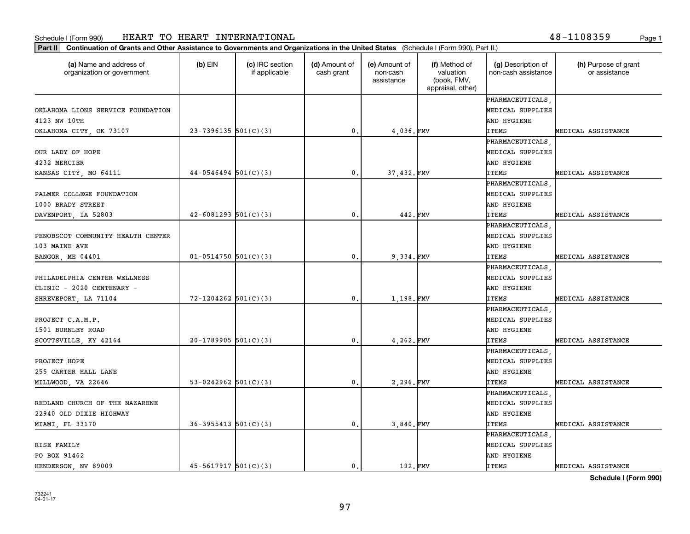**Part II Continuation of Grants and Other Assistance to Governments and Organizations in the United States**  (Schedule I (Form 990), Part II.)

 $(b)$  EIN  $(c)$  IRC section

| organization or government        |                            | if applicable | cash grant      | non-cash<br>assistance | valuation<br>(book, FMV,<br>appraisal, other) | non-cash assistance | or assistance      |
|-----------------------------------|----------------------------|---------------|-----------------|------------------------|-----------------------------------------------|---------------------|--------------------|
|                                   |                            |               |                 |                        |                                               | PHARMACEUTICALS     |                    |
| OKLAHOMA LIONS SERVICE FOUNDATION |                            |               |                 |                        |                                               | MEDICAL SUPPLIES    |                    |
| 4123 NW 10TH                      |                            |               |                 |                        |                                               | AND HYGIENE         |                    |
| OKLAHOMA CITY, OK 73107           | $23-7396135$ 501(C)(3)     |               | $\mathfrak o$ . | 4,036.FMV              |                                               | <b>ITEMS</b>        | MEDICAL ASSISTANCE |
|                                   |                            |               |                 |                        |                                               | PHARMACEUTICALS     |                    |
| OUR LADY OF HOPE                  |                            |               |                 |                        |                                               | MEDICAL SUPPLIES    |                    |
| 4232 MERCIER                      |                            |               |                 |                        |                                               | AND HYGIENE         |                    |
| KANSAS CITY, MO 64111             | $44-0546494$ 501(C)(3)     |               | $\mathbf{0}$ .  | 37,432. FMV            |                                               | ITEMS               | MEDICAL ASSISTANCE |
|                                   |                            |               |                 |                        |                                               | PHARMACEUTICALS     |                    |
| PALMER COLLEGE FOUNDATION         |                            |               |                 |                        |                                               | MEDICAL SUPPLIES    |                    |
| 1000 BRADY STREET                 |                            |               |                 |                        |                                               | AND HYGIENE         |                    |
| DAVENPORT, IA 52803               | $42 - 6081293$ $501(C)(3)$ |               | $\mathbf{0}$ .  | 442. FMV               |                                               | ITEMS               | MEDICAL ASSISTANCE |
|                                   |                            |               |                 |                        |                                               | PHARMACEUTICALS     |                    |
| PENOBSCOT COMMUNITY HEALTH CENTER |                            |               |                 |                        |                                               | MEDICAL SUPPLIES    |                    |
| 103 MAINE AVE                     |                            |               |                 |                        |                                               | AND HYGIENE         |                    |
| BANGOR, ME 04401                  | $01 - 0514750$ 501(C)(3)   |               | $\mathbf{0}$ .  | 9,334.FMV              |                                               | ITEMS               | MEDICAL ASSISTANCE |
|                                   |                            |               |                 |                        |                                               | PHARMACEUTICALS     |                    |
| PHILADELPHIA CENTER WELLNESS      |                            |               |                 |                        |                                               | MEDICAL SUPPLIES    |                    |
| CLINIC - 2020 CENTENARY -         |                            |               |                 |                        |                                               | AND HYGIENE         |                    |
| SHREVEPORT, LA 71104              | $72 - 1204262$ 501(C)(3)   |               | $\mathbf{0}$ .  | 1,198.FMV              |                                               | ITEMS               | MEDICAL ASSISTANCE |
|                                   |                            |               |                 |                        |                                               | PHARMACEUTICALS     |                    |
| PROJECT C.A.M.P.                  |                            |               |                 |                        |                                               | MEDICAL SUPPLIES    |                    |
| 1501 BURNLEY ROAD                 |                            |               |                 |                        |                                               | AND HYGIENE         |                    |
| SCOTTSVILLE, KY 42164             | $20-1789905$ 501(C)(3)     |               | $\mathbf{0}$ .  | 4,262. FMV             |                                               | <b>ITEMS</b>        | MEDICAL ASSISTANCE |
|                                   |                            |               |                 |                        |                                               | PHARMACEUTICALS     |                    |
| PROJECT HOPE                      |                            |               |                 |                        |                                               | MEDICAL SUPPLIES    |                    |
| 255 CARTER HALL LANE              |                            |               |                 |                        |                                               | AND HYGIENE         |                    |
| MILLWOOD, VA 22646                | 53-0242962 $501(C)(3)$     |               | $\mathbf{0}$ .  | 2,296.FMV              |                                               | <b>ITEMS</b>        | MEDICAL ASSISTANCE |
|                                   |                            |               |                 |                        |                                               | PHARMACEUTICALS     |                    |
| REDLAND CHURCH OF THE NAZARENE    |                            |               |                 |                        |                                               | MEDICAL SUPPLIES    |                    |
| 22940 OLD DIXIE HIGHWAY           |                            |               |                 |                        |                                               | AND HYGIENE         |                    |
| MIAMI, FL 33170                   | $36 - 3955413$ $501(C)(3)$ |               | $\mathbf{0}$ .  | 3,840. FMV             |                                               | <b>ITEMS</b>        | MEDICAL ASSISTANCE |
|                                   |                            |               |                 |                        |                                               | PHARMACEUTICALS     |                    |
| RISE FAMILY                       |                            |               |                 |                        |                                               | MEDICAL SUPPLIES    |                    |
| PO BOX 91462                      |                            |               |                 |                        |                                               | AND HYGIENE         |                    |
| HENDERSON, NV 89009               | $45 - 5617917$ $501(C)(3)$ |               | $\mathbf{0}$ .  | 192.FMV                |                                               | <b>ITEMS</b>        | MEDICAL ASSISTANCE |

**(a) (b) (c) (d) (e) (f) (g) (h)** Name and address of

(d) Amount of

(e) Amount of

(f) Method of

(g) Description of

**Schedule I (Form 990)**

(h) Purpose of grant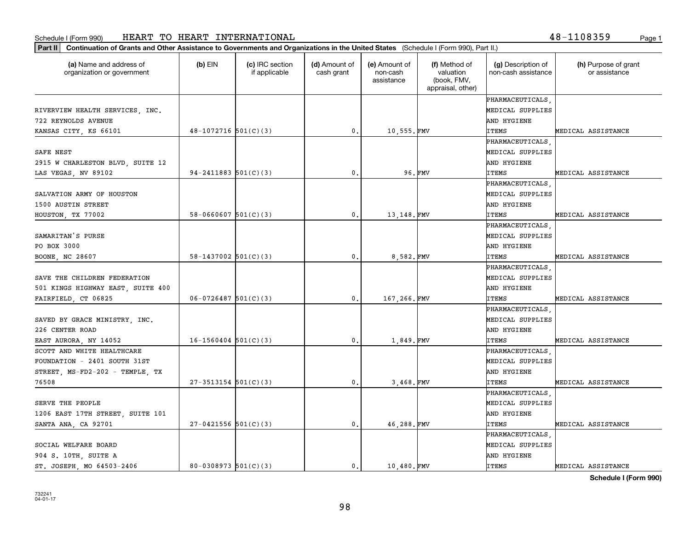**Part II Continuation of Grants and Other Assistance to Governments and Organizations in the United States**  (Schedule I (Form 990), Part II.)

| (a) Name and address of<br>organization or government | (b) EIN                    | (c) IRC section<br>if applicable | (d) Amount of<br>cash grant | (e) Amount of<br>non-cash<br>assistance | (f) Method of<br>valuation<br>(book, FMV,<br>appraisal, other) | (g) Description of<br>non-cash assistance | (h) Purpose of grant<br>or assistance |
|-------------------------------------------------------|----------------------------|----------------------------------|-----------------------------|-----------------------------------------|----------------------------------------------------------------|-------------------------------------------|---------------------------------------|
|                                                       |                            |                                  |                             |                                         |                                                                | PHARMACEUTICALS                           |                                       |
| RIVERVIEW HEALTH SERVICES, INC.                       |                            |                                  |                             |                                         |                                                                | MEDICAL SUPPLIES                          |                                       |
| 722 REYNOLDS AVENUE                                   |                            |                                  |                             |                                         |                                                                | AND HYGIENE                               |                                       |
| KANSAS CITY, KS 66101                                 | $48-1072716$ 501(C)(3)     |                                  | 0.                          | 10,555.FMV                              |                                                                | <b>ITEMS</b>                              | MEDICAL ASSISTANCE                    |
|                                                       |                            |                                  |                             |                                         |                                                                | PHARMACEUTICALS                           |                                       |
| SAFE NEST                                             |                            |                                  |                             |                                         |                                                                | MEDICAL SUPPLIES                          |                                       |
| 2915 W CHARLESTON BLVD, SUITE 12                      |                            |                                  |                             |                                         |                                                                | AND HYGIENE                               |                                       |
| LAS VEGAS, NV 89102                                   | $94 - 2411883$ $501(C)(3)$ |                                  | $\mathbf{0}$ .              |                                         | 96.FMV                                                         | <b>ITEMS</b>                              | MEDICAL ASSISTANCE                    |
|                                                       |                            |                                  |                             |                                         |                                                                | PHARMACEUTICALS                           |                                       |
| SALVATION ARMY OF HOUSTON                             |                            |                                  |                             |                                         |                                                                | MEDICAL SUPPLIES                          |                                       |
| 1500 AUSTIN STREET                                    |                            |                                  |                             |                                         |                                                                | AND HYGIENE                               |                                       |
| HOUSTON, TX 77002                                     | $58 - 0660607$ $501(C)(3)$ |                                  | 0.                          | 13,148.FMV                              |                                                                | <b>ITEMS</b>                              | MEDICAL ASSISTANCE                    |
|                                                       |                            |                                  |                             |                                         |                                                                | PHARMACEUTICALS                           |                                       |
| SAMARITAN'S PURSE                                     |                            |                                  |                             |                                         |                                                                | MEDICAL SUPPLIES                          |                                       |
| PO BOX 3000                                           |                            |                                  |                             |                                         |                                                                | AND HYGIENE                               |                                       |
| BOONE, NC 28607                                       | $58-1437002$ $501(C)(3)$   |                                  | 0.                          | 8,582.FMV                               |                                                                | <b>ITEMS</b>                              | MEDICAL ASSISTANCE                    |
|                                                       |                            |                                  |                             |                                         |                                                                | PHARMACEUTICALS                           |                                       |
| SAVE THE CHILDREN FEDERATION                          |                            |                                  |                             |                                         |                                                                | MEDICAL SUPPLIES                          |                                       |
| 501 KINGS HIGHWAY EAST, SUITE 400                     |                            |                                  |                             |                                         |                                                                | AND HYGIENE                               |                                       |
| FAIRFIELD, CT 06825                                   | $06 - 0726487$ 501(C)(3)   |                                  | 0.                          | 167,266.FMV                             |                                                                | <b>ITEMS</b>                              | MEDICAL ASSISTANCE                    |
|                                                       |                            |                                  |                             |                                         |                                                                | PHARMACEUTICALS                           |                                       |
| SAVED BY GRACE MINISTRY, INC.                         |                            |                                  |                             |                                         |                                                                | MEDICAL SUPPLIES                          |                                       |
| 226 CENTER ROAD                                       |                            |                                  |                             |                                         |                                                                | AND HYGIENE                               |                                       |
| EAST AURORA, NY 14052                                 | $16-1560404$ $501(C)(3)$   |                                  | $\mathbf{0}$ .              | 1,849.FMV                               |                                                                | <b>ITEMS</b>                              | MEDICAL ASSISTANCE                    |
| SCOTT AND WHITE HEALTHCARE                            |                            |                                  |                             |                                         |                                                                | PHARMACEUTICALS                           |                                       |
| FOUNDATION - 2401 SOUTH 31ST                          |                            |                                  |                             |                                         |                                                                | MEDICAL SUPPLIES                          |                                       |
| STREET, MS-FD2-202 - TEMPLE, TX                       |                            |                                  |                             |                                         |                                                                | AND HYGIENE                               |                                       |
| 76508                                                 | $27-3513154$ 501(C)(3)     |                                  | 0.                          | 3,468.FMV                               |                                                                | <b>ITEMS</b>                              | MEDICAL ASSISTANCE                    |
|                                                       |                            |                                  |                             |                                         |                                                                | PHARMACEUTICALS                           |                                       |
| SERVE THE PEOPLE                                      |                            |                                  |                             |                                         |                                                                | MEDICAL SUPPLIES                          |                                       |
| 1206 EAST 17TH STREET, SUITE 101                      |                            |                                  |                             |                                         |                                                                | AND HYGIENE                               |                                       |
| SANTA ANA, CA 92701                                   | $27-0421556$ 501(C)(3)     |                                  | 0.                          | 46,288.FMV                              |                                                                | <b>ITEMS</b>                              | MEDICAL ASSISTANCE                    |
|                                                       |                            |                                  |                             |                                         |                                                                | PHARMACEUTICALS                           |                                       |
| SOCIAL WELFARE BOARD                                  |                            |                                  |                             |                                         |                                                                | MEDICAL SUPPLIES                          |                                       |
| 904 S. 10TH, SUITE A                                  |                            |                                  |                             |                                         |                                                                | AND HYGIENE                               |                                       |

**Schedule I (Form 990)**

ST. JOSEPH, MO 64503-2406  $\begin{vmatrix} 80-0308973 & 501(C)(3) \end{vmatrix}$  0. 10,480. FMV ITEMS THEMS MEDICAL ASSISTANCE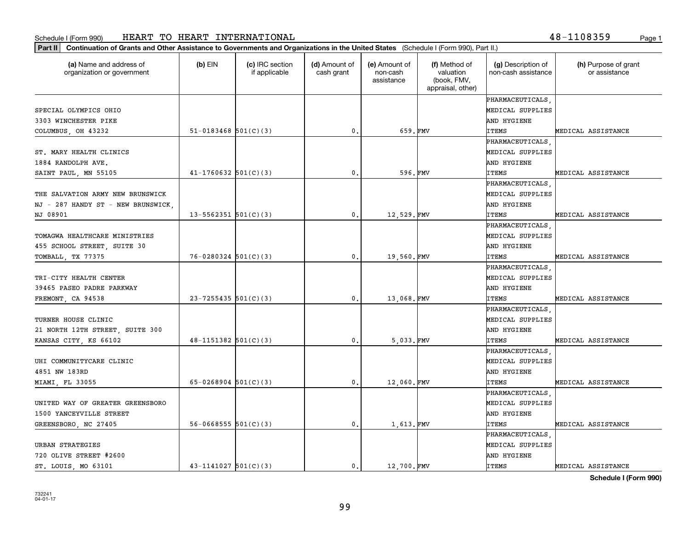**Part II Continuation of Grants and Other Assistance to Governments and Organizations in the United States**  (Schedule I (Form 990), Part II.)

| (a) Name and address of<br>organization or government | (b) EIN                    | (c) IRC section<br>if applicable | (d) Amount of<br>cash grant | (e) Amount of<br>non-cash<br>assistance | (f) Method of<br>valuation<br>(book, FMV,<br>appraisal, other) | (g) Description of<br>non-cash assistance | (h) Purpose of grant<br>or assistance |
|-------------------------------------------------------|----------------------------|----------------------------------|-----------------------------|-----------------------------------------|----------------------------------------------------------------|-------------------------------------------|---------------------------------------|
|                                                       |                            |                                  |                             |                                         |                                                                | PHARMACEUTICALS                           |                                       |
| SPECIAL OLYMPICS OHIO                                 |                            |                                  |                             |                                         |                                                                | MEDICAL SUPPLIES                          |                                       |
| 3303 WINCHESTER PIKE                                  |                            |                                  |                             |                                         |                                                                | AND HYGIENE                               |                                       |
| COLUMBUS, OH 43232                                    | $51 - 0183468$ $501(C)(3)$ |                                  | 0.                          | 659.FMV                                 |                                                                | <b>ITEMS</b>                              | MEDICAL ASSISTANCE                    |
|                                                       |                            |                                  |                             |                                         |                                                                | PHARMACEUTICALS                           |                                       |
| ST. MARY HEALTH CLINICS                               |                            |                                  |                             |                                         |                                                                | MEDICAL SUPPLIES                          |                                       |
| 1884 RANDOLPH AVE.                                    |                            |                                  |                             |                                         |                                                                | AND HYGIENE                               |                                       |
| SAINT PAUL, MN 55105                                  | $41 - 1760632$ 501(C)(3)   |                                  | 0.                          | 596.FMV                                 |                                                                | <b>ITEMS</b>                              | MEDICAL ASSISTANCE                    |
|                                                       |                            |                                  |                             |                                         |                                                                | PHARMACEUTICALS                           |                                       |
| THE SALVATION ARMY NEW BRUNSWICK                      |                            |                                  |                             |                                         |                                                                | MEDICAL SUPPLIES                          |                                       |
| NJ - 287 HANDY ST - NEW BRUNSWICK,                    |                            |                                  |                             |                                         |                                                                | AND HYGIENE                               |                                       |
| NJ 08901                                              | $13 - 5562351$ $501(C)(3)$ |                                  | 0.                          | 12,529.FMV                              |                                                                | <b>ITEMS</b>                              | MEDICAL ASSISTANCE                    |
|                                                       |                            |                                  |                             |                                         |                                                                | PHARMACEUTICALS                           |                                       |
| TOMAGWA HEALTHCARE MINISTRIES                         |                            |                                  |                             |                                         |                                                                | MEDICAL SUPPLIES                          |                                       |
| 455 SCHOOL STREET, SUITE 30                           |                            |                                  |                             |                                         |                                                                | AND HYGIENE                               |                                       |
| TOMBALL, TX 77375                                     | $76 - 0280324$ 501(C)(3)   |                                  | $\mathfrak{o}$ .            | 19,560.FMV                              |                                                                | <b>ITEMS</b>                              | MEDICAL ASSISTANCE                    |
|                                                       |                            |                                  |                             |                                         |                                                                | PHARMACEUTICALS                           |                                       |
| TRI-CITY HEALTH CENTER                                |                            |                                  |                             |                                         |                                                                | MEDICAL SUPPLIES                          |                                       |
| 39465 PASEO PADRE PARKWAY                             |                            |                                  |                             |                                         |                                                                | AND HYGIENE                               |                                       |
| FREMONT, CA 94538                                     | 23-7255435 501(C)(3)       |                                  | $\mathfrak{o}$ .            | 13,068.FMV                              |                                                                | <b>ITEMS</b>                              | MEDICAL ASSISTANCE                    |
|                                                       |                            |                                  |                             |                                         |                                                                | PHARMACEUTICALS                           |                                       |
| TURNER HOUSE CLINIC                                   |                            |                                  |                             |                                         |                                                                | MEDICAL SUPPLIES                          |                                       |
| 21 NORTH 12TH STREET, SUITE 300                       |                            |                                  |                             |                                         |                                                                | AND HYGIENE                               |                                       |
| KANSAS CITY, KS 66102                                 | $48 - 1151382$ 501(C)(3)   |                                  | 0.                          | 5,033.FMV                               |                                                                | ITEMS                                     | MEDICAL ASSISTANCE                    |
|                                                       |                            |                                  |                             |                                         |                                                                | PHARMACEUTICALS                           |                                       |
| UHI COMMUNITYCARE CLINIC                              |                            |                                  |                             |                                         |                                                                | MEDICAL SUPPLIES                          |                                       |
| 4851 NW 183RD                                         |                            |                                  |                             |                                         |                                                                | AND HYGIENE                               |                                       |
| MIAMI, FL 33055                                       | 65-0268904 $501(C)(3)$     |                                  | $\mathbf{0}$ .              | 12,060.FMV                              |                                                                | <b>ITEMS</b>                              | MEDICAL ASSISTANCE                    |
|                                                       |                            |                                  |                             |                                         |                                                                | PHARMACEUTICALS                           |                                       |
| UNITED WAY OF GREATER GREENSBORO                      |                            |                                  |                             |                                         |                                                                | MEDICAL SUPPLIES                          |                                       |
| 1500 YANCEYVILLE STREET                               |                            |                                  |                             |                                         |                                                                | AND HYGIENE                               |                                       |
| GREENSBORO, NC 27405                                  | $56 - 0668555$ $501(C)(3)$ |                                  | $\mathbf{0}$ .              | 1,613.FMV                               |                                                                | <b>ITEMS</b>                              | MEDICAL ASSISTANCE                    |
|                                                       |                            |                                  |                             |                                         |                                                                | PHARMACEUTICALS                           |                                       |
| URBAN STRATEGIES                                      |                            |                                  |                             |                                         |                                                                | MEDICAL SUPPLIES                          |                                       |
| 720 OLIVE STREET #2600                                |                            |                                  |                             |                                         |                                                                | AND HYGIENE                               |                                       |
| ST. LOUIS, MO 63101                                   | $43 - 1141027$ $501(C)(3)$ |                                  | $\mathbf{0}$ .              | 12,700.FMV                              |                                                                | <b>ITEMS</b>                              | MEDICAL ASSISTANCE                    |

**Schedule I (Form 990)**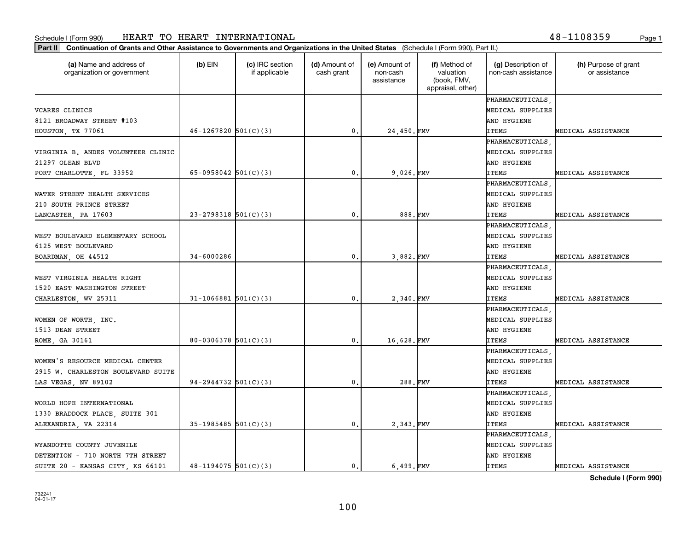**Part II Continuation of Grants and Other Assistance to Governments and Organizations in the United States**  (Schedule I (Form 990), Part II.)

| (a) Name and address of<br>organization or government | $(b)$ EIN                | (c) IRC section<br>if applicable | (d) Amount of<br>cash grant | (e) Amount of<br>non-cash<br>assistance | (f) Method of<br>valuation<br>(book, FMV,<br>appraisal, other) | (g) Description of<br>non-cash assistance | (h) Purpose of grant<br>or assistance |
|-------------------------------------------------------|--------------------------|----------------------------------|-----------------------------|-----------------------------------------|----------------------------------------------------------------|-------------------------------------------|---------------------------------------|
|                                                       |                          |                                  |                             |                                         |                                                                | PHARMACEUTICALS                           |                                       |
| VCARES CLINICS                                        |                          |                                  |                             |                                         |                                                                | MEDICAL SUPPLIES                          |                                       |
| 8121 BROADWAY STREET #103                             |                          |                                  |                             |                                         |                                                                | AND HYGIENE                               |                                       |
| HOUSTON, TX 77061                                     | $46 - 1267820$ 501(C)(3) |                                  | $\mathbf{0}$ .              | 24,450. FMV                             |                                                                | <b>ITEMS</b>                              | MEDICAL ASSISTANCE                    |
|                                                       |                          |                                  |                             |                                         |                                                                | PHARMACEUTICALS                           |                                       |
| VIRGINIA B. ANDES VOLUNTEER CLINIC                    |                          |                                  |                             |                                         |                                                                | MEDICAL SUPPLIES                          |                                       |
| 21297 OLEAN BLVD                                      |                          |                                  |                             |                                         |                                                                | AND HYGIENE                               |                                       |
| PORT CHARLOTTE, FL 33952                              | 65-0958042 $501(C)(3)$   |                                  | $\mathbf{0}$ .              | 9,026.FMV                               |                                                                | <b>ITEMS</b>                              | MEDICAL ASSISTANCE                    |
|                                                       |                          |                                  |                             |                                         |                                                                | PHARMACEUTICALS                           |                                       |
| WATER STREET HEALTH SERVICES                          |                          |                                  |                             |                                         |                                                                | MEDICAL SUPPLIES                          |                                       |
| 210 SOUTH PRINCE STREET                               |                          |                                  |                             |                                         |                                                                | AND HYGIENE                               |                                       |
| LANCASTER, PA 17603                                   | $23 - 2798318$ 501(C)(3) |                                  | $\mathbf{0}$ .              | 888.FMV                                 |                                                                | <b>ITEMS</b>                              | MEDICAL ASSISTANCE                    |
|                                                       |                          |                                  |                             |                                         |                                                                | PHARMACEUTICALS                           |                                       |
| WEST BOULEVARD ELEMENTARY SCHOOL                      |                          |                                  |                             |                                         |                                                                | MEDICAL SUPPLIES                          |                                       |
| 6125 WEST BOULEVARD                                   |                          |                                  |                             |                                         |                                                                | AND HYGIENE                               |                                       |
| BOARDMAN, OH 44512                                    | $34 - 6000286$           |                                  | $\mathbf{0}$ .              | 3,882. FMV                              |                                                                | <b>ITEMS</b>                              | MEDICAL ASSISTANCE                    |
|                                                       |                          |                                  |                             |                                         |                                                                | PHARMACEUTICALS                           |                                       |
| WEST VIRGINIA HEALTH RIGHT                            |                          |                                  |                             |                                         |                                                                | MEDICAL SUPPLIES                          |                                       |
| 1520 EAST WASHINGTON STREET                           |                          |                                  |                             |                                         |                                                                | AND HYGIENE                               |                                       |
| CHARLESTON, WV 25311                                  | $31 - 1066881$ 501(C)(3) |                                  | $\mathbf{0}$ .              | 2,340. FMV                              |                                                                | <b>ITEMS</b>                              | MEDICAL ASSISTANCE                    |
|                                                       |                          |                                  |                             |                                         |                                                                | PHARMACEUTICALS                           |                                       |
| WOMEN OF WORTH, INC.                                  |                          |                                  |                             |                                         |                                                                | MEDICAL SUPPLIES                          |                                       |
| 1513 DEAN STREET                                      |                          |                                  |                             |                                         |                                                                | AND HYGIENE                               |                                       |
| ROME, GA 30161                                        | $80 - 0306378$ 501(C)(3) |                                  | $\mathfrak{o}$ .            | 16,628.FMV                              |                                                                | <b>ITEMS</b>                              | MEDICAL ASSISTANCE                    |
|                                                       |                          |                                  |                             |                                         |                                                                | PHARMACEUTICALS                           |                                       |
| WOMEN'S RESOURCE MEDICAL CENTER                       |                          |                                  |                             |                                         |                                                                | MEDICAL SUPPLIES                          |                                       |
| 2915 W. CHARLESTON BOULEVARD SUITE                    |                          |                                  |                             |                                         |                                                                | AND HYGIENE                               |                                       |
| LAS VEGAS, NV 89102                                   | $94-2944732$ 501(C)(3)   |                                  | $\mathbf{0}$ .              | 288.FMV                                 |                                                                | <b>ITEMS</b>                              | MEDICAL ASSISTANCE                    |
|                                                       |                          |                                  |                             |                                         |                                                                | PHARMACEUTICALS                           |                                       |
| WORLD HOPE INTERNATIONAL                              |                          |                                  |                             |                                         |                                                                | MEDICAL SUPPLIES                          |                                       |
| 1330 BRADDOCK PLACE, SUITE 301                        |                          |                                  |                             |                                         |                                                                | AND HYGIENE                               |                                       |
| ALEXANDRIA, VA 22314                                  | $35-1985485$ 501(C)(3)   |                                  | $\mathbf{0}$ .              | 2,343. FMV                              |                                                                | <b>ITEMS</b>                              | MEDICAL ASSISTANCE                    |
|                                                       |                          |                                  |                             |                                         |                                                                | PHARMACEUTICALS                           |                                       |
| WYANDOTTE COUNTY JUVENILE                             |                          |                                  |                             |                                         |                                                                | MEDICAL SUPPLIES                          |                                       |
| DETENTION - 710 NORTH 7TH STREET                      |                          |                                  |                             |                                         |                                                                | AND HYGIENE                               |                                       |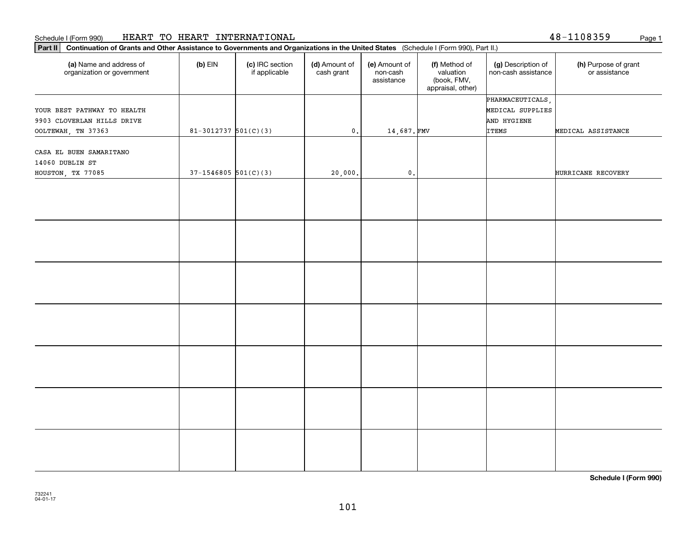#### **Part III Continuation of Grants and Other Assistance I**<br>**Part II Continuation of Grants and Other Assistance** Schedule I (Form 990) Page 1 HEART TO HEART INTERNATIONAL

| Continuation of Grants and Other Assistance to Governments and Organizations in the United States (Schedule I (Form 990), Part II.)<br>Part II |                          |                                  |                             |                                         |                                                                |                                           |                                       |  |  |
|------------------------------------------------------------------------------------------------------------------------------------------------|--------------------------|----------------------------------|-----------------------------|-----------------------------------------|----------------------------------------------------------------|-------------------------------------------|---------------------------------------|--|--|
| (a) Name and address of<br>organization or government                                                                                          | $(b)$ EIN                | (c) IRC section<br>if applicable | (d) Amount of<br>cash grant | (e) Amount of<br>non-cash<br>assistance | (f) Method of<br>valuation<br>(book, FMV,<br>appraisal, other) | (g) Description of<br>non-cash assistance | (h) Purpose of grant<br>or assistance |  |  |
|                                                                                                                                                |                          |                                  |                             |                                         |                                                                | PHARMACEUTICALS,                          |                                       |  |  |
| YOUR BEST PATHWAY TO HEALTH                                                                                                                    |                          |                                  |                             |                                         |                                                                | MEDICAL SUPPLIES                          |                                       |  |  |
| 9903 CLOVERLAN HILLS DRIVE                                                                                                                     |                          |                                  |                             |                                         |                                                                | AND HYGIENE                               |                                       |  |  |
| OOLTEWAH, TN 37363                                                                                                                             | $81-3012737$ $501(C)(3)$ |                                  | $\mathbf 0$ .               | 14,687.FMV                              |                                                                | <b>ITEMS</b>                              | MEDICAL ASSISTANCE                    |  |  |
| CASA EL BUEN SAMARITANO<br>14060 DUBLIN ST                                                                                                     |                          |                                  |                             |                                         |                                                                |                                           |                                       |  |  |
| HOUSTON, TX 77085                                                                                                                              | $37-1546805$ 501(C)(3)   |                                  | 20,000.                     | $\mathbf{0}$ .                          |                                                                |                                           | HURRICANE RECOVERY                    |  |  |
|                                                                                                                                                |                          |                                  |                             |                                         |                                                                |                                           |                                       |  |  |
|                                                                                                                                                |                          |                                  |                             |                                         |                                                                |                                           |                                       |  |  |
|                                                                                                                                                |                          |                                  |                             |                                         |                                                                |                                           |                                       |  |  |
|                                                                                                                                                |                          |                                  |                             |                                         |                                                                |                                           |                                       |  |  |
|                                                                                                                                                |                          |                                  |                             |                                         |                                                                |                                           |                                       |  |  |
|                                                                                                                                                |                          |                                  |                             |                                         |                                                                |                                           |                                       |  |  |
|                                                                                                                                                |                          |                                  |                             |                                         |                                                                |                                           |                                       |  |  |

**Schedule I (Form 990)**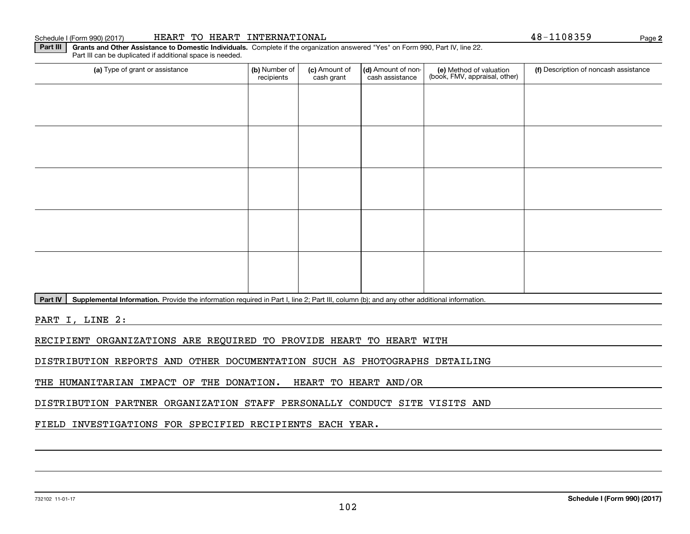#### 732102 11-01-17

#### Schedule I (Form 990) (2017) Page HEART TO HEART INTERNATIONAL 48-1108359

**Part III | Grants and Other Assistance to Domestic Individuals. Complete if the organization answered "Yes" on Form 990, Part IV, line 22.** Part III can be duplicated if additional space is needed.

| (a) Type of grant or assistance | (b) Number of<br>recipients | (c) Amount of<br>cash grant | (d) Amount of non-<br>cash assistance | (e) Method of valuation<br>(book, FMV, appraisal, other) | (f) Description of noncash assistance |
|---------------------------------|-----------------------------|-----------------------------|---------------------------------------|----------------------------------------------------------|---------------------------------------|
|                                 |                             |                             |                                       |                                                          |                                       |
|                                 |                             |                             |                                       |                                                          |                                       |
|                                 |                             |                             |                                       |                                                          |                                       |
|                                 |                             |                             |                                       |                                                          |                                       |
|                                 |                             |                             |                                       |                                                          |                                       |
|                                 |                             |                             |                                       |                                                          |                                       |
|                                 |                             |                             |                                       |                                                          |                                       |
|                                 |                             |                             |                                       |                                                          |                                       |
|                                 |                             |                             |                                       |                                                          |                                       |
|                                 |                             |                             |                                       |                                                          |                                       |
|                                 |                             |                             |                                       |                                                          |                                       |

Part IV | Supplemental Information. Provide the information required in Part I, line 2; Part III, column (b); and any other additional information.

PART I, LINE 2:

RECIPIENT ORGANIZATIONS ARE REQUIRED TO PROVIDE HEART TO HEART WITH

DISTRIBUTION REPORTS AND OTHER DOCUMENTATION SUCH AS PHOTOGRAPHS DETAILING

THE HUMANITARIAN IMPACT OF THE DONATION. HEART TO HEART AND/OR

DISTRIBUTION PARTNER ORGANIZATION STAFF PERSONALLY CONDUCT SITE VISITS AND

FIELD INVESTIGATIONS FOR SPECIFIED RECIPIENTS EACH YEAR.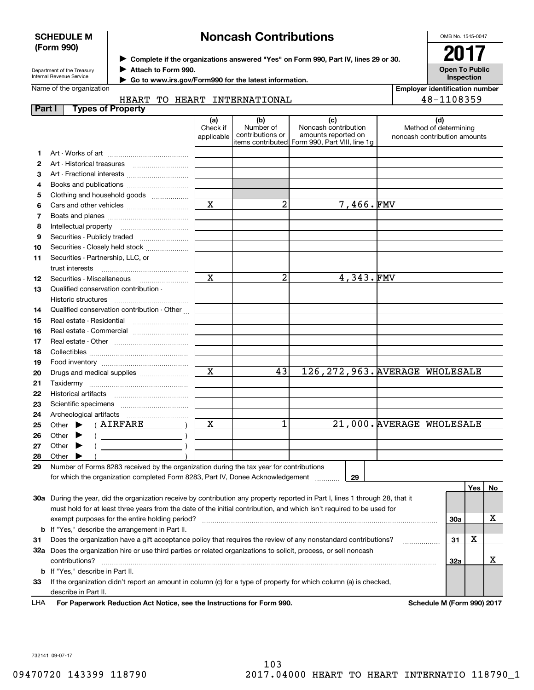| <b>SCHEDULE M</b>                                      |                                                                                    |                               | <b>Noncash Contributions</b>         | OMB No. 1545-0047                                                                                     |  |                                                              |
|--------------------------------------------------------|------------------------------------------------------------------------------------|-------------------------------|--------------------------------------|-------------------------------------------------------------------------------------------------------|--|--------------------------------------------------------------|
| (Form 990)                                             | Complete if the organizations answered "Yes" on Form 990, Part IV, lines 29 or 30. |                               | 2017                                 |                                                                                                       |  |                                                              |
| Department of the Treasury<br>Internal Revenue Service | Attach to Form 990.<br>Go to www.irs.gov/Form990 for the latest information.       |                               | <b>Open To Public</b><br>Inspection  |                                                                                                       |  |                                                              |
| Name of the organization                               |                                                                                    |                               |                                      |                                                                                                       |  | <b>Employer identification number</b>                        |
|                                                        | HEART                                                                              |                               | TO HEART INTERNATIONAL               |                                                                                                       |  | 48-1108359                                                   |
| Part I                                                 | <b>Types of Property</b>                                                           |                               |                                      |                                                                                                       |  |                                                              |
|                                                        |                                                                                    | (a)<br>Check if<br>applicable | (b)<br>Number of<br>contributions or | (c)<br>Noncash contribution<br>amounts reported on<br>litems contributed Form 990, Part VIII, line 1q |  | (d)<br>Method of determining<br>noncash contribution amounts |
|                                                        | Art - Works of art                                                                 |                               |                                      |                                                                                                       |  |                                                              |
| Art - Historical treasures                             |                                                                                    |                               |                                      |                                                                                                       |  |                                                              |
| 3                                                      | Art - Fractional interests                                                         |                               |                                      |                                                                                                       |  |                                                              |
| 4                                                      |                                                                                    |                               |                                      |                                                                                                       |  |                                                              |
| 5                                                      | Clothing and household goods                                                       |                               |                                      |                                                                                                       |  |                                                              |
| 6                                                      |                                                                                    | X                             | 2                                    | 7,466.FMV                                                                                             |  |                                                              |
| Boats and planes                                       |                                                                                    |                               |                                      |                                                                                                       |  |                                                              |

| 4               | Books and publications                                                                                                                                                                                                                                                                                                                                                                                                                       |                         |                |           |                                  |
|-----------------|----------------------------------------------------------------------------------------------------------------------------------------------------------------------------------------------------------------------------------------------------------------------------------------------------------------------------------------------------------------------------------------------------------------------------------------------|-------------------------|----------------|-----------|----------------------------------|
| 5               | Clothing and household goods                                                                                                                                                                                                                                                                                                                                                                                                                 |                         |                |           |                                  |
| 6               |                                                                                                                                                                                                                                                                                                                                                                                                                                              | X                       | 2              | 7,466.FMV |                                  |
| 7               |                                                                                                                                                                                                                                                                                                                                                                                                                                              |                         |                |           |                                  |
| 8               |                                                                                                                                                                                                                                                                                                                                                                                                                                              |                         |                |           |                                  |
| 9               | Securities - Publicly traded                                                                                                                                                                                                                                                                                                                                                                                                                 |                         |                |           |                                  |
| 10              | Securities - Closely held stock                                                                                                                                                                                                                                                                                                                                                                                                              |                         |                |           |                                  |
| 11              | Securities - Partnership, LLC, or                                                                                                                                                                                                                                                                                                                                                                                                            |                         |                |           |                                  |
|                 |                                                                                                                                                                                                                                                                                                                                                                                                                                              |                         |                |           |                                  |
| 12 <sup>2</sup> | Securities - Miscellaneous                                                                                                                                                                                                                                                                                                                                                                                                                   | $\overline{\mathbf{x}}$ | $\overline{a}$ | 4,343.FMV |                                  |
| 13              | Qualified conservation contribution -                                                                                                                                                                                                                                                                                                                                                                                                        |                         |                |           |                                  |
|                 | Historic structures                                                                                                                                                                                                                                                                                                                                                                                                                          |                         |                |           |                                  |
| 14              | Qualified conservation contribution - Other                                                                                                                                                                                                                                                                                                                                                                                                  |                         |                |           |                                  |
| 15              |                                                                                                                                                                                                                                                                                                                                                                                                                                              |                         |                |           |                                  |
| 16              | Real estate - Commercial                                                                                                                                                                                                                                                                                                                                                                                                                     |                         |                |           |                                  |
| 17              |                                                                                                                                                                                                                                                                                                                                                                                                                                              |                         |                |           |                                  |
| 18              |                                                                                                                                                                                                                                                                                                                                                                                                                                              |                         |                |           |                                  |
| 19              |                                                                                                                                                                                                                                                                                                                                                                                                                                              |                         |                |           |                                  |
| 20              | Drugs and medical supplies                                                                                                                                                                                                                                                                                                                                                                                                                   | $\overline{\mathbf{x}}$ | 43             |           | 126, 272, 963. AVERAGE WHOLESALE |
| 21              |                                                                                                                                                                                                                                                                                                                                                                                                                                              |                         |                |           |                                  |
| 22              |                                                                                                                                                                                                                                                                                                                                                                                                                                              |                         |                |           |                                  |
| 23              |                                                                                                                                                                                                                                                                                                                                                                                                                                              |                         |                |           |                                  |
| 24              |                                                                                                                                                                                                                                                                                                                                                                                                                                              |                         |                |           |                                  |
| 25              | (AIRFARE<br>Other $\blacktriangleright$                                                                                                                                                                                                                                                                                                                                                                                                      | $\mathbf x$             | 1              |           | 21,000. AVERAGE WHOLESALE        |
| 26              | Other $\blacktriangleright$<br>$\left(\begin{array}{ccc}\n\frac{1}{2} & \frac{1}{2} & \frac{1}{2} & \frac{1}{2} & \frac{1}{2} & \frac{1}{2} & \frac{1}{2} & \frac{1}{2} & \frac{1}{2} & \frac{1}{2} & \frac{1}{2} & \frac{1}{2} & \frac{1}{2} & \frac{1}{2} & \frac{1}{2} & \frac{1}{2} & \frac{1}{2} & \frac{1}{2} & \frac{1}{2} & \frac{1}{2} & \frac{1}{2} & \frac{1}{2} & \frac{1}{2} & \frac{1}{2} & \frac{1}{2} & \frac{1}{2} & \frac$ |                         |                |           |                                  |
| 27              | Other<br>▸                                                                                                                                                                                                                                                                                                                                                                                                                                   |                         |                |           |                                  |
| 28              | Other                                                                                                                                                                                                                                                                                                                                                                                                                                        |                         |                |           |                                  |
| 29              | Number of Forms 8283 received by the organization during the tax year for contributions                                                                                                                                                                                                                                                                                                                                                      |                         |                |           |                                  |
|                 | for which the organization completed Form 8283, Part IV, Donee Acknowledgement                                                                                                                                                                                                                                                                                                                                                               |                         |                | 29        |                                  |
|                 |                                                                                                                                                                                                                                                                                                                                                                                                                                              |                         |                |           | Yes $ $<br>No                    |

**30 a** During the year, did the organization receive by contribution any property reported in Part I, lines 1 through 28, that it **31**Does the organization have a gift acceptance policy that requires the review of any nonstandard contributions? ~~~~~~**32 a** Does the organization hire or use third parties or related organizations to solicit, process, or sell noncash **33**If the organization didn't report an amount in column (c) for a type of property for which column (a) is checked, **b** If "Yes," describe the arrangement in Part II. **30a3132a b**If "Yes," describe in Part II. must hold for at least three years from the date of the initial contribution, and which isn't required to be used for exempt purposes for the entire holding period? ~~~~~~~~~~~~~~~~~~~~~~~~~~~~~~~~~~~~~~ contributions? ~~~~~~~~~~~~~~~~~~~~~~~~~~~~~~~~~~~~~~~~~~~~~~~~~~~~~~ describe in Part II. X X X

**For Paperwork Reduction Act Notice, see the Instructions for Form 990. Schedule M (Form 990) 2017** LHA

732141 09-07-17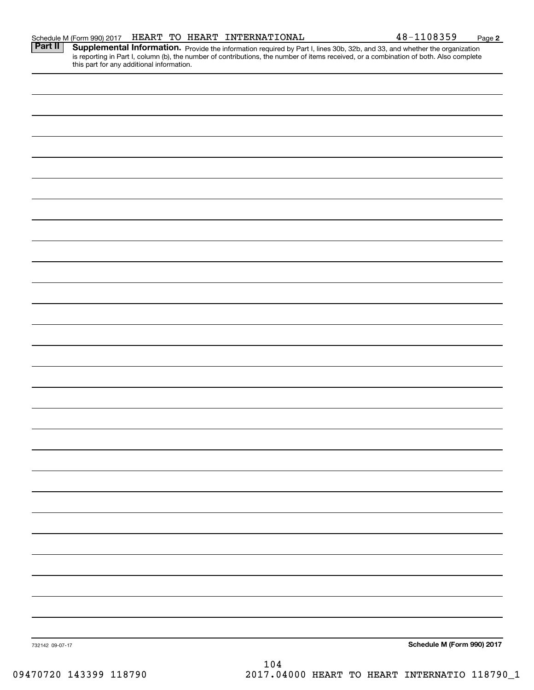| this part for any additional information. |     |                            |
|-------------------------------------------|-----|----------------------------|
|                                           |     |                            |
|                                           |     |                            |
|                                           |     |                            |
|                                           |     |                            |
|                                           |     |                            |
|                                           |     |                            |
|                                           |     |                            |
|                                           |     |                            |
|                                           |     |                            |
|                                           |     |                            |
|                                           |     |                            |
|                                           |     |                            |
|                                           |     |                            |
|                                           |     |                            |
|                                           |     |                            |
|                                           |     |                            |
|                                           |     |                            |
|                                           |     |                            |
|                                           |     |                            |
|                                           |     |                            |
|                                           |     |                            |
|                                           |     |                            |
|                                           |     |                            |
|                                           |     |                            |
|                                           |     |                            |
|                                           |     |                            |
|                                           |     |                            |
|                                           |     |                            |
| 732142 09-07-17                           | 104 | Schedule M (Form 990) 2017 |
|                                           |     |                            |

Part II | Supplemental Information. Provide the information required by Part I, lines 30b, 32b, and 33, and whether the organization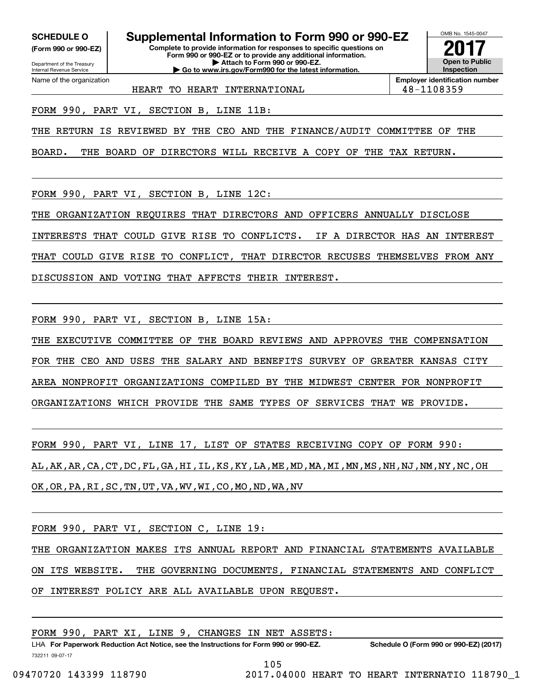**(Form 990 or 990-EZ)**

Department of the Treasury Internal Revenue Service Name of the organization

**SCHEDULE O Supplemental Information to Form 990 or 990-EZ**

**Complete to provide information for responses to specific questions on Form 990 or 990-EZ or to provide any additional information. | Attach to Form 990 or 990-EZ. | Go to www.irs.gov/Form990 for the latest information.**



**Employer identification number**

HEART TO HEART INTERNATIONAL  $\vert$  48-1108359

FORM 990, PART VI, SECTION B, LINE 11B:

THE RETURN IS REVIEWED BY THE CEO AND THE FINANCE/AUDIT COMMITTEE OF THE

BOARD. THE BOARD OF DIRECTORS WILL RECEIVE A COPY OF THE TAX RETURN.

FORM 990, PART VI, SECTION B, LINE 12C:

THE ORGANIZATION REQUIRES THAT DIRECTORS AND OFFICERS ANNUALLY DISCLOSE

INTERESTS THAT COULD GIVE RISE TO CONFLICTS. IF A DIRECTOR HAS AN INTEREST

THAT COULD GIVE RISE TO CONFLICT, THAT DIRECTOR RECUSES THEMSELVES FROM ANY

DISCUSSION AND VOTING THAT AFFECTS THEIR INTEREST.

FORM 990, PART VI, SECTION B, LINE 15A:

THE EXECUTIVE COMMITTEE OF THE BOARD REVIEWS AND APPROVES THE COMPENSATION FOR THE CEO AND USES THE SALARY AND BENEFITS SURVEY OF GREATER KANSAS CITY AREA NONPROFIT ORGANIZATIONS COMPILED BY THE MIDWEST CENTER FOR NONPROFIT ORGANIZATIONS WHICH PROVIDE THE SAME TYPES OF SERVICES THAT WE PROVIDE.

FORM 990, PART VI, LINE 17, LIST OF STATES RECEIVING COPY OF FORM 990: AL,AK,AR,CA,CT,DC,FL,GA,HI,IL,KS,KY,LA,ME,MD,MA,MI,MN,MS,NH,NJ,NM,NY,NC,OH OK,OR,PA,RI,SC,TN,UT,VA,WV,WI,CO,MO,ND,WA,NV

FORM 990, PART VI, SECTION C, LINE 19:

THE ORGANIZATION MAKES ITS ANNUAL REPORT AND FINANCIAL STATEMENTS AVAILABLE ON ITS WEBSITE. THE GOVERNING DOCUMENTS, FINANCIAL STATEMENTS AND CONFLICT OF INTEREST POLICY ARE ALL AVAILABLE UPON REQUEST.

FORM 990, PART XI, LINE 9, CHANGES IN NET ASSETS:

732211 09-07-17 LHA For Paperwork Reduction Act Notice, see the Instructions for Form 990 or 990-EZ. Schedule O (Form 990 or 990-EZ) (2017) 105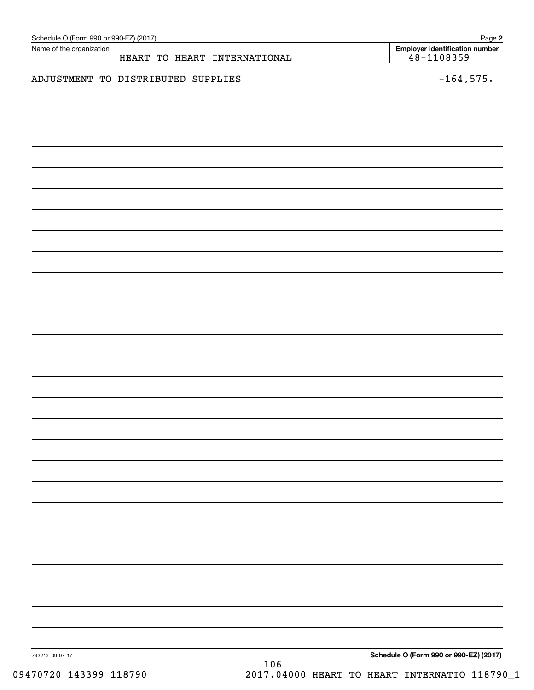| Schedule O (Form 990 or 990-EZ) (2017) |                                    | Page 2                                                  |
|----------------------------------------|------------------------------------|---------------------------------------------------------|
| Name of the organization               | HEART TO HEART INTERNATIONAL       | <b>Employer identification number</b><br>$48 - 1108359$ |
|                                        |                                    |                                                         |
|                                        | ADJUSTMENT TO DISTRIBUTED SUPPLIES | $-164,575.$                                             |
|                                        |                                    |                                                         |
|                                        |                                    |                                                         |
|                                        |                                    |                                                         |
|                                        |                                    |                                                         |
|                                        |                                    |                                                         |
|                                        |                                    |                                                         |
|                                        |                                    |                                                         |
|                                        |                                    |                                                         |
|                                        |                                    |                                                         |
|                                        |                                    |                                                         |
|                                        |                                    |                                                         |
|                                        |                                    |                                                         |
|                                        |                                    |                                                         |
|                                        |                                    |                                                         |
|                                        |                                    |                                                         |
|                                        |                                    |                                                         |
|                                        |                                    |                                                         |
|                                        |                                    |                                                         |
|                                        |                                    |                                                         |
|                                        |                                    |                                                         |
|                                        |                                    |                                                         |
|                                        |                                    |                                                         |
|                                        |                                    |                                                         |
|                                        |                                    |                                                         |
|                                        |                                    |                                                         |
|                                        |                                    |                                                         |
|                                        |                                    |                                                         |
|                                        |                                    |                                                         |
|                                        |                                    |                                                         |
|                                        |                                    |                                                         |
|                                        |                                    |                                                         |
|                                        |                                    |                                                         |
|                                        |                                    |                                                         |
|                                        |                                    |                                                         |
|                                        |                                    |                                                         |
|                                        |                                    |                                                         |
|                                        |                                    |                                                         |
|                                        |                                    |                                                         |
|                                        |                                    |                                                         |
|                                        |                                    |                                                         |
|                                        |                                    |                                                         |
|                                        |                                    |                                                         |
| 732212 09-07-17                        |                                    | Schedule O (Form 990 or 990-EZ) (2017)                  |
|                                        | 106                                |                                                         |

09470720 143399 118790 2017.04000 HEART TO HEART INTERNATIO 118790\_1